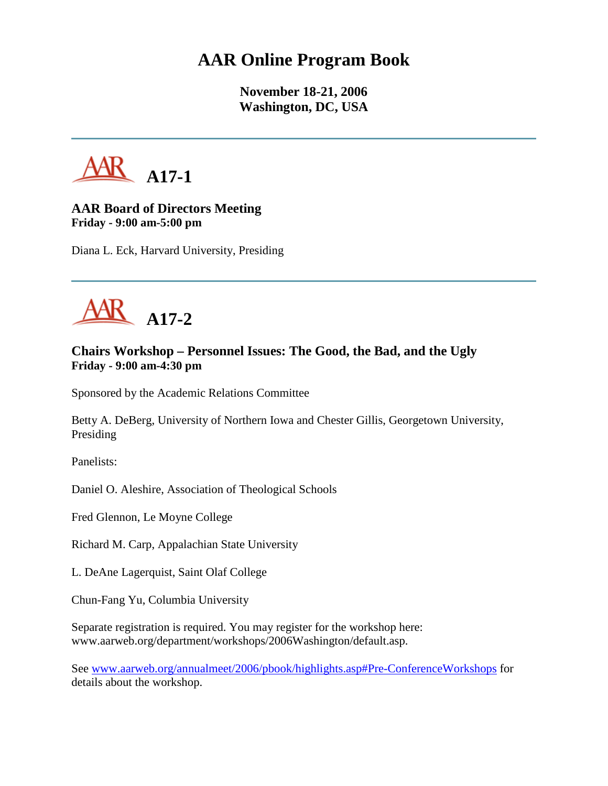## **AAR Online Program Book**

**November 18-21, 2006 Washington, DC, USA**



## **AAR Board of Directors Meeting Friday - 9:00 am-5:00 pm**

Diana L. Eck, Harvard University, Presiding



## **Chairs Workshop – Personnel Issues: The Good, the Bad, and the Ugly Friday - 9:00 am-4:30 pm**

Sponsored by the Academic Relations Committee

Betty A. DeBerg, University of Northern Iowa and Chester Gillis, Georgetown University, Presiding

Panelists:

Daniel O. Aleshire, Association of Theological Schools

Fred Glennon, Le Moyne College

Richard M. Carp, Appalachian State University

L. DeAne Lagerquist, Saint Olaf College

Chun-Fang Yu, Columbia University

Separate registration is required. You may register for the workshop here: www.aarweb.org/department/workshops/2006Washington/default.asp.

See [www.aarweb.org/annualmeet/2006/pbook/highlights.asp#Pre-ConferenceWorkshops](http://www.aarweb.org/Meetings/Annual_Meeting/Past_and_Future_Meetings/2006/highlights.asp#Pre-ConferenceWorkshops) for details about the workshop.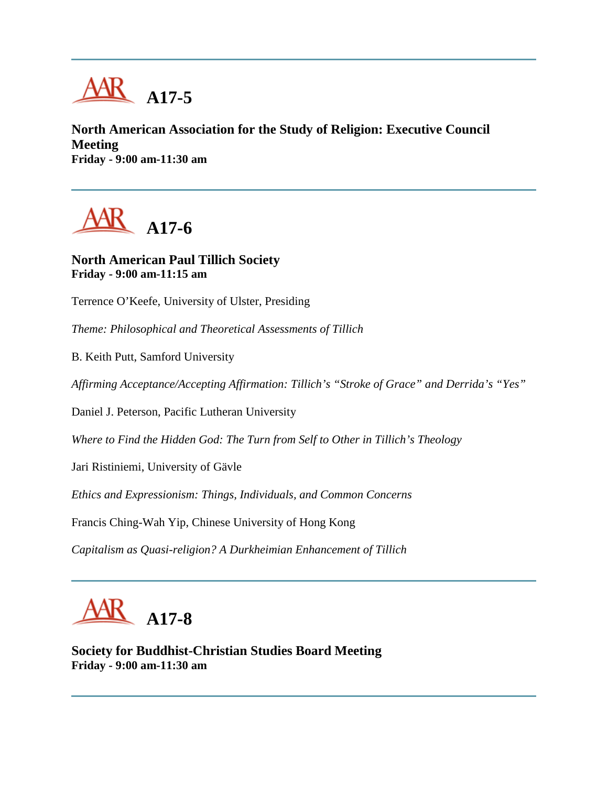

**North American Association for the Study of Religion: Executive Council Meeting Friday - 9:00 am-11:30 am**

**A17-6**

**North American Paul Tillich Society Friday - 9:00 am-11:15 am**

Terrence O'Keefe, University of Ulster, Presiding

*Theme: Philosophical and Theoretical Assessments of Tillich*

B. Keith Putt, Samford University

*Affirming Acceptance/Accepting Affirmation: Tillich's "Stroke of Grace" and Derrida's "Yes"*

Daniel J. Peterson, Pacific Lutheran University

*Where to Find the Hidden God: The Turn from Self to Other in Tillich's Theology*

Jari Ristiniemi, University of Gävle

*Ethics and Expressionism: Things, Individuals, and Common Concerns*

Francis Ching-Wah Yip, Chinese University of Hong Kong

*Capitalism as Quasi-religion? A Durkheimian Enhancement of Tillich*



**Society for Buddhist-Christian Studies Board Meeting Friday - 9:00 am-11:30 am**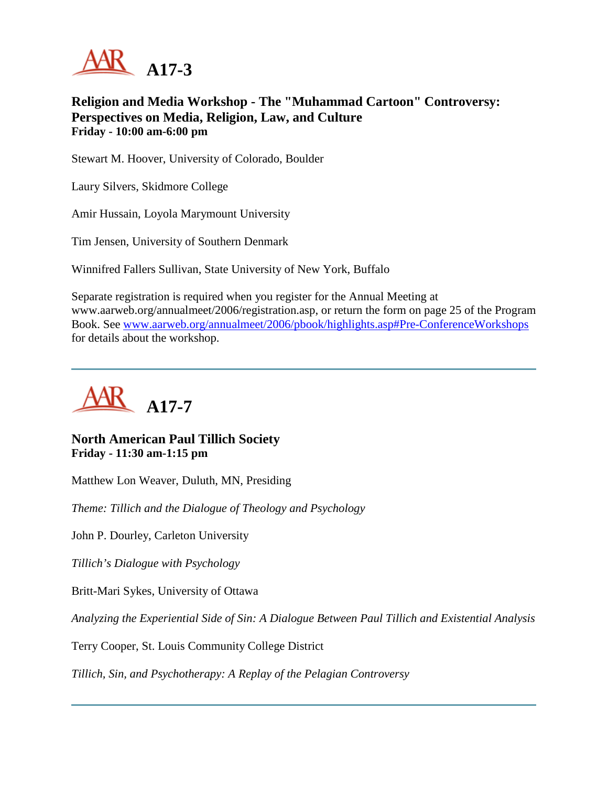

**Religion and Media Workshop - The "Muhammad Cartoon" Controversy: Perspectives on Media, Religion, Law, and Culture Friday - 10:00 am-6:00 pm**

Stewart M. Hoover, University of Colorado, Boulder

Laury Silvers, Skidmore College

Amir Hussain, Loyola Marymount University

Tim Jensen, University of Southern Denmark

Winnifred Fallers Sullivan, State University of New York, Buffalo

Separate registration is required when you register for the Annual Meeting at www.aarweb.org/annualmeet/2006/registration.asp, or return the form on page 25 of the Program Book. See [www.aarweb.org/annualmeet/2006/pbook/highlights.asp#Pre-ConferenceWorkshops](http://www.aarweb.org/Meetings/Annual_Meeting/Past_and_Future_Meetings/2006/highlights.asp#Pre-ConferenceWorkshops) for details about the workshop.



#### **North American Paul Tillich Society Friday - 11:30 am-1:15 pm**

Matthew Lon Weaver, Duluth, MN, Presiding

*Theme: Tillich and the Dialogue of Theology and Psychology*

John P. Dourley, Carleton University

*Tillich's Dialogue with Psychology*

Britt-Mari Sykes, University of Ottawa

*Analyzing the Experiential Side of Sin: A Dialogue Between Paul Tillich and Existential Analysis*

Terry Cooper, St. Louis Community College District

*Tillich, Sin, and Psychotherapy: A Replay of the Pelagian Controversy*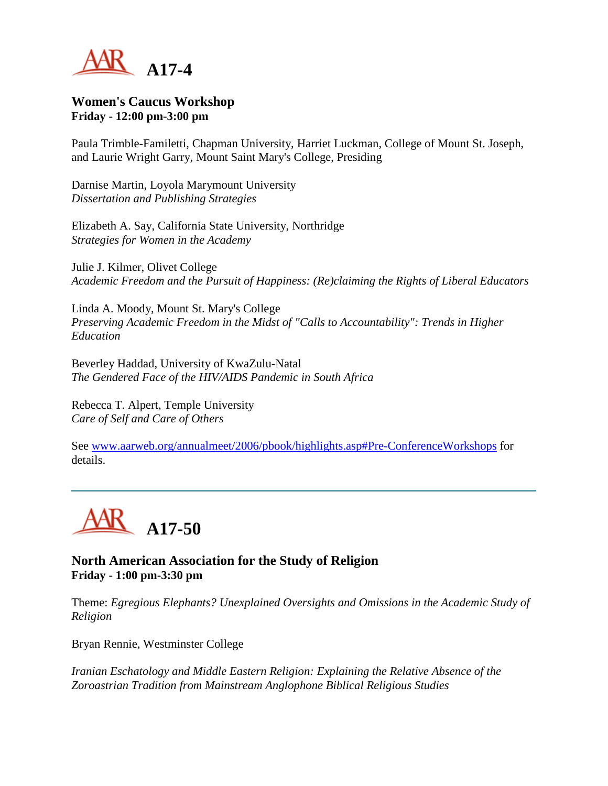

#### **Women's Caucus Workshop Friday - 12:00 pm-3:00 pm**

Paula Trimble-Familetti, Chapman University, Harriet Luckman, College of Mount St. Joseph, and Laurie Wright Garry, Mount Saint Mary's College, Presiding

Darnise Martin, Loyola Marymount University *Dissertation and Publishing Strategies*

Elizabeth A. Say, California State University, Northridge *Strategies for Women in the Academy*

Julie J. Kilmer, Olivet College *Academic Freedom and the Pursuit of Happiness: (Re)claiming the Rights of Liberal Educators*

Linda A. Moody, Mount St. Mary's College *Preserving Academic Freedom in the Midst of "Calls to Accountability": Trends in Higher Education*

Beverley Haddad, University of KwaZulu-Natal *The Gendered Face of the HIV/AIDS Pandemic in South Africa*

Rebecca T. Alpert, Temple University *Care of Self and Care of Others*

See [www.aarweb.org/annualmeet/2006/pbook/highlights.asp#Pre-ConferenceWorkshops](http://www.aarweb.org/Meetings/Annual_Meeting/Past_and_Future_Meetings/2006/highlights.asp#Pre-ConferenceWorkshops) for details.



**North American Association for the Study of Religion Friday - 1:00 pm-3:30 pm**

Theme: *Egregious Elephants? Unexplained Oversights and Omissions in the Academic Study of Religion*

Bryan Rennie, Westminster College

*Iranian Eschatology and Middle Eastern Religion: Explaining the Relative Absence of the Zoroastrian Tradition from Mainstream Anglophone Biblical Religious Studies*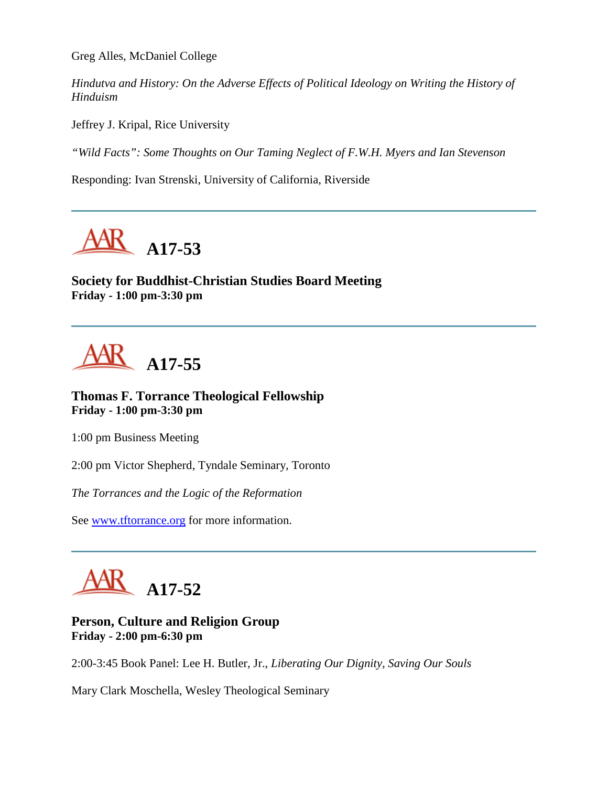Greg Alles, McDaniel College

*Hindutva and History: On the Adverse Effects of Political Ideology on Writing the History of Hinduism*

Jeffrey J. Kripal, Rice University

*"Wild Facts": Some Thoughts on Our Taming Neglect of F.W.H. Myers and Ian Stevenson*

Responding: Ivan Strenski, University of California, Riverside



**Society for Buddhist-Christian Studies Board Meeting Friday - 1:00 pm-3:30 pm**

**A17-55**

**Thomas F. Torrance Theological Fellowship Friday - 1:00 pm-3:30 pm**

1:00 pm Business Meeting

2:00 pm Victor Shepherd, Tyndale Seminary, Toronto

*The Torrances and the Logic of the Reformation*

See [www.tftorrance.org](http://www.tftorrance.org/) for more information.



## **Person, Culture and Religion Group Friday - 2:00 pm-6:30 pm**

2:00-3:45 Book Panel: Lee H. Butler, Jr., *Liberating Our Dignity, Saving Our Souls*

Mary Clark Moschella, Wesley Theological Seminary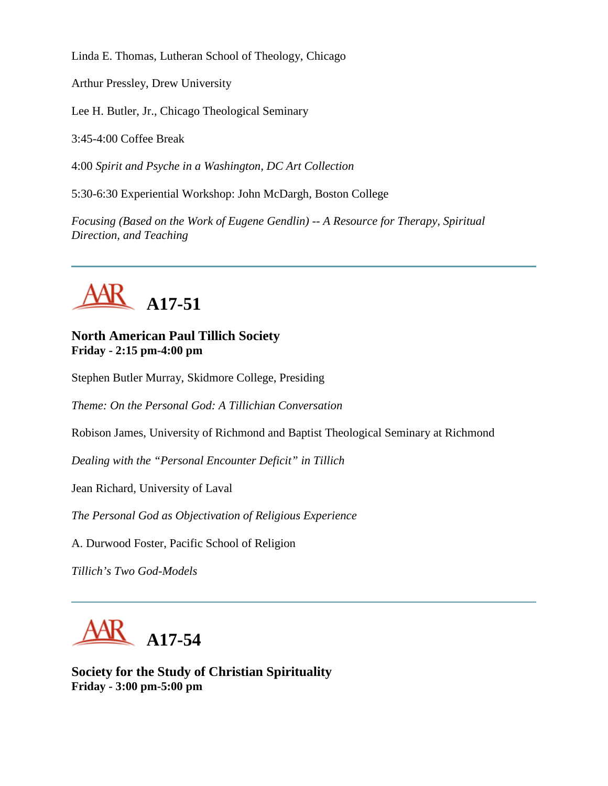Linda E. Thomas, Lutheran School of Theology, Chicago

Arthur Pressley, Drew University

Lee H. Butler, Jr., Chicago Theological Seminary

3:45-4:00 Coffee Break

4:00 *Spirit and Psyche in a Washington, DC Art Collection*

5:30-6:30 Experiential Workshop: John McDargh, Boston College

*Focusing (Based on the Work of Eugene Gendlin) -- A Resource for Therapy, Spiritual Direction, and Teaching*



## **North American Paul Tillich Society Friday - 2:15 pm-4:00 pm**

Stephen Butler Murray, Skidmore College, Presiding

*Theme: On the Personal God: A Tillichian Conversation*

Robison James, University of Richmond and Baptist Theological Seminary at Richmond

*Dealing with the "Personal Encounter Deficit" in Tillich*

Jean Richard, University of Laval

*The Personal God as Objectivation of Religious Experience*

A. Durwood Foster, Pacific School of Religion

*Tillich's Two God-Models*



**Society for the Study of Christian Spirituality Friday - 3:00 pm-5:00 pm**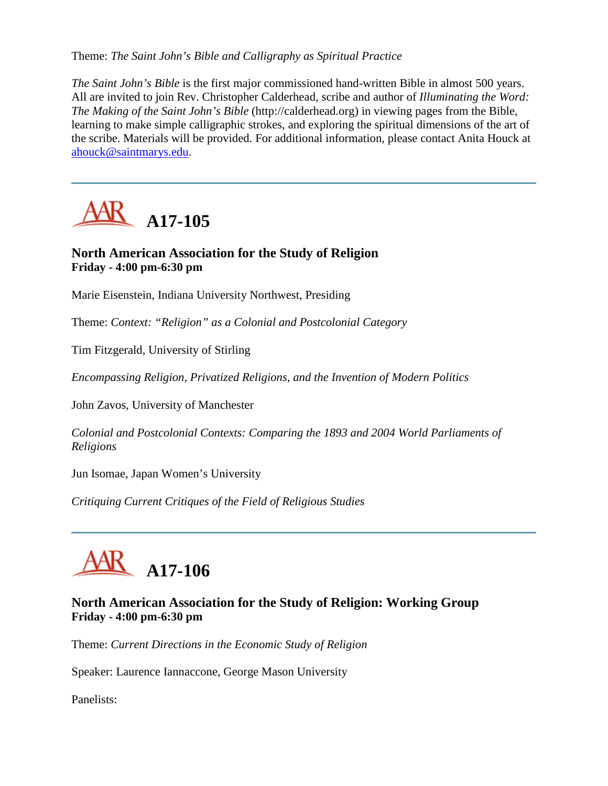Theme: *The Saint John's Bible and Calligraphy as Spiritual Practice*

*The Saint John's Bible* is the first major commissioned hand-written Bible in almost 500 years. All are invited to join Rev. Christopher Calderhead, scribe and author of *Illuminating the Word: The Making of the Saint John's Bible* (http://calderhead.org) in viewing pages from the Bible, learning to make simple calligraphic strokes, and exploring the spiritual dimensions of the art of the scribe. Materials will be provided. For additional information, please contact Anita Houck at [ahouck@saintmarys.edu.](mailto:ahouck@saintmarys.edu)



## **North American Association for the Study of Religion Friday - 4:00 pm-6:30 pm**

Marie Eisenstein, Indiana University Northwest, Presiding

Theme: *Context: "Religion" as a Colonial and Postcolonial Category*

Tim Fitzgerald, University of Stirling

*Encompassing Religion, Privatized Religions, and the Invention of Modern Politics*

John Zavos, University of Manchester

*Colonial and Postcolonial Contexts: Comparing the 1893 and 2004 World Parliaments of Religions*

Jun Isomae, Japan Women's University

*Critiquing Current Critiques of the Field of Religious Studies*



## **North American Association for the Study of Religion: Working Group Friday - 4:00 pm-6:30 pm**

Theme: *Current Directions in the Economic Study of Religion*

Speaker: Laurence Iannaccone, George Mason University

Panelists: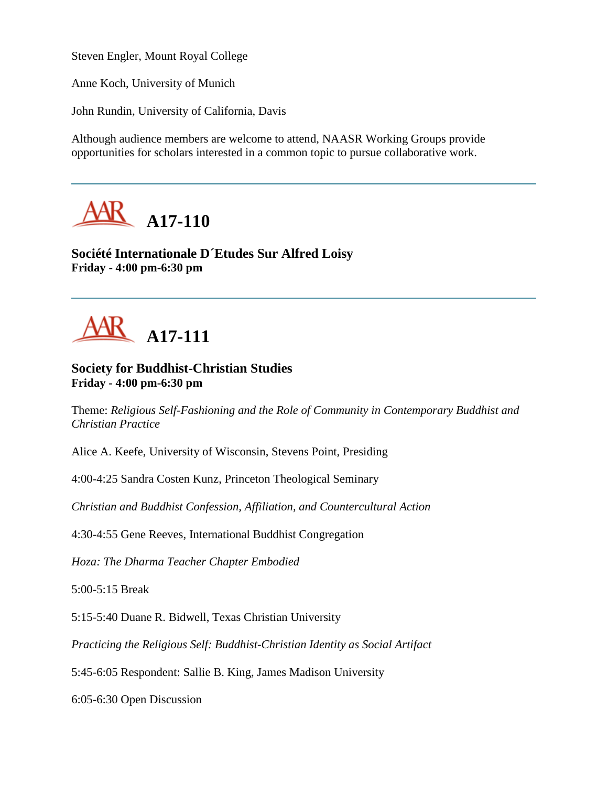Steven Engler, Mount Royal College

Anne Koch, University of Munich

John Rundin, University of California, Davis

Although audience members are welcome to attend, NAASR Working Groups provide opportunities for scholars interested in a common topic to pursue collaborative work.



**Société Internationale D´Etudes Sur Alfred Loisy Friday - 4:00 pm-6:30 pm**



#### **Society for Buddhist-Christian Studies Friday - 4:00 pm-6:30 pm**

Theme: *Religious Self-Fashioning and the Role of Community in Contemporary Buddhist and Christian Practice*

Alice A. Keefe, University of Wisconsin, Stevens Point, Presiding

4:00-4:25 Sandra Costen Kunz, Princeton Theological Seminary

*Christian and Buddhist Confession, Affiliation, and Countercultural Action*

4:30-4:55 Gene Reeves, International Buddhist Congregation

*Hoza: The Dharma Teacher Chapter Embodied*

5:00-5:15 Break

5:15-5:40 Duane R. Bidwell, Texas Christian University

*Practicing the Religious Self: Buddhist-Christian Identity as Social Artifact*

5:45-6:05 Respondent: Sallie B. King, James Madison University

6:05-6:30 Open Discussion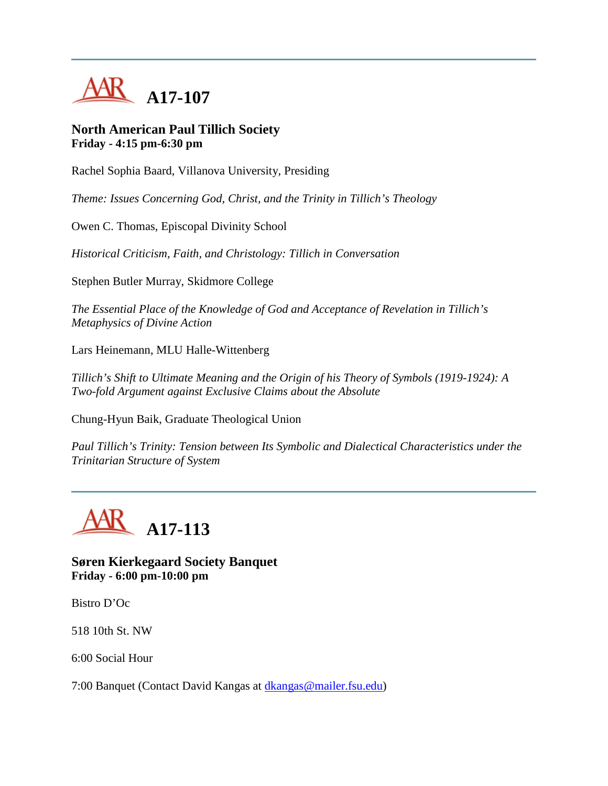

#### **North American Paul Tillich Society Friday - 4:15 pm-6:30 pm**

Rachel Sophia Baard, Villanova University, Presiding

*Theme: Issues Concerning God, Christ, and the Trinity in Tillich's Theology*

Owen C. Thomas, Episcopal Divinity School

*Historical Criticism, Faith, and Christology: Tillich in Conversation*

Stephen Butler Murray, Skidmore College

*The Essential Place of the Knowledge of God and Acceptance of Revelation in Tillich's Metaphysics of Divine Action*

Lars Heinemann, MLU Halle-Wittenberg

*Tillich's Shift to Ultimate Meaning and the Origin of his Theory of Symbols (1919-1924): A Two-fold Argument against Exclusive Claims about the Absolute*

Chung-Hyun Baik, Graduate Theological Union

*Paul Tillich's Trinity: Tension between Its Symbolic and Dialectical Characteristics under the Trinitarian Structure of System*



**Søren Kierkegaard Society Banquet Friday - 6:00 pm-10:00 pm**

Bistro D'Oc

518 10th St. NW

6:00 Social Hour

7:00 Banquet (Contact David Kangas at [dkangas@mailer.fsu.edu\)](mailto:dkangas@mailer.fsu.edu)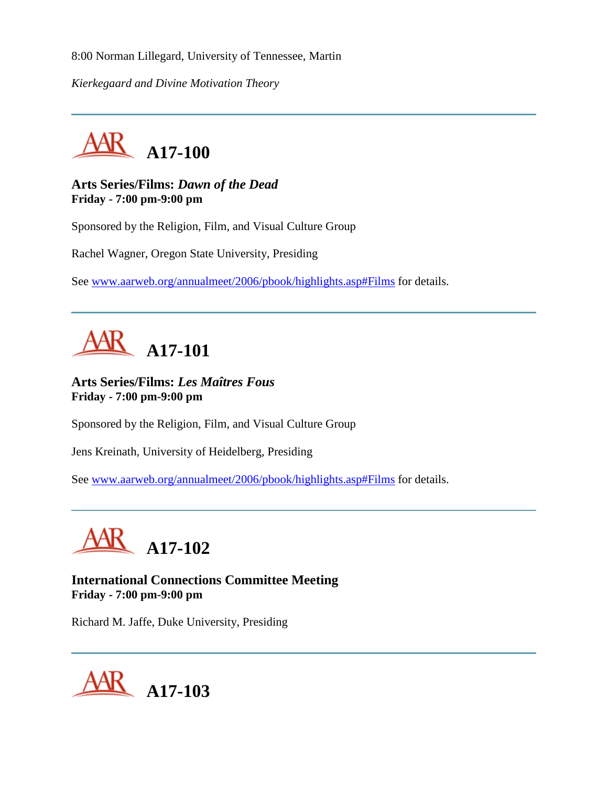8:00 Norman Lillegard, University of Tennessee, Martin

*Kierkegaard and Divine Motivation Theory*



**Arts Series/Films:** *Dawn of the Dead* **Friday - 7:00 pm-9:00 pm**

Sponsored by the Religion, Film, and Visual Culture Group

Rachel Wagner, Oregon State University, Presiding

See [www.aarweb.org/annualmeet/2006/pbook/highlights.asp#Films](http://www.aarweb.org/Meetings/Annual_Meeting/Past_and_Future_Meetings/2006/highlights.asp#Films) for details.



**Arts Series/Films:** *Les Maîtres Fous* **Friday - 7:00 pm-9:00 pm**

Sponsored by the Religion, Film, and Visual Culture Group

Jens Kreinath, University of Heidelberg, Presiding

See [www.aarweb.org/annualmeet/2006/pbook/highlights.asp#Films](http://www.aarweb.org/Meetings/Annual_Meeting/Past_and_Future_Meetings/2006/highlights.asp#Films) for details.



**International Connections Committee Meeting Friday - 7:00 pm-9:00 pm**

Richard M. Jaffe, Duke University, Presiding

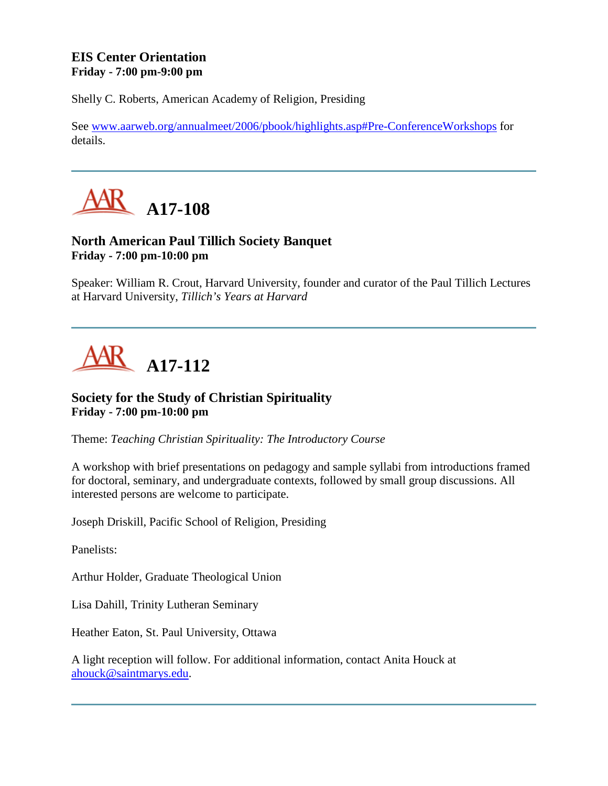## **EIS Center Orientation Friday - 7:00 pm-9:00 pm**

Shelly C. Roberts, American Academy of Religion, Presiding

See [www.aarweb.org/annualmeet/2006/pbook/highlights.asp#Pre-ConferenceWorkshops](http://www.aarweb.org/Meetings/Annual_Meeting/Past_and_Future_Meetings/2006/highlights.asp#Pre-ConferenceWorkshops) for details.



## **North American Paul Tillich Society Banquet Friday - 7:00 pm-10:00 pm**

Speaker: William R. Crout, Harvard University, founder and curator of the Paul Tillich Lectures at Harvard University, *Tillich's Years at Harvard*

# **A17-112**

## **Society for the Study of Christian Spirituality Friday - 7:00 pm-10:00 pm**

Theme: *Teaching Christian Spirituality: The Introductory Course*

A workshop with brief presentations on pedagogy and sample syllabi from introductions framed for doctoral, seminary, and undergraduate contexts, followed by small group discussions. All interested persons are welcome to participate.

Joseph Driskill, Pacific School of Religion, Presiding

Panelists:

Arthur Holder, Graduate Theological Union

Lisa Dahill, Trinity Lutheran Seminary

Heather Eaton, St. Paul University, Ottawa

A light reception will follow. For additional information, contact Anita Houck at [ahouck@saintmarys.edu.](mailto:ahouck@saintmarys.edu)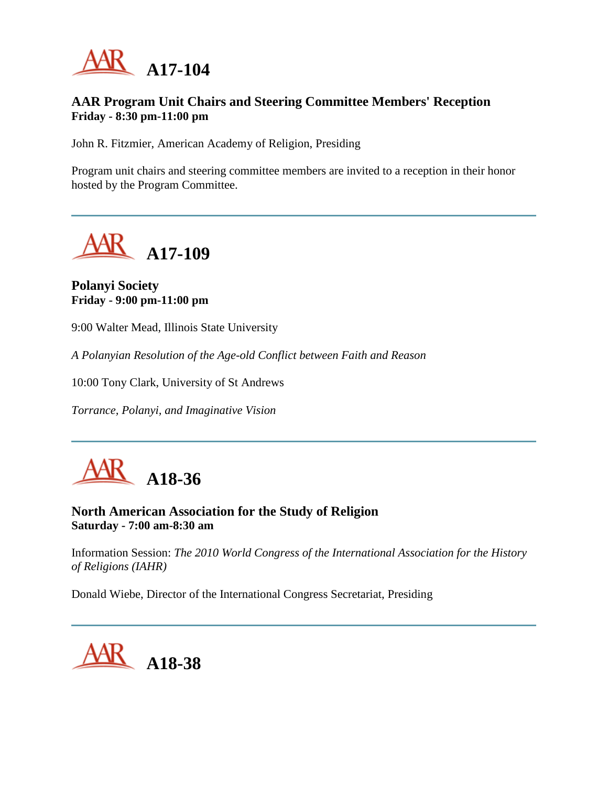

## **AAR Program Unit Chairs and Steering Committee Members' Reception Friday - 8:30 pm-11:00 pm**

John R. Fitzmier, American Academy of Religion, Presiding

Program unit chairs and steering committee members are invited to a reception in their honor hosted by the Program Committee.



### **Polanyi Society Friday - 9:00 pm-11:00 pm**

9:00 Walter Mead, Illinois State University

*A Polanyian Resolution of the Age-old Conflict between Faith and Reason*

10:00 Tony Clark, University of St Andrews

*Torrance, Polanyi, and Imaginative Vision*



**North American Association for the Study of Religion Saturday - 7:00 am-8:30 am**

Information Session: *The 2010 World Congress of the International Association for the History of Religions (IAHR)*

Donald Wiebe, Director of the International Congress Secretariat, Presiding

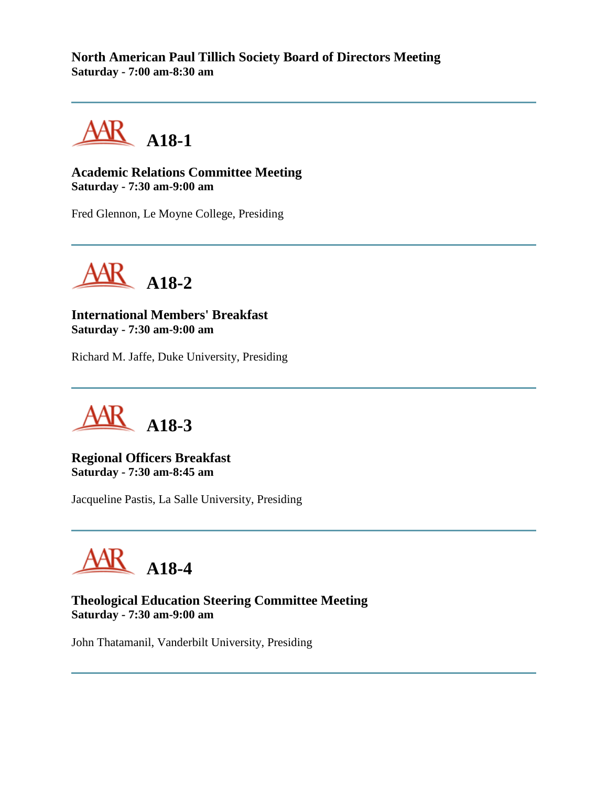**North American Paul Tillich Society Board of Directors Meeting Saturday - 7:00 am-8:30 am**



**Academic Relations Committee Meeting Saturday - 7:30 am-9:00 am**

Fred Glennon, Le Moyne College, Presiding



**International Members' Breakfast Saturday - 7:30 am-9:00 am**

Richard M. Jaffe, Duke University, Presiding

**A18-3**

**Regional Officers Breakfast Saturday - 7:30 am-8:45 am**

Jacqueline Pastis, La Salle University, Presiding

**A18-4**

**Theological Education Steering Committee Meeting Saturday - 7:30 am-9:00 am**

John Thatamanil, Vanderbilt University, Presiding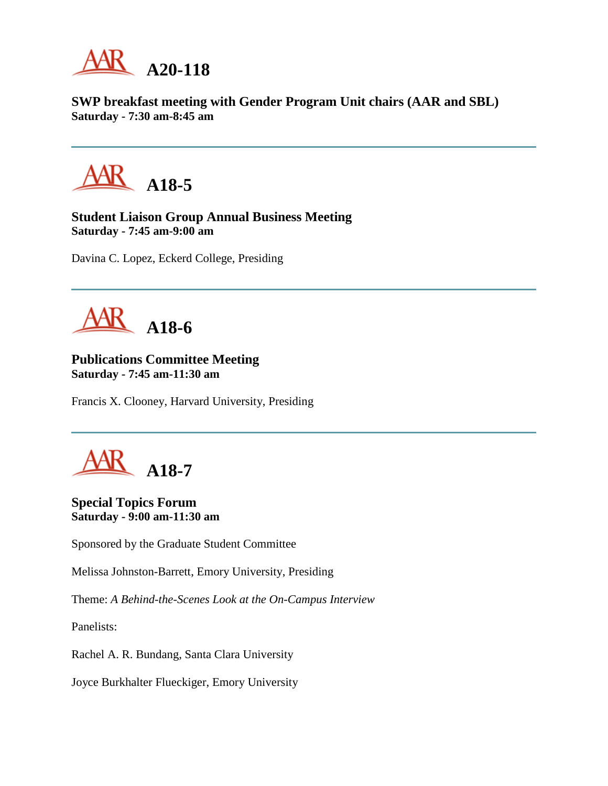

**SWP breakfast meeting with Gender Program Unit chairs (AAR and SBL) Saturday - 7:30 am-8:45 am**



**Student Liaison Group Annual Business Meeting Saturday - 7:45 am-9:00 am**

Davina C. Lopez, Eckerd College, Presiding



## **Publications Committee Meeting Saturday - 7:45 am-11:30 am**

Francis X. Clooney, Harvard University, Presiding



**Special Topics Forum Saturday - 9:00 am-11:30 am**

Sponsored by the Graduate Student Committee

Melissa Johnston-Barrett, Emory University, Presiding

Theme: *A Behind-the-Scenes Look at the On-Campus Interview*

Panelists:

Rachel A. R. Bundang, Santa Clara University

Joyce Burkhalter Flueckiger, Emory University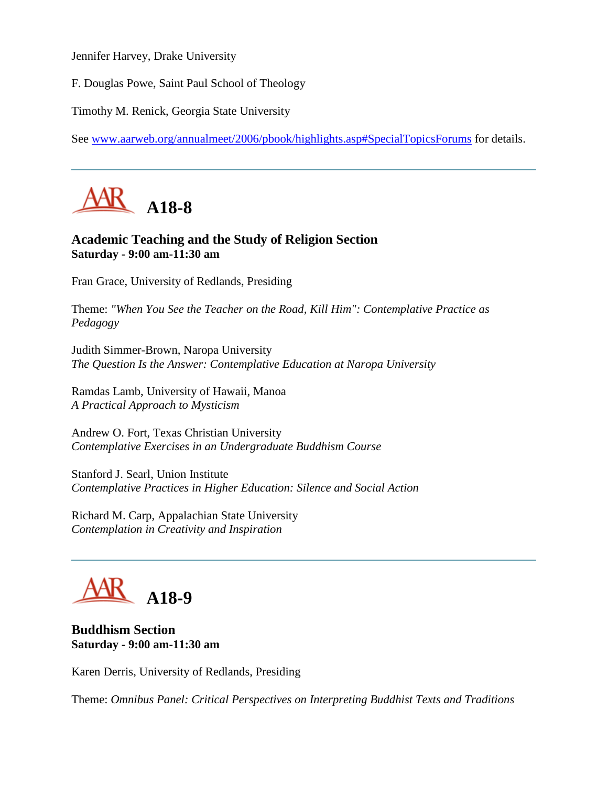Jennifer Harvey, Drake University

F. Douglas Powe, Saint Paul School of Theology

Timothy M. Renick, Georgia State University

See [www.aarweb.org/annualmeet/2006/pbook/highlights.asp#SpecialTopicsForums](http://www.aarweb.org/Meetings/Annual_Meeting/Past_and_Future_Meetings/2006/highlights.asp#SpecialTopicsForums) for details.



## **Academic Teaching and the Study of Religion Section Saturday - 9:00 am-11:30 am**

Fran Grace, University of Redlands, Presiding

Theme: *"When You See the Teacher on the Road, Kill Him": Contemplative Practice as Pedagogy*

Judith Simmer-Brown, Naropa University *The Question Is the Answer: Contemplative Education at Naropa University*

Ramdas Lamb, University of Hawaii, Manoa *A Practical Approach to Mysticism*

Andrew O. Fort, Texas Christian University *Contemplative Exercises in an Undergraduate Buddhism Course*

Stanford J. Searl, Union Institute *Contemplative Practices in Higher Education: Silence and Social Action*

Richard M. Carp, Appalachian State University *Contemplation in Creativity and Inspiration*

## **A18-9**

## **Buddhism Section Saturday - 9:00 am-11:30 am**

Karen Derris, University of Redlands, Presiding

Theme: *Omnibus Panel: Critical Perspectives on Interpreting Buddhist Texts and Traditions*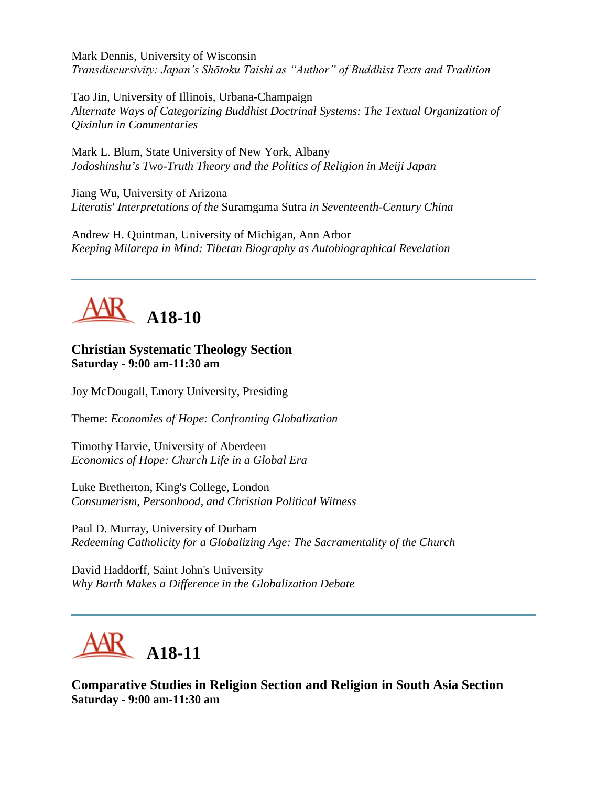Mark Dennis, University of Wisconsin *Transdiscursivity: Japan's Shōtoku Taishi as "Author" of Buddhist Texts and Tradition*

Tao Jin, University of Illinois, Urbana-Champaign *Alternate Ways of Categorizing Buddhist Doctrinal Systems: The Textual Organization of Qixinlun in Commentaries*

Mark L. Blum, State University of New York, Albany *Jodoshinshu's Two-Truth Theory and the Politics of Religion in Meiji Japan*

Jiang Wu, University of Arizona *Literatis' Interpretations of the* Suramgama Sutra *in Seventeenth-Century China*

Andrew H. Quintman, University of Michigan, Ann Arbor *Keeping Milarepa in Mind: Tibetan Biography as Autobiographical Revelation*



## **Christian Systematic Theology Section Saturday - 9:00 am-11:30 am**

Joy McDougall, Emory University, Presiding

Theme: *Economies of Hope: Confronting Globalization*

Timothy Harvie, University of Aberdeen *Economics of Hope: Church Life in a Global Era*

Luke Bretherton, King's College, London *Consumerism, Personhood, and Christian Political Witness*

Paul D. Murray, University of Durham *Redeeming Catholicity for a Globalizing Age: The Sacramentality of the Church*

David Haddorff, Saint John's University *Why Barth Makes a Difference in the Globalization Debate*



**Comparative Studies in Religion Section and Religion in South Asia Section Saturday - 9:00 am-11:30 am**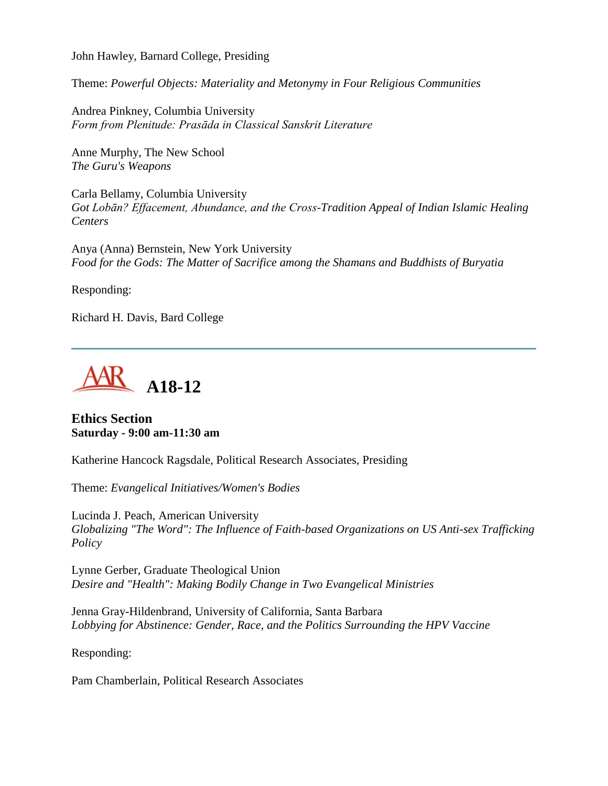John Hawley, Barnard College, Presiding

Theme: *Powerful Objects: Materiality and Metonymy in Four Religious Communities*

Andrea Pinkney, Columbia University *Form from Plenitude: Prasāda in Classical Sanskrit Literature*

Anne Murphy, The New School *The Guru's Weapons*

Carla Bellamy, Columbia University *Got Lobān? Effacement, Abundance, and the Cross-Tradition Appeal of Indian Islamic Healing Centers*

Anya (Anna) Bernstein, New York University *Food for the Gods: The Matter of Sacrifice among the Shamans and Buddhists of Buryatia*

Responding:

Richard H. Davis, Bard College



#### **Ethics Section Saturday - 9:00 am-11:30 am**

Katherine Hancock Ragsdale, Political Research Associates, Presiding

Theme: *Evangelical Initiatives/Women's Bodies*

Lucinda J. Peach, American University *Globalizing "The Word": The Influence of Faith-based Organizations on US Anti-sex Trafficking Policy*

Lynne Gerber, Graduate Theological Union *Desire and "Health": Making Bodily Change in Two Evangelical Ministries*

Jenna Gray-Hildenbrand, University of California, Santa Barbara *Lobbying for Abstinence: Gender, Race, and the Politics Surrounding the HPV Vaccine*

Responding:

Pam Chamberlain, Political Research Associates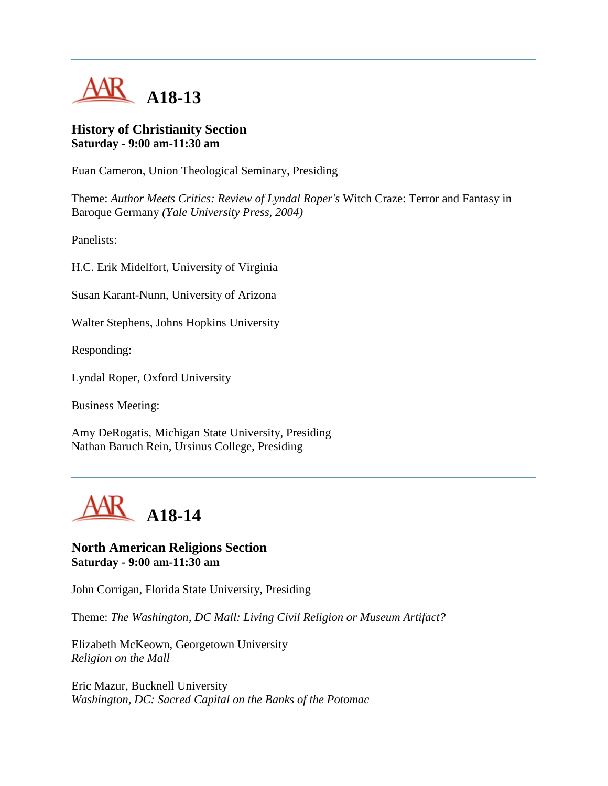

#### **History of Christianity Section Saturday - 9:00 am-11:30 am**

Euan Cameron, Union Theological Seminary, Presiding

Theme: *Author Meets Critics: Review of Lyndal Roper's* Witch Craze: Terror and Fantasy in Baroque Germany *(Yale University Press, 2004)*

Panelists:

H.C. Erik Midelfort, University of Virginia

Susan Karant-Nunn, University of Arizona

Walter Stephens, Johns Hopkins University

Responding:

Lyndal Roper, Oxford University

Business Meeting:

Amy DeRogatis, Michigan State University, Presiding Nathan Baruch Rein, Ursinus College, Presiding



#### **North American Religions Section Saturday - 9:00 am-11:30 am**

John Corrigan, Florida State University, Presiding

Theme: *The Washington, DC Mall: Living Civil Religion or Museum Artifact?*

Elizabeth McKeown, Georgetown University *Religion on the Mall*

Eric Mazur, Bucknell University *Washington, DC: Sacred Capital on the Banks of the Potomac*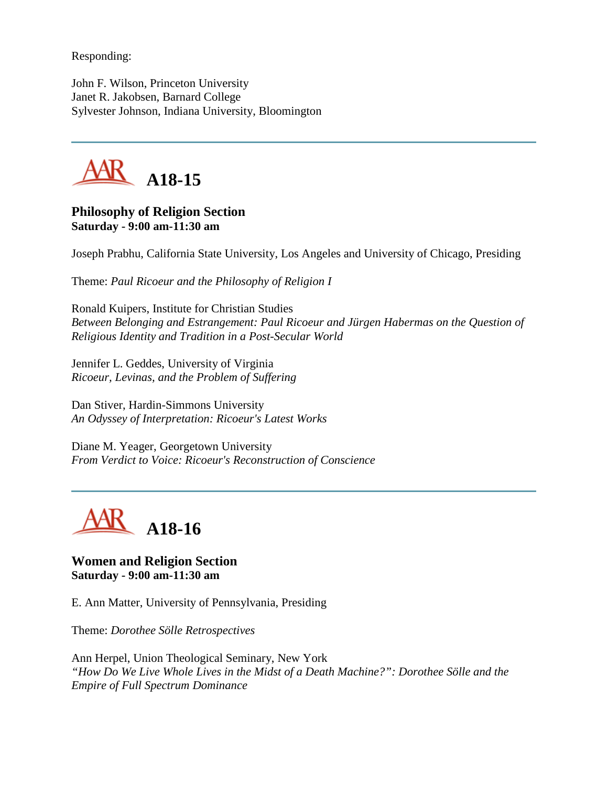Responding:

John F. Wilson, Princeton University Janet R. Jakobsen, Barnard College Sylvester Johnson, Indiana University, Bloomington



#### **Philosophy of Religion Section Saturday - 9:00 am-11:30 am**

Joseph Prabhu, California State University, Los Angeles and University of Chicago, Presiding

Theme: *Paul Ricoeur and the Philosophy of Religion I*

Ronald Kuipers, Institute for Christian Studies *Between Belonging and Estrangement: Paul Ricoeur and Jürgen Habermas on the Question of Religious Identity and Tradition in a Post-Secular World*

Jennifer L. Geddes, University of Virginia *Ricoeur, Levinas, and the Problem of Suffering*

Dan Stiver, Hardin-Simmons University *An Odyssey of Interpretation: Ricoeur's Latest Works*

Diane M. Yeager, Georgetown University *From Verdict to Voice: Ricoeur's Reconstruction of Conscience*



#### **Women and Religion Section Saturday - 9:00 am-11:30 am**

E. Ann Matter, University of Pennsylvania, Presiding

Theme: *Dorothee Sölle Retrospectives*

Ann Herpel, Union Theological Seminary, New York *"How Do We Live Whole Lives in the Midst of a Death Machine?": Dorothee Sölle and the Empire of Full Spectrum Dominance*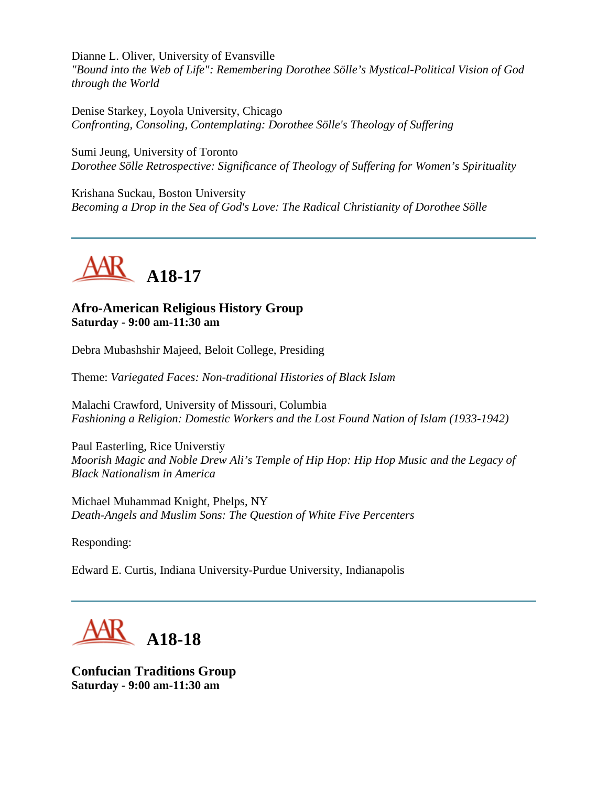Dianne L. Oliver, University of Evansville *"Bound into the Web of Life": Remembering Dorothee Sölle's Mystical-Political Vision of God through the World*

Denise Starkey, Loyola University, Chicago *Confronting, Consoling, Contemplating: Dorothee Sölle's Theology of Suffering*

Sumi Jeung, University of Toronto *Dorothee Sölle Retrospective: Significance of Theology of Suffering for Women's Spirituality*

Krishana Suckau, Boston University *Becoming a Drop in the Sea of God's Love: The Radical Christianity of Dorothee Sölle*



## **Afro-American Religious History Group Saturday - 9:00 am-11:30 am**

Debra Mubashshir Majeed, Beloit College, Presiding

Theme: *Variegated Faces: Non-traditional Histories of Black Islam*

Malachi Crawford, University of Missouri, Columbia *Fashioning a Religion: Domestic Workers and the Lost Found Nation of Islam (1933-1942)*

Paul Easterling, Rice Universtiy *Moorish Magic and Noble Drew Ali's Temple of Hip Hop: Hip Hop Music and the Legacy of Black Nationalism in America*

Michael Muhammad Knight, Phelps, NY *Death-Angels and Muslim Sons: The Question of White Five Percenters*

Responding:

Edward E. Curtis, Indiana University-Purdue University, Indianapolis



**Confucian Traditions Group Saturday - 9:00 am-11:30 am**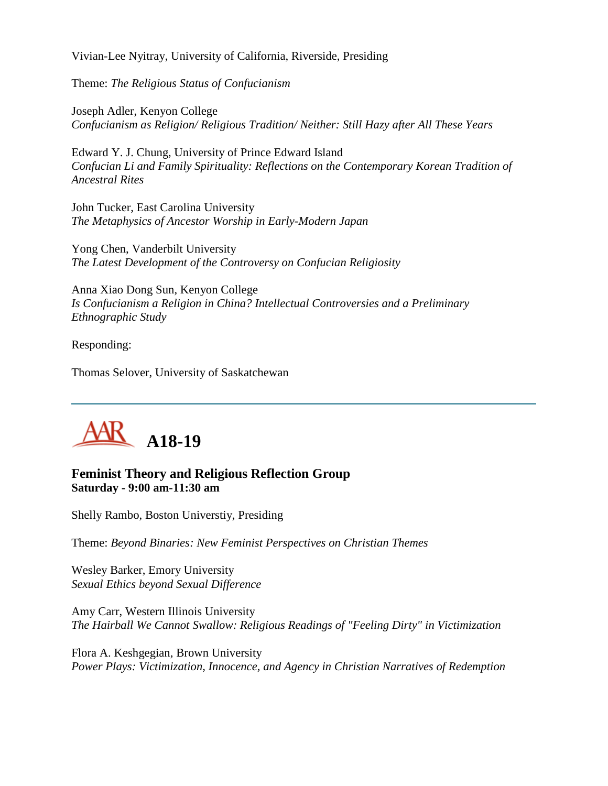Vivian-Lee Nyitray, University of California, Riverside, Presiding

Theme: *The Religious Status of Confucianism*

Joseph Adler, Kenyon College *Confucianism as Religion/ Religious Tradition/ Neither: Still Hazy after All These Years*

Edward Y. J. Chung, University of Prince Edward Island *Confucian Li and Family Spirituality: Reflections on the Contemporary Korean Tradition of Ancestral Rites*

John Tucker, East Carolina University *The Metaphysics of Ancestor Worship in Early-Modern Japan*

Yong Chen, Vanderbilt University *The Latest Development of the Controversy on Confucian Religiosity*

Anna Xiao Dong Sun, Kenyon College *Is Confucianism a Religion in China? Intellectual Controversies and a Preliminary Ethnographic Study*

Responding:

Thomas Selover, University of Saskatchewan



## **Feminist Theory and Religious Reflection Group Saturday - 9:00 am-11:30 am**

Shelly Rambo, Boston Universtiy, Presiding

Theme: *Beyond Binaries: New Feminist Perspectives on Christian Themes*

Wesley Barker, Emory University *Sexual Ethics beyond Sexual Difference*

Amy Carr, Western Illinois University *The Hairball We Cannot Swallow: Religious Readings of "Feeling Dirty" in Victimization*

Flora A. Keshgegian, Brown University *Power Plays: Victimization, Innocence, and Agency in Christian Narratives of Redemption*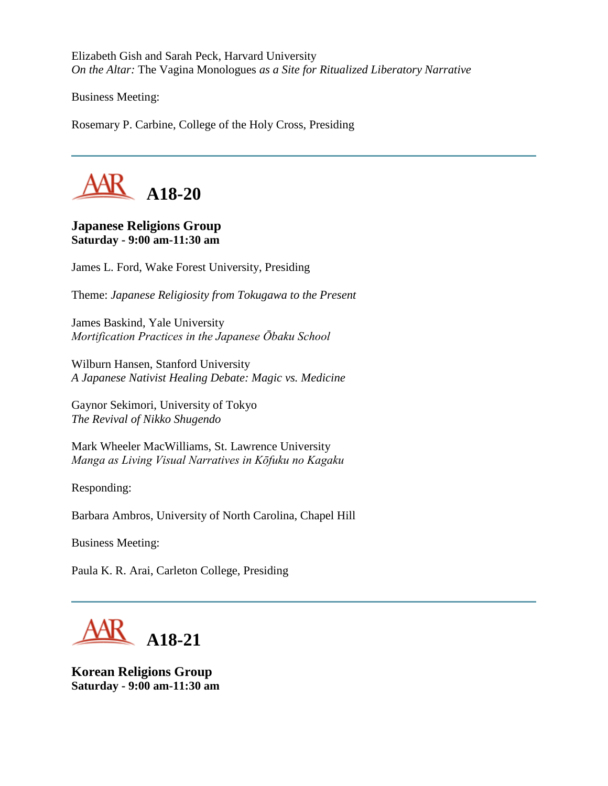Elizabeth Gish and Sarah Peck, Harvard University *On the Altar:* The Vagina Monologues *as a Site for Ritualized Liberatory Narrative*

Business Meeting:

Rosemary P. Carbine, College of the Holy Cross, Presiding



#### **Japanese Religions Group Saturday - 9:00 am-11:30 am**

James L. Ford, Wake Forest University, Presiding

Theme: *Japanese Religiosity from Tokugawa to the Present*

James Baskind, Yale University *Mortification Practices in the Japanese Ōbaku School*

Wilburn Hansen, Stanford University *A Japanese Nativist Healing Debate: Magic vs. Medicine*

Gaynor Sekimori, University of Tokyo *The Revival of Nikko Shugendo*

Mark Wheeler MacWilliams, St. Lawrence University *Manga as Living Visual Narratives in Kōfuku no Kagaku*

Responding:

Barbara Ambros, University of North Carolina, Chapel Hill

Business Meeting:

Paula K. R. Arai, Carleton College, Presiding



**Korean Religions Group Saturday - 9:00 am-11:30 am**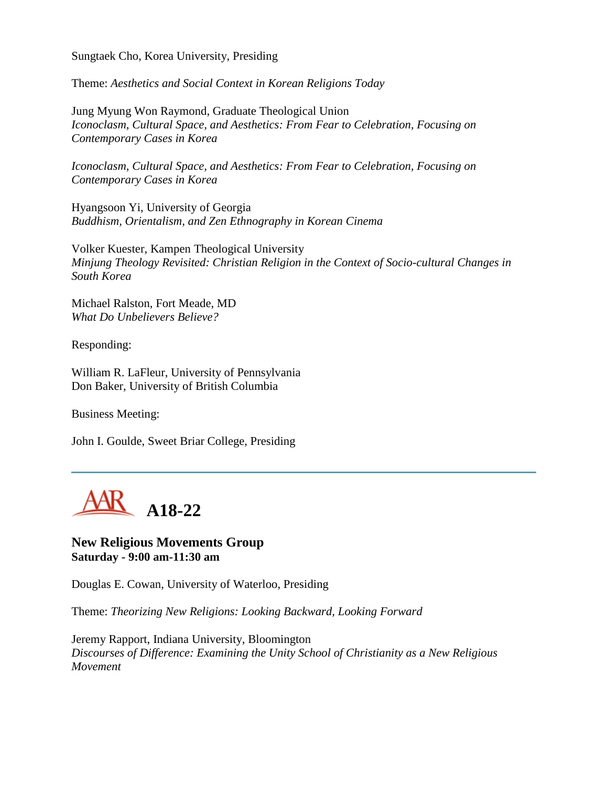Sungtaek Cho, Korea University, Presiding

Theme: *Aesthetics and Social Context in Korean Religions Today*

Jung Myung Won Raymond, Graduate Theological Union *Iconoclasm, Cultural Space, and Aesthetics: From Fear to Celebration, Focusing on Contemporary Cases in Korea*

*Iconoclasm, Cultural Space, and Aesthetics: From Fear to Celebration, Focusing on Contemporary Cases in Korea*

Hyangsoon Yi, University of Georgia *Buddhism, Orientalism, and Zen Ethnography in Korean Cinema*

Volker Kuester, Kampen Theological University *Minjung Theology Revisited: Christian Religion in the Context of Socio-cultural Changes in South Korea*

Michael Ralston, Fort Meade, MD *What Do Unbelievers Believe?*

Responding:

William R. LaFleur, University of Pennsylvania Don Baker, University of British Columbia

Business Meeting:

John I. Goulde, Sweet Briar College, Presiding



#### **New Religious Movements Group Saturday - 9:00 am-11:30 am**

Douglas E. Cowan, University of Waterloo, Presiding

Theme: *Theorizing New Religions: Looking Backward, Looking Forward*

Jeremy Rapport, Indiana University, Bloomington *Discourses of Difference: Examining the Unity School of Christianity as a New Religious Movement*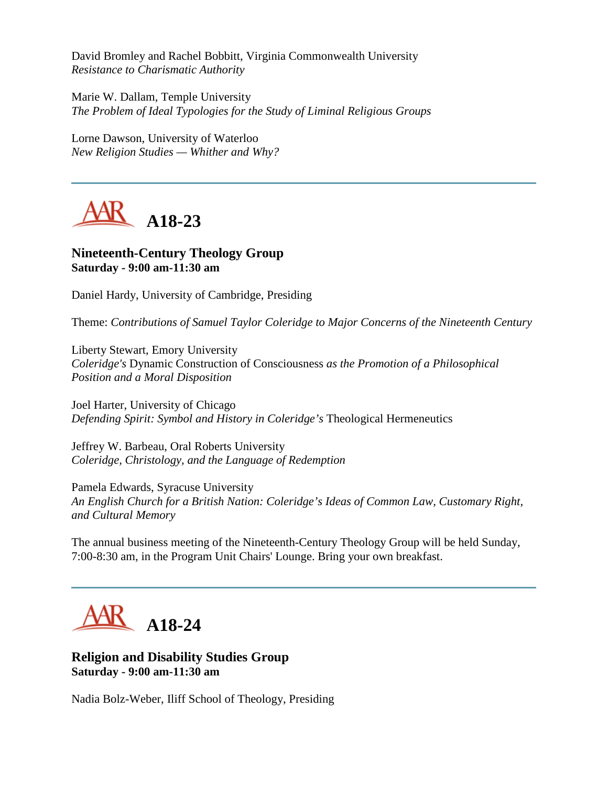David Bromley and Rachel Bobbitt, Virginia Commonwealth University *Resistance to Charismatic Authority*

Marie W. Dallam, Temple University *The Problem of Ideal Typologies for the Study of Liminal Religious Groups*

Lorne Dawson, University of Waterloo *New Religion Studies — Whither and Why?*



## **Nineteenth-Century Theology Group Saturday - 9:00 am-11:30 am**

Daniel Hardy, University of Cambridge, Presiding

Theme: *Contributions of Samuel Taylor Coleridge to Major Concerns of the Nineteenth Century*

Liberty Stewart, Emory University *Coleridge's* Dynamic Construction of Consciousness *as the Promotion of a Philosophical Position and a Moral Disposition*

Joel Harter, University of Chicago *Defending Spirit: Symbol and History in Coleridge's* Theological Hermeneutics

Jeffrey W. Barbeau, Oral Roberts University *Coleridge, Christology, and the Language of Redemption*

Pamela Edwards, Syracuse University *An English Church for a British Nation: Coleridge's Ideas of Common Law, Customary Right, and Cultural Memory*

The annual business meeting of the Nineteenth-Century Theology Group will be held Sunday, 7:00-8:30 am, in the Program Unit Chairs' Lounge. Bring your own breakfast.



## **Religion and Disability Studies Group Saturday - 9:00 am-11:30 am**

Nadia Bolz-Weber, Iliff School of Theology, Presiding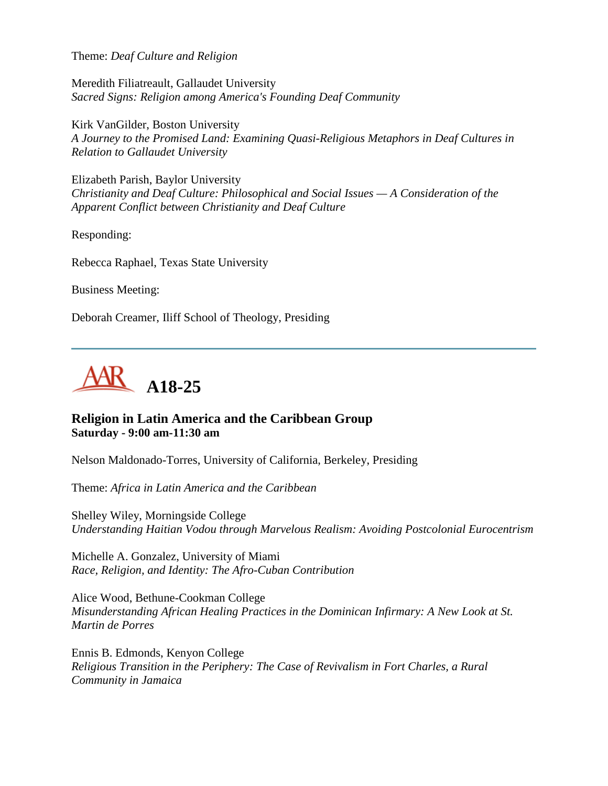Theme: *Deaf Culture and Religion*

Meredith Filiatreault, Gallaudet University *Sacred Signs: Religion among America's Founding Deaf Community*

Kirk VanGilder, Boston University *A Journey to the Promised Land: Examining Quasi-Religious Metaphors in Deaf Cultures in Relation to Gallaudet University*

Elizabeth Parish, Baylor University *Christianity and Deaf Culture: Philosophical and Social Issues — A Consideration of the Apparent Conflict between Christianity and Deaf Culture*

Responding:

Rebecca Raphael, Texas State University

Business Meeting:

Deborah Creamer, Iliff School of Theology, Presiding



#### **Religion in Latin America and the Caribbean Group Saturday - 9:00 am-11:30 am**

Nelson Maldonado-Torres, University of California, Berkeley, Presiding

Theme: *Africa in Latin America and the Caribbean*

Shelley Wiley, Morningside College *Understanding Haitian Vodou through Marvelous Realism: Avoiding Postcolonial Eurocentrism*

Michelle A. Gonzalez, University of Miami *Race, Religion, and Identity: The Afro-Cuban Contribution*

Alice Wood, Bethune-Cookman College *Misunderstanding African Healing Practices in the Dominican Infirmary: A New Look at St. Martin de Porres*

Ennis B. Edmonds, Kenyon College *Religious Transition in the Periphery: The Case of Revivalism in Fort Charles, a Rural Community in Jamaica*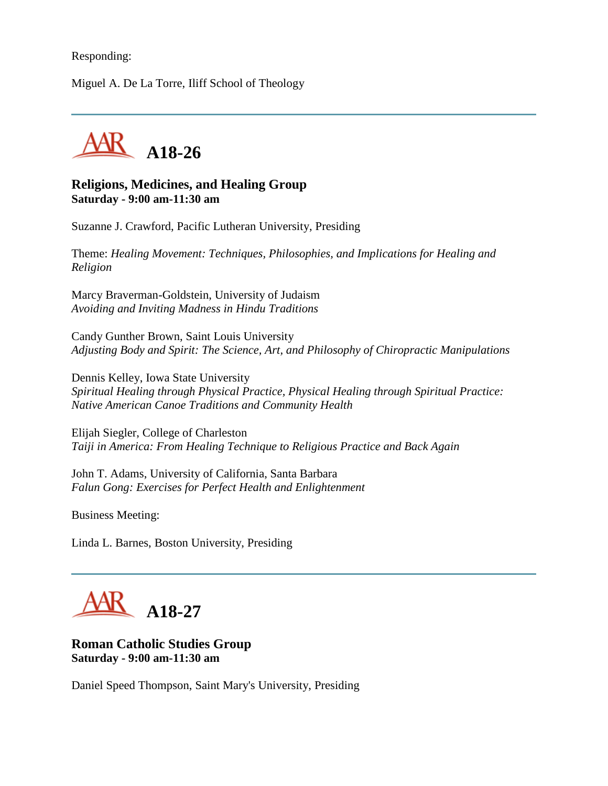#### Responding:

Miguel A. De La Torre, Iliff School of Theology



#### **Religions, Medicines, and Healing Group Saturday - 9:00 am-11:30 am**

Suzanne J. Crawford, Pacific Lutheran University, Presiding

Theme: *Healing Movement: Techniques, Philosophies, and Implications for Healing and Religion*

Marcy Braverman-Goldstein, University of Judaism *Avoiding and Inviting Madness in Hindu Traditions*

Candy Gunther Brown, Saint Louis University *Adjusting Body and Spirit: The Science, Art, and Philosophy of Chiropractic Manipulations*

Dennis Kelley, Iowa State University *Spiritual Healing through Physical Practice, Physical Healing through Spiritual Practice: Native American Canoe Traditions and Community Health*

Elijah Siegler, College of Charleston *Taiji in America: From Healing Technique to Religious Practice and Back Again*

John T. Adams, University of California, Santa Barbara *Falun Gong: Exercises for Perfect Health and Enlightenment*

Business Meeting:

Linda L. Barnes, Boston University, Presiding

**A18-27**

#### **Roman Catholic Studies Group Saturday - 9:00 am-11:30 am**

Daniel Speed Thompson, Saint Mary's University, Presiding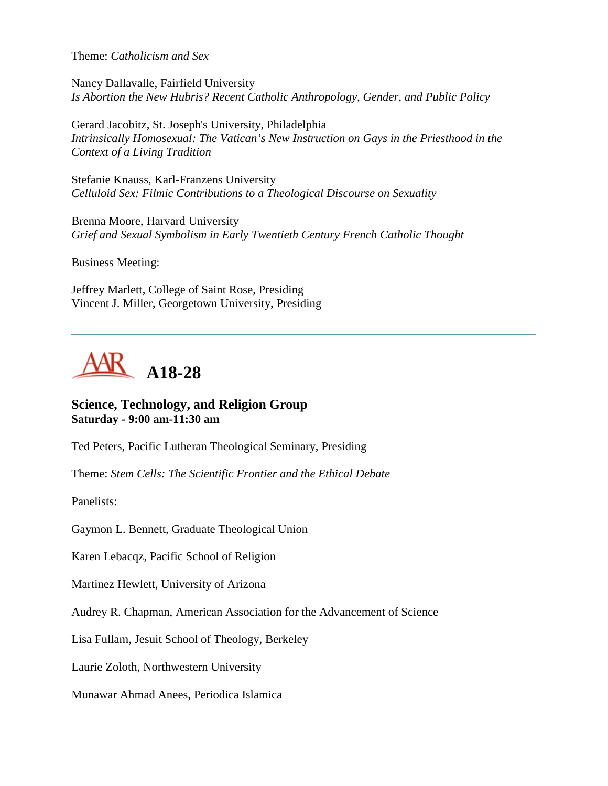Theme: *Catholicism and Sex*

Nancy Dallavalle, Fairfield University *Is Abortion the New Hubris? Recent Catholic Anthropology, Gender, and Public Policy*

Gerard Jacobitz, St. Joseph's University, Philadelphia *Intrinsically Homosexual: The Vatican's New Instruction on Gays in the Priesthood in the Context of a Living Tradition*

Stefanie Knauss, Karl-Franzens University *Celluloid Sex: Filmic Contributions to a Theological Discourse on Sexuality*

Brenna Moore, Harvard University *Grief and Sexual Symbolism in Early Twentieth Century French Catholic Thought*

Business Meeting:

Jeffrey Marlett, College of Saint Rose, Presiding Vincent J. Miller, Georgetown University, Presiding



#### **Science, Technology, and Religion Group Saturday - 9:00 am-11:30 am**

Ted Peters, Pacific Lutheran Theological Seminary, Presiding

Theme: *Stem Cells: The Scientific Frontier and the Ethical Debate*

Panelists:

Gaymon L. Bennett, Graduate Theological Union

Karen Lebacqz, Pacific School of Religion

Martinez Hewlett, University of Arizona

Audrey R. Chapman, American Association for the Advancement of Science

Lisa Fullam, Jesuit School of Theology, Berkeley

Laurie Zoloth, Northwestern University

Munawar Ahmad Anees, Periodica Islamica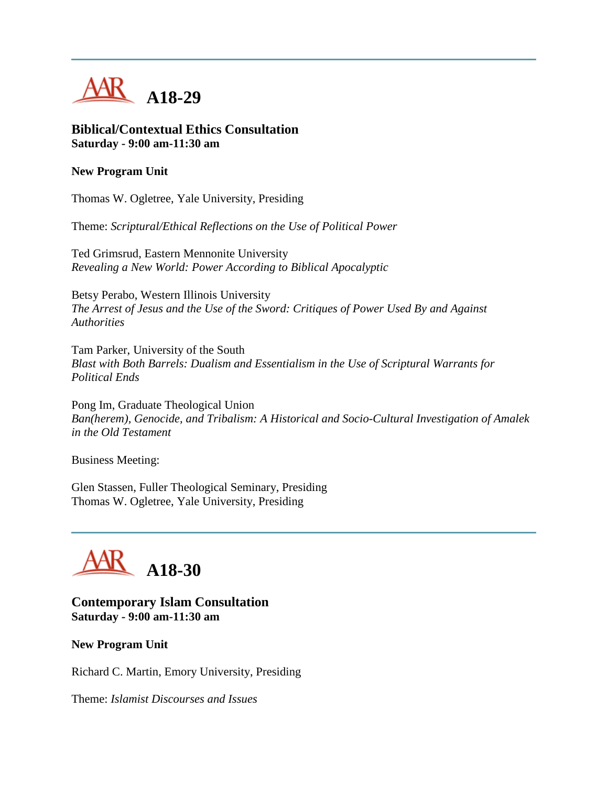

#### **Biblical/Contextual Ethics Consultation Saturday - 9:00 am-11:30 am**

#### **New Program Unit**

Thomas W. Ogletree, Yale University, Presiding

Theme: *Scriptural/Ethical Reflections on the Use of Political Power*

Ted Grimsrud, Eastern Mennonite University *Revealing a New World: Power According to Biblical Apocalyptic*

Betsy Perabo, Western Illinois University *The Arrest of Jesus and the Use of the Sword: Critiques of Power Used By and Against Authorities*

Tam Parker, University of the South *Blast with Both Barrels: Dualism and Essentialism in the Use of Scriptural Warrants for Political Ends*

Pong Im, Graduate Theological Union *Ban(herem), Genocide, and Tribalism: A Historical and Socio-Cultural Investigation of Amalek in the Old Testament*

Business Meeting:

Glen Stassen, Fuller Theological Seminary, Presiding Thomas W. Ogletree, Yale University, Presiding

## **A18-30**

## **Contemporary Islam Consultation Saturday - 9:00 am-11:30 am**

#### **New Program Unit**

Richard C. Martin, Emory University, Presiding

Theme: *Islamist Discourses and Issues*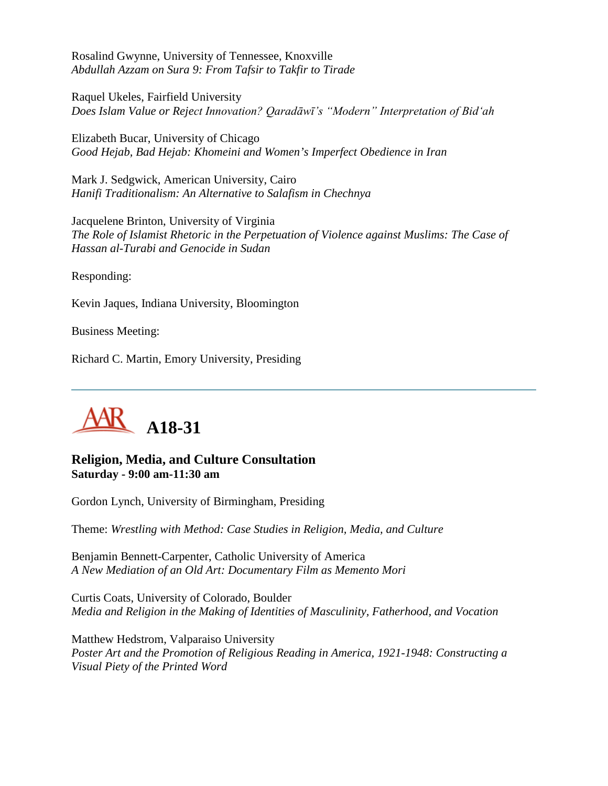Rosalind Gwynne, University of Tennessee, Knoxville *Abdullah Azzam on Sura 9: From Tafsir to Takfir to Tirade*

Raquel Ukeles, Fairfield University *Does Islam Value or Reject Innovation? Qaradāwī's "Modern" Interpretation of Bid'ah*

Elizabeth Bucar, University of Chicago *Good Hejab, Bad Hejab: Khomeini and Women's Imperfect Obedience in Iran*

Mark J. Sedgwick, American University, Cairo *Hanifi Traditionalism: An Alternative to Salafism in Chechnya*

Jacquelene Brinton, University of Virginia *The Role of Islamist Rhetoric in the Perpetuation of Violence against Muslims: The Case of Hassan al-Turabi and Genocide in Sudan*

Responding:

Kevin Jaques, Indiana University, Bloomington

Business Meeting:

Richard C. Martin, Emory University, Presiding



#### **Religion, Media, and Culture Consultation Saturday - 9:00 am-11:30 am**

Gordon Lynch, University of Birmingham, Presiding

Theme: *Wrestling with Method: Case Studies in Religion, Media, and Culture*

Benjamin Bennett-Carpenter, Catholic University of America *A New Mediation of an Old Art: Documentary Film as Memento Mori*

Curtis Coats, University of Colorado, Boulder *Media and Religion in the Making of Identities of Masculinity, Fatherhood, and Vocation*

Matthew Hedstrom, Valparaiso University *Poster Art and the Promotion of Religious Reading in America, 1921-1948: Constructing a Visual Piety of the Printed Word*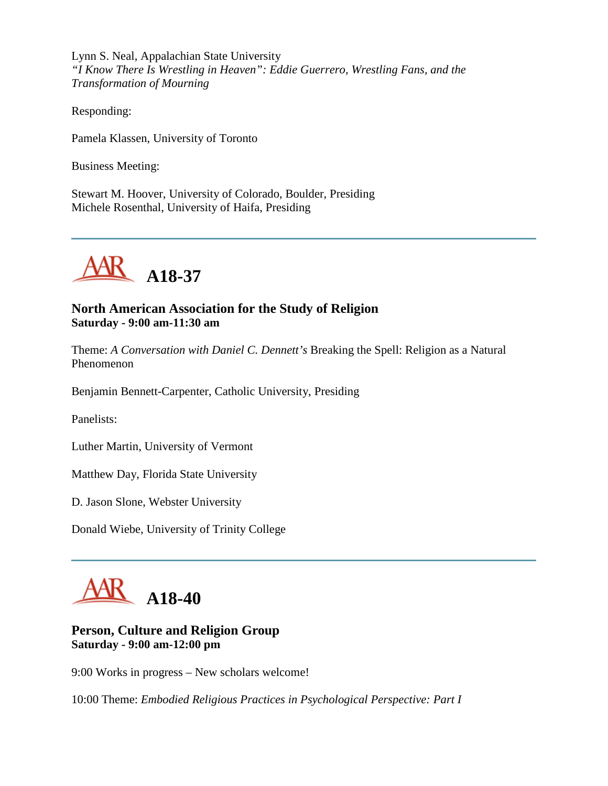Lynn S. Neal, Appalachian State University *"I Know There Is Wrestling in Heaven": Eddie Guerrero, Wrestling Fans, and the Transformation of Mourning*

Responding:

Pamela Klassen, University of Toronto

Business Meeting:

Stewart M. Hoover, University of Colorado, Boulder, Presiding Michele Rosenthal, University of Haifa, Presiding



## **North American Association for the Study of Religion Saturday - 9:00 am-11:30 am**

Theme: *A Conversation with Daniel C. Dennett's* Breaking the Spell: Religion as a Natural Phenomenon

Benjamin Bennett-Carpenter, Catholic University, Presiding

Panelists:

Luther Martin, University of Vermont

Matthew Day, Florida State University

D. Jason Slone, Webster University

Donald Wiebe, University of Trinity College



#### **Person, Culture and Religion Group Saturday - 9:00 am-12:00 pm**

9:00 Works in progress – New scholars welcome!

10:00 Theme: *Embodied Religious Practices in Psychological Perspective: Part I*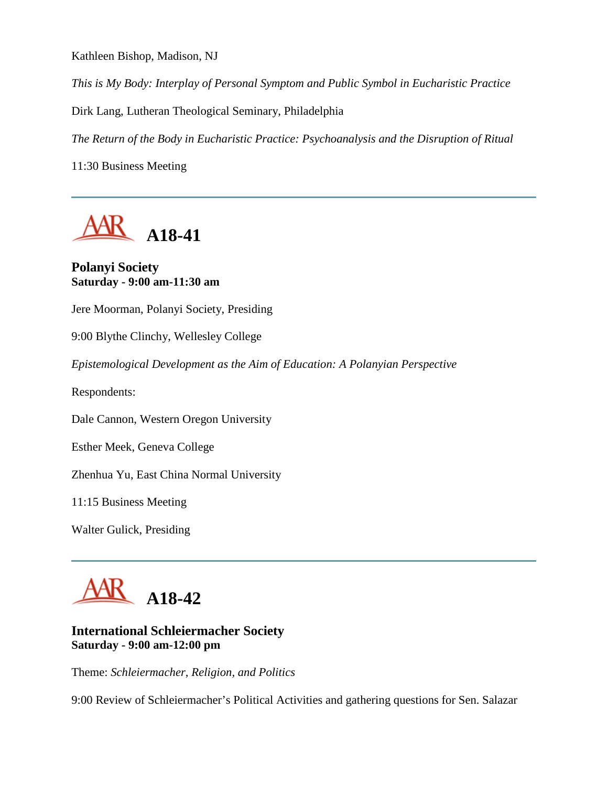Kathleen Bishop, Madison, NJ

*This is My Body: Interplay of Personal Symptom and Public Symbol in Eucharistic Practice*

Dirk Lang, Lutheran Theological Seminary, Philadelphia

*The Return of the Body in Eucharistic Practice: Psychoanalysis and the Disruption of Ritual*

11:30 Business Meeting



#### **Polanyi Society Saturday - 9:00 am-11:30 am**

Jere Moorman, Polanyi Society, Presiding

9:00 Blythe Clinchy, Wellesley College

*Epistemological Development as the Aim of Education: A Polanyian Perspective*

Respondents:

Dale Cannon, Western Oregon University

Esther Meek, Geneva College

Zhenhua Yu, East China Normal University

11:15 Business Meeting

Walter Gulick, Presiding



## **International Schleiermacher Society Saturday - 9:00 am-12:00 pm**

Theme: *Schleiermacher, Religion, and Politics*

9:00 Review of Schleiermacher's Political Activities and gathering questions for Sen. Salazar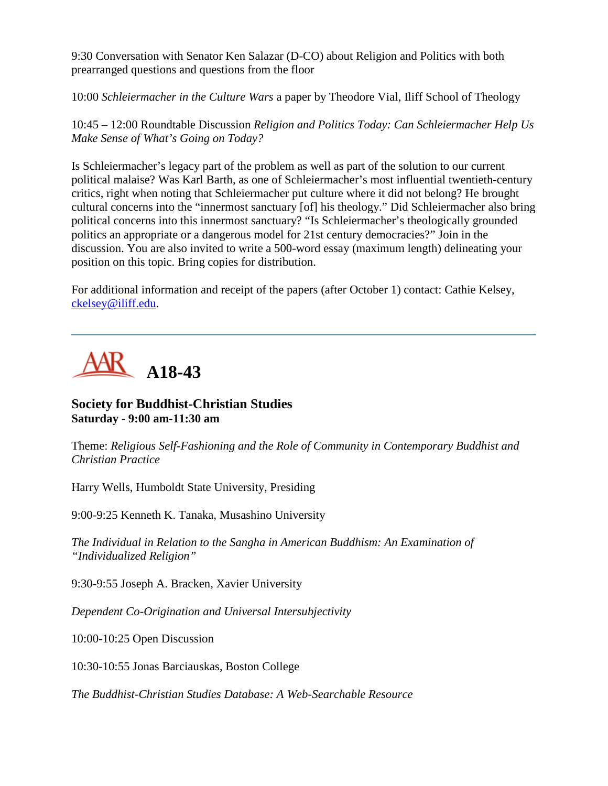9:30 Conversation with Senator Ken Salazar (D-CO) about Religion and Politics with both prearranged questions and questions from the floor

10:00 *Schleiermacher in the Culture Wars* a paper by Theodore Vial, Iliff School of Theology

10:45 – 12:00 Roundtable Discussion *Religion and Politics Today: Can Schleiermacher Help Us Make Sense of What's Going on Today?*

Is Schleiermacher's legacy part of the problem as well as part of the solution to our current political malaise? Was Karl Barth, as one of Schleiermacher's most influential twentieth-century critics, right when noting that Schleiermacher put culture where it did not belong? He brought cultural concerns into the "innermost sanctuary [of] his theology." Did Schleiermacher also bring political concerns into this innermost sanctuary? "Is Schleiermacher's theologically grounded politics an appropriate or a dangerous model for 21st century democracies?" Join in the discussion. You are also invited to write a 500-word essay (maximum length) delineating your position on this topic. Bring copies for distribution.

For additional information and receipt of the papers (after October 1) contact: Cathie Kelsey, [ckelsey@iliff.edu.](mailto:ckelsey@iliff.edu)



## **Society for Buddhist-Christian Studies Saturday - 9:00 am-11:30 am**

Theme: *Religious Self-Fashioning and the Role of Community in Contemporary Buddhist and Christian Practice*

Harry Wells, Humboldt State University, Presiding

9:00-9:25 Kenneth K. Tanaka, Musashino University

*The Individual in Relation to the Sangha in American Buddhism: An Examination of "Individualized Religion"*

9:30-9:55 Joseph A. Bracken, Xavier University

*Dependent Co-Origination and Universal Intersubjectivity*

10:00-10:25 Open Discussion

10:30-10:55 Jonas Barciauskas, Boston College

*The Buddhist-Christian Studies Database: A Web-Searchable Resource*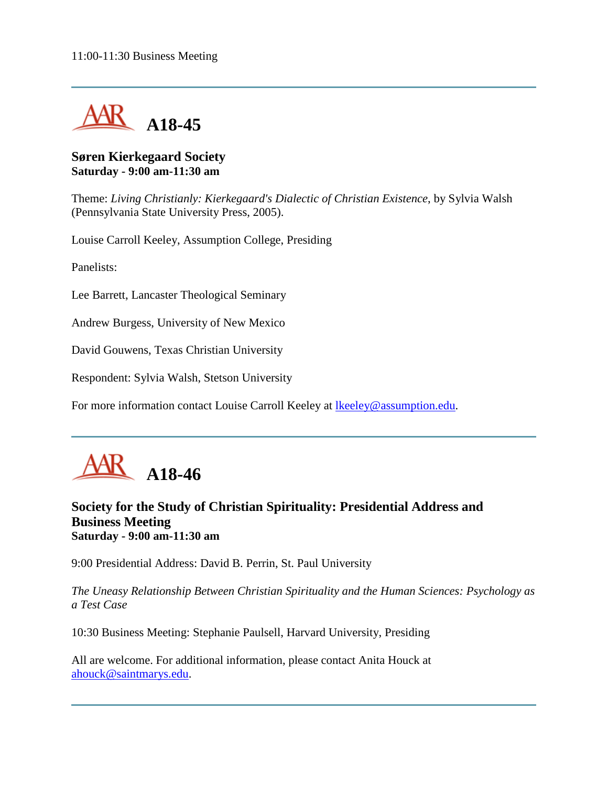

### **Søren Kierkegaard Society Saturday - 9:00 am-11:30 am**

Theme: *Living Christianly: Kierkegaard's Dialectic of Christian Existence*, by Sylvia Walsh (Pennsylvania State University Press, 2005).

Louise Carroll Keeley, Assumption College, Presiding

Panelists:

Lee Barrett, Lancaster Theological Seminary

Andrew Burgess, University of New Mexico

David Gouwens, Texas Christian University

Respondent: Sylvia Walsh, Stetson University

For more information contact Louise Carroll Keeley at Ikeeley@assumption.edu.



## **Society for the Study of Christian Spirituality: Presidential Address and Business Meeting Saturday - 9:00 am-11:30 am**

9:00 Presidential Address: David B. Perrin, St. Paul University

*The Uneasy Relationship Between Christian Spirituality and the Human Sciences: Psychology as a Test Case*

10:30 Business Meeting: Stephanie Paulsell, Harvard University, Presiding

All are welcome. For additional information, please contact Anita Houck at [ahouck@saintmarys.edu.](mailto:ahouck@saintmarys.edu)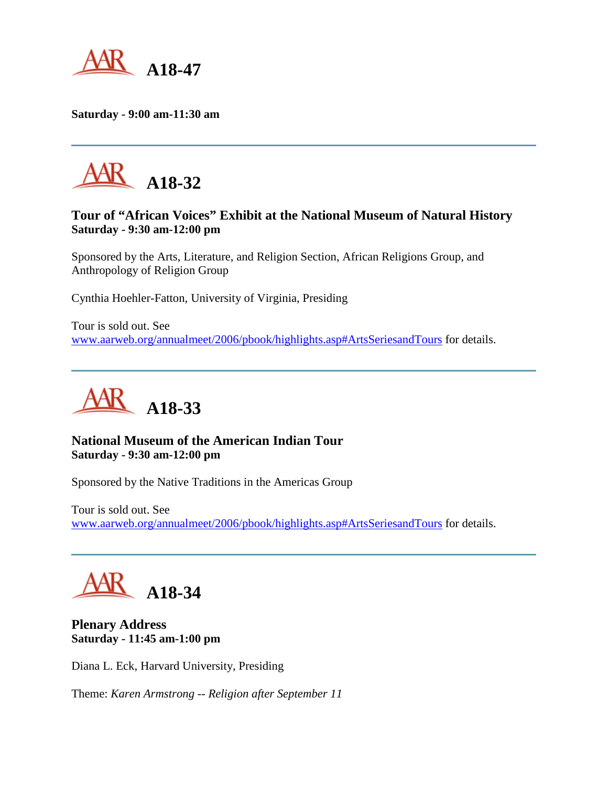

**Saturday - 9:00 am-11:30 am**



## **Tour of "African Voices" Exhibit at the National Museum of Natural History Saturday - 9:30 am-12:00 pm**

Sponsored by the Arts, Literature, and Religion Section, African Religions Group, and Anthropology of Religion Group

Cynthia Hoehler-Fatton, University of Virginia, Presiding

Tour is sold out. See [www.aarweb.org/annualmeet/2006/pbook/highlights.asp#ArtsSeriesandTours](http://www.aarweb.org/Meetings/Annual_Meeting/Past_and_Future_Meetings/2006/highlights.asp#ArtsSeriesandTours) for details.



## **National Museum of the American Indian Tour Saturday - 9:30 am-12:00 pm**

Sponsored by the Native Traditions in the Americas Group

Tour is sold out. See [www.aarweb.org/annualmeet/2006/pbook/highlights.asp#ArtsSeriesandTours](http://www.aarweb.org/Meetings/Annual_Meeting/Past_and_Future_Meetings/2006/highlights.asp#ArtsSeriesandTours) for details.

**A18-34**

**Plenary Address Saturday - 11:45 am-1:00 pm**

Diana L. Eck, Harvard University, Presiding

Theme: *Karen Armstrong -- Religion after September 11*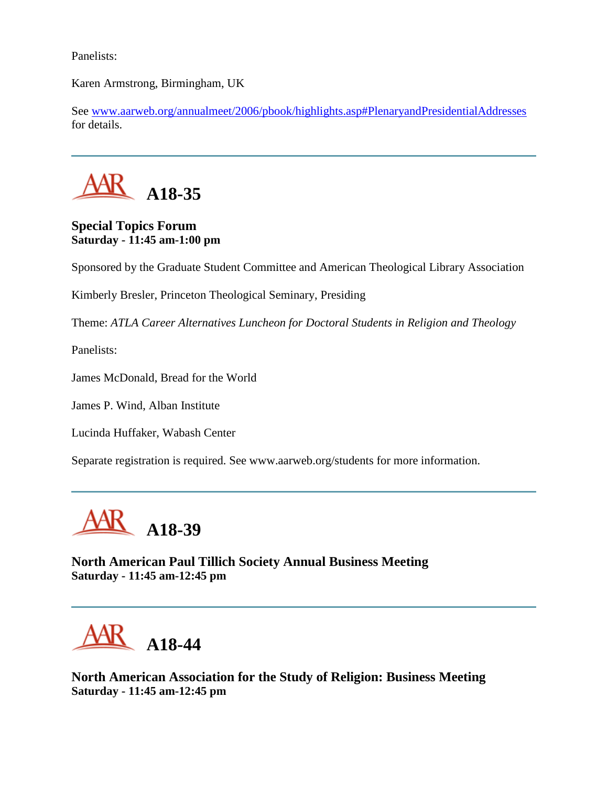Panelists:

Karen Armstrong, Birmingham, UK

See [www.aarweb.org/annualmeet/2006/pbook/highlights.asp#PlenaryandPresidentialAddresses](http://www.aarweb.org/Meetings/Annual_Meeting/Past_and_Future_Meetings/2006/highlights.asp#PlenaryandPresidentialAddresses) for details.



## **Special Topics Forum Saturday - 11:45 am-1:00 pm**

Sponsored by the Graduate Student Committee and American Theological Library Association

Kimberly Bresler, Princeton Theological Seminary, Presiding

Theme: *ATLA Career Alternatives Luncheon for Doctoral Students in Religion and Theology*

Panelists:

James McDonald, Bread for the World

James P. Wind, Alban Institute

Lucinda Huffaker, Wabash Center

Separate registration is required. See www.aarweb.org/students for more information.



**North American Paul Tillich Society Annual Business Meeting Saturday - 11:45 am-12:45 pm**

**A18-44**

**North American Association for the Study of Religion: Business Meeting Saturday - 11:45 am-12:45 pm**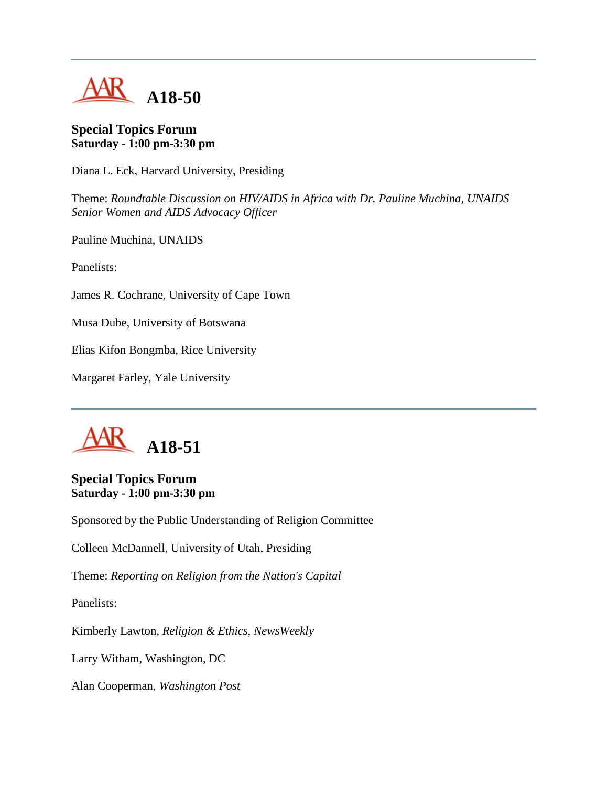

#### **Special Topics Forum Saturday - 1:00 pm-3:30 pm**

Diana L. Eck, Harvard University, Presiding

Theme: *Roundtable Discussion on HIV/AIDS in Africa with Dr. Pauline Muchina, UNAIDS Senior Women and AIDS Advocacy Officer*

Pauline Muchina, UNAIDS

Panelists:

James R. Cochrane, University of Cape Town

Musa Dube, University of Botswana

Elias Kifon Bongmba, Rice University

Margaret Farley, Yale University



## **Special Topics Forum Saturday - 1:00 pm-3:30 pm**

Sponsored by the Public Understanding of Religion Committee

Colleen McDannell, University of Utah, Presiding

Theme: *Reporting on Religion from the Nation's Capital*

Panelists:

Kimberly Lawton, *Religion & Ethics*, *NewsWeekly*

Larry Witham, Washington, DC

Alan Cooperman, *Washington Post*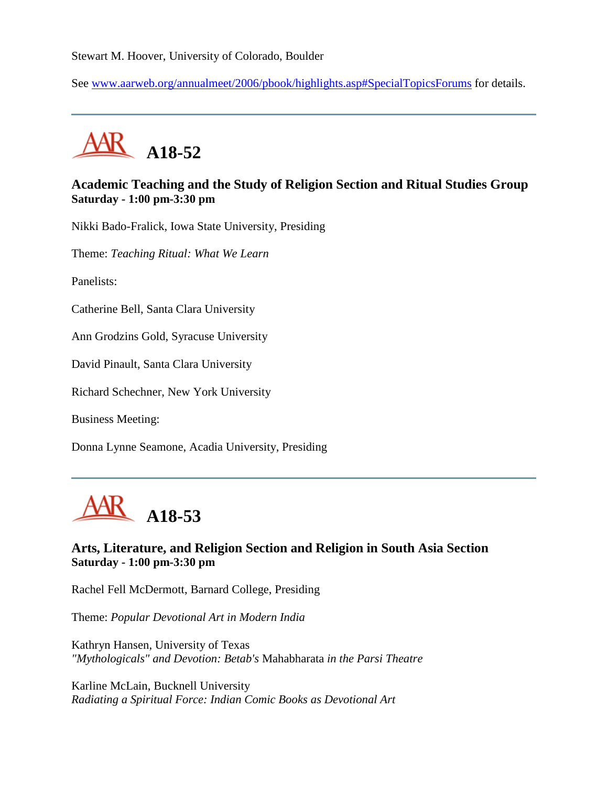Stewart M. Hoover, University of Colorado, Boulder

See [www.aarweb.org/annualmeet/2006/pbook/highlights.asp#SpecialTopicsForums](http://www.aarweb.org/Meetings/Annual_Meeting/Past_and_Future_Meetings/2006/highlights.asp#SpecialTopicsForums) for details.



# **Academic Teaching and the Study of Religion Section and Ritual Studies Group Saturday - 1:00 pm-3:30 pm**

Nikki Bado-Fralick, Iowa State University, Presiding

Theme: *Teaching Ritual: What We Learn*

Panelists:

Catherine Bell, Santa Clara University

Ann Grodzins Gold, Syracuse University

David Pinault, Santa Clara University

Richard Schechner, New York University

Business Meeting:

Donna Lynne Seamone, Acadia University, Presiding



# **Arts, Literature, and Religion Section and Religion in South Asia Section Saturday - 1:00 pm-3:30 pm**

Rachel Fell McDermott, Barnard College, Presiding

Theme: *Popular Devotional Art in Modern India*

Kathryn Hansen, University of Texas *"Mythologicals" and Devotion: Betab's* Mahabharata *in the Parsi Theatre*

Karline McLain, Bucknell University *Radiating a Spiritual Force: Indian Comic Books as Devotional Art*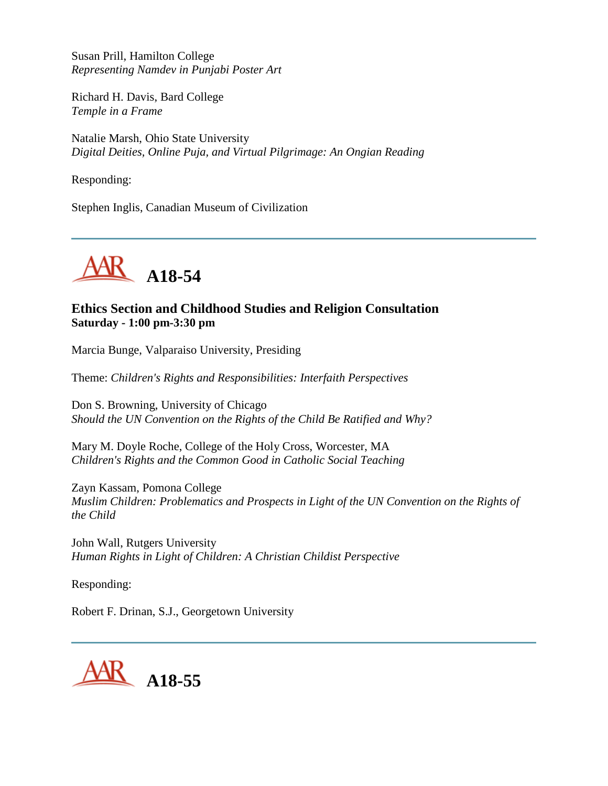Susan Prill, Hamilton College *Representing Namdev in Punjabi Poster Art*

Richard H. Davis, Bard College *Temple in a Frame*

Natalie Marsh, Ohio State University *Digital Deities, Online Puja, and Virtual Pilgrimage: An Ongian Reading*

Responding:

Stephen Inglis, Canadian Museum of Civilization



# **Ethics Section and Childhood Studies and Religion Consultation Saturday - 1:00 pm-3:30 pm**

Marcia Bunge, Valparaiso University, Presiding

Theme: *Children's Rights and Responsibilities: Interfaith Perspectives*

Don S. Browning, University of Chicago *Should the UN Convention on the Rights of the Child Be Ratified and Why?*

Mary M. Doyle Roche, College of the Holy Cross, Worcester, MA *Children's Rights and the Common Good in Catholic Social Teaching*

Zayn Kassam, Pomona College *Muslim Children: Problematics and Prospects in Light of the UN Convention on the Rights of the Child*

John Wall, Rutgers University *Human Rights in Light of Children: A Christian Childist Perspective*

Responding:

Robert F. Drinan, S.J., Georgetown University

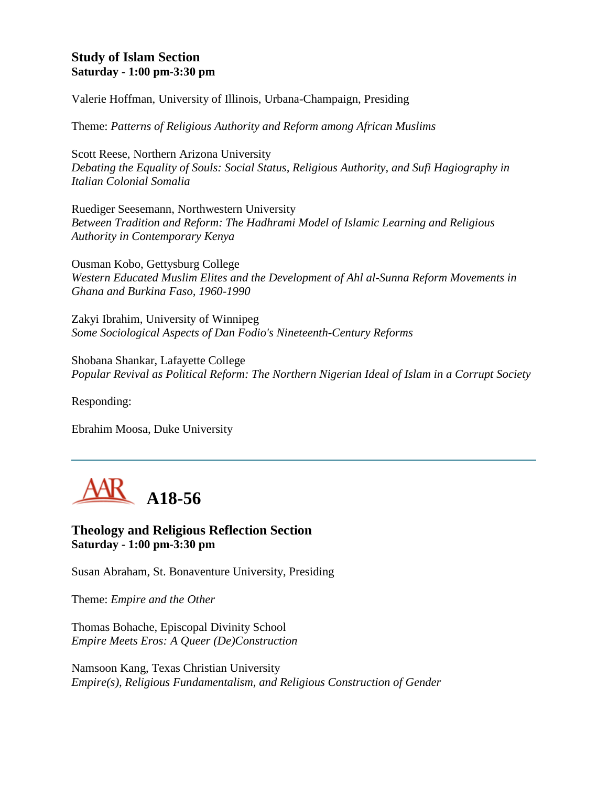# **Study of Islam Section Saturday - 1:00 pm-3:30 pm**

Valerie Hoffman, University of Illinois, Urbana-Champaign, Presiding

Theme: *Patterns of Religious Authority and Reform among African Muslims*

Scott Reese, Northern Arizona University *Debating the Equality of Souls: Social Status, Religious Authority, and Sufi Hagiography in Italian Colonial Somalia*

Ruediger Seesemann, Northwestern University *Between Tradition and Reform: The Hadhrami Model of Islamic Learning and Religious Authority in Contemporary Kenya*

Ousman Kobo, Gettysburg College *Western Educated Muslim Elites and the Development of Ahl al-Sunna Reform Movements in Ghana and Burkina Faso, 1960-1990*

Zakyi Ibrahim, University of Winnipeg *Some Sociological Aspects of Dan Fodio's Nineteenth-Century Reforms*

Shobana Shankar, Lafayette College *Popular Revival as Political Reform: The Northern Nigerian Ideal of Islam in a Corrupt Society*

Responding:

Ebrahim Moosa, Duke University



**Theology and Religious Reflection Section Saturday - 1:00 pm-3:30 pm**

Susan Abraham, St. Bonaventure University, Presiding

Theme: *Empire and the Other*

Thomas Bohache, Episcopal Divinity School *Empire Meets Eros: A Queer (De)Construction*

Namsoon Kang, Texas Christian University *Empire(s), Religious Fundamentalism, and Religious Construction of Gender*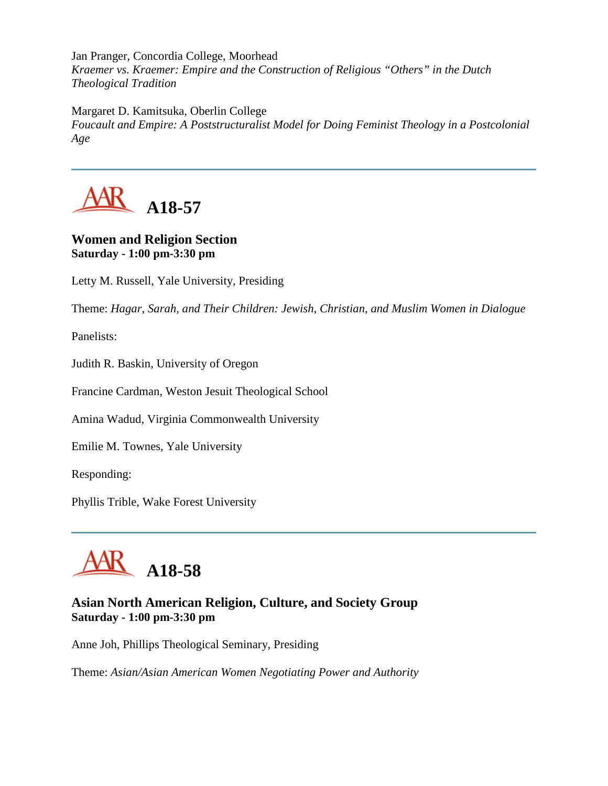Jan Pranger, Concordia College, Moorhead *Kraemer vs. Kraemer: Empire and the Construction of Religious "Others" in the Dutch Theological Tradition*

Margaret D. Kamitsuka, Oberlin College

*Foucault and Empire: A Poststructuralist Model for Doing Feminist Theology in a Postcolonial Age*



# **Women and Religion Section Saturday - 1:00 pm-3:30 pm**

Letty M. Russell, Yale University, Presiding

Theme: *Hagar, Sarah, and Their Children: Jewish, Christian, and Muslim Women in Dialogue*

Panelists:

Judith R. Baskin, University of Oregon

Francine Cardman, Weston Jesuit Theological School

Amina Wadud, Virginia Commonwealth University

Emilie M. Townes, Yale University

Responding:

Phyllis Trible, Wake Forest University



# **Asian North American Religion, Culture, and Society Group Saturday - 1:00 pm-3:30 pm**

Anne Joh, Phillips Theological Seminary, Presiding

Theme: *Asian/Asian American Women Negotiating Power and Authority*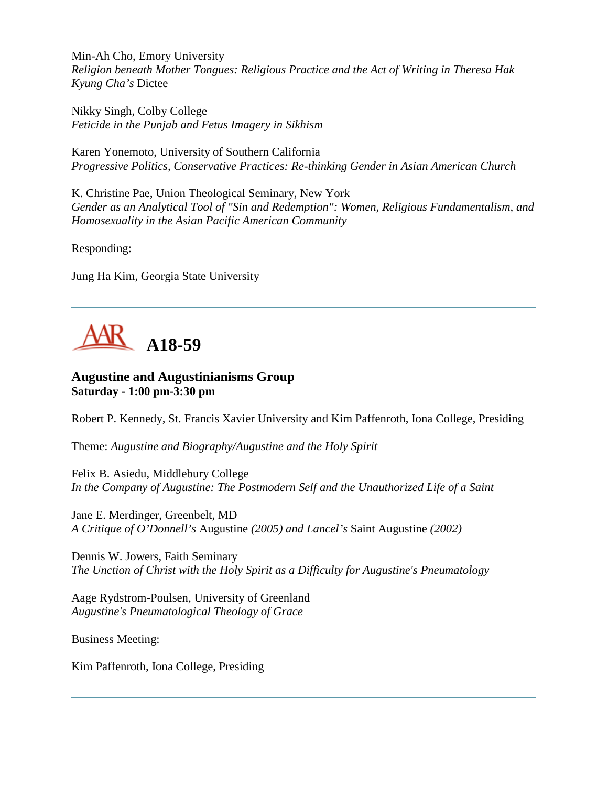Min-Ah Cho, Emory University *Religion beneath Mother Tongues: Religious Practice and the Act of Writing in Theresa Hak Kyung Cha's* Dictee

Nikky Singh, Colby College *Feticide in the Punjab and Fetus Imagery in Sikhism*

Karen Yonemoto, University of Southern California *Progressive Politics, Conservative Practices: Re-thinking Gender in Asian American Church*

K. Christine Pae, Union Theological Seminary, New York *Gender as an Analytical Tool of "Sin and Redemption": Women, Religious Fundamentalism, and Homosexuality in the Asian Pacific American Community*

Responding:

Jung Ha Kim, Georgia State University



# **Augustine and Augustinianisms Group Saturday - 1:00 pm-3:30 pm**

Robert P. Kennedy, St. Francis Xavier University and Kim Paffenroth, Iona College, Presiding

Theme: *Augustine and Biography/Augustine and the Holy Spirit*

Felix B. Asiedu, Middlebury College *In the Company of Augustine: The Postmodern Self and the Unauthorized Life of a Saint*

Jane E. Merdinger, Greenbelt, MD *A Critique of O'Donnell's* Augustine *(2005) and Lancel's* Saint Augustine *(2002)*

Dennis W. Jowers, Faith Seminary *The Unction of Christ with the Holy Spirit as a Difficulty for Augustine's Pneumatology*

Aage Rydstrom-Poulsen, University of Greenland *Augustine's Pneumatological Theology of Grace*

Business Meeting:

Kim Paffenroth, Iona College, Presiding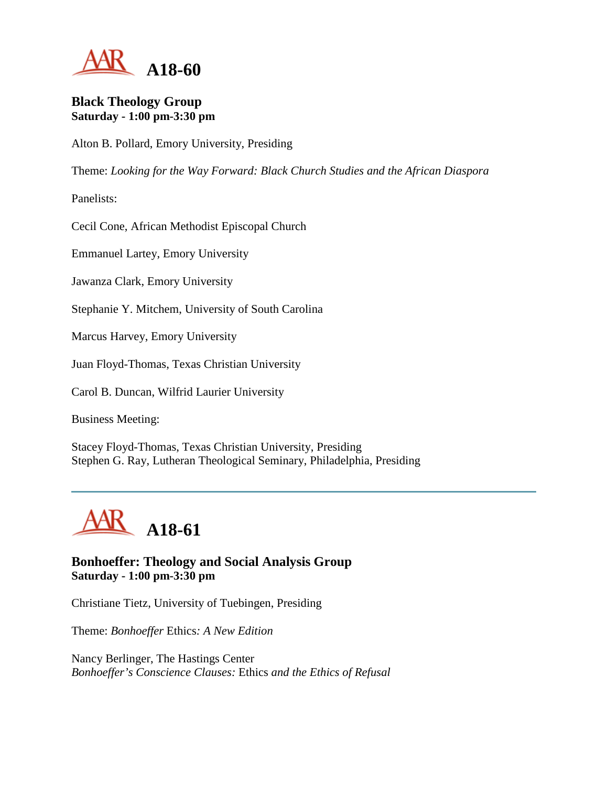

#### **Black Theology Group Saturday - 1:00 pm-3:30 pm**

Alton B. Pollard, Emory University, Presiding

Theme: *Looking for the Way Forward: Black Church Studies and the African Diaspora*

Panelists:

Cecil Cone, African Methodist Episcopal Church

Emmanuel Lartey, Emory University

Jawanza Clark, Emory University

Stephanie Y. Mitchem, University of South Carolina

Marcus Harvey, Emory University

Juan Floyd-Thomas, Texas Christian University

Carol B. Duncan, Wilfrid Laurier University

Business Meeting:

Stacey Floyd-Thomas, Texas Christian University, Presiding Stephen G. Ray, Lutheran Theological Seminary, Philadelphia, Presiding



# **Bonhoeffer: Theology and Social Analysis Group Saturday - 1:00 pm-3:30 pm**

Christiane Tietz, University of Tuebingen, Presiding

Theme: *Bonhoeffer* Ethics*: A New Edition*

Nancy Berlinger, The Hastings Center *Bonhoeffer's Conscience Clauses:* Ethics *and the Ethics of Refusal*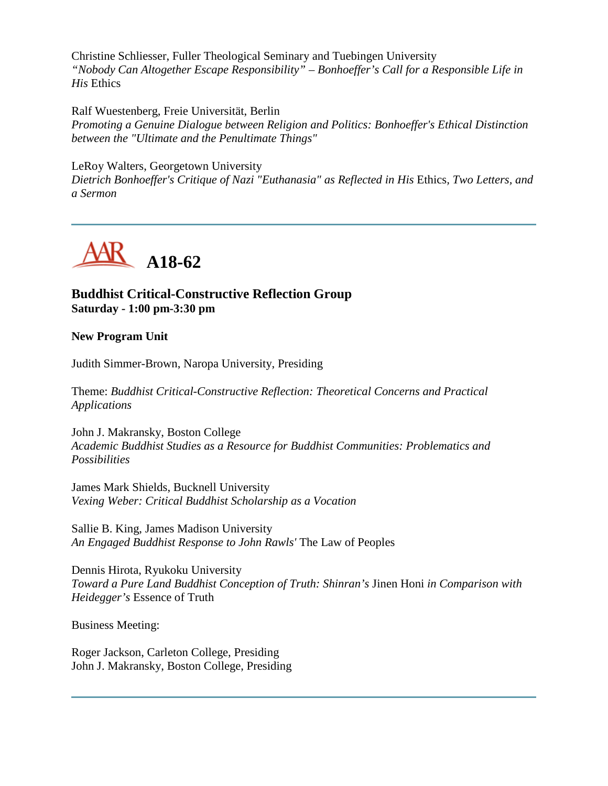Christine Schliesser, Fuller Theological Seminary and Tuebingen University *"Nobody Can Altogether Escape Responsibility" – Bonhoeffer's Call for a Responsible Life in His* Ethics

Ralf Wuestenberg, Freie Universität, Berlin *Promoting a Genuine Dialogue between Religion and Politics: Bonhoeffer's Ethical Distinction between the "Ultimate and the Penultimate Things"*

LeRoy Walters, Georgetown University

*Dietrich Bonhoeffer's Critique of Nazi "Euthanasia" as Reflected in His* Ethics*, Two Letters, and a Sermon*



# **Buddhist Critical-Constructive Reflection Group Saturday - 1:00 pm-3:30 pm**

#### **New Program Unit**

Judith Simmer-Brown, Naropa University, Presiding

Theme: *Buddhist Critical-Constructive Reflection: Theoretical Concerns and Practical Applications*

John J. Makransky, Boston College *Academic Buddhist Studies as a Resource for Buddhist Communities: Problematics and Possibilities*

James Mark Shields, Bucknell University *Vexing Weber: Critical Buddhist Scholarship as a Vocation*

Sallie B. King, James Madison University *An Engaged Buddhist Response to John Rawls'* The Law of Peoples

Dennis Hirota, Ryukoku University *Toward a Pure Land Buddhist Conception of Truth: Shinran's* Jinen Honi *in Comparison with Heidegger's* Essence of Truth

Business Meeting:

Roger Jackson, Carleton College, Presiding John J. Makransky, Boston College, Presiding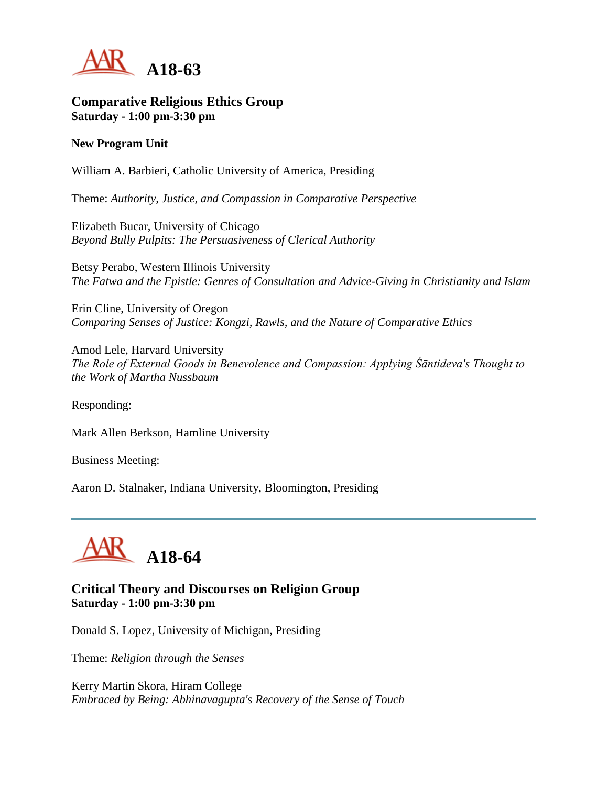

#### **Comparative Religious Ethics Group Saturday - 1:00 pm-3:30 pm**

#### **New Program Unit**

William A. Barbieri, Catholic University of America, Presiding

Theme: *Authority, Justice, and Compassion in Comparative Perspective*

Elizabeth Bucar, University of Chicago *Beyond Bully Pulpits: The Persuasiveness of Clerical Authority*

Betsy Perabo, Western Illinois University *The Fatwa and the Epistle: Genres of Consultation and Advice-Giving in Christianity and Islam*

Erin Cline, University of Oregon *Comparing Senses of Justice: Kongzi, Rawls, and the Nature of Comparative Ethics*

Amod Lele, Harvard University *The Role of External Goods in Benevolence and Compassion: Applying Śāntideva's Thought to the Work of Martha Nussbaum*

Responding:

Mark Allen Berkson, Hamline University

Business Meeting:

Aaron D. Stalnaker, Indiana University, Bloomington, Presiding



#### **Critical Theory and Discourses on Religion Group Saturday - 1:00 pm-3:30 pm**

Donald S. Lopez, University of Michigan, Presiding

Theme: *Religion through the Senses*

Kerry Martin Skora, Hiram College *Embraced by Being: Abhinavagupta's Recovery of the Sense of Touch*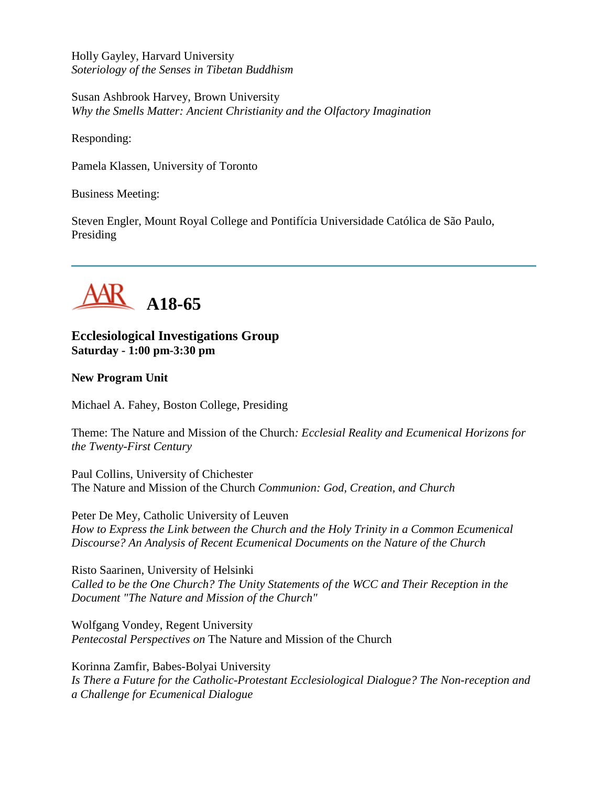Holly Gayley, Harvard University *Soteriology of the Senses in Tibetan Buddhism*

Susan Ashbrook Harvey, Brown University *Why the Smells Matter: Ancient Christianity and the Olfactory Imagination*

Responding:

Pamela Klassen, University of Toronto

Business Meeting:

Steven Engler, Mount Royal College and Pontifícia Universidade Católica de São Paulo, Presiding



**Ecclesiological Investigations Group Saturday - 1:00 pm-3:30 pm**

**New Program Unit**

Michael A. Fahey, Boston College, Presiding

Theme: The Nature and Mission of the Church*: Ecclesial Reality and Ecumenical Horizons for the Twenty-First Century*

Paul Collins, University of Chichester The Nature and Mission of the Church *Communion: God, Creation, and Church*

Peter De Mey, Catholic University of Leuven *How to Express the Link between the Church and the Holy Trinity in a Common Ecumenical Discourse? An Analysis of Recent Ecumenical Documents on the Nature of the Church*

Risto Saarinen, University of Helsinki *Called to be the One Church? The Unity Statements of the WCC and Their Reception in the Document "The Nature and Mission of the Church"*

Wolfgang Vondey, Regent University *Pentecostal Perspectives on* The Nature and Mission of the Church

Korinna Zamfir, Babes-Bolyai University *Is There a Future for the Catholic-Protestant Ecclesiological Dialogue? The Non-reception and a Challenge for Ecumenical Dialogue*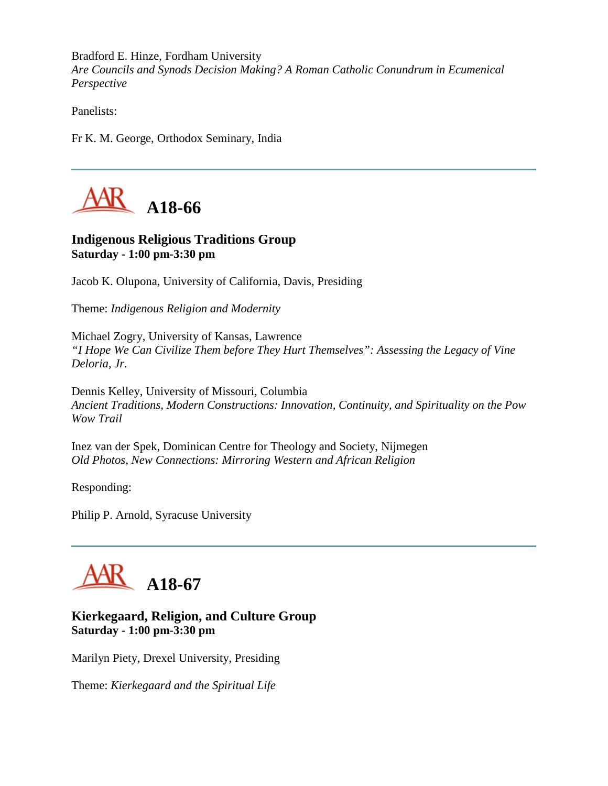Bradford E. Hinze, Fordham University *Are Councils and Synods Decision Making? A Roman Catholic Conundrum in Ecumenical Perspective*

Panelists:

Fr K. M. George, Orthodox Seminary, India



## **Indigenous Religious Traditions Group Saturday - 1:00 pm-3:30 pm**

Jacob K. Olupona, University of California, Davis, Presiding

Theme: *Indigenous Religion and Modernity*

Michael Zogry, University of Kansas, Lawrence *"I Hope We Can Civilize Them before They Hurt Themselves": Assessing the Legacy of Vine Deloria, Jr.*

Dennis Kelley, University of Missouri, Columbia *Ancient Traditions, Modern Constructions: Innovation, Continuity, and Spirituality on the Pow Wow Trail*

Inez van der Spek, Dominican Centre for Theology and Society, Nijmegen *Old Photos, New Connections: Mirroring Western and African Religion*

Responding:

Philip P. Arnold, Syracuse University



# **Kierkegaard, Religion, and Culture Group Saturday - 1:00 pm-3:30 pm**

Marilyn Piety, Drexel University, Presiding

Theme: *Kierkegaard and the Spiritual Life*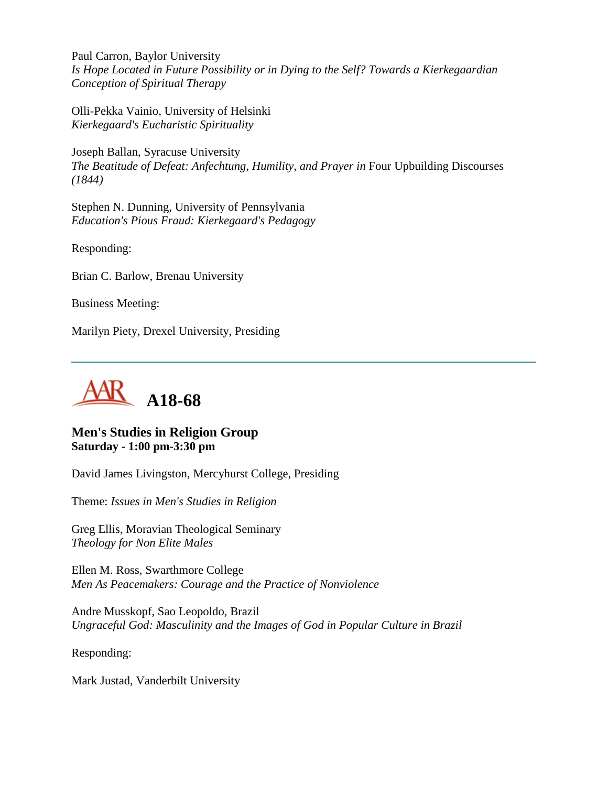Paul Carron, Baylor University *Is Hope Located in Future Possibility or in Dying to the Self? Towards a Kierkegaardian Conception of Spiritual Therapy*

Olli-Pekka Vainio, University of Helsinki *Kierkegaard's Eucharistic Spirituality*

Joseph Ballan, Syracuse University *The Beatitude of Defeat: Anfechtung, Humility, and Prayer in* Four Upbuilding Discourses *(1844)*

Stephen N. Dunning, University of Pennsylvania *Education's Pious Fraud: Kierkegaard's Pedagogy*

Responding:

Brian C. Barlow, Brenau University

Business Meeting:

Marilyn Piety, Drexel University, Presiding



#### **Men's Studies in Religion Group Saturday - 1:00 pm-3:30 pm**

David James Livingston, Mercyhurst College, Presiding

Theme: *Issues in Men's Studies in Religion*

Greg Ellis, Moravian Theological Seminary *Theology for Non Elite Males*

Ellen M. Ross, Swarthmore College *Men As Peacemakers: Courage and the Practice of Nonviolence*

Andre Musskopf, Sao Leopoldo, Brazil *Ungraceful God: Masculinity and the Images of God in Popular Culture in Brazil*

Responding:

Mark Justad, Vanderbilt University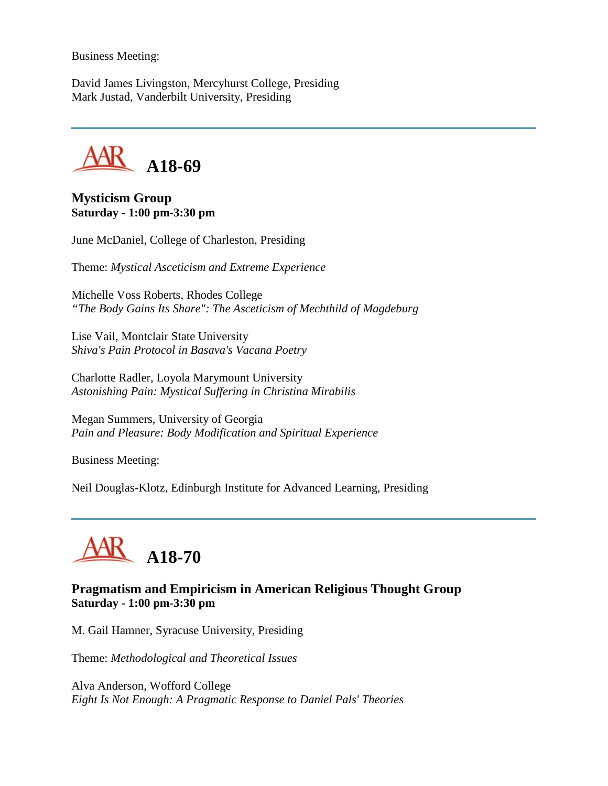Business Meeting:

David James Livingston, Mercyhurst College, Presiding Mark Justad, Vanderbilt University, Presiding

**A18-69**

**Mysticism Group Saturday - 1:00 pm-3:30 pm**

June McDaniel, College of Charleston, Presiding

Theme: *Mystical Asceticism and Extreme Experience*

Michelle Voss Roberts, Rhodes College *"The Body Gains Its Share": The Asceticism of Mechthild of Magdeburg*

Lise Vail, Montclair State University *Shiva's Pain Protocol in Basava's Vacana Poetry*

Charlotte Radler, Loyola Marymount University *Astonishing Pain: Mystical Suffering in Christina Mirabilis*

Megan Summers, University of Georgia *Pain and Pleasure: Body Modification and Spiritual Experience*

Business Meeting:

Neil Douglas-Klotz, Edinburgh Institute for Advanced Learning, Presiding



# **Pragmatism and Empiricism in American Religious Thought Group Saturday - 1:00 pm-3:30 pm**

M. Gail Hamner, Syracuse University, Presiding

Theme: *Methodological and Theoretical Issues*

Alva Anderson, Wofford College *Eight Is Not Enough: A Pragmatic Response to Daniel Pals' Theories*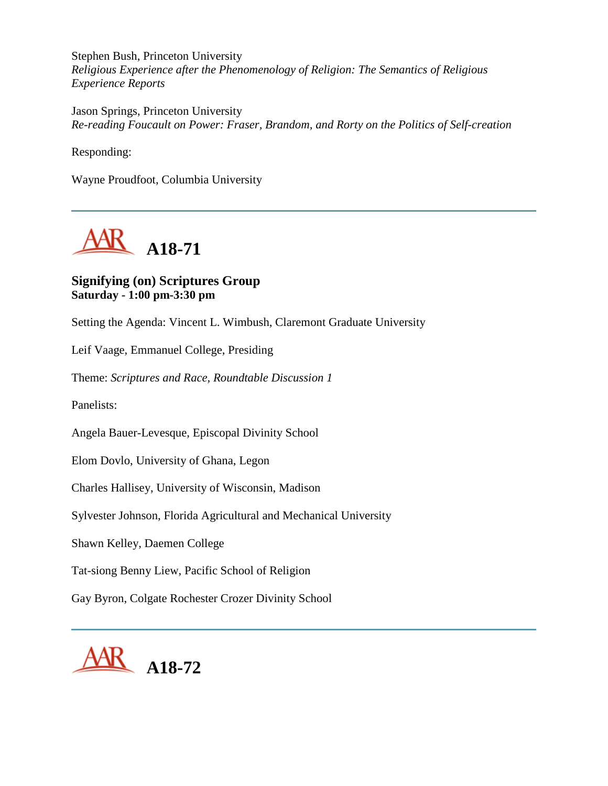Stephen Bush, Princeton University *Religious Experience after the Phenomenology of Religion: The Semantics of Religious Experience Reports*

Jason Springs, Princeton University *Re-reading Foucault on Power: Fraser, Brandom, and Rorty on the Politics of Self-creation*

Responding:

Wayne Proudfoot, Columbia University



# **Signifying (on) Scriptures Group Saturday - 1:00 pm-3:30 pm**

Setting the Agenda: Vincent L. Wimbush, Claremont Graduate University

Leif Vaage, Emmanuel College, Presiding

Theme: *Scriptures and Race, Roundtable Discussion 1*

Panelists:

Angela Bauer-Levesque, Episcopal Divinity School

Elom Dovlo, University of Ghana, Legon

Charles Hallisey, University of Wisconsin, Madison

Sylvester Johnson, Florida Agricultural and Mechanical University

Shawn Kelley, Daemen College

Tat-siong Benny Liew, Pacific School of Religion

Gay Byron, Colgate Rochester Crozer Divinity School

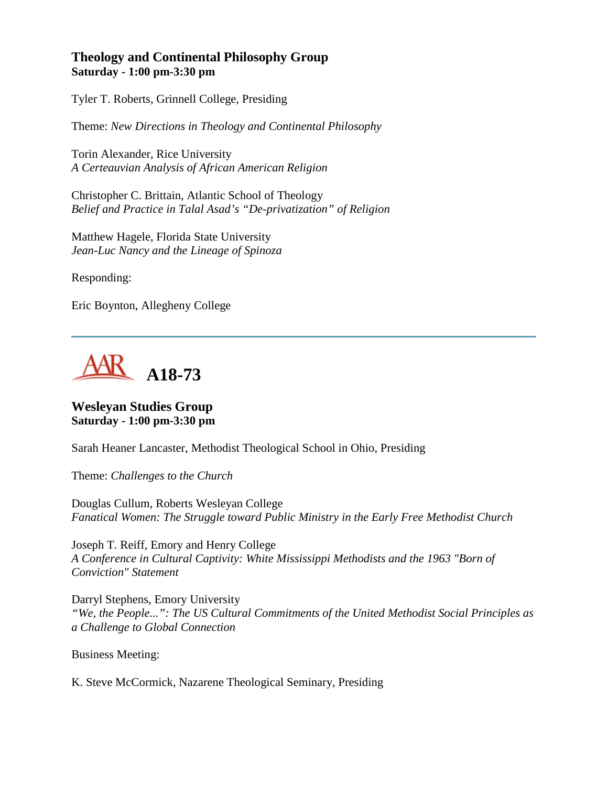## **Theology and Continental Philosophy Group Saturday - 1:00 pm-3:30 pm**

Tyler T. Roberts, Grinnell College, Presiding

Theme: *New Directions in Theology and Continental Philosophy*

Torin Alexander, Rice University *A Certeauvian Analysis of African American Religion*

Christopher C. Brittain, Atlantic School of Theology *Belief and Practice in Talal Asad's "De-privatization" of Religion*

Matthew Hagele, Florida State University *Jean-Luc Nancy and the Lineage of Spinoza*

Responding:

Eric Boynton, Allegheny College



**Wesleyan Studies Group Saturday - 1:00 pm-3:30 pm**

Sarah Heaner Lancaster, Methodist Theological School in Ohio, Presiding

Theme: *Challenges to the Church*

Douglas Cullum, Roberts Wesleyan College *Fanatical Women: The Struggle toward Public Ministry in the Early Free Methodist Church*

Joseph T. Reiff, Emory and Henry College *A Conference in Cultural Captivity: White Mississippi Methodists and the 1963 "Born of Conviction" Statement*

Darryl Stephens, Emory University *"We, the People...": The US Cultural Commitments of the United Methodist Social Principles as a Challenge to Global Connection*

Business Meeting:

K. Steve McCormick, Nazarene Theological Seminary, Presiding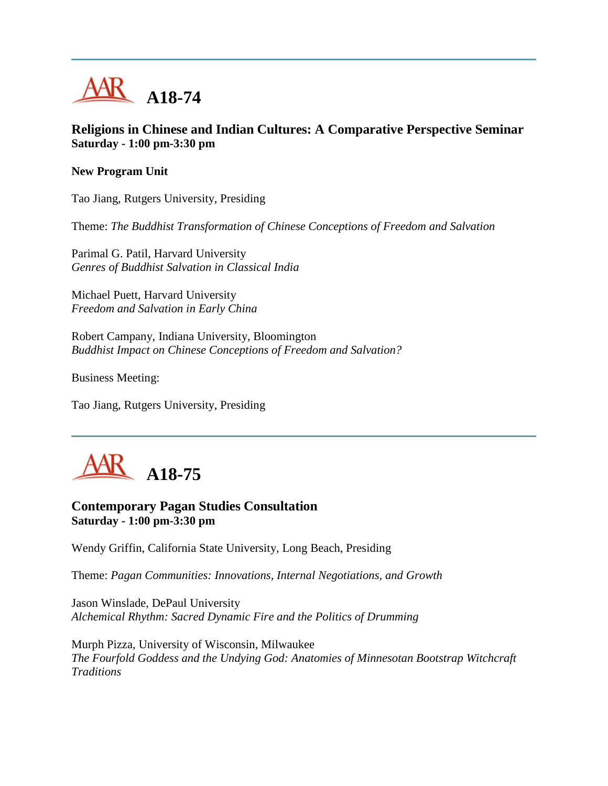

## **Religions in Chinese and Indian Cultures: A Comparative Perspective Seminar Saturday - 1:00 pm-3:30 pm**

#### **New Program Unit**

Tao Jiang, Rutgers University, Presiding

Theme: *The Buddhist Transformation of Chinese Conceptions of Freedom and Salvation*

Parimal G. Patil, Harvard University *Genres of Buddhist Salvation in Classical India*

Michael Puett, Harvard University *Freedom and Salvation in Early China*

Robert Campany, Indiana University, Bloomington *Buddhist Impact on Chinese Conceptions of Freedom and Salvation?*

Business Meeting:

Tao Jiang, Rutgers University, Presiding



# **Contemporary Pagan Studies Consultation Saturday - 1:00 pm-3:30 pm**

Wendy Griffin, California State University, Long Beach, Presiding

Theme: *Pagan Communities: Innovations, Internal Negotiations, and Growth*

Jason Winslade, DePaul University *Alchemical Rhythm: Sacred Dynamic Fire and the Politics of Drumming*

Murph Pizza, University of Wisconsin, Milwaukee *The Fourfold Goddess and the Undying God: Anatomies of Minnesotan Bootstrap Witchcraft Traditions*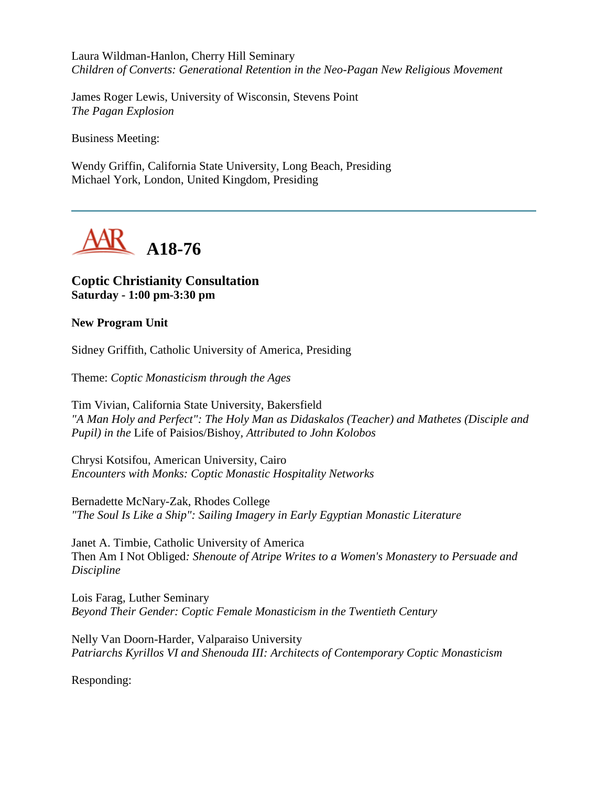Laura Wildman-Hanlon, Cherry Hill Seminary *Children of Converts: Generational Retention in the Neo-Pagan New Religious Movement*

James Roger Lewis, University of Wisconsin, Stevens Point *The Pagan Explosion*

Business Meeting:

Wendy Griffin, California State University, Long Beach, Presiding Michael York, London, United Kingdom, Presiding



# **Coptic Christianity Consultation Saturday - 1:00 pm-3:30 pm**

#### **New Program Unit**

Sidney Griffith, Catholic University of America, Presiding

Theme: *Coptic Monasticism through the Ages*

Tim Vivian, California State University, Bakersfield *"A Man Holy and Perfect": The Holy Man as Didaskalos (Teacher) and Mathetes (Disciple and Pupil) in the* Life of Paisios/Bishoy*, Attributed to John Kolobos*

Chrysi Kotsifou, American University, Cairo *Encounters with Monks: Coptic Monastic Hospitality Networks*

Bernadette McNary-Zak, Rhodes College *"The Soul Is Like a Ship": Sailing Imagery in Early Egyptian Monastic Literature*

Janet A. Timbie, Catholic University of America Then Am I Not Obliged*: Shenoute of Atripe Writes to a Women's Monastery to Persuade and Discipline*

Lois Farag, Luther Seminary *Beyond Their Gender: Coptic Female Monasticism in the Twentieth Century*

Nelly Van Doorn-Harder, Valparaiso University *Patriarchs Kyrillos VI and Shenouda III: Architects of Contemporary Coptic Monasticism*

Responding: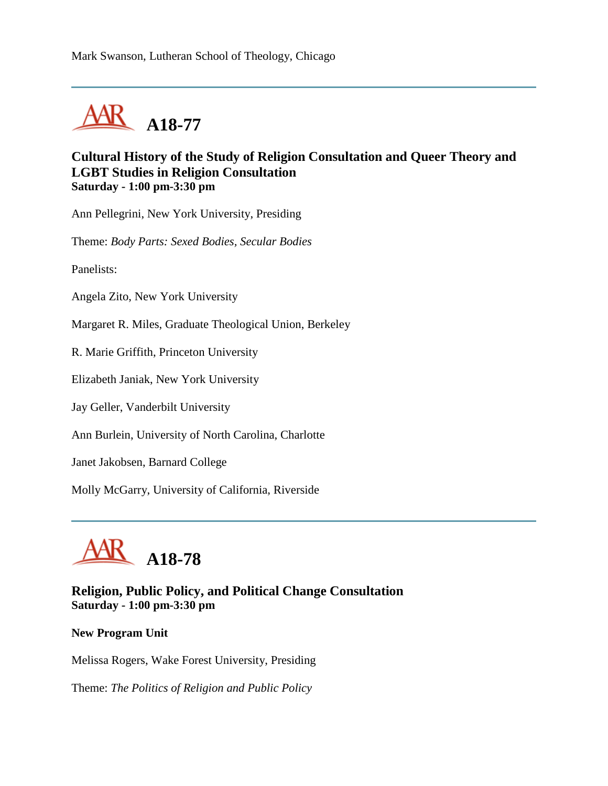

#### **Cultural History of the Study of Religion Consultation and Queer Theory and LGBT Studies in Religion Consultation Saturday - 1:00 pm-3:30 pm**

Ann Pellegrini, New York University, Presiding

Theme: *Body Parts: Sexed Bodies, Secular Bodies*

Panelists:

Angela Zito, New York University

Margaret R. Miles, Graduate Theological Union, Berkeley

R. Marie Griffith, Princeton University

Elizabeth Janiak, New York University

Jay Geller, Vanderbilt University

Ann Burlein, University of North Carolina, Charlotte

Janet Jakobsen, Barnard College

Molly McGarry, University of California, Riverside



## **Religion, Public Policy, and Political Change Consultation Saturday - 1:00 pm-3:30 pm**

#### **New Program Unit**

Melissa Rogers, Wake Forest University, Presiding

Theme: *The Politics of Religion and Public Policy*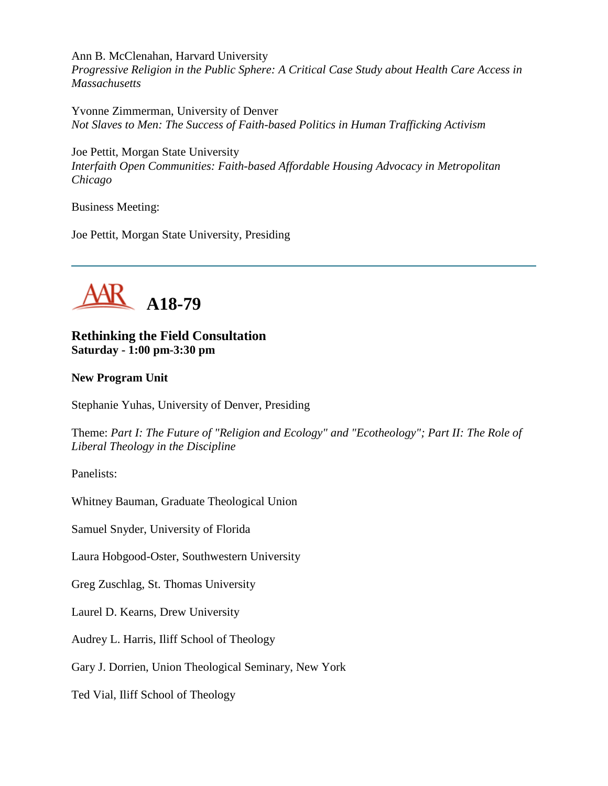Ann B. McClenahan, Harvard University

*Progressive Religion in the Public Sphere: A Critical Case Study about Health Care Access in Massachusetts*

Yvonne Zimmerman, University of Denver *Not Slaves to Men: The Success of Faith-based Politics in Human Trafficking Activism*

Joe Pettit, Morgan State University *Interfaith Open Communities: Faith-based Affordable Housing Advocacy in Metropolitan Chicago*

Business Meeting:

Joe Pettit, Morgan State University, Presiding



**Rethinking the Field Consultation Saturday - 1:00 pm-3:30 pm**

#### **New Program Unit**

Stephanie Yuhas, University of Denver, Presiding

Theme: *Part I: The Future of "Religion and Ecology" and "Ecotheology"; Part II: The Role of Liberal Theology in the Discipline*

Panelists:

Whitney Bauman, Graduate Theological Union

Samuel Snyder, University of Florida

Laura Hobgood-Oster, Southwestern University

Greg Zuschlag, St. Thomas University

Laurel D. Kearns, Drew University

Audrey L. Harris, Iliff School of Theology

Gary J. Dorrien, Union Theological Seminary, New York

Ted Vial, Iliff School of Theology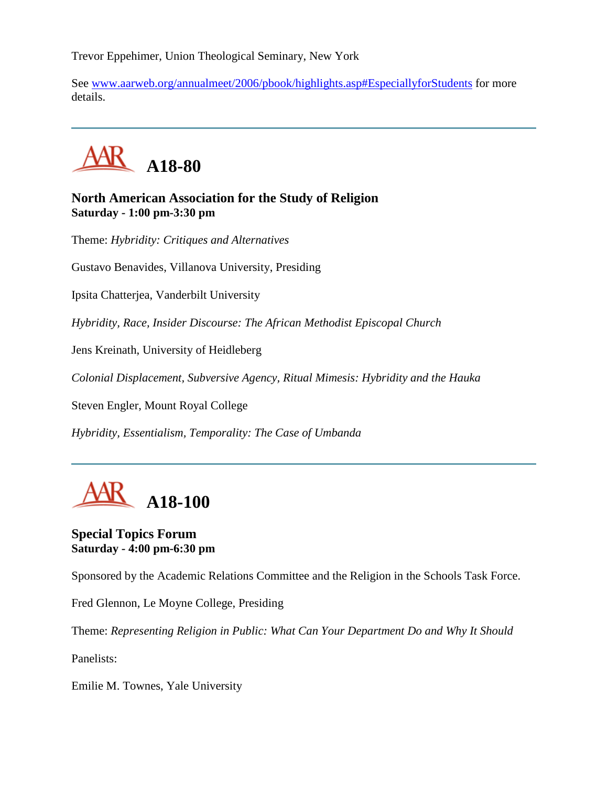Trevor Eppehimer, Union Theological Seminary, New York

See [www.aarweb.org/annualmeet/2006/pbook/highlights.asp#EspeciallyforStudents](http://www.aarweb.org/Meetings/Annual_Meeting/Past_and_Future_Meetings/2006/highlights.asp#EspeciallyforStudents) for more details.



# **North American Association for the Study of Religion Saturday - 1:00 pm-3:30 pm**

Theme: *Hybridity: Critiques and Alternatives*

Gustavo Benavides, Villanova University, Presiding

Ipsita Chatterjea, Vanderbilt University

*Hybridity, Race, Insider Discourse: The African Methodist Episcopal Church*

Jens Kreinath, University of Heidleberg

*Colonial Displacement, Subversive Agency, Ritual Mimesis: Hybridity and the Hauka*

Steven Engler, Mount Royal College

*Hybridity, Essentialism, Temporality: The Case of Umbanda*



#### **Special Topics Forum Saturday - 4:00 pm-6:30 pm**

Sponsored by the Academic Relations Committee and the Religion in the Schools Task Force.

Fred Glennon, Le Moyne College, Presiding

Theme: *Representing Religion in Public: What Can Your Department Do and Why It Should*

Panelists:

Emilie M. Townes, Yale University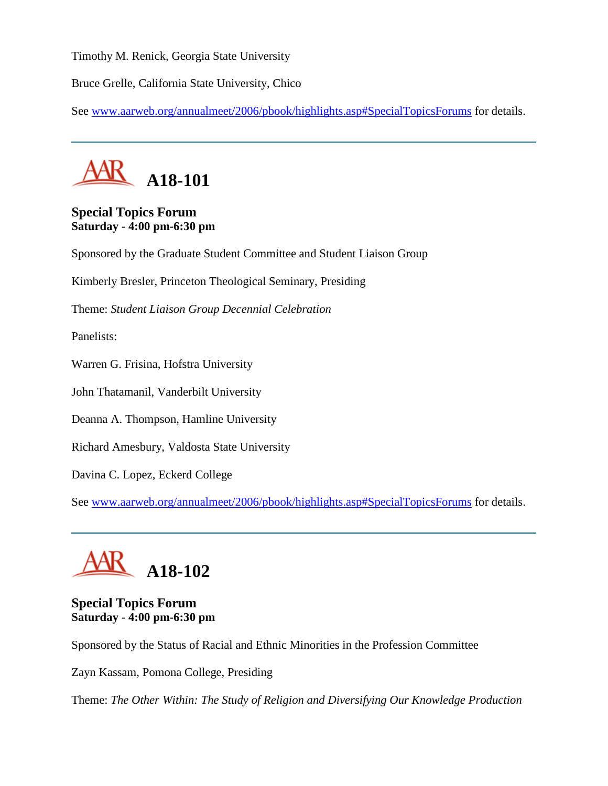Timothy M. Renick, Georgia State University

Bruce Grelle, California State University, Chico

See [www.aarweb.org/annualmeet/2006/pbook/highlights.asp#SpecialTopicsForums](http://www.aarweb.org/Meetings/Annual_Meeting/Past_and_Future_Meetings/2006/highlights.asp#SpecialTopicsForums) for details.



# **Special Topics Forum Saturday - 4:00 pm-6:30 pm**

Sponsored by the Graduate Student Committee and Student Liaison Group

Kimberly Bresler, Princeton Theological Seminary, Presiding

Theme: *Student Liaison Group Decennial Celebration*

Panelists:

Warren G. Frisina, Hofstra University

John Thatamanil, Vanderbilt University

Deanna A. Thompson, Hamline University

Richard Amesbury, Valdosta State University

Davina C. Lopez, Eckerd College

See [www.aarweb.org/annualmeet/2006/pbook/highlights.asp#SpecialTopicsForums](http://www.aarweb.org/Meetings/Annual_Meeting/Past_and_Future_Meetings/2006/highlights.asp#SpecialTopicsForums) for details.



# **Special Topics Forum Saturday - 4:00 pm-6:30 pm**

Sponsored by the Status of Racial and Ethnic Minorities in the Profession Committee

Zayn Kassam, Pomona College, Presiding

Theme: *The Other Within: The Study of Religion and Diversifying Our Knowledge Production*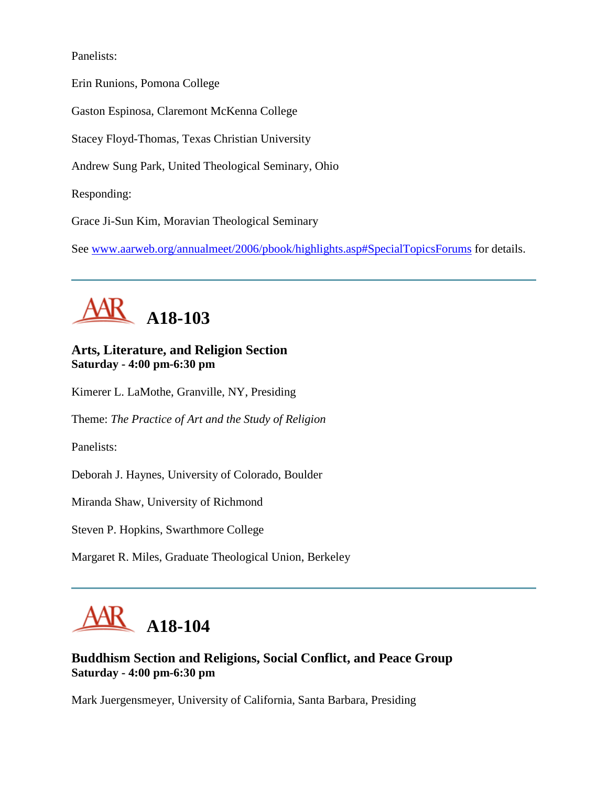Panelists:

Erin Runions, Pomona College

Gaston Espinosa, Claremont McKenna College

Stacey Floyd-Thomas, Texas Christian University

Andrew Sung Park, United Theological Seminary, Ohio

Responding:

Grace Ji-Sun Kim, Moravian Theological Seminary

See [www.aarweb.org/annualmeet/2006/pbook/highlights.asp#SpecialTopicsForums](http://www.aarweb.org/Meetings/Annual_Meeting/Past_and_Future_Meetings/2006/highlights.asp#SpecialTopicsForums) for details.



# **Arts, Literature, and Religion Section Saturday - 4:00 pm-6:30 pm**

Kimerer L. LaMothe, Granville, NY, Presiding

Theme: *The Practice of Art and the Study of Religion*

Panelists:

Deborah J. Haynes, University of Colorado, Boulder

Miranda Shaw, University of Richmond

Steven P. Hopkins, Swarthmore College

Margaret R. Miles, Graduate Theological Union, Berkeley



# **Buddhism Section and Religions, Social Conflict, and Peace Group Saturday - 4:00 pm-6:30 pm**

Mark Juergensmeyer, University of California, Santa Barbara, Presiding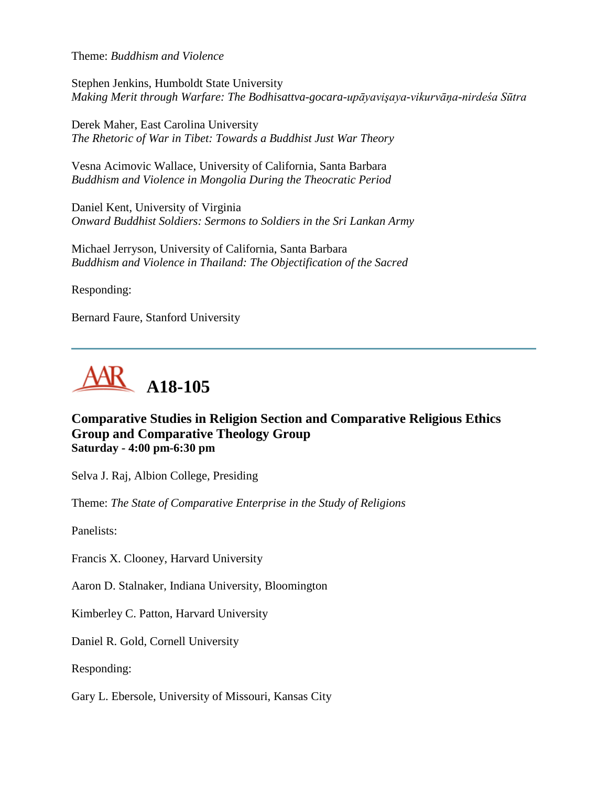Theme: *Buddhism and Violence*

Stephen Jenkins, Humboldt State University *Making Merit through Warfare: The Bodhisattva-gocara-upāyavişaya-vikurvāņa-nirdeśa Sūtra*

Derek Maher, East Carolina University *The Rhetoric of War in Tibet: Towards a Buddhist Just War Theory*

Vesna Acimovic Wallace, University of California, Santa Barbara *Buddhism and Violence in Mongolia During the Theocratic Period*

Daniel Kent, University of Virginia *Onward Buddhist Soldiers: Sermons to Soldiers in the Sri Lankan Army*

Michael Jerryson, University of California, Santa Barbara *Buddhism and Violence in Thailand: The Objectification of the Sacred*

Responding:

Bernard Faure, Stanford University



# **Comparative Studies in Religion Section and Comparative Religious Ethics Group and Comparative Theology Group Saturday - 4:00 pm-6:30 pm**

Selva J. Raj, Albion College, Presiding

Theme: *The State of Comparative Enterprise in the Study of Religions*

Panelists:

Francis X. Clooney, Harvard University

Aaron D. Stalnaker, Indiana University, Bloomington

Kimberley C. Patton, Harvard University

Daniel R. Gold, Cornell University

Responding:

Gary L. Ebersole, University of Missouri, Kansas City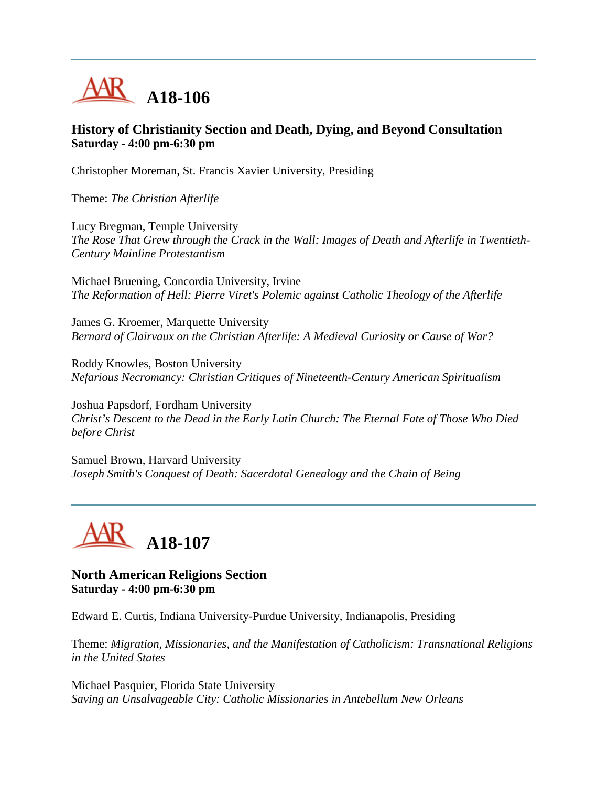

## **History of Christianity Section and Death, Dying, and Beyond Consultation Saturday - 4:00 pm-6:30 pm**

Christopher Moreman, St. Francis Xavier University, Presiding

Theme: *The Christian Afterlife*

Lucy Bregman, Temple University *The Rose That Grew through the Crack in the Wall: Images of Death and Afterlife in Twentieth-Century Mainline Protestantism*

Michael Bruening, Concordia University, Irvine *The Reformation of Hell: Pierre Viret's Polemic against Catholic Theology of the Afterlife*

James G. Kroemer, Marquette University *Bernard of Clairvaux on the Christian Afterlife: A Medieval Curiosity or Cause of War?*

Roddy Knowles, Boston University *Nefarious Necromancy: Christian Critiques of Nineteenth-Century American Spiritualism*

Joshua Papsdorf, Fordham University *Christ's Descent to the Dead in the Early Latin Church: The Eternal Fate of Those Who Died before Christ*

Samuel Brown, Harvard University *Joseph Smith's Conquest of Death: Sacerdotal Genealogy and the Chain of Being*



**North American Religions Section Saturday - 4:00 pm-6:30 pm**

Edward E. Curtis, Indiana University-Purdue University, Indianapolis, Presiding

Theme: *Migration, Missionaries, and the Manifestation of Catholicism: Transnational Religions in the United States*

Michael Pasquier, Florida State University *Saving an Unsalvageable City: Catholic Missionaries in Antebellum New Orleans*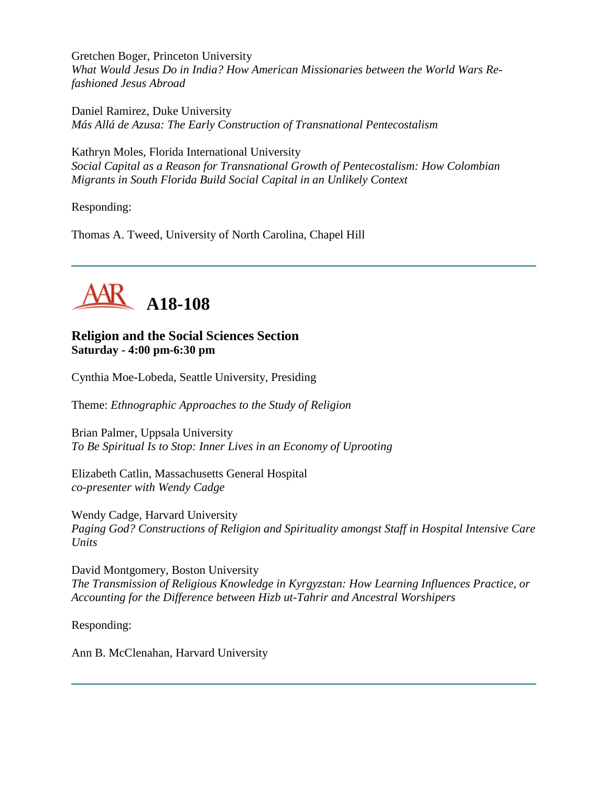Gretchen Boger, Princeton University *What Would Jesus Do in India? How American Missionaries between the World Wars Refashioned Jesus Abroad*

Daniel Ramirez, Duke University *Más Allá de Azusa: The Early Construction of Transnational Pentecostalism*

Kathryn Moles, Florida International University *Social Capital as a Reason for Transnational Growth of Pentecostalism: How Colombian Migrants in South Florida Build Social Capital in an Unlikely Context*

Responding:

Thomas A. Tweed, University of North Carolina, Chapel Hill



# **Religion and the Social Sciences Section Saturday - 4:00 pm-6:30 pm**

Cynthia Moe-Lobeda, Seattle University, Presiding

Theme: *Ethnographic Approaches to the Study of Religion*

Brian Palmer, Uppsala University *To Be Spiritual Is to Stop: Inner Lives in an Economy of Uprooting*

Elizabeth Catlin, Massachusetts General Hospital *co-presenter with Wendy Cadge*

Wendy Cadge, Harvard University *Paging God? Constructions of Religion and Spirituality amongst Staff in Hospital Intensive Care Units*

David Montgomery, Boston University *The Transmission of Religious Knowledge in Kyrgyzstan: How Learning Influences Practice, or Accounting for the Difference between Hizb ut-Tahrir and Ancestral Worshipers*

Responding:

Ann B. McClenahan, Harvard University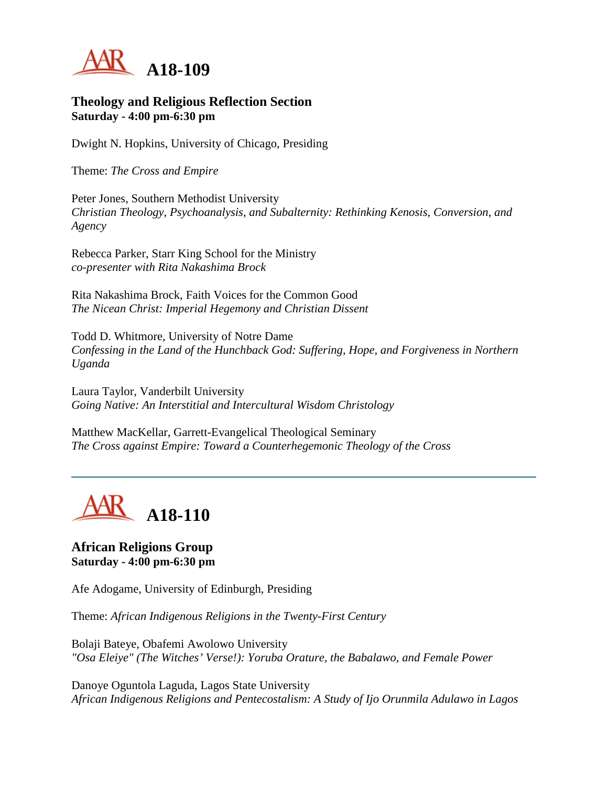

#### **Theology and Religious Reflection Section Saturday - 4:00 pm-6:30 pm**

Dwight N. Hopkins, University of Chicago, Presiding

Theme: *The Cross and Empire*

Peter Jones, Southern Methodist University *Christian Theology, Psychoanalysis, and Subalternity: Rethinking Kenosis, Conversion, and Agency*

Rebecca Parker, Starr King School for the Ministry *co-presenter with Rita Nakashima Brock*

Rita Nakashima Brock, Faith Voices for the Common Good *The Nicean Christ: Imperial Hegemony and Christian Dissent*

Todd D. Whitmore, University of Notre Dame *Confessing in the Land of the Hunchback God: Suffering, Hope, and Forgiveness in Northern Uganda*

Laura Taylor, Vanderbilt University *Going Native: An Interstitial and Intercultural Wisdom Christology*

Matthew MacKellar, Garrett-Evangelical Theological Seminary *The Cross against Empire: Toward a Counterhegemonic Theology of the Cross*



# **African Religions Group Saturday - 4:00 pm-6:30 pm**

Afe Adogame, University of Edinburgh, Presiding

Theme: *African Indigenous Religions in the Twenty-First Century*

Bolaji Bateye, Obafemi Awolowo University *"Osa Eleiye" (The Witches' Verse!): Yoruba Orature, the Babalawo, and Female Power*

Danoye Oguntola Laguda, Lagos State University *African Indigenous Religions and Pentecostalism: A Study of Ijo Orunmila Adulawo in Lagos*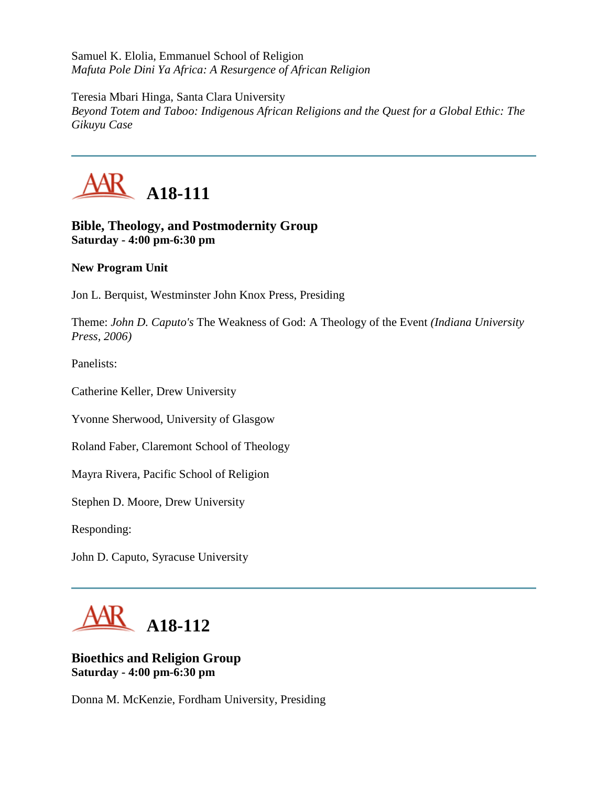Samuel K. Elolia, Emmanuel School of Religion *Mafuta Pole Dini Ya Africa: A Resurgence of African Religion*

Teresia Mbari Hinga, Santa Clara University *Beyond Totem and Taboo: Indigenous African Religions and the Quest for a Global Ethic: The Gikuyu Case*



# **Bible, Theology, and Postmodernity Group Saturday - 4:00 pm-6:30 pm**

# **New Program Unit**

Jon L. Berquist, Westminster John Knox Press, Presiding

Theme: *John D. Caputo's* The Weakness of God: A Theology of the Event *(Indiana University Press, 2006)*

Panelists:

Catherine Keller, Drew University

Yvonne Sherwood, University of Glasgow

Roland Faber, Claremont School of Theology

Mayra Rivera, Pacific School of Religion

Stephen D. Moore, Drew University

Responding:

John D. Caputo, Syracuse University



# **Bioethics and Religion Group Saturday - 4:00 pm-6:30 pm**

Donna M. McKenzie, Fordham University, Presiding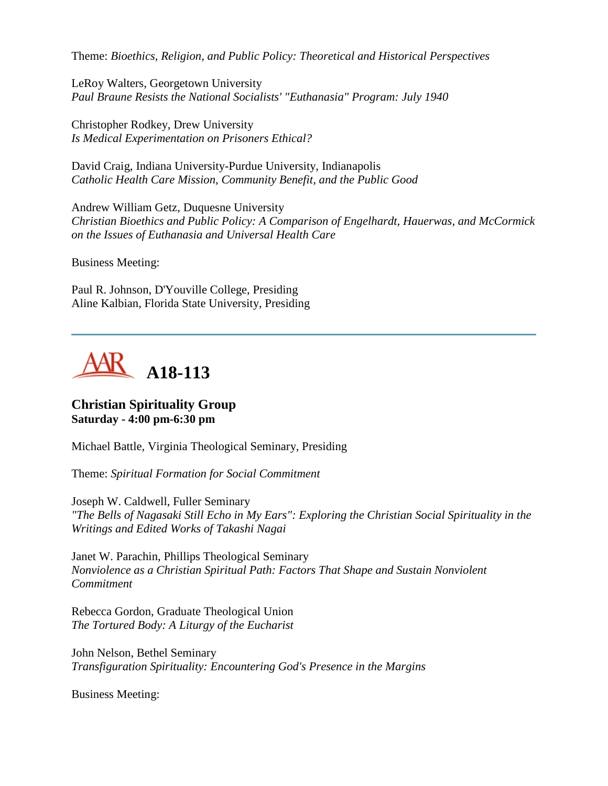Theme: *Bioethics, Religion, and Public Policy: Theoretical and Historical Perspectives*

LeRoy Walters, Georgetown University *Paul Braune Resists the National Socialists' "Euthanasia" Program: July 1940*

Christopher Rodkey, Drew University *Is Medical Experimentation on Prisoners Ethical?*

David Craig, Indiana University-Purdue University, Indianapolis *Catholic Health Care Mission, Community Benefit, and the Public Good*

Andrew William Getz, Duquesne University *Christian Bioethics and Public Policy: A Comparison of Engelhardt, Hauerwas, and McCormick on the Issues of Euthanasia and Universal Health Care*

Business Meeting:

Paul R. Johnson, D'Youville College, Presiding Aline Kalbian, Florida State University, Presiding



#### **Christian Spirituality Group Saturday - 4:00 pm-6:30 pm**

Michael Battle, Virginia Theological Seminary, Presiding

Theme: *Spiritual Formation for Social Commitment*

Joseph W. Caldwell, Fuller Seminary *"The Bells of Nagasaki Still Echo in My Ears": Exploring the Christian Social Spirituality in the Writings and Edited Works of Takashi Nagai*

Janet W. Parachin, Phillips Theological Seminary *Nonviolence as a Christian Spiritual Path: Factors That Shape and Sustain Nonviolent Commitment*

Rebecca Gordon, Graduate Theological Union *The Tortured Body: A Liturgy of the Eucharist*

John Nelson, Bethel Seminary *Transfiguration Spirituality: Encountering God's Presence in the Margins*

Business Meeting: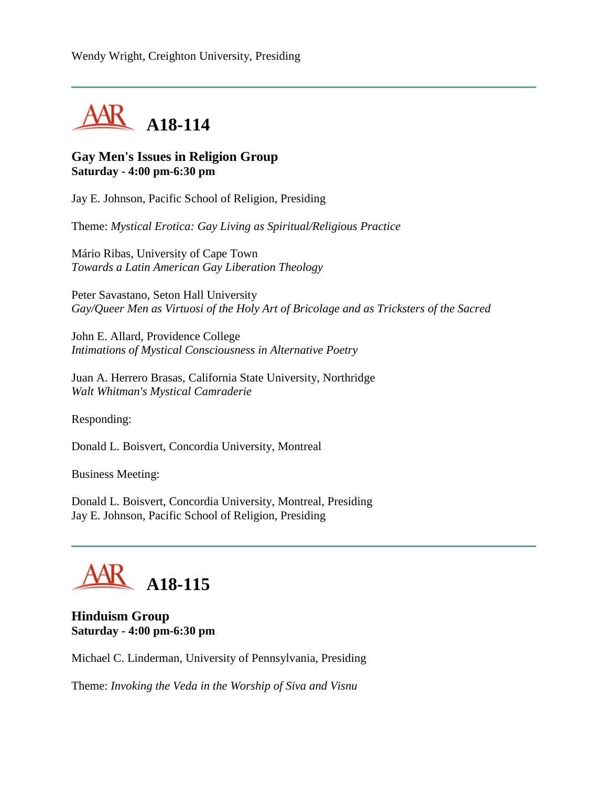

## **Gay Men's Issues in Religion Group Saturday - 4:00 pm-6:30 pm**

Jay E. Johnson, Pacific School of Religion, Presiding

Theme: *Mystical Erotica: Gay Living as Spiritual/Religious Practice*

Mário Ribas, University of Cape Town *Towards a Latin American Gay Liberation Theology*

Peter Savastano, Seton Hall University *Gay/Queer Men as Virtuosi of the Holy Art of Bricolage and as Tricksters of the Sacred*

John E. Allard, Providence College *Intimations of Mystical Consciousness in Alternative Poetry*

Juan A. Herrero Brasas, California State University, Northridge *Walt Whitman's Mystical Camraderie*

Responding:

Donald L. Boisvert, Concordia University, Montreal

Business Meeting:

Donald L. Boisvert, Concordia University, Montreal, Presiding Jay E. Johnson, Pacific School of Religion, Presiding

# **A18-115**

#### **Hinduism Group Saturday - 4:00 pm-6:30 pm**

Michael C. Linderman, University of Pennsylvania, Presiding

Theme: *Invoking the Veda in the Worship of Siva and Visnu*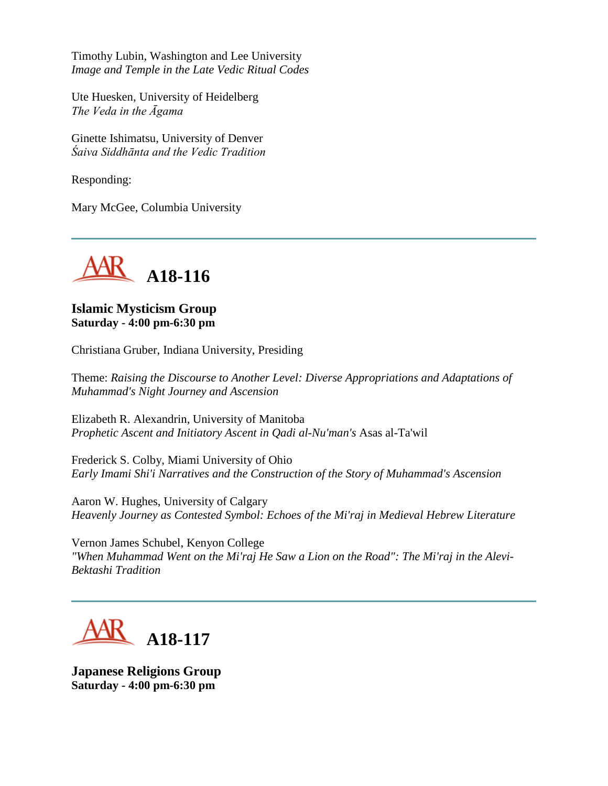Timothy Lubin, Washington and Lee University *Image and Temple in the Late Vedic Ritual Codes*

Ute Huesken, University of Heidelberg *The Veda in the Āgama*

Ginette Ishimatsu, University of Denver *Śaiva Siddhānta and the Vedic Tradition*

Responding:

Mary McGee, Columbia University



**Islamic Mysticism Group Saturday - 4:00 pm-6:30 pm**

Christiana Gruber, Indiana University, Presiding

Theme: *Raising the Discourse to Another Level: Diverse Appropriations and Adaptations of Muhammad's Night Journey and Ascension*

Elizabeth R. Alexandrin, University of Manitoba *Prophetic Ascent and Initiatory Ascent in Qadi al-Nu'man's* Asas al-Ta'wil

Frederick S. Colby, Miami University of Ohio *Early Imami Shi'i Narratives and the Construction of the Story of Muhammad's Ascension*

Aaron W. Hughes, University of Calgary *Heavenly Journey as Contested Symbol: Echoes of the Mi'raj in Medieval Hebrew Literature*

Vernon James Schubel, Kenyon College *"When Muhammad Went on the Mi'raj He Saw a Lion on the Road": The Mi'raj in the Alevi-Bektashi Tradition*



**Japanese Religions Group Saturday - 4:00 pm-6:30 pm**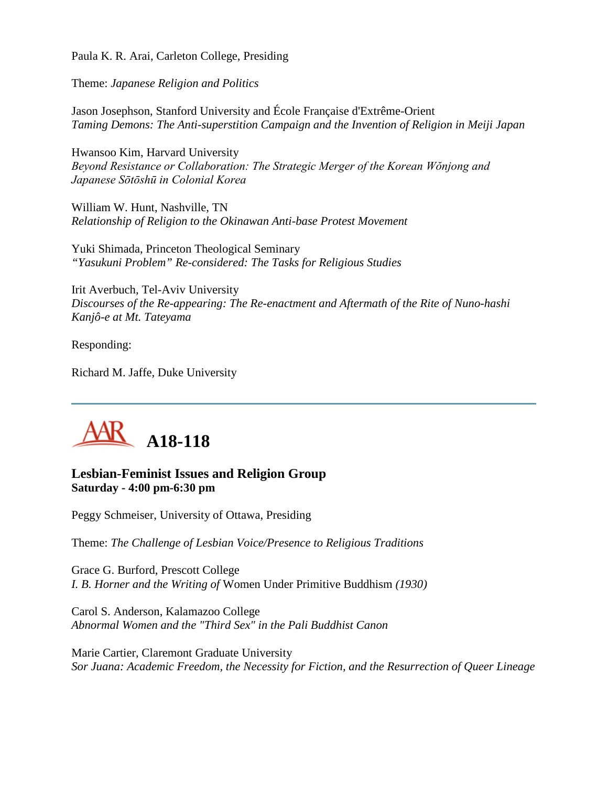Paula K. R. Arai, Carleton College, Presiding

Theme: *Japanese Religion and Politics*

Jason Josephson, Stanford University and École Française d'Extrême-Orient *Taming Demons: The Anti-superstition Campaign and the Invention of Religion in Meiji Japan*

Hwansoo Kim, Harvard University *Beyond Resistance or Collaboration: The Strategic Merger of the Korean Wŏnjong and Japanese Sōtōshū in Colonial Korea*

William W. Hunt, Nashville, TN *Relationship of Religion to the Okinawan Anti-base Protest Movement*

Yuki Shimada, Princeton Theological Seminary *"Yasukuni Problem" Re-considered: The Tasks for Religious Studies*

Irit Averbuch, Tel-Aviv University *Discourses of the Re-appearing: The Re-enactment and Aftermath of the Rite of Nuno-hashi Kanjô-e at Mt. Tateyama*

Responding:

Richard M. Jaffe, Duke University



# **Lesbian-Feminist Issues and Religion Group Saturday - 4:00 pm-6:30 pm**

Peggy Schmeiser, University of Ottawa, Presiding

Theme: *The Challenge of Lesbian Voice/Presence to Religious Traditions*

Grace G. Burford, Prescott College *I. B. Horner and the Writing of* Women Under Primitive Buddhism *(1930)*

Carol S. Anderson, Kalamazoo College *Abnormal Women and the "Third Sex" in the Pali Buddhist Canon*

Marie Cartier, Claremont Graduate University *Sor Juana: Academic Freedom, the Necessity for Fiction, and the Resurrection of Queer Lineage*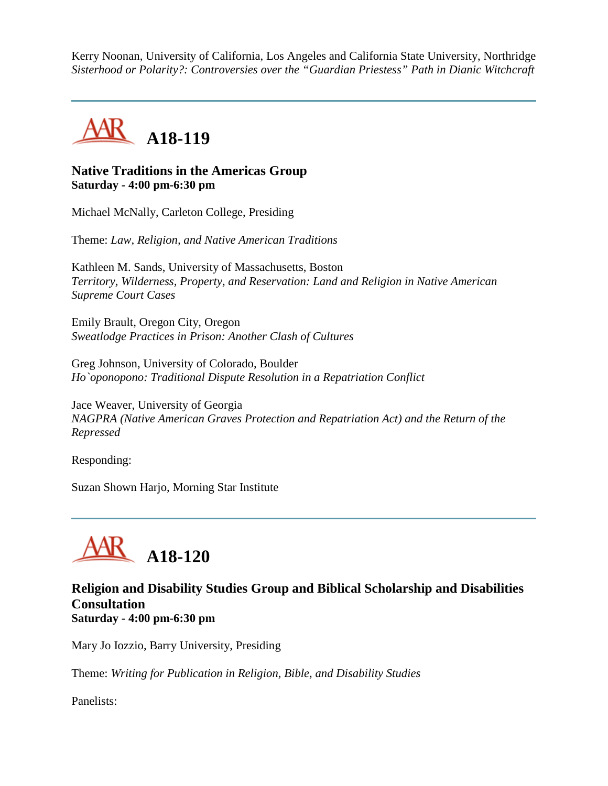Kerry Noonan, University of California, Los Angeles and California State University, Northridge *Sisterhood or Polarity?: Controversies over the "Guardian Priestess" Path in Dianic Witchcraft*



## **Native Traditions in the Americas Group Saturday - 4:00 pm-6:30 pm**

Michael McNally, Carleton College, Presiding

Theme: *Law, Religion, and Native American Traditions*

Kathleen M. Sands, University of Massachusetts, Boston *Territory, Wilderness, Property, and Reservation: Land and Religion in Native American Supreme Court Cases*

Emily Brault, Oregon City, Oregon *Sweatlodge Practices in Prison: Another Clash of Cultures*

Greg Johnson, University of Colorado, Boulder *Ho`oponopono: Traditional Dispute Resolution in a Repatriation Conflict*

Jace Weaver, University of Georgia *NAGPRA (Native American Graves Protection and Repatriation Act) and the Return of the Repressed*

Responding:

Suzan Shown Harjo, Morning Star Institute



#### **Religion and Disability Studies Group and Biblical Scholarship and Disabilities Consultation Saturday - 4:00 pm-6:30 pm**

Mary Jo Iozzio, Barry University, Presiding

Theme: *Writing for Publication in Religion, Bible, and Disability Studies*

Panelists: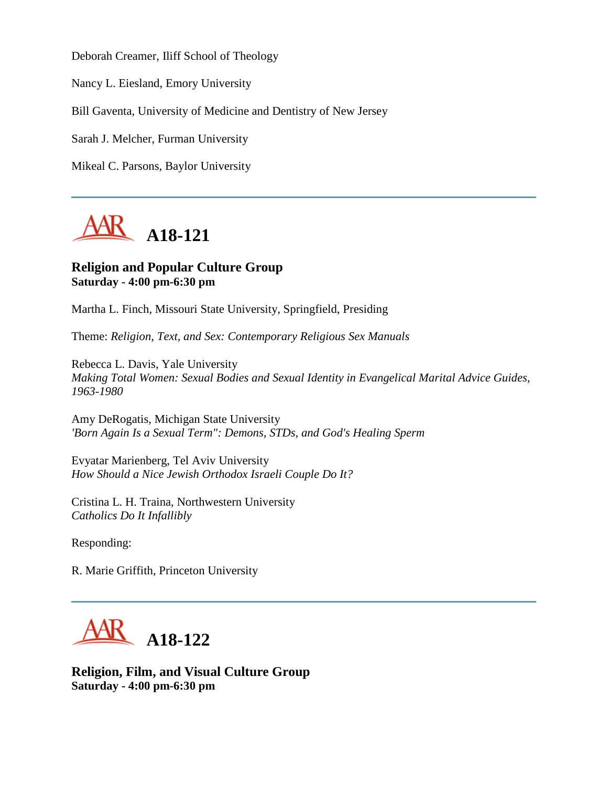Deborah Creamer, Iliff School of Theology

Nancy L. Eiesland, Emory University

Bill Gaventa, University of Medicine and Dentistry of New Jersey

Sarah J. Melcher, Furman University

Mikeal C. Parsons, Baylor University



## **Religion and Popular Culture Group Saturday - 4:00 pm-6:30 pm**

Martha L. Finch, Missouri State University, Springfield, Presiding

Theme: *Religion, Text, and Sex: Contemporary Religious Sex Manuals*

Rebecca L. Davis, Yale University *Making Total Women: Sexual Bodies and Sexual Identity in Evangelical Marital Advice Guides, 1963-1980*

Amy DeRogatis, Michigan State University *'Born Again Is a Sexual Term": Demons, STDs, and God's Healing Sperm*

Evyatar Marienberg, Tel Aviv University *How Should a Nice Jewish Orthodox Israeli Couple Do It?*

Cristina L. H. Traina, Northwestern University *Catholics Do It Infallibly*

Responding:

R. Marie Griffith, Princeton University



**Religion, Film, and Visual Culture Group Saturday - 4:00 pm-6:30 pm**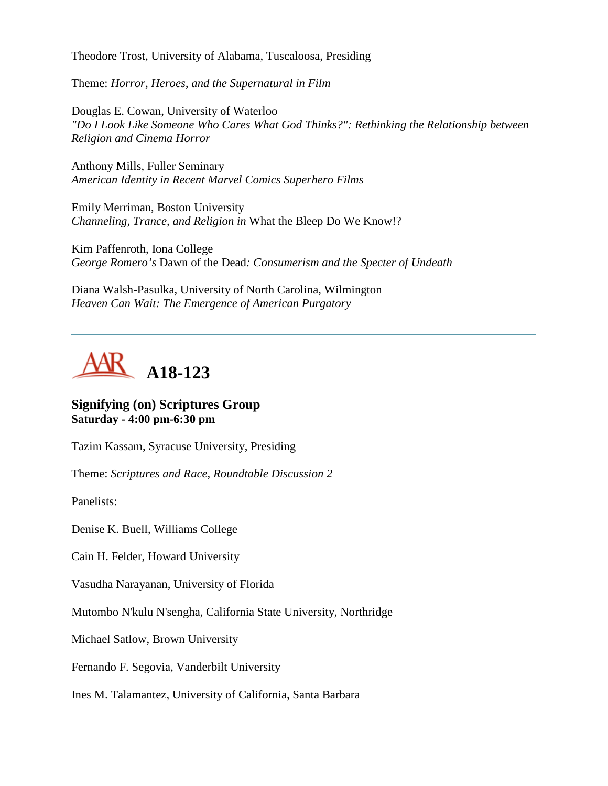Theodore Trost, University of Alabama, Tuscaloosa, Presiding

Theme: *Horror, Heroes, and the Supernatural in Film*

Douglas E. Cowan, University of Waterloo *"Do I Look Like Someone Who Cares What God Thinks?": Rethinking the Relationship between Religion and Cinema Horror*

Anthony Mills, Fuller Seminary *American Identity in Recent Marvel Comics Superhero Films*

Emily Merriman, Boston University *Channeling, Trance, and Religion in* What the Bleep Do We Know!?

Kim Paffenroth, Iona College *George Romero's* Dawn of the Dead*: Consumerism and the Specter of Undeath*

Diana Walsh-Pasulka, University of North Carolina, Wilmington *Heaven Can Wait: The Emergence of American Purgatory*



#### **Signifying (on) Scriptures Group Saturday - 4:00 pm-6:30 pm**

Tazim Kassam, Syracuse University, Presiding

Theme: *Scriptures and Race, Roundtable Discussion 2*

Panelists:

Denise K. Buell, Williams College

Cain H. Felder, Howard University

Vasudha Narayanan, University of Florida

Mutombo N'kulu N'sengha, California State University, Northridge

Michael Satlow, Brown University

Fernando F. Segovia, Vanderbilt University

Ines M. Talamantez, University of California, Santa Barbara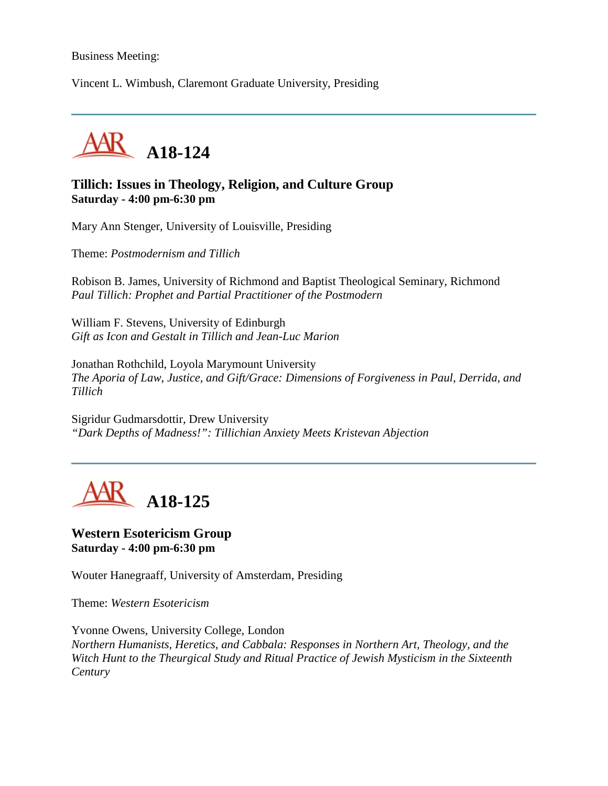#### Business Meeting:

Vincent L. Wimbush, Claremont Graduate University, Presiding



#### **Tillich: Issues in Theology, Religion, and Culture Group Saturday - 4:00 pm-6:30 pm**

Mary Ann Stenger, University of Louisville, Presiding

Theme: *Postmodernism and Tillich*

Robison B. James, University of Richmond and Baptist Theological Seminary, Richmond *Paul Tillich: Prophet and Partial Practitioner of the Postmodern*

William F. Stevens, University of Edinburgh *Gift as Icon and Gestalt in Tillich and Jean-Luc Marion*

Jonathan Rothchild, Loyola Marymount University *The Aporia of Law, Justice, and Gift/Grace: Dimensions of Forgiveness in Paul, Derrida, and Tillich*

Sigridur Gudmarsdottir, Drew University *"Dark Depths of Madness!": Tillichian Anxiety Meets Kristevan Abjection*



#### **Western Esotericism Group Saturday - 4:00 pm-6:30 pm**

Wouter Hanegraaff, University of Amsterdam, Presiding

Theme: *Western Esotericism*

Yvonne Owens, University College, London *Northern Humanists, Heretics, and Cabbala: Responses in Northern Art, Theology, and the Witch Hunt to the Theurgical Study and Ritual Practice of Jewish Mysticism in the Sixteenth Century*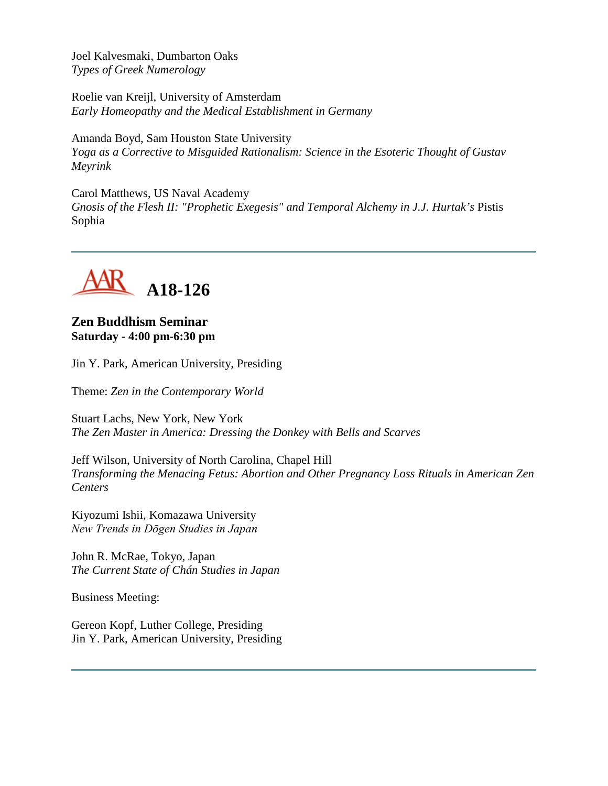Joel Kalvesmaki, Dumbarton Oaks *Types of Greek Numerology*

Roelie van Kreijl, University of Amsterdam *Early Homeopathy and the Medical Establishment in Germany*

Amanda Boyd, Sam Houston State University *Yoga as a Corrective to Misguided Rationalism: Science in the Esoteric Thought of Gustav Meyrink*

Carol Matthews, US Naval Academy *Gnosis of the Flesh II: "Prophetic Exegesis" and Temporal Alchemy in J.J. Hurtak's* Pistis Sophia



# **Zen Buddhism Seminar Saturday - 4:00 pm-6:30 pm**

Jin Y. Park, American University, Presiding

Theme: *Zen in the Contemporary World*

Stuart Lachs, New York, New York *The Zen Master in America: Dressing the Donkey with Bells and Scarves*

Jeff Wilson, University of North Carolina, Chapel Hill *Transforming the Menacing Fetus: Abortion and Other Pregnancy Loss Rituals in American Zen Centers*

Kiyozumi Ishii, Komazawa University *New Trends in Dōgen Studies in Japan*

John R. McRae, Tokyo, Japan *The Current State of Chán Studies in Japan*

Business Meeting:

Gereon Kopf, Luther College, Presiding Jin Y. Park, American University, Presiding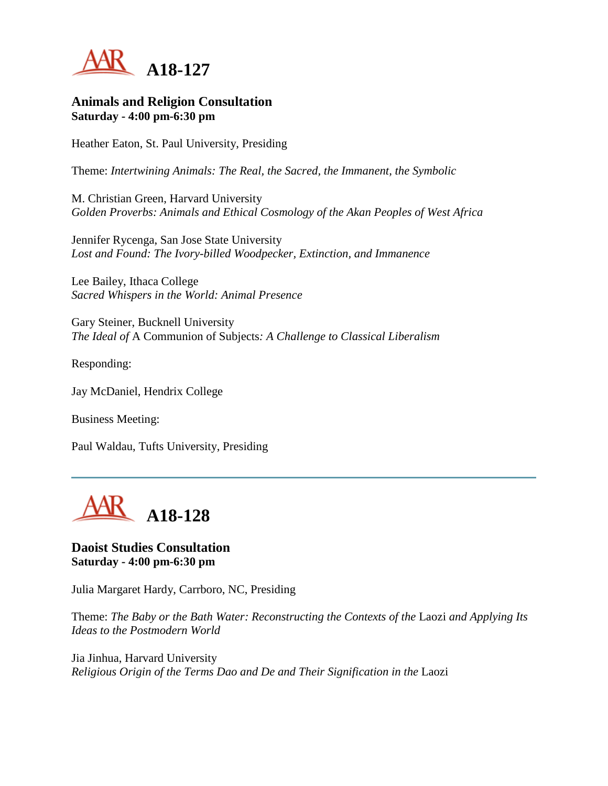

#### **Animals and Religion Consultation Saturday - 4:00 pm-6:30 pm**

Heather Eaton, St. Paul University, Presiding

Theme: *Intertwining Animals: The Real, the Sacred, the Immanent, the Symbolic*

M. Christian Green, Harvard University *Golden Proverbs: Animals and Ethical Cosmology of the Akan Peoples of West Africa*

Jennifer Rycenga, San Jose State University *Lost and Found: The Ivory-billed Woodpecker, Extinction, and Immanence*

Lee Bailey, Ithaca College *Sacred Whispers in the World: Animal Presence*

Gary Steiner, Bucknell University *The Ideal of* A Communion of Subjects*: A Challenge to Classical Liberalism*

Responding:

Jay McDaniel, Hendrix College

Business Meeting:

Paul Waldau, Tufts University, Presiding



#### **Daoist Studies Consultation Saturday - 4:00 pm-6:30 pm**

Julia Margaret Hardy, Carrboro, NC, Presiding

Theme: *The Baby or the Bath Water: Reconstructing the Contexts of the* Laozi *and Applying Its Ideas to the Postmodern World*

Jia Jinhua, Harvard University *Religious Origin of the Terms Dao and De and Their Signification in the* Laozi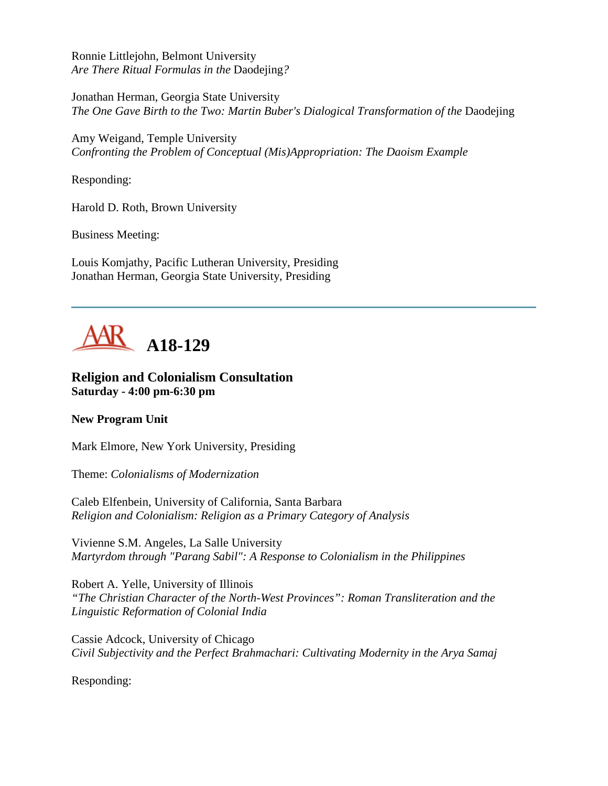Ronnie Littlejohn, Belmont University *Are There Ritual Formulas in the* Daodejing*?*

Jonathan Herman, Georgia State University *The One Gave Birth to the Two: Martin Buber's Dialogical Transformation of the Daodejing* 

Amy Weigand, Temple University *Confronting the Problem of Conceptual (Mis)Appropriation: The Daoism Example*

Responding:

Harold D. Roth, Brown University

Business Meeting:

Louis Komjathy, Pacific Lutheran University, Presiding Jonathan Herman, Georgia State University, Presiding



#### **Religion and Colonialism Consultation Saturday - 4:00 pm-6:30 pm**

#### **New Program Unit**

Mark Elmore, New York University, Presiding

Theme: *Colonialisms of Modernization*

Caleb Elfenbein, University of California, Santa Barbara *Religion and Colonialism: Religion as a Primary Category of Analysis*

Vivienne S.M. Angeles, La Salle University *Martyrdom through "Parang Sabil": A Response to Colonialism in the Philippines*

Robert A. Yelle, University of Illinois *"The Christian Character of the North-West Provinces": Roman Transliteration and the Linguistic Reformation of Colonial India*

Cassie Adcock, University of Chicago *Civil Subjectivity and the Perfect Brahmachari: Cultivating Modernity in the Arya Samaj*

Responding: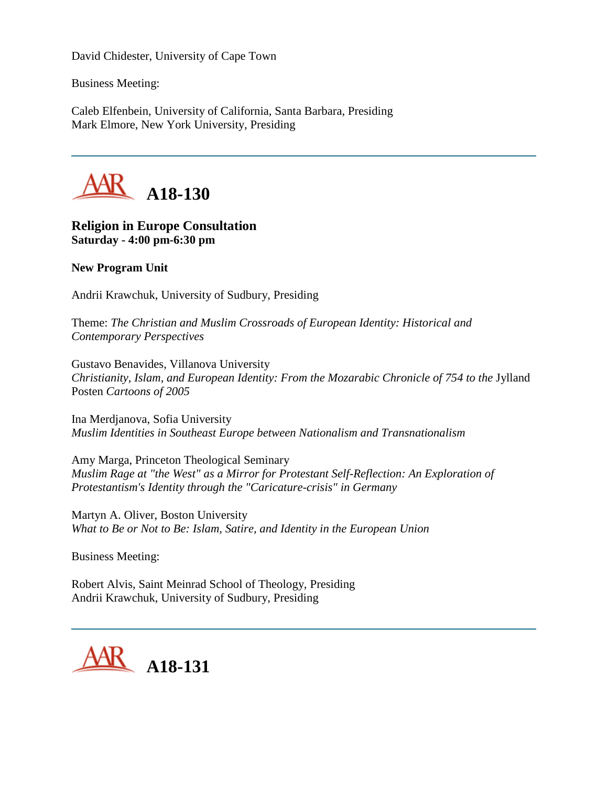David Chidester, University of Cape Town

Business Meeting:

Caleb Elfenbein, University of California, Santa Barbara, Presiding Mark Elmore, New York University, Presiding



### **Religion in Europe Consultation Saturday - 4:00 pm-6:30 pm**

#### **New Program Unit**

Andrii Krawchuk, University of Sudbury, Presiding

Theme: *The Christian and Muslim Crossroads of European Identity: Historical and Contemporary Perspectives*

Gustavo Benavides, Villanova University *Christianity, Islam, and European Identity: From the Mozarabic Chronicle of 754 to the Jylland* Posten *Cartoons of 2005*

Ina Merdjanova, Sofia University *Muslim Identities in Southeast Europe between Nationalism and Transnationalism*

Amy Marga, Princeton Theological Seminary *Muslim Rage at "the West" as a Mirror for Protestant Self-Reflection: An Exploration of Protestantism's Identity through the "Caricature-crisis" in Germany*

Martyn A. Oliver, Boston University *What to Be or Not to Be: Islam, Satire, and Identity in the European Union*

Business Meeting:

Robert Alvis, Saint Meinrad School of Theology, Presiding Andrii Krawchuk, University of Sudbury, Presiding

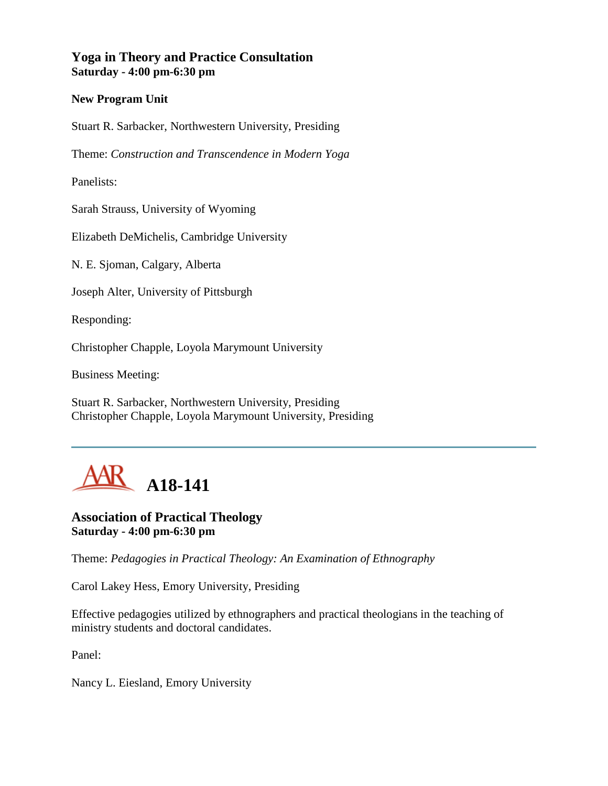### **Yoga in Theory and Practice Consultation Saturday - 4:00 pm-6:30 pm**

#### **New Program Unit**

Stuart R. Sarbacker, Northwestern University, Presiding

Theme: *Construction and Transcendence in Modern Yoga*

Panelists:

Sarah Strauss, University of Wyoming

Elizabeth DeMichelis, Cambridge University

N. E. Sjoman, Calgary, Alberta

Joseph Alter, University of Pittsburgh

Responding:

Christopher Chapple, Loyola Marymount University

Business Meeting:

Stuart R. Sarbacker, Northwestern University, Presiding Christopher Chapple, Loyola Marymount University, Presiding



#### **Association of Practical Theology Saturday - 4:00 pm-6:30 pm**

Theme: *Pedagogies in Practical Theology: An Examination of Ethnography*

Carol Lakey Hess, Emory University, Presiding

Effective pedagogies utilized by ethnographers and practical theologians in the teaching of ministry students and doctoral candidates.

Panel:

Nancy L. Eiesland, Emory University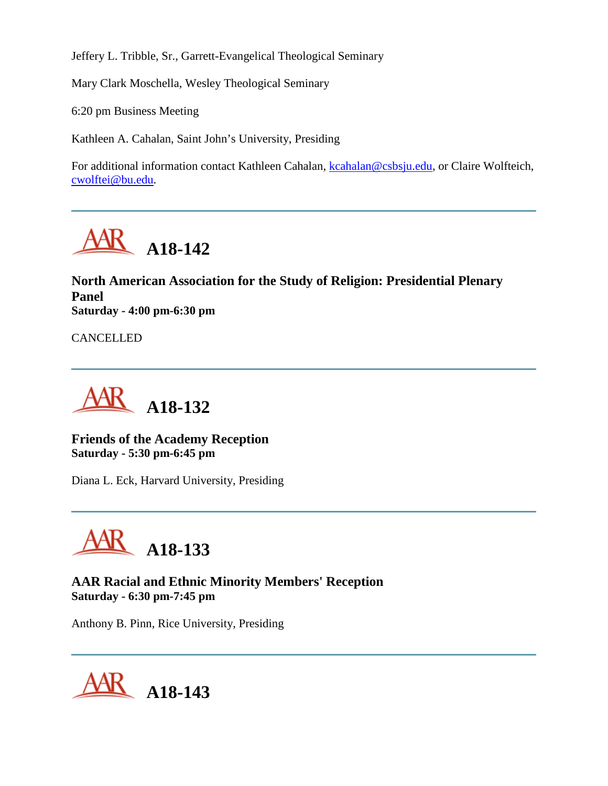Jeffery L. Tribble, Sr., Garrett-Evangelical Theological Seminary

Mary Clark Moschella, Wesley Theological Seminary

6:20 pm Business Meeting

Kathleen A. Cahalan, Saint John's University, Presiding

For additional information contact Kathleen Cahalan, [kcahalan@csbsju.edu,](mailto:kcahalan@csbsju.edu) or Claire Wolfteich, [cwolftei@bu.edu.](mailto:cwolftei@bu.edu)



**North American Association for the Study of Religion: Presidential Plenary Panel Saturday - 4:00 pm-6:30 pm**

CANCELLED



**Friends of the Academy Reception Saturday - 5:30 pm-6:45 pm**

Diana L. Eck, Harvard University, Presiding



**AAR Racial and Ethnic Minority Members' Reception Saturday - 6:30 pm-7:45 pm**

Anthony B. Pinn, Rice University, Presiding

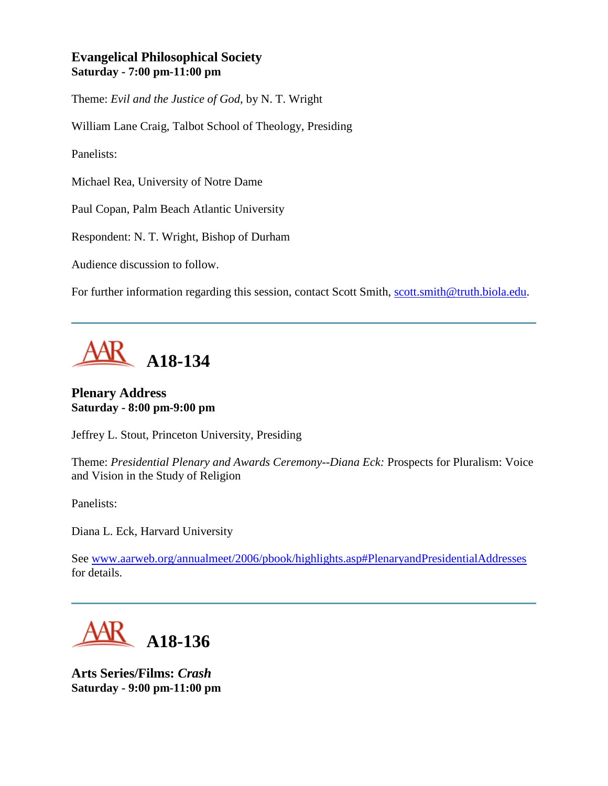## **Evangelical Philosophical Society Saturday - 7:00 pm-11:00 pm**

Theme: *Evil and the Justice of God*, by N. T. Wright

William Lane Craig, Talbot School of Theology, Presiding

Panelists:

Michael Rea, University of Notre Dame

Paul Copan, Palm Beach Atlantic University

Respondent: N. T. Wright, Bishop of Durham

Audience discussion to follow.

For further information regarding this session, contact Scott Smith, [scott.smith@truth.biola.edu.](mailto:scott.smith@truth.biola.edu)



#### **Plenary Address Saturday - 8:00 pm-9:00 pm**

Jeffrey L. Stout, Princeton University, Presiding

Theme: *Presidential Plenary and Awards Ceremony--Diana Eck:* Prospects for Pluralism: Voice and Vision in the Study of Religion

Panelists:

Diana L. Eck, Harvard University

See [www.aarweb.org/annualmeet/2006/pbook/highlights.asp#PlenaryandPresidentialAddresses](http://www.aarweb.org/Meetings/Annual_Meeting/Past_and_Future_Meetings/2006/highlights.asp#PlenaryandPresidentialAddresses) for details.



**Arts Series/Films:** *Crash* **Saturday - 9:00 pm-11:00 pm**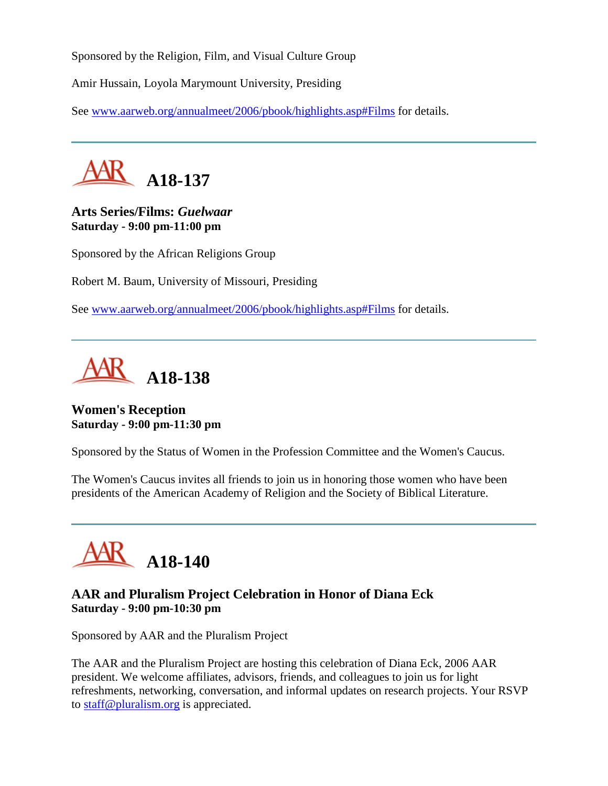Sponsored by the Religion, Film, and Visual Culture Group

Amir Hussain, Loyola Marymount University, Presiding

See [www.aarweb.org/annualmeet/2006/pbook/highlights.asp#Films](http://www.aarweb.org/Meetings/Annual_Meeting/Past_and_Future_Meetings/2006/highlights.asp#Films) for details.



## **Arts Series/Films:** *Guelwaar* **Saturday - 9:00 pm-11:00 pm**

Sponsored by the African Religions Group

Robert M. Baum, University of Missouri, Presiding

See [www.aarweb.org/annualmeet/2006/pbook/highlights.asp#Films](http://www.aarweb.org/Meetings/Annual_Meeting/Past_and_Future_Meetings/2006/highlights.asp#Films) for details.



### **Women's Reception Saturday - 9:00 pm-11:30 pm**

Sponsored by the Status of Women in the Profession Committee and the Women's Caucus.

The Women's Caucus invites all friends to join us in honoring those women who have been presidents of the American Academy of Religion and the Society of Biblical Literature.



## **AAR and Pluralism Project Celebration in Honor of Diana Eck Saturday - 9:00 pm-10:30 pm**

Sponsored by AAR and the Pluralism Project

The AAR and the Pluralism Project are hosting this celebration of Diana Eck, 2006 AAR president. We welcome affiliates, advisors, friends, and colleagues to join us for light refreshments, networking, conversation, and informal updates on research projects. Your RSVP to [staff@pluralism.org](mailto:staff@pluralism.org) is appreciated.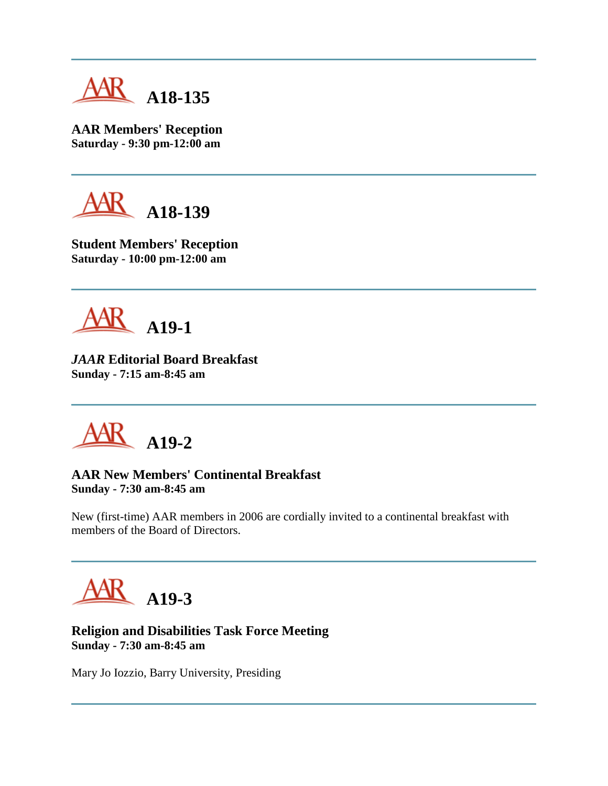

**AAR Members' Reception Saturday - 9:30 pm-12:00 am**



**Student Members' Reception Saturday - 10:00 pm-12:00 am**



*JAAR* **Editorial Board Breakfast Sunday - 7:15 am-8:45 am**

**A19-2**

#### **AAR New Members' Continental Breakfast Sunday - 7:30 am-8:45 am**

New (first-time) AAR members in 2006 are cordially invited to a continental breakfast with members of the Board of Directors.

**A19-3**

### **Religion and Disabilities Task Force Meeting Sunday - 7:30 am-8:45 am**

Mary Jo Iozzio, Barry University, Presiding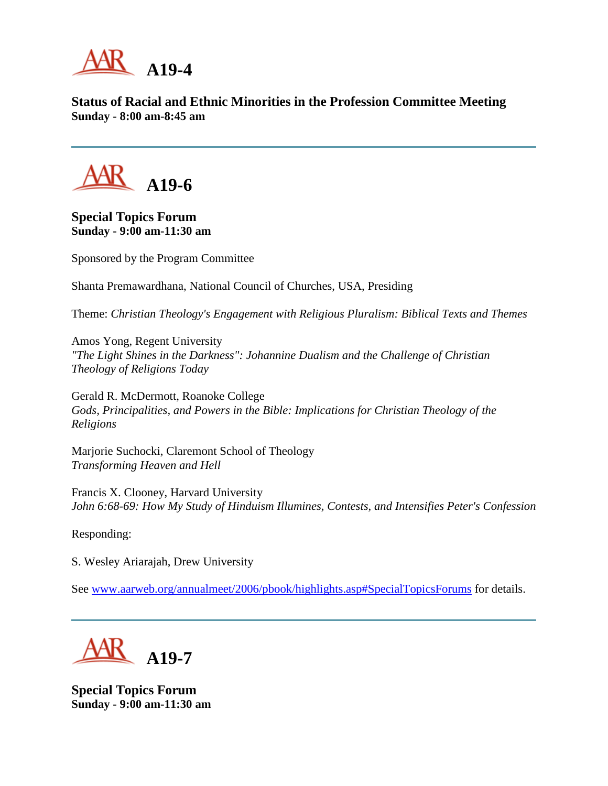

**Status of Racial and Ethnic Minorities in the Profession Committee Meeting Sunday - 8:00 am-8:45 am**



**Special Topics Forum Sunday - 9:00 am-11:30 am**

Sponsored by the Program Committee

Shanta Premawardhana, National Council of Churches, USA, Presiding

Theme: *Christian Theology's Engagement with Religious Pluralism: Biblical Texts and Themes*

Amos Yong, Regent University *"The Light Shines in the Darkness": Johannine Dualism and the Challenge of Christian Theology of Religions Today*

Gerald R. McDermott, Roanoke College *Gods, Principalities, and Powers in the Bible: Implications for Christian Theology of the Religions*

Marjorie Suchocki, Claremont School of Theology *Transforming Heaven and Hell*

Francis X. Clooney, Harvard University *John 6:68-69: How My Study of Hinduism Illumines, Contests, and Intensifies Peter's Confession*

Responding:

S. Wesley Ariarajah, Drew University

See [www.aarweb.org/annualmeet/2006/pbook/highlights.asp#SpecialTopicsForums](http://www.aarweb.org/Meetings/Annual_Meeting/Past_and_Future_Meetings/2006/highlights.asp#SpecialTopicsForums) for details.



**Special Topics Forum Sunday - 9:00 am-11:30 am**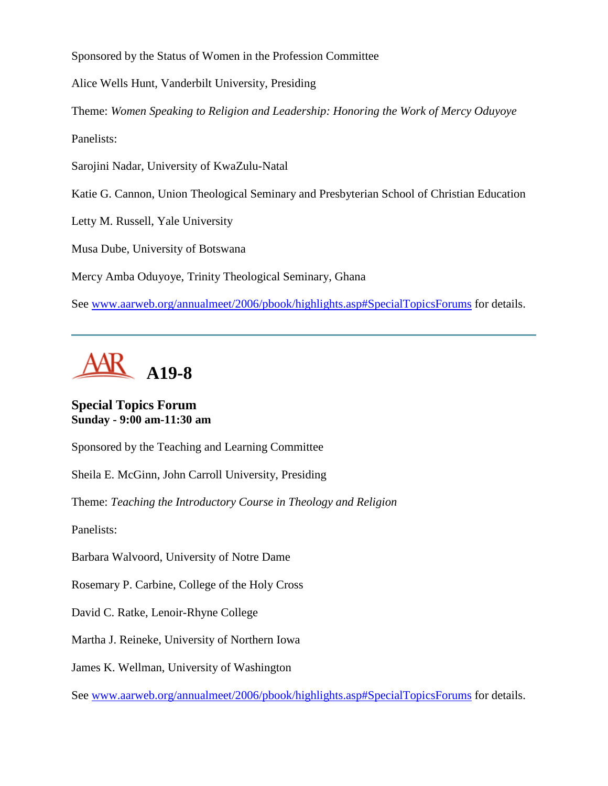Sponsored by the Status of Women in the Profession Committee

Alice Wells Hunt, Vanderbilt University, Presiding

Theme: *Women Speaking to Religion and Leadership: Honoring the Work of Mercy Oduyoye* Panelists:

Sarojini Nadar, University of KwaZulu-Natal

Katie G. Cannon, Union Theological Seminary and Presbyterian School of Christian Education

Letty M. Russell, Yale University

Musa Dube, University of Botswana

Mercy Amba Oduyoye, Trinity Theological Seminary, Ghana

See [www.aarweb.org/annualmeet/2006/pbook/highlights.asp#SpecialTopicsForums](http://www.aarweb.org/Meetings/Annual_Meeting/Past_and_Future_Meetings/2006/highlights.asp#SpecialTopicsForums) for details.



### **Special Topics Forum Sunday - 9:00 am-11:30 am**

Sponsored by the Teaching and Learning Committee

Sheila E. McGinn, John Carroll University, Presiding

Theme: *Teaching the Introductory Course in Theology and Religion*

Panelists:

Barbara Walvoord, University of Notre Dame

Rosemary P. Carbine, College of the Holy Cross

David C. Ratke, Lenoir-Rhyne College

Martha J. Reineke, University of Northern Iowa

James K. Wellman, University of Washington

See [www.aarweb.org/annualmeet/2006/pbook/highlights.asp#SpecialTopicsForums](http://www.aarweb.org/Meetings/Annual_Meeting/Past_and_Future_Meetings/2006/highlights.asp#SpecialTopicsForums) for details.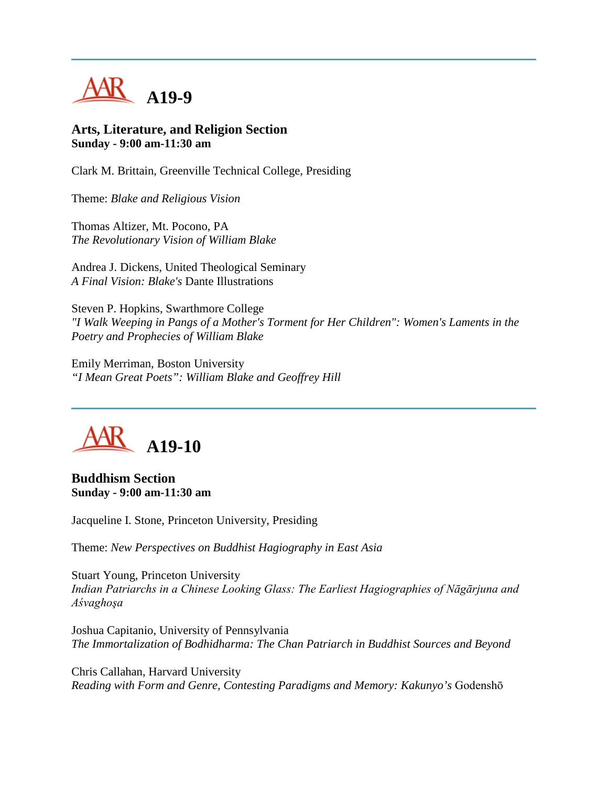

#### **Arts, Literature, and Religion Section Sunday - 9:00 am-11:30 am**

Clark M. Brittain, Greenville Technical College, Presiding

Theme: *Blake and Religious Vision*

Thomas Altizer, Mt. Pocono, PA *The Revolutionary Vision of William Blake*

Andrea J. Dickens, United Theological Seminary *A Final Vision: Blake's* Dante Illustrations

Steven P. Hopkins, Swarthmore College *"I Walk Weeping in Pangs of a Mother's Torment for Her Children": Women's Laments in the Poetry and Prophecies of William Blake*

Emily Merriman, Boston University *"I Mean Great Poets": William Blake and Geoffrey Hill*



**Buddhism Section Sunday - 9:00 am-11:30 am**

Jacqueline I. Stone, Princeton University, Presiding

Theme: *New Perspectives on Buddhist Hagiography in East Asia*

Stuart Young, Princeton University *Indian Patriarchs in a Chinese Looking Glass: The Earliest Hagiographies of Nāgārjuna and Aśvaghoşa*

Joshua Capitanio, University of Pennsylvania *The Immortalization of Bodhidharma: The Chan Patriarch in Buddhist Sources and Beyond*

Chris Callahan, Harvard University *Reading with Form and Genre, Contesting Paradigms and Memory: Kakunyo's* Godenshō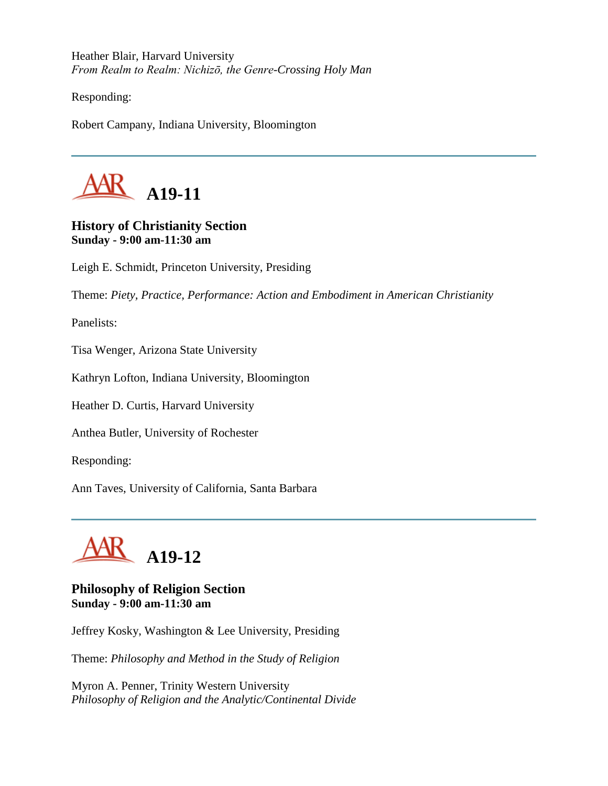Heather Blair, Harvard University *From Realm to Realm: Nichizō, the Genre-Crossing Holy Man*

Responding:

Robert Campany, Indiana University, Bloomington



## **History of Christianity Section Sunday - 9:00 am-11:30 am**

Leigh E. Schmidt, Princeton University, Presiding

Theme: *Piety, Practice, Performance: Action and Embodiment in American Christianity*

Panelists:

Tisa Wenger, Arizona State University

Kathryn Lofton, Indiana University, Bloomington

Heather D. Curtis, Harvard University

Anthea Butler, University of Rochester

Responding:

Ann Taves, University of California, Santa Barbara



#### **Philosophy of Religion Section Sunday - 9:00 am-11:30 am**

Jeffrey Kosky, Washington & Lee University, Presiding

Theme: *Philosophy and Method in the Study of Religion*

Myron A. Penner, Trinity Western University *Philosophy of Religion and the Analytic/Continental Divide*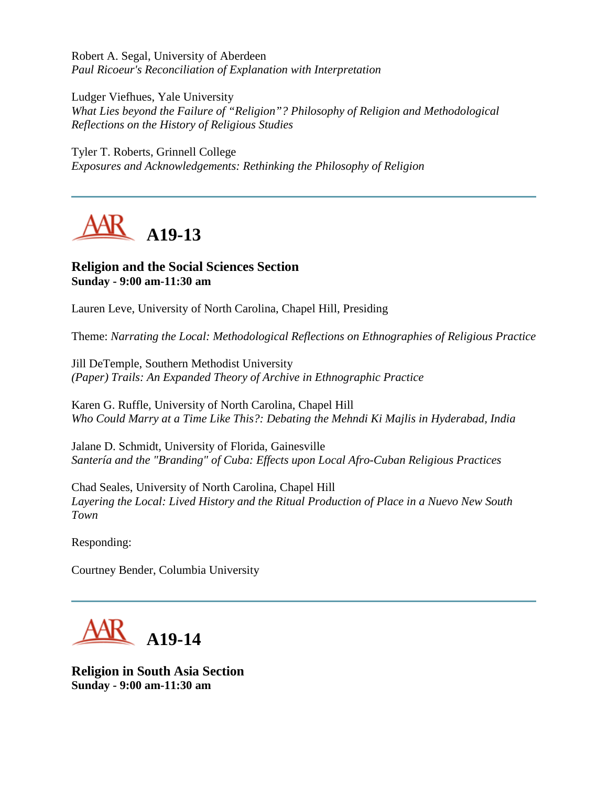Robert A. Segal, University of Aberdeen *Paul Ricoeur's Reconciliation of Explanation with Interpretation*

Ludger Viefhues, Yale University *What Lies beyond the Failure of "Religion"? Philosophy of Religion and Methodological Reflections on the History of Religious Studies*

Tyler T. Roberts, Grinnell College *Exposures and Acknowledgements: Rethinking the Philosophy of Religion*

**A19-13**

## **Religion and the Social Sciences Section Sunday - 9:00 am-11:30 am**

Lauren Leve, University of North Carolina, Chapel Hill, Presiding

Theme: *Narrating the Local: Methodological Reflections on Ethnographies of Religious Practice*

Jill DeTemple, Southern Methodist University *(Paper) Trails: An Expanded Theory of Archive in Ethnographic Practice*

Karen G. Ruffle, University of North Carolina, Chapel Hill *Who Could Marry at a Time Like This?: Debating the Mehndi Ki Majlis in Hyderabad, India*

Jalane D. Schmidt, University of Florida, Gainesville *Santería and the "Branding" of Cuba: Effects upon Local Afro-Cuban Religious Practices*

Chad Seales, University of North Carolina, Chapel Hill *Layering the Local: Lived History and the Ritual Production of Place in a Nuevo New South Town*

Responding:

Courtney Bender, Columbia University



**Religion in South Asia Section Sunday - 9:00 am-11:30 am**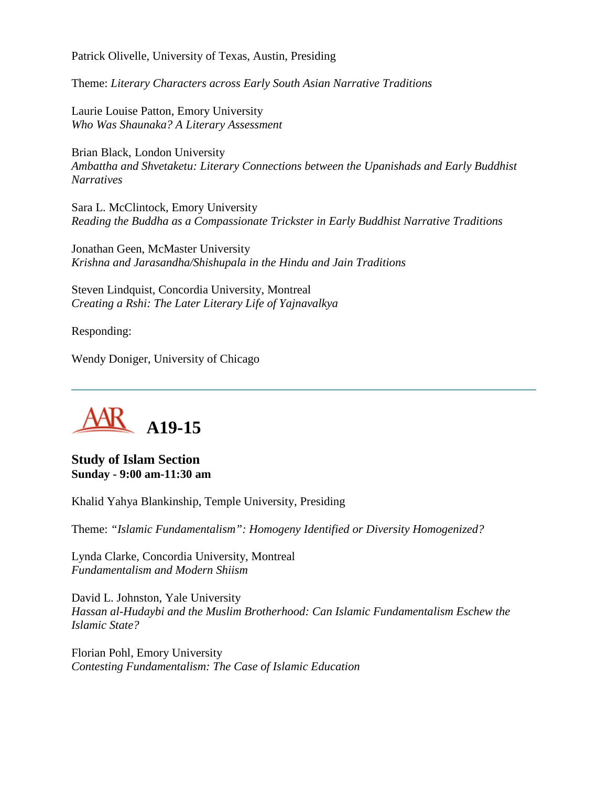Patrick Olivelle, University of Texas, Austin, Presiding

Theme: *Literary Characters across Early South Asian Narrative Traditions*

Laurie Louise Patton, Emory University *Who Was Shaunaka? A Literary Assessment*

Brian Black, London University *Ambattha and Shvetaketu: Literary Connections between the Upanishads and Early Buddhist Narratives*

Sara L. McClintock, Emory University *Reading the Buddha as a Compassionate Trickster in Early Buddhist Narrative Traditions*

Jonathan Geen, McMaster University *Krishna and Jarasandha/Shishupala in the Hindu and Jain Traditions*

Steven Lindquist, Concordia University, Montreal *Creating a Rshi: The Later Literary Life of Yajnavalkya*

Responding:

Wendy Doniger, University of Chicago



**Study of Islam Section Sunday - 9:00 am-11:30 am**

Khalid Yahya Blankinship, Temple University, Presiding

Theme: *"Islamic Fundamentalism": Homogeny Identified or Diversity Homogenized?*

Lynda Clarke, Concordia University, Montreal *Fundamentalism and Modern Shiism*

David L. Johnston, Yale University *Hassan al-Hudaybi and the Muslim Brotherhood: Can Islamic Fundamentalism Eschew the Islamic State?*

Florian Pohl, Emory University *Contesting Fundamentalism: The Case of Islamic Education*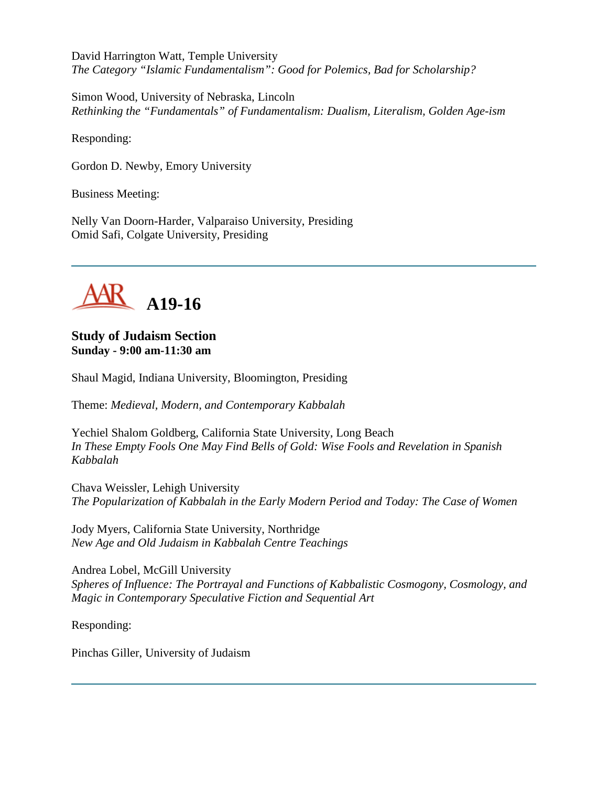David Harrington Watt, Temple University *The Category "Islamic Fundamentalism": Good for Polemics, Bad for Scholarship?*

Simon Wood, University of Nebraska, Lincoln *Rethinking the "Fundamentals" of Fundamentalism: Dualism, Literalism, Golden Age-ism*

Responding:

Gordon D. Newby, Emory University

Business Meeting:

Nelly Van Doorn-Harder, Valparaiso University, Presiding Omid Safi, Colgate University, Presiding



**Study of Judaism Section Sunday - 9:00 am-11:30 am**

Shaul Magid, Indiana University, Bloomington, Presiding

Theme: *Medieval, Modern, and Contemporary Kabbalah*

Yechiel Shalom Goldberg, California State University, Long Beach *In These Empty Fools One May Find Bells of Gold: Wise Fools and Revelation in Spanish Kabbalah*

Chava Weissler, Lehigh University *The Popularization of Kabbalah in the Early Modern Period and Today: The Case of Women*

Jody Myers, California State University, Northridge *New Age and Old Judaism in Kabbalah Centre Teachings*

Andrea Lobel, McGill University *Spheres of Influence: The Portrayal and Functions of Kabbalistic Cosmogony, Cosmology, and Magic in Contemporary Speculative Fiction and Sequential Art*

Responding:

Pinchas Giller, University of Judaism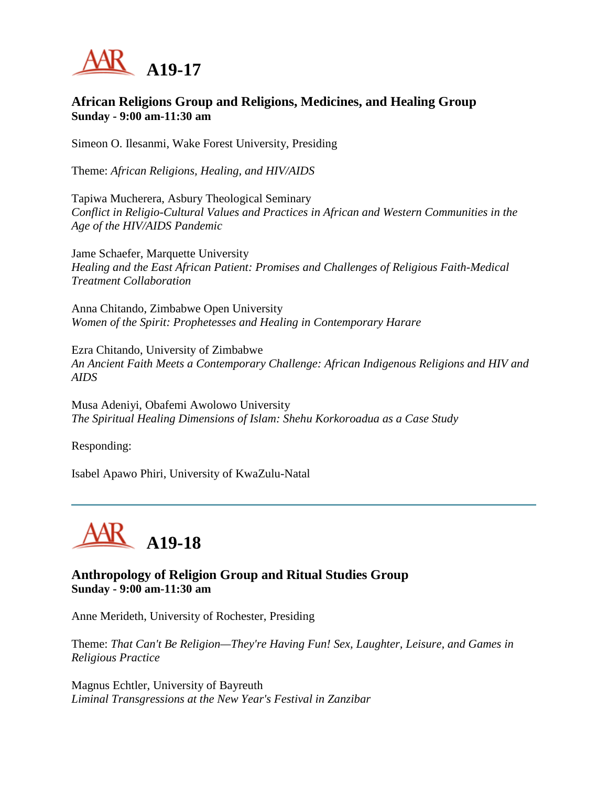

#### **African Religions Group and Religions, Medicines, and Healing Group Sunday - 9:00 am-11:30 am**

Simeon O. Ilesanmi, Wake Forest University, Presiding

Theme: *African Religions, Healing, and HIV/AIDS*

Tapiwa Mucherera, Asbury Theological Seminary *Conflict in Religio-Cultural Values and Practices in African and Western Communities in the Age of the HIV/AIDS Pandemic*

Jame Schaefer, Marquette University *Healing and the East African Patient: Promises and Challenges of Religious Faith-Medical Treatment Collaboration*

Anna Chitando, Zimbabwe Open University *Women of the Spirit: Prophetesses and Healing in Contemporary Harare*

Ezra Chitando, University of Zimbabwe *An Ancient Faith Meets a Contemporary Challenge: African Indigenous Religions and HIV and AIDS*

Musa Adeniyi, Obafemi Awolowo University *The Spiritual Healing Dimensions of Islam: Shehu Korkoroadua as a Case Study*

Responding:

Isabel Apawo Phiri, University of KwaZulu-Natal



#### **Anthropology of Religion Group and Ritual Studies Group Sunday - 9:00 am-11:30 am**

Anne Merideth, University of Rochester, Presiding

Theme: *That Can't Be Religion—They're Having Fun! Sex, Laughter, Leisure, and Games in Religious Practice*

Magnus Echtler, University of Bayreuth *Liminal Transgressions at the New Year's Festival in Zanzibar*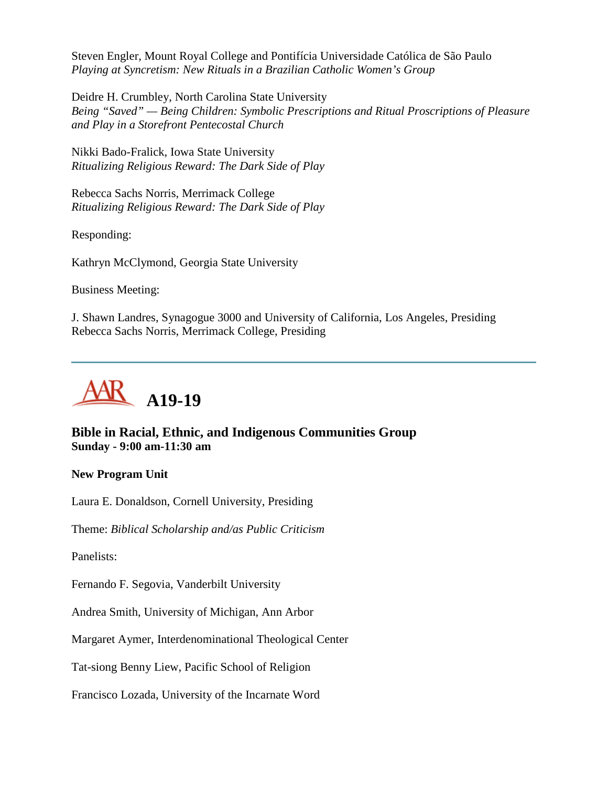Steven Engler, Mount Royal College and Pontifícia Universidade Católica de São Paulo *Playing at Syncretism: New Rituals in a Brazilian Catholic Women's Group*

Deidre H. Crumbley, North Carolina State University *Being "Saved" — Being Children: Symbolic Prescriptions and Ritual Proscriptions of Pleasure and Play in a Storefront Pentecostal Church*

Nikki Bado-Fralick, Iowa State University *Ritualizing Religious Reward: The Dark Side of Play*

Rebecca Sachs Norris, Merrimack College *Ritualizing Religious Reward: The Dark Side of Play*

Responding:

Kathryn McClymond, Georgia State University

Business Meeting:

J. Shawn Landres, Synagogue 3000 and University of California, Los Angeles, Presiding Rebecca Sachs Norris, Merrimack College, Presiding



### **Bible in Racial, Ethnic, and Indigenous Communities Group Sunday - 9:00 am-11:30 am**

#### **New Program Unit**

Laura E. Donaldson, Cornell University, Presiding

Theme: *Biblical Scholarship and/as Public Criticism*

Panelists:

Fernando F. Segovia, Vanderbilt University

Andrea Smith, University of Michigan, Ann Arbor

Margaret Aymer, Interdenominational Theological Center

Tat-siong Benny Liew, Pacific School of Religion

Francisco Lozada, University of the Incarnate Word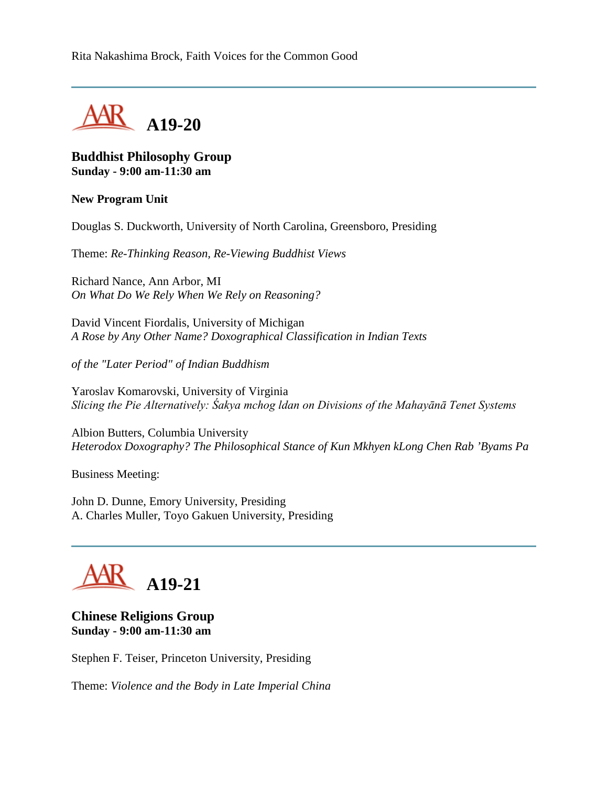

#### **Buddhist Philosophy Group Sunday - 9:00 am-11:30 am**

#### **New Program Unit**

Douglas S. Duckworth, University of North Carolina, Greensboro, Presiding

Theme: *Re-Thinking Reason, Re-Viewing Buddhist Views*

Richard Nance, Ann Arbor, MI *On What Do We Rely When We Rely on Reasoning?*

David Vincent Fiordalis, University of Michigan *A Rose by Any Other Name? Doxographical Classification in Indian Texts* 

*of the "Later Period" of Indian Buddhism*

Yaroslav Komarovski, University of Virginia *Slicing the Pie Alternatively: Śakya mchog ldan on Divisions of the Mahayānā Tenet Systems*

Albion Butters, Columbia University *Heterodox Doxography? The Philosophical Stance of Kun Mkhyen kLong Chen Rab 'Byams Pa*

Business Meeting:

John D. Dunne, Emory University, Presiding A. Charles Muller, Toyo Gakuen University, Presiding

# **A19-21**

### **Chinese Religions Group Sunday - 9:00 am-11:30 am**

Stephen F. Teiser, Princeton University, Presiding

Theme: *Violence and the Body in Late Imperial China*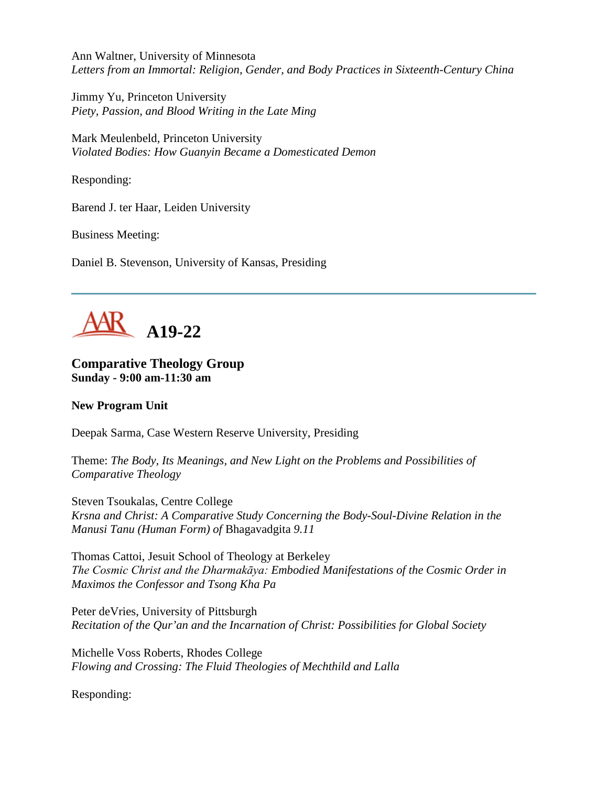Ann Waltner, University of Minnesota *Letters from an Immortal: Religion, Gender, and Body Practices in Sixteenth-Century China*

Jimmy Yu, Princeton University *Piety, Passion, and Blood Writing in the Late Ming*

Mark Meulenbeld, Princeton University *Violated Bodies: How Guanyin Became a Domesticated Demon*

Responding:

Barend J. ter Haar, Leiden University

Business Meeting:

Daniel B. Stevenson, University of Kansas, Presiding



#### **Comparative Theology Group Sunday - 9:00 am-11:30 am**

#### **New Program Unit**

Deepak Sarma, Case Western Reserve University, Presiding

Theme: *The Body, Its Meanings, and New Light on the Problems and Possibilities of Comparative Theology*

Steven Tsoukalas, Centre College *Krsna and Christ: A Comparative Study Concerning the Body-Soul-Divine Relation in the Manusi Tanu (Human Form) of* Bhagavadgita *9.11*

Thomas Cattoi, Jesuit School of Theology at Berkeley *The Cosmic Christ and the Dharmakāya: Embodied Manifestations of the Cosmic Order in Maximos the Confessor and Tsong Kha Pa*

Peter deVries, University of Pittsburgh *Recitation of the Qur'an and the Incarnation of Christ: Possibilities for Global Society*

Michelle Voss Roberts, Rhodes College *Flowing and Crossing: The Fluid Theologies of Mechthild and Lalla*

Responding: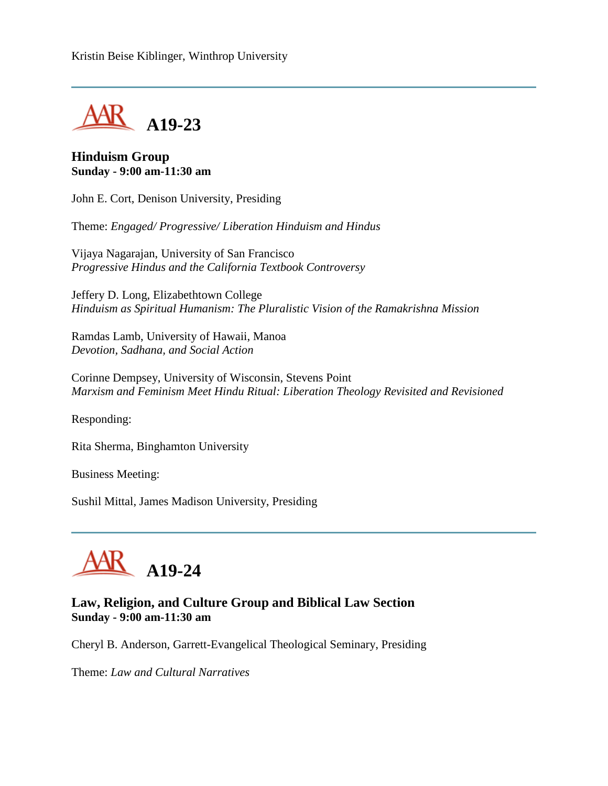Kristin Beise Kiblinger, Winthrop University



#### **Hinduism Group Sunday - 9:00 am-11:30 am**

John E. Cort, Denison University, Presiding

Theme: *Engaged/ Progressive/ Liberation Hinduism and Hindus*

Vijaya Nagarajan, University of San Francisco *Progressive Hindus and the California Textbook Controversy*

Jeffery D. Long, Elizabethtown College *Hinduism as Spiritual Humanism: The Pluralistic Vision of the Ramakrishna Mission*

Ramdas Lamb, University of Hawaii, Manoa *Devotion, Sadhana, and Social Action*

Corinne Dempsey, University of Wisconsin, Stevens Point *Marxism and Feminism Meet Hindu Ritual: Liberation Theology Revisited and Revisioned*

Responding:

Rita Sherma, Binghamton University

Business Meeting:

Sushil Mittal, James Madison University, Presiding

# **A19-24**

### **Law, Religion, and Culture Group and Biblical Law Section Sunday - 9:00 am-11:30 am**

Cheryl B. Anderson, Garrett-Evangelical Theological Seminary, Presiding

Theme: *Law and Cultural Narratives*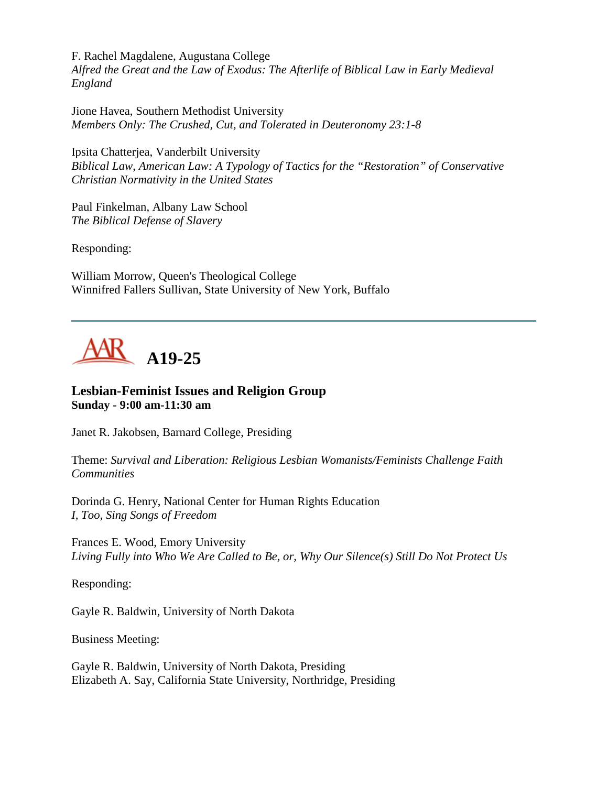F. Rachel Magdalene, Augustana College

*Alfred the Great and the Law of Exodus: The Afterlife of Biblical Law in Early Medieval England*

Jione Havea, Southern Methodist University *Members Only: The Crushed, Cut, and Tolerated in Deuteronomy 23:1-8*

Ipsita Chatterjea, Vanderbilt University *Biblical Law, American Law: A Typology of Tactics for the "Restoration" of Conservative Christian Normativity in the United States*

Paul Finkelman, Albany Law School *The Biblical Defense of Slavery*

Responding:

William Morrow, Queen's Theological College Winnifred Fallers Sullivan, State University of New York, Buffalo



### **Lesbian-Feminist Issues and Religion Group Sunday - 9:00 am-11:30 am**

Janet R. Jakobsen, Barnard College, Presiding

Theme: *Survival and Liberation: Religious Lesbian Womanists/Feminists Challenge Faith Communities*

Dorinda G. Henry, National Center for Human Rights Education *I, Too, Sing Songs of Freedom*

Frances E. Wood, Emory University *Living Fully into Who We Are Called to Be, or, Why Our Silence(s) Still Do Not Protect Us*

Responding:

Gayle R. Baldwin, University of North Dakota

Business Meeting:

Gayle R. Baldwin, University of North Dakota, Presiding Elizabeth A. Say, California State University, Northridge, Presiding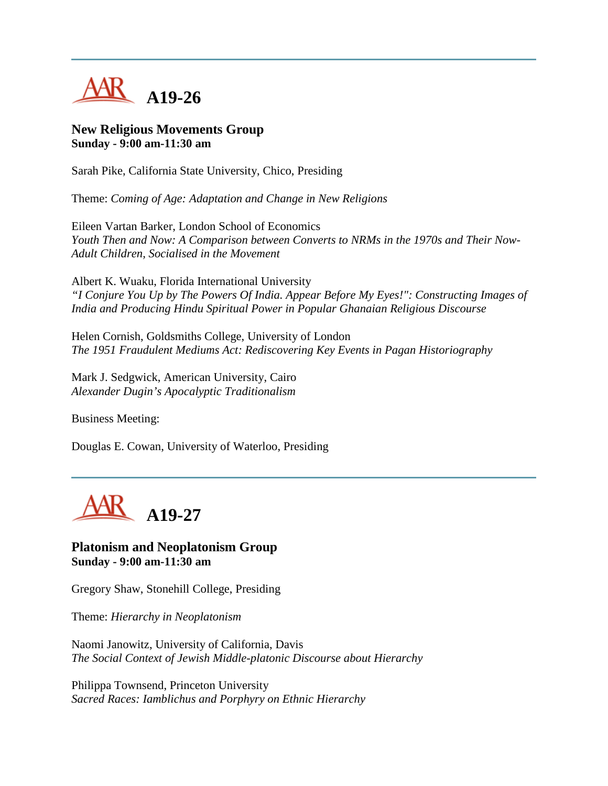

#### **New Religious Movements Group Sunday - 9:00 am-11:30 am**

Sarah Pike, California State University, Chico, Presiding

Theme: *Coming of Age: Adaptation and Change in New Religions*

Eileen Vartan Barker, London School of Economics *Youth Then and Now: A Comparison between Converts to NRMs in the 1970s and Their Now-Adult Children, Socialised in the Movement*

Albert K. Wuaku, Florida International University *"I Conjure You Up by The Powers Of India. Appear Before My Eyes!": Constructing Images of India and Producing Hindu Spiritual Power in Popular Ghanaian Religious Discourse*

Helen Cornish, Goldsmiths College, University of London *The 1951 Fraudulent Mediums Act: Rediscovering Key Events in Pagan Historiography*

Mark J. Sedgwick, American University, Cairo *Alexander Dugin's Apocalyptic Traditionalism*

Business Meeting:

Douglas E. Cowan, University of Waterloo, Presiding



**Platonism and Neoplatonism Group Sunday - 9:00 am-11:30 am**

Gregory Shaw, Stonehill College, Presiding

Theme: *Hierarchy in Neoplatonism*

Naomi Janowitz, University of California, Davis *The Social Context of Jewish Middle-platonic Discourse about Hierarchy*

Philippa Townsend, Princeton University *Sacred Races: Iamblichus and Porphyry on Ethnic Hierarchy*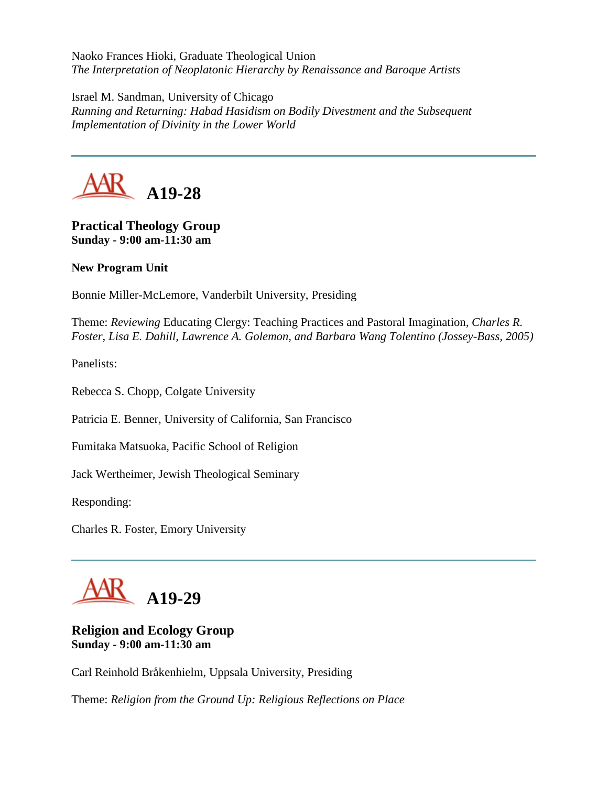Naoko Frances Hioki, Graduate Theological Union *The Interpretation of Neoplatonic Hierarchy by Renaissance and Baroque Artists*

Israel M. Sandman, University of Chicago *Running and Returning: Habad Hasidism on Bodily Divestment and the Subsequent Implementation of Divinity in the Lower World*



## **Practical Theology Group Sunday - 9:00 am-11:30 am**

**New Program Unit**

Bonnie Miller-McLemore, Vanderbilt University, Presiding

Theme: *Reviewing* Educating Clergy: Teaching Practices and Pastoral Imagination*, Charles R. Foster, Lisa E. Dahill, Lawrence A. Golemon, and Barbara Wang Tolentino (Jossey-Bass, 2005)*

Panelists:

Rebecca S. Chopp, Colgate University

Patricia E. Benner, University of California, San Francisco

Fumitaka Matsuoka, Pacific School of Religion

Jack Wertheimer, Jewish Theological Seminary

Responding:

Charles R. Foster, Emory University



### **Religion and Ecology Group Sunday - 9:00 am-11:30 am**

Carl Reinhold Bråkenhielm, Uppsala University, Presiding

Theme: *Religion from the Ground Up: Religious Reflections on Place*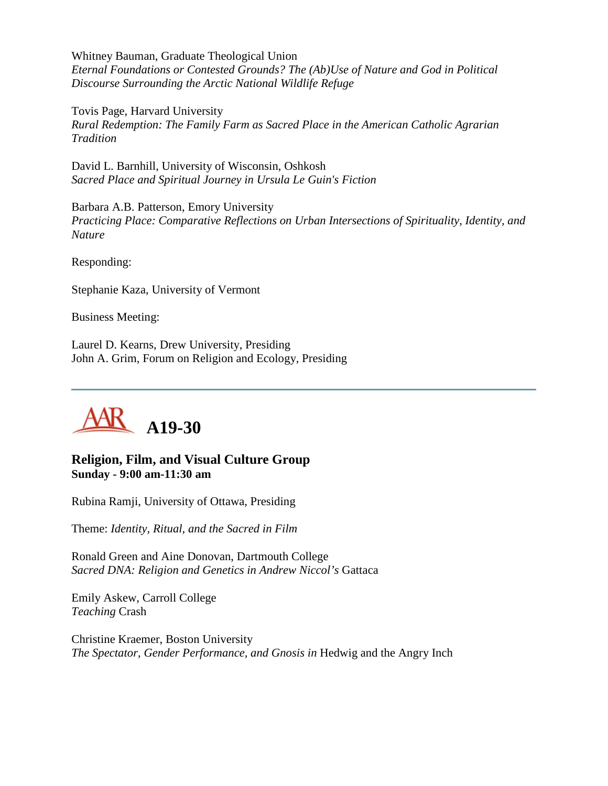Whitney Bauman, Graduate Theological Union *Eternal Foundations or Contested Grounds? The (Ab)Use of Nature and God in Political Discourse Surrounding the Arctic National Wildlife Refuge*

Tovis Page, Harvard University *Rural Redemption: The Family Farm as Sacred Place in the American Catholic Agrarian Tradition*

David L. Barnhill, University of Wisconsin, Oshkosh *Sacred Place and Spiritual Journey in Ursula Le Guin's Fiction*

Barbara A.B. Patterson, Emory University *Practicing Place: Comparative Reflections on Urban Intersections of Spirituality, Identity, and Nature*

Responding:

Stephanie Kaza, University of Vermont

Business Meeting:

Laurel D. Kearns, Drew University, Presiding John A. Grim, Forum on Religion and Ecology, Presiding



#### **Religion, Film, and Visual Culture Group Sunday - 9:00 am-11:30 am**

Rubina Ramji, University of Ottawa, Presiding

Theme: *Identity, Ritual, and the Sacred in Film*

Ronald Green and Aine Donovan, Dartmouth College *Sacred DNA: Religion and Genetics in Andrew Niccol's* Gattaca

Emily Askew, Carroll College *Teaching* Crash

Christine Kraemer, Boston University *The Spectator, Gender Performance, and Gnosis in* Hedwig and the Angry Inch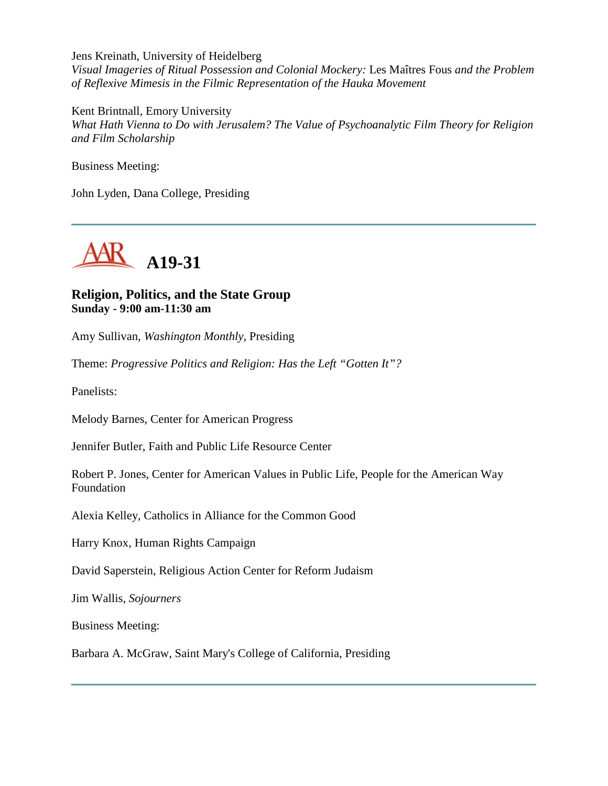Jens Kreinath, University of Heidelberg *Visual Imageries of Ritual Possession and Colonial Mockery:* Les Maîtres Fous *and the Problem of Reflexive Mimesis in the Filmic Representation of the Hauka Movement*

Kent Brintnall, Emory University *What Hath Vienna to Do with Jerusalem? The Value of Psychoanalytic Film Theory for Religion and Film Scholarship*

Business Meeting:

John Lyden, Dana College, Presiding



#### **Religion, Politics, and the State Group Sunday - 9:00 am-11:30 am**

Amy Sullivan, *Washington Monthly*, Presiding

Theme: *Progressive Politics and Religion: Has the Left "Gotten It"?*

Panelists:

Melody Barnes, Center for American Progress

Jennifer Butler, Faith and Public Life Resource Center

Robert P. Jones, Center for American Values in Public Life, People for the American Way Foundation

Alexia Kelley, Catholics in Alliance for the Common Good

Harry Knox, Human Rights Campaign

David Saperstein, Religious Action Center for Reform Judaism

Jim Wallis, *Sojourners*

Business Meeting:

Barbara A. McGraw, Saint Mary's College of California, Presiding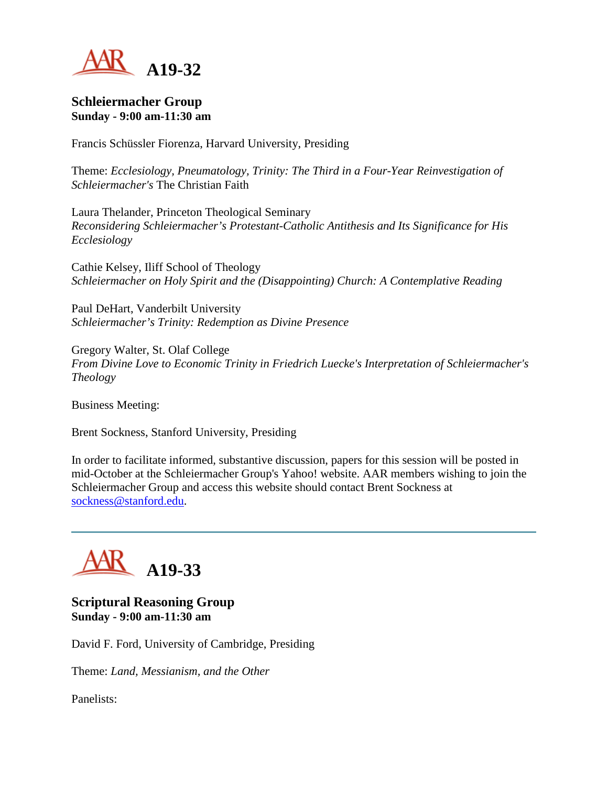

#### **Schleiermacher Group Sunday - 9:00 am-11:30 am**

Francis Schüssler Fiorenza, Harvard University, Presiding

Theme: *Ecclesiology, Pneumatology, Trinity: The Third in a Four-Year Reinvestigation of Schleiermacher's* The Christian Faith

Laura Thelander, Princeton Theological Seminary *Reconsidering Schleiermacher's Protestant-Catholic Antithesis and Its Significance for His Ecclesiology*

Cathie Kelsey, Iliff School of Theology *Schleiermacher on Holy Spirit and the (Disappointing) Church: A Contemplative Reading*

Paul DeHart, Vanderbilt University *Schleiermacher's Trinity: Redemption as Divine Presence*

Gregory Walter, St. Olaf College *From Divine Love to Economic Trinity in Friedrich Luecke's Interpretation of Schleiermacher's Theology*

Business Meeting:

Brent Sockness, Stanford University, Presiding

In order to facilitate informed, substantive discussion, papers for this session will be posted in mid-October at the Schleiermacher Group's Yahoo! website. AAR members wishing to join the Schleiermacher Group and access this website should contact Brent Sockness at [sockness@stanford.edu.](mailto:sockness@stanford.edu)

# **A19-33**

**Scriptural Reasoning Group Sunday - 9:00 am-11:30 am**

David F. Ford, University of Cambridge, Presiding

Theme: *Land, Messianism, and the Other*

Panelists: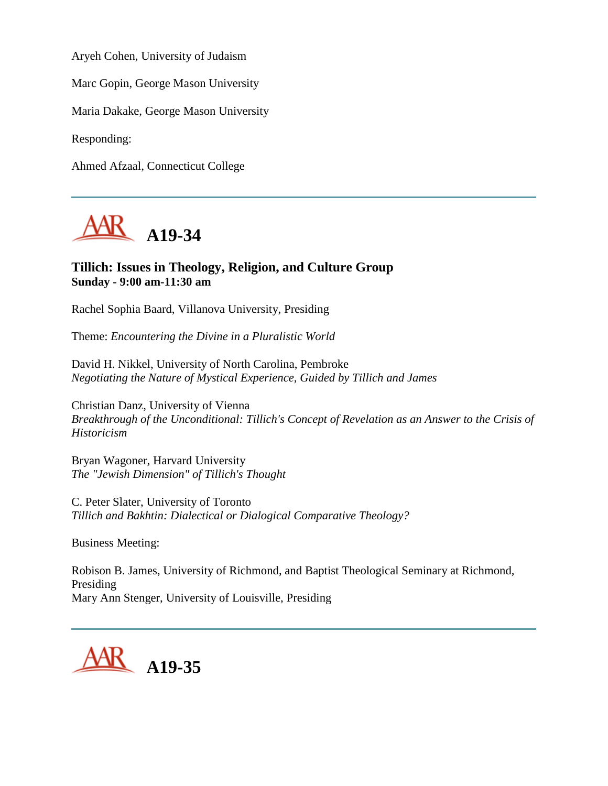Aryeh Cohen, University of Judaism

Marc Gopin, George Mason University

Maria Dakake, George Mason University

Responding:

Ahmed Afzaal, Connecticut College



#### **Tillich: Issues in Theology, Religion, and Culture Group Sunday - 9:00 am-11:30 am**

Rachel Sophia Baard, Villanova University, Presiding

Theme: *Encountering the Divine in a Pluralistic World*

David H. Nikkel, University of North Carolina, Pembroke *Negotiating the Nature of Mystical Experience, Guided by Tillich and James*

Christian Danz, University of Vienna *Breakthrough of the Unconditional: Tillich's Concept of Revelation as an Answer to the Crisis of Historicism*

Bryan Wagoner, Harvard University *The "Jewish Dimension" of Tillich's Thought*

C. Peter Slater, University of Toronto *Tillich and Bakhtin: Dialectical or Dialogical Comparative Theology?*

Business Meeting:

Robison B. James, University of Richmond, and Baptist Theological Seminary at Richmond, Presiding Mary Ann Stenger, University of Louisville, Presiding

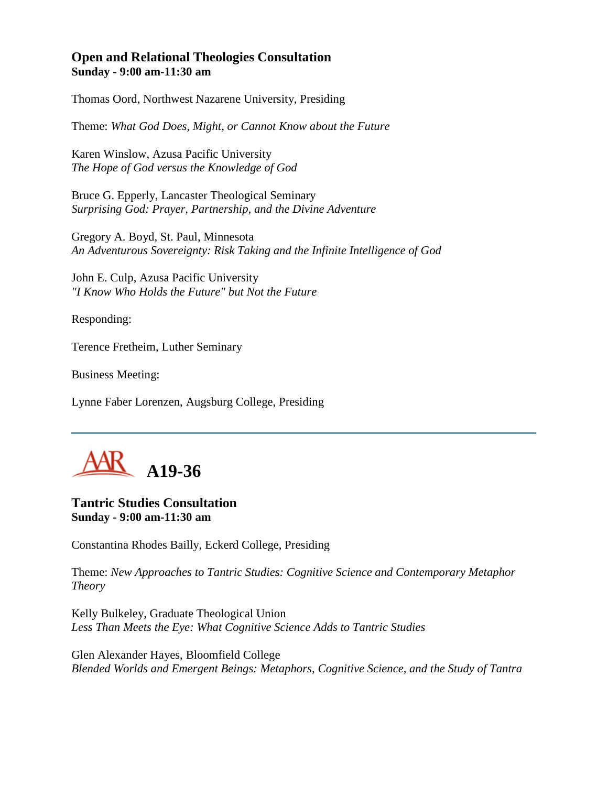#### **Open and Relational Theologies Consultation Sunday - 9:00 am-11:30 am**

Thomas Oord, Northwest Nazarene University, Presiding

Theme: *What God Does, Might, or Cannot Know about the Future*

Karen Winslow, Azusa Pacific University *The Hope of God versus the Knowledge of God*

Bruce G. Epperly, Lancaster Theological Seminary *Surprising God: Prayer, Partnership, and the Divine Adventure*

Gregory A. Boyd, St. Paul, Minnesota *An Adventurous Sovereignty: Risk Taking and the Infinite Intelligence of God*

John E. Culp, Azusa Pacific University *"I Know Who Holds the Future" but Not the Future*

Responding:

Terence Fretheim, Luther Seminary

Business Meeting:

Lynne Faber Lorenzen, Augsburg College, Presiding



#### **Tantric Studies Consultation Sunday - 9:00 am-11:30 am**

Constantina Rhodes Bailly, Eckerd College, Presiding

Theme: *New Approaches to Tantric Studies: Cognitive Science and Contemporary Metaphor Theory*

Kelly Bulkeley, Graduate Theological Union *Less Than Meets the Eye: What Cognitive Science Adds to Tantric Studies*

Glen Alexander Hayes, Bloomfield College *Blended Worlds and Emergent Beings: Metaphors, Cognitive Science, and the Study of Tantra*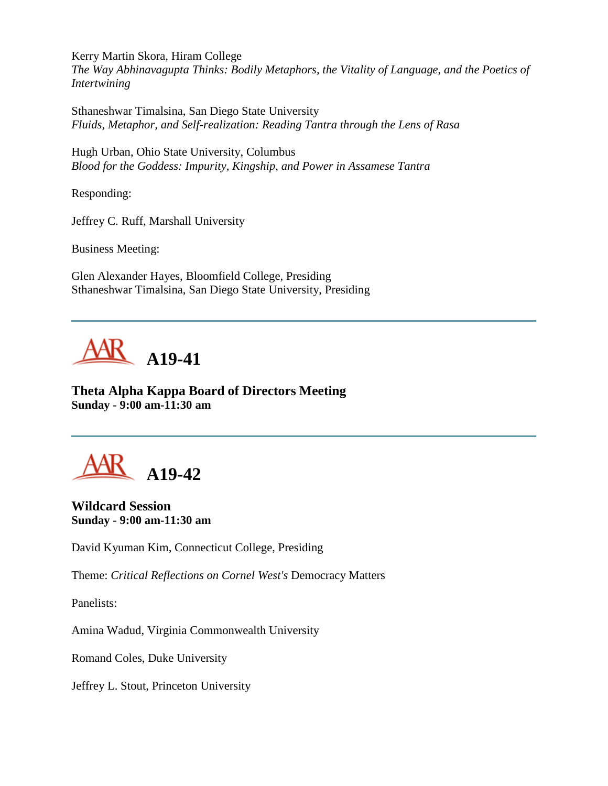Kerry Martin Skora, Hiram College

*The Way Abhinavagupta Thinks: Bodily Metaphors, the Vitality of Language, and the Poetics of Intertwining*

Sthaneshwar Timalsina, San Diego State University *Fluids, Metaphor, and Self-realization: Reading Tantra through the Lens of Rasa*

Hugh Urban, Ohio State University, Columbus *Blood for the Goddess: Impurity, Kingship, and Power in Assamese Tantra*

Responding:

Jeffrey C. Ruff, Marshall University

Business Meeting:

Glen Alexander Hayes, Bloomfield College, Presiding Sthaneshwar Timalsina, San Diego State University, Presiding



**Theta Alpha Kappa Board of Directors Meeting Sunday - 9:00 am-11:30 am**



**Wildcard Session Sunday - 9:00 am-11:30 am**

David Kyuman Kim, Connecticut College, Presiding

Theme: *Critical Reflections on Cornel West's* Democracy Matters

Panelists:

Amina Wadud, Virginia Commonwealth University

Romand Coles, Duke University

Jeffrey L. Stout, Princeton University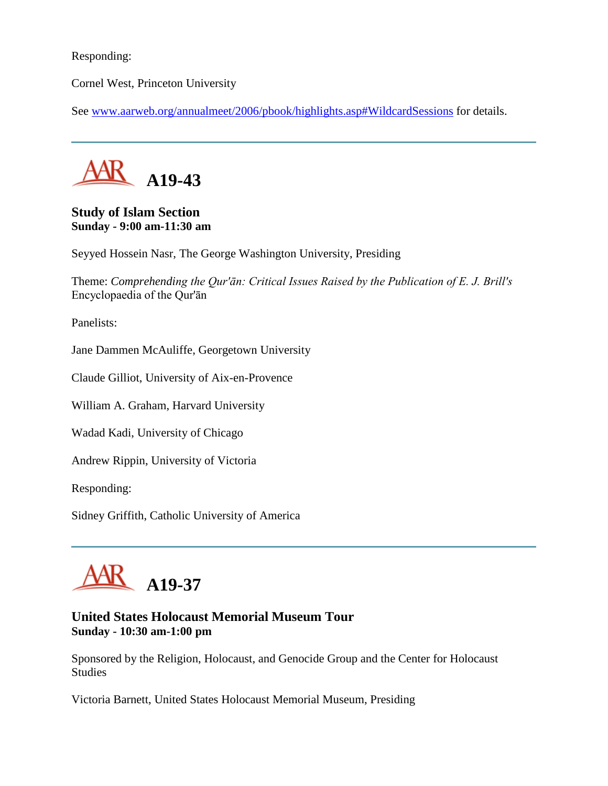Responding:

Cornel West, Princeton University

See [www.aarweb.org/annualmeet/2006/pbook/highlights.asp#WildcardSessions](http://www.aarweb.org/Meetings/Annual_Meeting/Past_and_Future_Meetings/2006/highlights.asp#WildcardSessions) for details.



#### **Study of Islam Section Sunday - 9:00 am-11:30 am**

Seyyed Hossein Nasr, The George Washington University, Presiding

Theme: *Comprehending the Qur'ān: Critical Issues Raised by the Publication of E. J. Brill's*  Encyclopaedia of the Qur'ān

Panelists:

Jane Dammen McAuliffe, Georgetown University

Claude Gilliot, University of Aix-en-Provence

William A. Graham, Harvard University

Wadad Kadi, University of Chicago

Andrew Rippin, University of Victoria

Responding:

Sidney Griffith, Catholic University of America

# **A19-37**

#### **United States Holocaust Memorial Museum Tour Sunday - 10:30 am-1:00 pm**

Sponsored by the Religion, Holocaust, and Genocide Group and the Center for Holocaust Studies

Victoria Barnett, United States Holocaust Memorial Museum, Presiding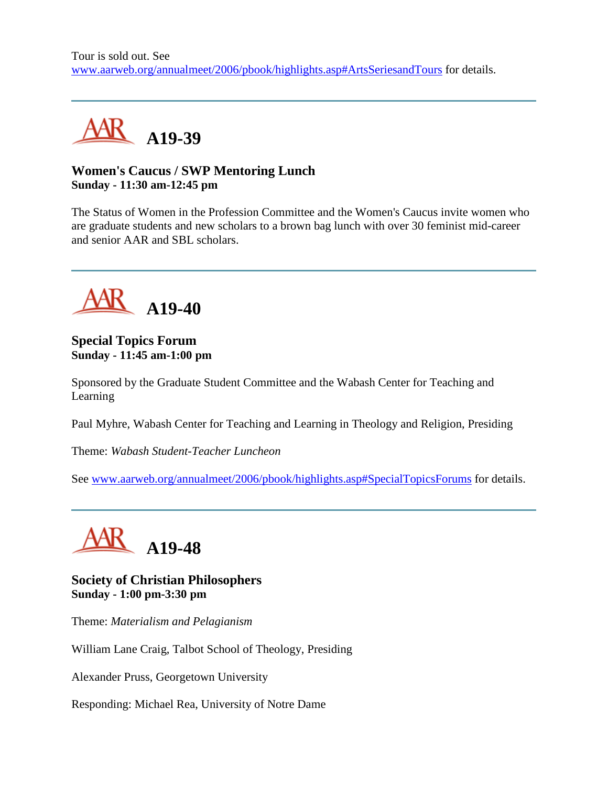

## **Women's Caucus / SWP Mentoring Lunch Sunday - 11:30 am-12:45 pm**

The Status of Women in the Profession Committee and the Women's Caucus invite women who are graduate students and new scholars to a brown bag lunch with over 30 feminist mid-career and senior AAR and SBL scholars.



### **Special Topics Forum Sunday - 11:45 am-1:00 pm**

Sponsored by the Graduate Student Committee and the Wabash Center for Teaching and Learning

Paul Myhre, Wabash Center for Teaching and Learning in Theology and Religion, Presiding

Theme: *Wabash Student-Teacher Luncheon*

See [www.aarweb.org/annualmeet/2006/pbook/highlights.asp#SpecialTopicsForums](http://www.aarweb.org/Meetings/Annual_Meeting/Past_and_Future_Meetings/2006/highlights.asp#SpecialTopicsForums) for details.



**Society of Christian Philosophers Sunday - 1:00 pm-3:30 pm**

Theme: *Materialism and Pelagianism*

William Lane Craig, Talbot School of Theology, Presiding

Alexander Pruss, Georgetown University

Responding: Michael Rea, University of Notre Dame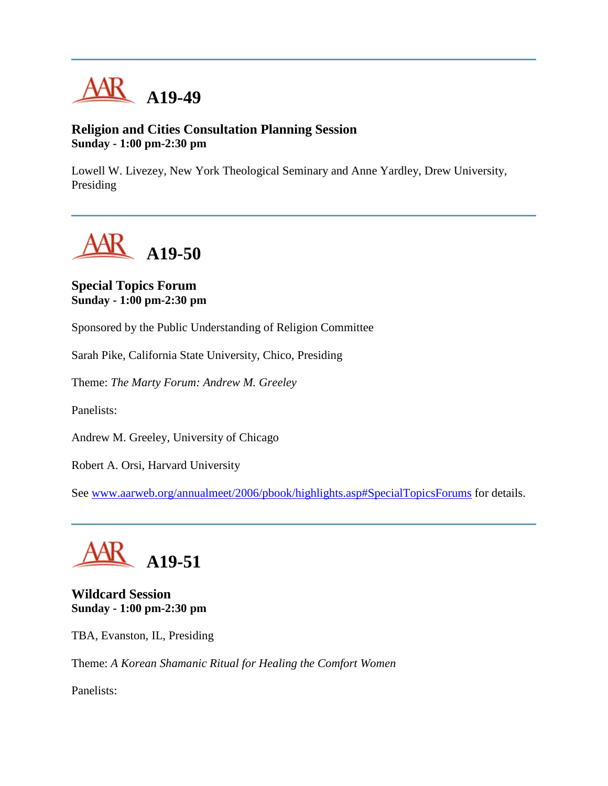

#### **Religion and Cities Consultation Planning Session Sunday - 1:00 pm-2:30 pm**

Lowell W. Livezey, New York Theological Seminary and Anne Yardley, Drew University, Presiding

**A19-50**

#### **Special Topics Forum Sunday - 1:00 pm-2:30 pm**

Sponsored by the Public Understanding of Religion Committee

Sarah Pike, California State University, Chico, Presiding

Theme: *The Marty Forum: Andrew M. Greeley*

Panelists:

Andrew M. Greeley, University of Chicago

Robert A. Orsi, Harvard University

See [www.aarweb.org/annualmeet/2006/pbook/highlights.asp#SpecialTopicsForums](http://www.aarweb.org/Meetings/Annual_Meeting/Past_and_Future_Meetings/2006/highlights.asp#SpecialTopicsForums) for details.



**Wildcard Session Sunday - 1:00 pm-2:30 pm**

TBA, Evanston, IL, Presiding

Theme: *A Korean Shamanic Ritual for Healing the Comfort Women*

Panelists: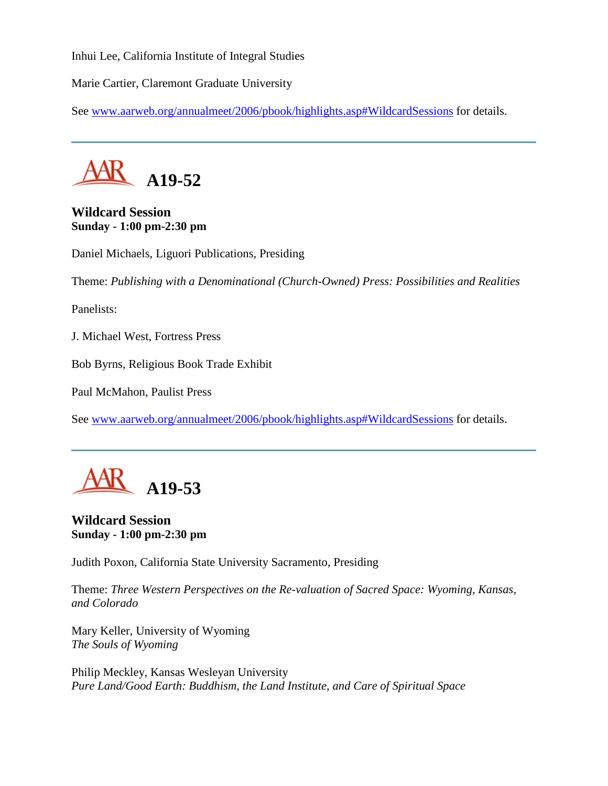Inhui Lee, California Institute of Integral Studies

Marie Cartier, Claremont Graduate University

See [www.aarweb.org/annualmeet/2006/pbook/highlights.asp#WildcardSessions](http://www.aarweb.org/Meetings/Annual_Meeting/Past_and_Future_Meetings/2006/highlights.asp#WildcardSessions) for details.



## **Wildcard Session Sunday - 1:00 pm-2:30 pm**

Daniel Michaels, Liguori Publications, Presiding

Theme: *Publishing with a Denominational (Church-Owned) Press: Possibilities and Realities*

Panelists:

J. Michael West, Fortress Press

Bob Byrns, Religious Book Trade Exhibit

Paul McMahon, Paulist Press

See [www.aarweb.org/annualmeet/2006/pbook/highlights.asp#WildcardSessions](http://www.aarweb.org/Meetings/Annual_Meeting/Past_and_Future_Meetings/2006/highlights.asp#WildcardSessions) for details.



## **Wildcard Session Sunday - 1:00 pm-2:30 pm**

Judith Poxon, California State University Sacramento, Presiding

Theme: *Three Western Perspectives on the Re-valuation of Sacred Space: Wyoming, Kansas, and Colorado*

Mary Keller, University of Wyoming *The Souls of Wyoming*

Philip Meckley, Kansas Wesleyan University *Pure Land/Good Earth: Buddhism, the Land Institute, and Care of Spiritual Space*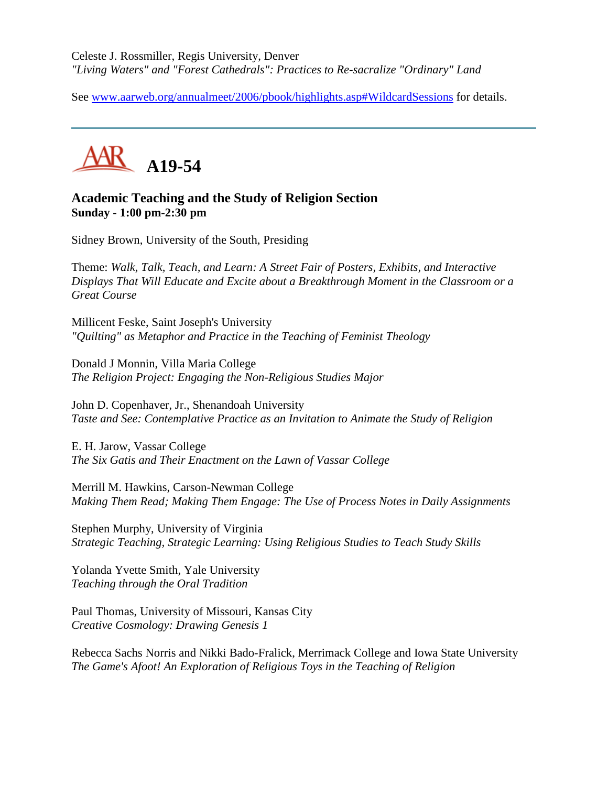Celeste J. Rossmiller, Regis University, Denver *"Living Waters" and "Forest Cathedrals": Practices to Re-sacralize "Ordinary" Land*

See [www.aarweb.org/annualmeet/2006/pbook/highlights.asp#WildcardSessions](http://www.aarweb.org/Meetings/Annual_Meeting/Past_and_Future_Meetings/2006/highlights.asp#WildcardSessions) for details.



## **Academic Teaching and the Study of Religion Section Sunday - 1:00 pm-2:30 pm**

Sidney Brown, University of the South, Presiding

Theme: *Walk, Talk, Teach, and Learn: A Street Fair of Posters, Exhibits, and Interactive Displays That Will Educate and Excite about a Breakthrough Moment in the Classroom or a Great Course*

Millicent Feske, Saint Joseph's University *"Quilting" as Metaphor and Practice in the Teaching of Feminist Theology*

Donald J Monnin, Villa Maria College *The Religion Project: Engaging the Non-Religious Studies Major*

John D. Copenhaver, Jr., Shenandoah University *Taste and See: Contemplative Practice as an Invitation to Animate the Study of Religion*

E. H. Jarow, Vassar College *The Six Gatis and Their Enactment on the Lawn of Vassar College*

Merrill M. Hawkins, Carson-Newman College *Making Them Read; Making Them Engage: The Use of Process Notes in Daily Assignments*

Stephen Murphy, University of Virginia *Strategic Teaching, Strategic Learning: Using Religious Studies to Teach Study Skills*

Yolanda Yvette Smith, Yale University *Teaching through the Oral Tradition*

Paul Thomas, University of Missouri, Kansas City *Creative Cosmology: Drawing Genesis 1*

Rebecca Sachs Norris and Nikki Bado-Fralick, Merrimack College and Iowa State University *The Game's Afoot! An Exploration of Religious Toys in the Teaching of Religion*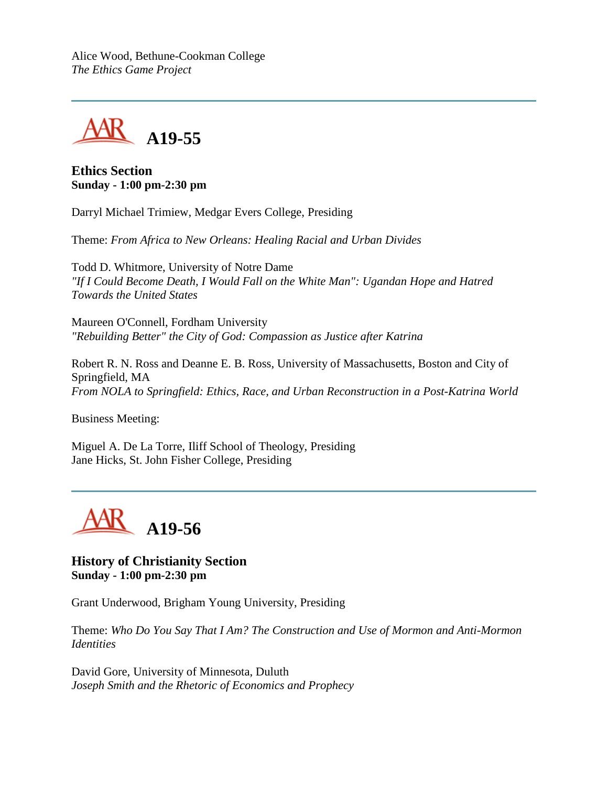Alice Wood, Bethune-Cookman College *The Ethics Game Project*



#### **Ethics Section Sunday - 1:00 pm-2:30 pm**

Darryl Michael Trimiew, Medgar Evers College, Presiding

Theme: *From Africa to New Orleans: Healing Racial and Urban Divides*

Todd D. Whitmore, University of Notre Dame *"If I Could Become Death, I Would Fall on the White Man": Ugandan Hope and Hatred Towards the United States*

Maureen O'Connell, Fordham University *"Rebuilding Better" the City of God: Compassion as Justice after Katrina*

Robert R. N. Ross and Deanne E. B. Ross, University of Massachusetts, Boston and City of Springfield, MA *From NOLA to Springfield: Ethics, Race, and Urban Reconstruction in a Post-Katrina World*

Business Meeting:

Miguel A. De La Torre, Iliff School of Theology, Presiding Jane Hicks, St. John Fisher College, Presiding



**History of Christianity Section Sunday - 1:00 pm-2:30 pm**

Grant Underwood, Brigham Young University, Presiding

Theme: *Who Do You Say That I Am? The Construction and Use of Mormon and Anti-Mormon Identities*

David Gore, University of Minnesota, Duluth *Joseph Smith and the Rhetoric of Economics and Prophecy*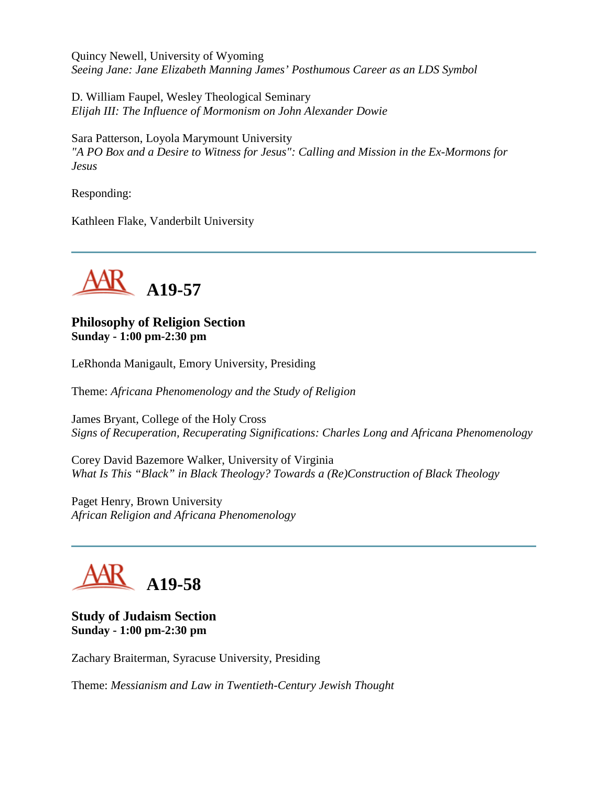Quincy Newell, University of Wyoming *Seeing Jane: Jane Elizabeth Manning James' Posthumous Career as an LDS Symbol*

D. William Faupel, Wesley Theological Seminary *Elijah III: The Influence of Mormonism on John Alexander Dowie*

Sara Patterson, Loyola Marymount University *"A PO Box and a Desire to Witness for Jesus": Calling and Mission in the Ex-Mormons for Jesus*

Responding:

Kathleen Flake, Vanderbilt University



#### **Philosophy of Religion Section Sunday - 1:00 pm-2:30 pm**

LeRhonda Manigault, Emory University, Presiding

Theme: *Africana Phenomenology and the Study of Religion*

James Bryant, College of the Holy Cross *Signs of Recuperation, Recuperating Significations: Charles Long and Africana Phenomenology*

Corey David Bazemore Walker, University of Virginia *What Is This "Black" in Black Theology? Towards a (Re)Construction of Black Theology*

Paget Henry, Brown University *African Religion and Africana Phenomenology*

# **A19-58**

### **Study of Judaism Section Sunday - 1:00 pm-2:30 pm**

Zachary Braiterman, Syracuse University, Presiding

Theme: *Messianism and Law in Twentieth-Century Jewish Thought*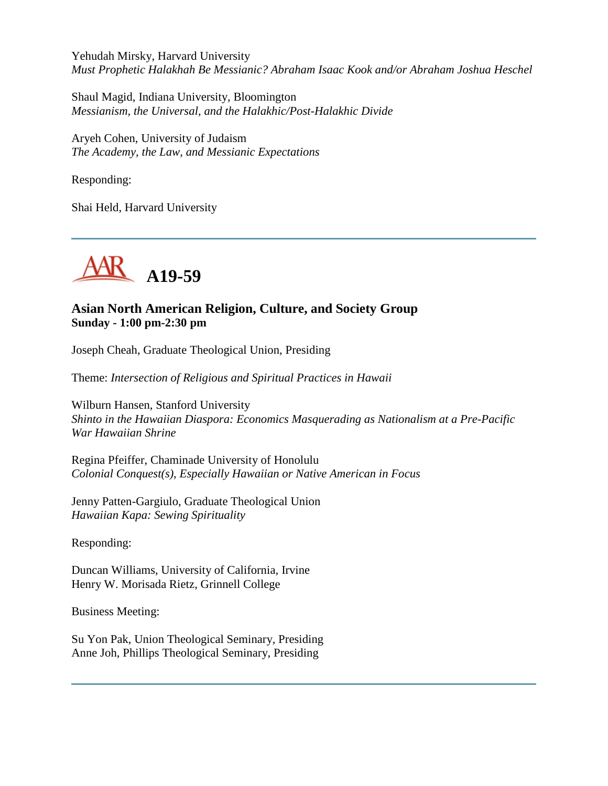Yehudah Mirsky, Harvard University *Must Prophetic Halakhah Be Messianic? Abraham Isaac Kook and/or Abraham Joshua Heschel*

Shaul Magid, Indiana University, Bloomington *Messianism, the Universal, and the Halakhic/Post-Halakhic Divide*

Aryeh Cohen, University of Judaism *The Academy, the Law, and Messianic Expectations*

Responding:

Shai Held, Harvard University



## **Asian North American Religion, Culture, and Society Group Sunday - 1:00 pm-2:30 pm**

Joseph Cheah, Graduate Theological Union, Presiding

Theme: *Intersection of Religious and Spiritual Practices in Hawaii*

Wilburn Hansen, Stanford University *Shinto in the Hawaiian Diaspora: Economics Masquerading as Nationalism at a Pre-Pacific War Hawaiian Shrine*

Regina Pfeiffer, Chaminade University of Honolulu *Colonial Conquest(s), Especially Hawaiian or Native American in Focus*

Jenny Patten-Gargiulo, Graduate Theological Union *Hawaiian Kapa: Sewing Spirituality*

Responding:

Duncan Williams, University of California, Irvine Henry W. Morisada Rietz, Grinnell College

Business Meeting:

Su Yon Pak, Union Theological Seminary, Presiding Anne Joh, Phillips Theological Seminary, Presiding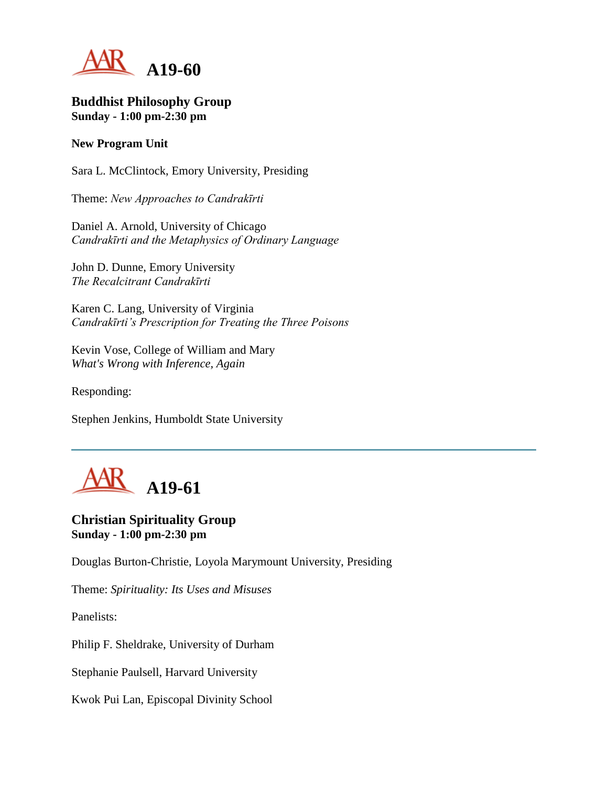

#### **Buddhist Philosophy Group Sunday - 1:00 pm-2:30 pm**

#### **New Program Unit**

Sara L. McClintock, Emory University, Presiding

Theme: *New Approaches to Candrakīrti*

Daniel A. Arnold, University of Chicago *Candrakīrti and the Metaphysics of Ordinary Language*

John D. Dunne, Emory University *The Recalcitrant Candrakīrti*

Karen C. Lang, University of Virginia *Candrakīrti's Prescription for Treating the Three Poisons*

Kevin Vose, College of William and Mary *What's Wrong with Inference, Again*

Responding:

Stephen Jenkins, Humboldt State University



# **Christian Spirituality Group Sunday - 1:00 pm-2:30 pm**

Douglas Burton-Christie, Loyola Marymount University, Presiding

Theme: *Spirituality: Its Uses and Misuses*

Panelists:

Philip F. Sheldrake, University of Durham

Stephanie Paulsell, Harvard University

Kwok Pui Lan, Episcopal Divinity School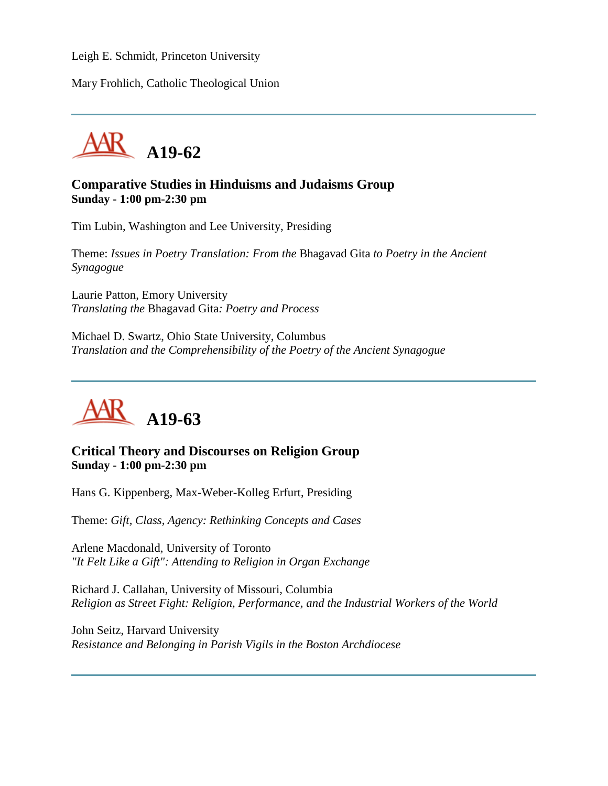Leigh E. Schmidt, Princeton University

Mary Frohlich, Catholic Theological Union



#### **Comparative Studies in Hinduisms and Judaisms Group Sunday - 1:00 pm-2:30 pm**

Tim Lubin, Washington and Lee University, Presiding

Theme: *Issues in Poetry Translation: From the* Bhagavad Gita *to Poetry in the Ancient Synagogue*

Laurie Patton, Emory University *Translating the* Bhagavad Gita*: Poetry and Process*

Michael D. Swartz, Ohio State University, Columbus *Translation and the Comprehensibility of the Poetry of the Ancient Synagogue*



#### **Critical Theory and Discourses on Religion Group Sunday - 1:00 pm-2:30 pm**

Hans G. Kippenberg, Max-Weber-Kolleg Erfurt, Presiding

Theme: *Gift, Class, Agency: Rethinking Concepts and Cases*

Arlene Macdonald, University of Toronto *"It Felt Like a Gift": Attending to Religion in Organ Exchange*

Richard J. Callahan, University of Missouri, Columbia *Religion as Street Fight: Religion, Performance, and the Industrial Workers of the World*

John Seitz, Harvard University *Resistance and Belonging in Parish Vigils in the Boston Archdiocese*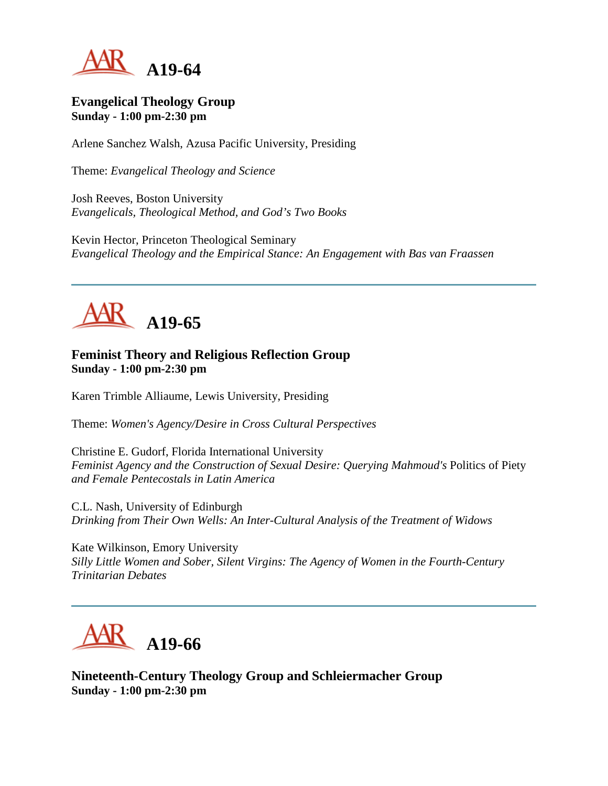

#### **Evangelical Theology Group Sunday - 1:00 pm-2:30 pm**

Arlene Sanchez Walsh, Azusa Pacific University, Presiding

Theme: *Evangelical Theology and Science*

Josh Reeves, Boston University *Evangelicals, Theological Method, and God's Two Books*

Kevin Hector, Princeton Theological Seminary *Evangelical Theology and the Empirical Stance: An Engagement with Bas van Fraassen*



# **Feminist Theory and Religious Reflection Group Sunday - 1:00 pm-2:30 pm**

Karen Trimble Alliaume, Lewis University, Presiding

Theme: *Women's Agency/Desire in Cross Cultural Perspectives*

Christine E. Gudorf, Florida International University *Feminist Agency and the Construction of Sexual Desire: Querying Mahmoud's Politics of Piety and Female Pentecostals in Latin America*

C.L. Nash, University of Edinburgh *Drinking from Their Own Wells: An Inter-Cultural Analysis of the Treatment of Widows*

Kate Wilkinson, Emory University *Silly Little Women and Sober, Silent Virgins: The Agency of Women in the Fourth-Century Trinitarian Debates*



**Nineteenth-Century Theology Group and Schleiermacher Group Sunday - 1:00 pm-2:30 pm**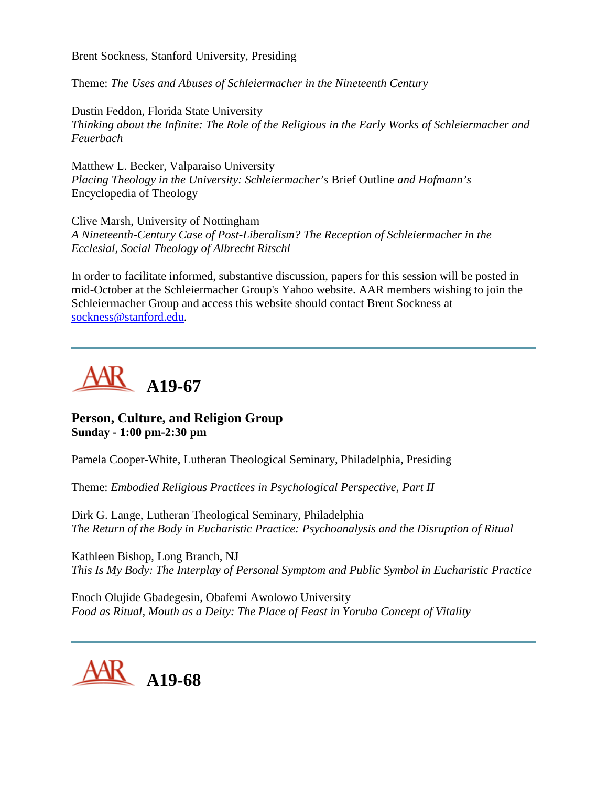Brent Sockness, Stanford University, Presiding

Theme: *The Uses and Abuses of Schleiermacher in the Nineteenth Century*

Dustin Feddon, Florida State University *Thinking about the Infinite: The Role of the Religious in the Early Works of Schleiermacher and Feuerbach*

Matthew L. Becker, Valparaiso University *Placing Theology in the University: Schleiermacher's* Brief Outline *and Hofmann's*  Encyclopedia of Theology

Clive Marsh, University of Nottingham *A Nineteenth-Century Case of Post-Liberalism? The Reception of Schleiermacher in the Ecclesial, Social Theology of Albrecht Ritschl*

In order to facilitate informed, substantive discussion, papers for this session will be posted in mid-October at the Schleiermacher Group's Yahoo website. AAR members wishing to join the Schleiermacher Group and access this website should contact Brent Sockness at [sockness@stanford.edu.](mailto:sockness@stanford.edu)



#### **Person, Culture, and Religion Group Sunday - 1:00 pm-2:30 pm**

Pamela Cooper-White, Lutheran Theological Seminary, Philadelphia, Presiding

Theme: *Embodied Religious Practices in Psychological Perspective, Part II*

Dirk G. Lange, Lutheran Theological Seminary, Philadelphia *The Return of the Body in Eucharistic Practice: Psychoanalysis and the Disruption of Ritual*

Kathleen Bishop, Long Branch, NJ *This Is My Body: The Interplay of Personal Symptom and Public Symbol in Eucharistic Practice*

Enoch Olujide Gbadegesin, Obafemi Awolowo University *Food as Ritual, Mouth as a Deity: The Place of Feast in Yoruba Concept of Vitality*

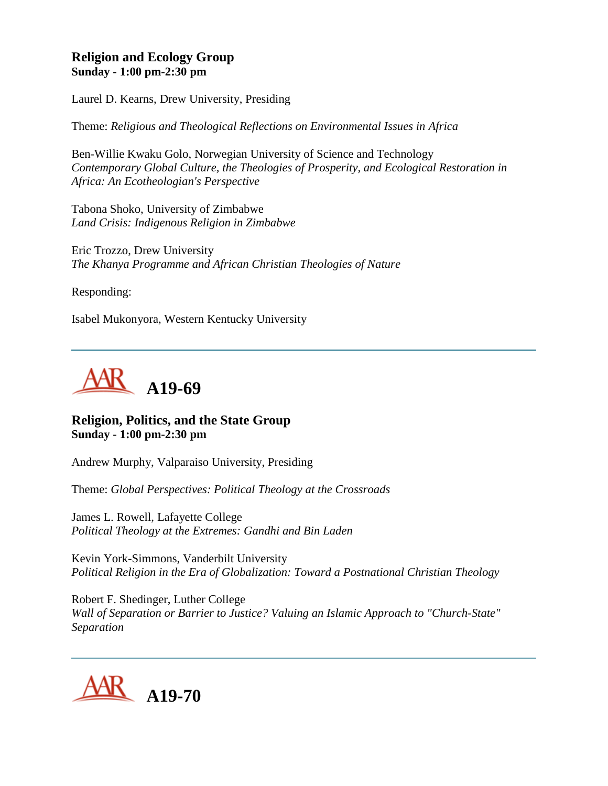## **Religion and Ecology Group Sunday - 1:00 pm-2:30 pm**

Laurel D. Kearns, Drew University, Presiding

Theme: *Religious and Theological Reflections on Environmental Issues in Africa*

Ben-Willie Kwaku Golo, Norwegian University of Science and Technology *Contemporary Global Culture, the Theologies of Prosperity, and Ecological Restoration in Africa: An Ecotheologian's Perspective*

Tabona Shoko, University of Zimbabwe *Land Crisis: Indigenous Religion in Zimbabwe*

Eric Trozzo, Drew University *The Khanya Programme and African Christian Theologies of Nature*

Responding:

Isabel Mukonyora, Western Kentucky University



#### **Religion, Politics, and the State Group Sunday - 1:00 pm-2:30 pm**

Andrew Murphy, Valparaiso University, Presiding

Theme: *Global Perspectives: Political Theology at the Crossroads*

James L. Rowell, Lafayette College *Political Theology at the Extremes: Gandhi and Bin Laden*

Kevin York-Simmons, Vanderbilt University *Political Religion in the Era of Globalization: Toward a Postnational Christian Theology*

Robert F. Shedinger, Luther College *Wall of Separation or Barrier to Justice? Valuing an Islamic Approach to "Church-State" Separation*

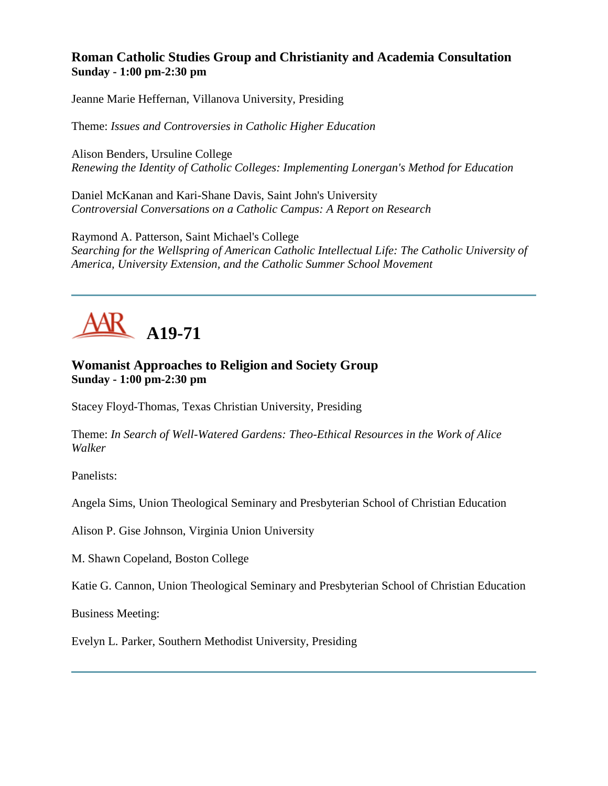## **Roman Catholic Studies Group and Christianity and Academia Consultation Sunday - 1:00 pm-2:30 pm**

Jeanne Marie Heffernan, Villanova University, Presiding

Theme: *Issues and Controversies in Catholic Higher Education*

Alison Benders, Ursuline College *Renewing the Identity of Catholic Colleges: Implementing Lonergan's Method for Education*

Daniel McKanan and Kari-Shane Davis, Saint John's University *Controversial Conversations on a Catholic Campus: A Report on Research*

Raymond A. Patterson, Saint Michael's College *Searching for the Wellspring of American Catholic Intellectual Life: The Catholic University of America, University Extension, and the Catholic Summer School Movement*



# **Womanist Approaches to Religion and Society Group Sunday - 1:00 pm-2:30 pm**

Stacey Floyd-Thomas, Texas Christian University, Presiding

Theme: *In Search of Well-Watered Gardens: Theo-Ethical Resources in the Work of Alice Walker*

Panelists:

Angela Sims, Union Theological Seminary and Presbyterian School of Christian Education

Alison P. Gise Johnson, Virginia Union University

M. Shawn Copeland, Boston College

Katie G. Cannon, Union Theological Seminary and Presbyterian School of Christian Education

Business Meeting:

Evelyn L. Parker, Southern Methodist University, Presiding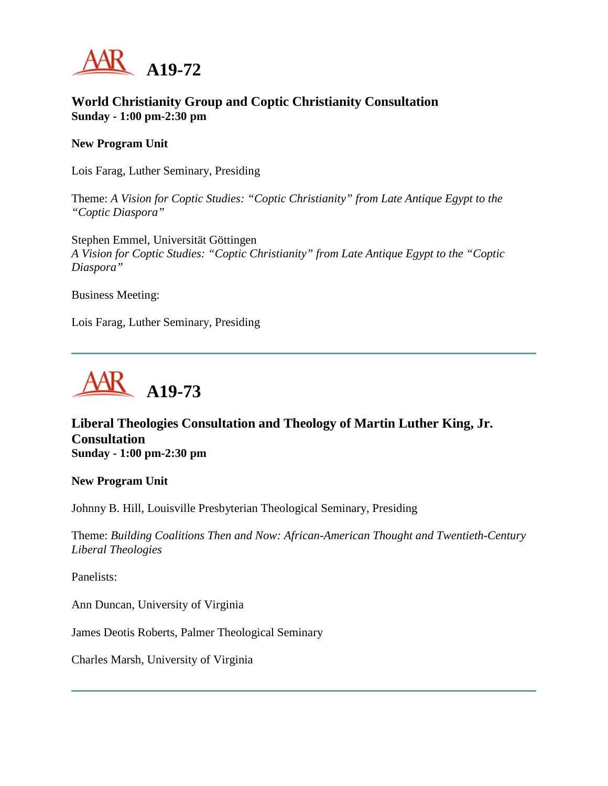

## **World Christianity Group and Coptic Christianity Consultation Sunday - 1:00 pm-2:30 pm**

#### **New Program Unit**

Lois Farag, Luther Seminary, Presiding

Theme: *A Vision for Coptic Studies: "Coptic Christianity" from Late Antique Egypt to the "Coptic Diaspora"*

Stephen Emmel, Universität Göttingen *A Vision for Coptic Studies: "Coptic Christianity" from Late Antique Egypt to the "Coptic Diaspora"*

Business Meeting:

Lois Farag, Luther Seminary, Presiding



## **Liberal Theologies Consultation and Theology of Martin Luther King, Jr. Consultation Sunday - 1:00 pm-2:30 pm**

**New Program Unit**

Johnny B. Hill, Louisville Presbyterian Theological Seminary, Presiding

Theme: *Building Coalitions Then and Now: African-American Thought and Twentieth-Century Liberal Theologies*

Panelists:

Ann Duncan, University of Virginia

James Deotis Roberts, Palmer Theological Seminary

Charles Marsh, University of Virginia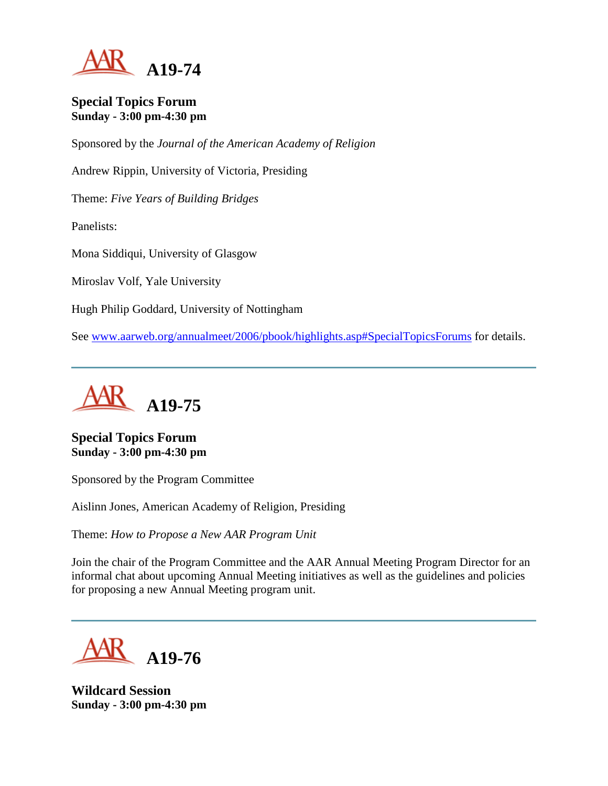

#### **Special Topics Forum Sunday - 3:00 pm-4:30 pm**

Sponsored by the *Journal of the American Academy of Religion*

Andrew Rippin, University of Victoria, Presiding

Theme: *Five Years of Building Bridges*

Panelists:

Mona Siddiqui, University of Glasgow

Miroslav Volf, Yale University

Hugh Philip Goddard, University of Nottingham

See [www.aarweb.org/annualmeet/2006/pbook/highlights.asp#SpecialTopicsForums](http://www.aarweb.org/Meetings/Annual_Meeting/Past_and_Future_Meetings/2006/highlights.asp#SpecialTopicsForums) for details.



**Special Topics Forum Sunday - 3:00 pm-4:30 pm**

Sponsored by the Program Committee

Aislinn Jones, American Academy of Religion, Presiding

Theme: *How to Propose a New AAR Program Unit*

Join the chair of the Program Committee and the AAR Annual Meeting Program Director for an informal chat about upcoming Annual Meeting initiatives as well as the guidelines and policies for proposing a new Annual Meeting program unit.

**A19-76**

**Wildcard Session Sunday - 3:00 pm-4:30 pm**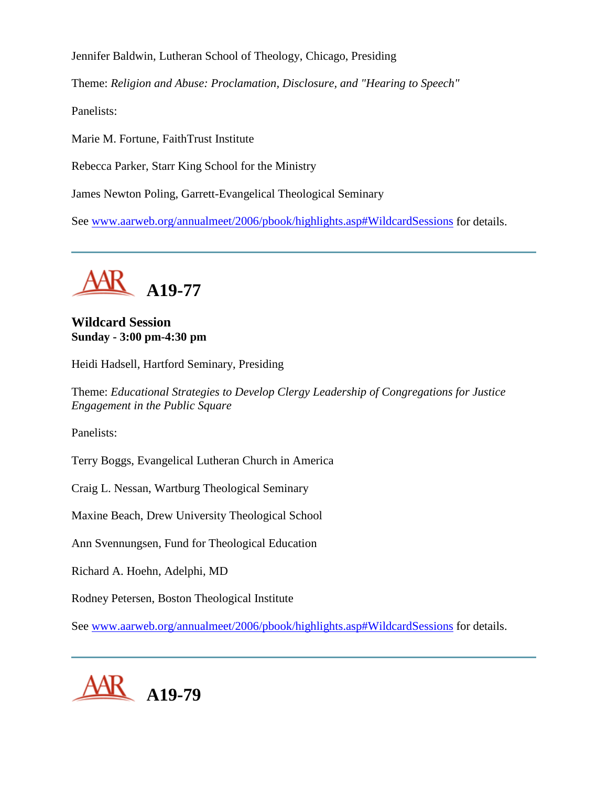Jennifer Baldwin, Lutheran School of Theology, Chicago, Presiding

Theme: *Religion and Abuse: Proclamation, Disclosure, and "Hearing to Speech"*

Panelists:

Marie M. Fortune, FaithTrust Institute

Rebecca Parker, Starr King School for the Ministry

James Newton Poling, Garrett-Evangelical Theological Seminary

See [www.aarweb.org/annualmeet/2006/pbook/highlights.asp#WildcardSessions](http://www.aarweb.org/Meetings/Annual_Meeting/Past_and_Future_Meetings/2006/highlights.asp#WildcardSessions) for details.

**A19-77**

**Wildcard Session Sunday - 3:00 pm-4:30 pm**

Heidi Hadsell, Hartford Seminary, Presiding

Theme: *Educational Strategies to Develop Clergy Leadership of Congregations for Justice Engagement in the Public Square*

Panelists:

Terry Boggs, Evangelical Lutheran Church in America

Craig L. Nessan, Wartburg Theological Seminary

Maxine Beach, Drew University Theological School

Ann Svennungsen, Fund for Theological Education

Richard A. Hoehn, Adelphi, MD

Rodney Petersen, Boston Theological Institute

See [www.aarweb.org/annualmeet/2006/pbook/highlights.asp#WildcardSessions](http://www.aarweb.org/Meetings/Annual_Meeting/Past_and_Future_Meetings/2006/highlights.asp#WildcardSessions) for details.

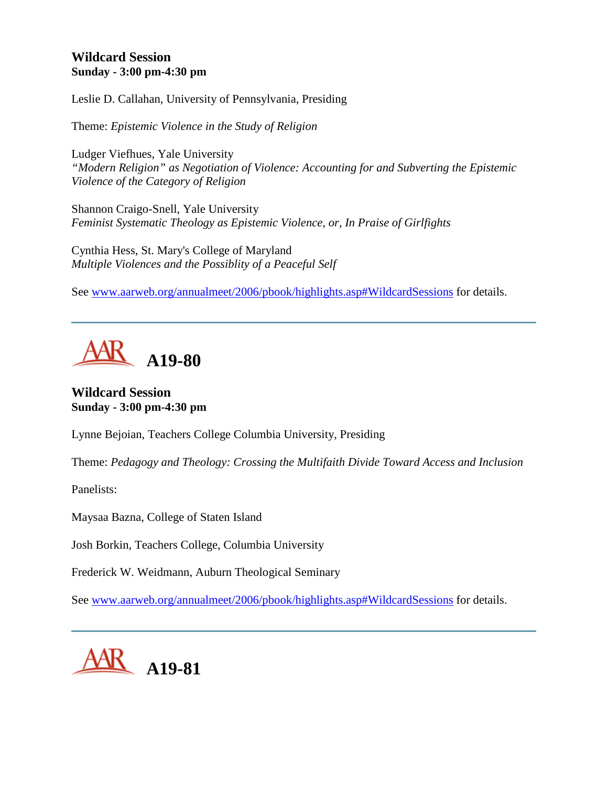# **Wildcard Session Sunday - 3:00 pm-4:30 pm**

Leslie D. Callahan, University of Pennsylvania, Presiding

Theme: *Epistemic Violence in the Study of Religion*

Ludger Viefhues, Yale University *"Modern Religion" as Negotiation of Violence: Accounting for and Subverting the Epistemic Violence of the Category of Religion*

Shannon Craigo-Snell, Yale University *Feminist Systematic Theology as Epistemic Violence, or, In Praise of Girlfights*

Cynthia Hess, St. Mary's College of Maryland *Multiple Violences and the Possiblity of a Peaceful Self*

See [www.aarweb.org/annualmeet/2006/pbook/highlights.asp#WildcardSessions](http://www.aarweb.org/Meetings/Annual_Meeting/Past_and_Future_Meetings/2006/highlights.asp#WildcardSessions) for details.



**Wildcard Session Sunday - 3:00 pm-4:30 pm**

Lynne Bejoian, Teachers College Columbia University, Presiding

Theme: *Pedagogy and Theology: Crossing the Multifaith Divide Toward Access and Inclusion*

Panelists:

Maysaa Bazna, College of Staten Island

Josh Borkin, Teachers College, Columbia University

Frederick W. Weidmann, Auburn Theological Seminary

See [www.aarweb.org/annualmeet/2006/pbook/highlights.asp#WildcardSessions](http://www.aarweb.org/Meetings/Annual_Meeting/Past_and_Future_Meetings/2006/highlights.asp#WildcardSessions) for details.

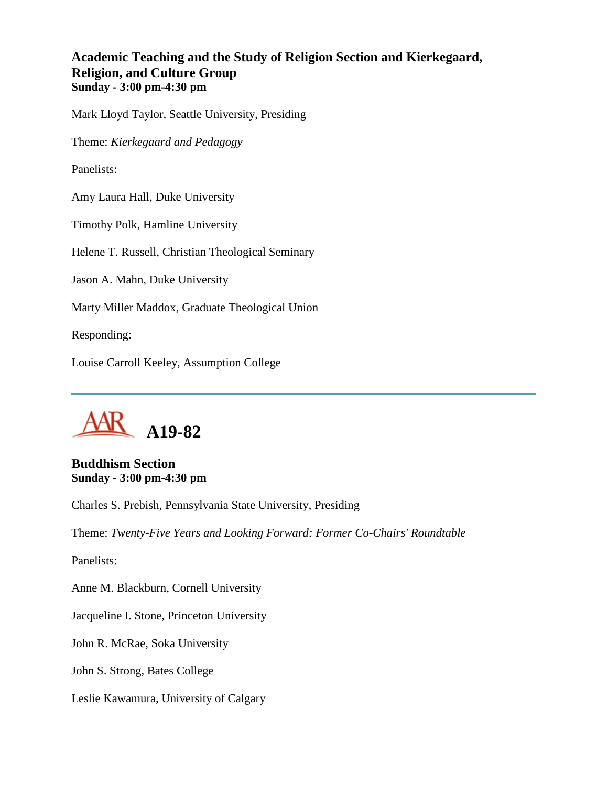## **Academic Teaching and the Study of Religion Section and Kierkegaard, Religion, and Culture Group Sunday - 3:00 pm-4:30 pm**

Mark Lloyd Taylor, Seattle University, Presiding

Theme: *Kierkegaard and Pedagogy*

Panelists:

Amy Laura Hall, Duke University

Timothy Polk, Hamline University

Helene T. Russell, Christian Theological Seminary

Jason A. Mahn, Duke University

Marty Miller Maddox, Graduate Theological Union

Responding:

Louise Carroll Keeley, Assumption College



**Buddhism Section Sunday - 3:00 pm-4:30 pm**

Charles S. Prebish, Pennsylvania State University, Presiding

Theme: *Twenty-Five Years and Looking Forward: Former Co-Chairs' Roundtable*

Panelists:

Anne M. Blackburn, Cornell University

Jacqueline I. Stone, Princeton University

John R. McRae, Soka University

John S. Strong, Bates College

Leslie Kawamura, University of Calgary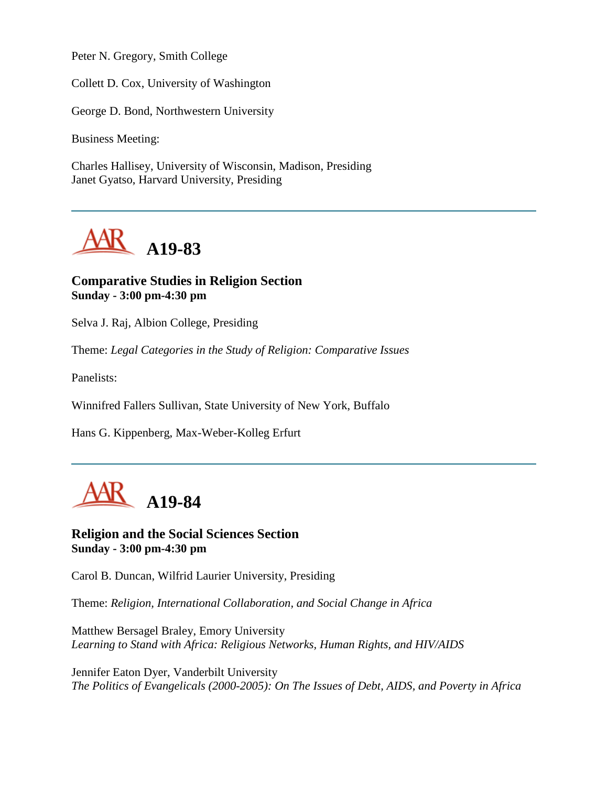Peter N. Gregory, Smith College

Collett D. Cox, University of Washington

George D. Bond, Northwestern University

Business Meeting:

Charles Hallisey, University of Wisconsin, Madison, Presiding Janet Gyatso, Harvard University, Presiding



#### **Comparative Studies in Religion Section Sunday - 3:00 pm-4:30 pm**

Selva J. Raj, Albion College, Presiding

Theme: *Legal Categories in the Study of Religion: Comparative Issues*

Panelists:

Winnifred Fallers Sullivan, State University of New York, Buffalo

Hans G. Kippenberg, Max-Weber-Kolleg Erfurt



**Religion and the Social Sciences Section Sunday - 3:00 pm-4:30 pm**

Carol B. Duncan, Wilfrid Laurier University, Presiding

Theme: *Religion, International Collaboration, and Social Change in Africa*

Matthew Bersagel Braley, Emory University *Learning to Stand with Africa: Religious Networks, Human Rights, and HIV/AIDS*

Jennifer Eaton Dyer, Vanderbilt University *The Politics of Evangelicals (2000-2005): On The Issues of Debt, AIDS, and Poverty in Africa*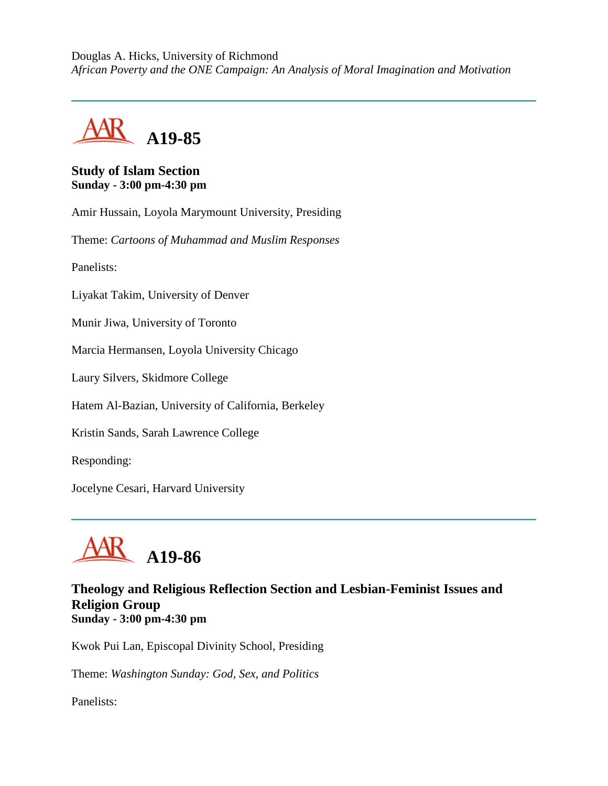Douglas A. Hicks, University of Richmond *African Poverty and the ONE Campaign: An Analysis of Moral Imagination and Motivation*



## **Study of Islam Section Sunday - 3:00 pm-4:30 pm**

Amir Hussain, Loyola Marymount University, Presiding

Theme: *Cartoons of Muhammad and Muslim Responses*

Panelists:

Liyakat Takim, University of Denver

Munir Jiwa, University of Toronto

Marcia Hermansen, Loyola University Chicago

Laury Silvers, Skidmore College

Hatem Al-Bazian, University of California, Berkeley

Kristin Sands, Sarah Lawrence College

Responding:

Jocelyne Cesari, Harvard University



#### **Theology and Religious Reflection Section and Lesbian-Feminist Issues and Religion Group Sunday - 3:00 pm-4:30 pm**

Kwok Pui Lan, Episcopal Divinity School, Presiding

Theme: *Washington Sunday: God, Sex, and Politics*

Panelists: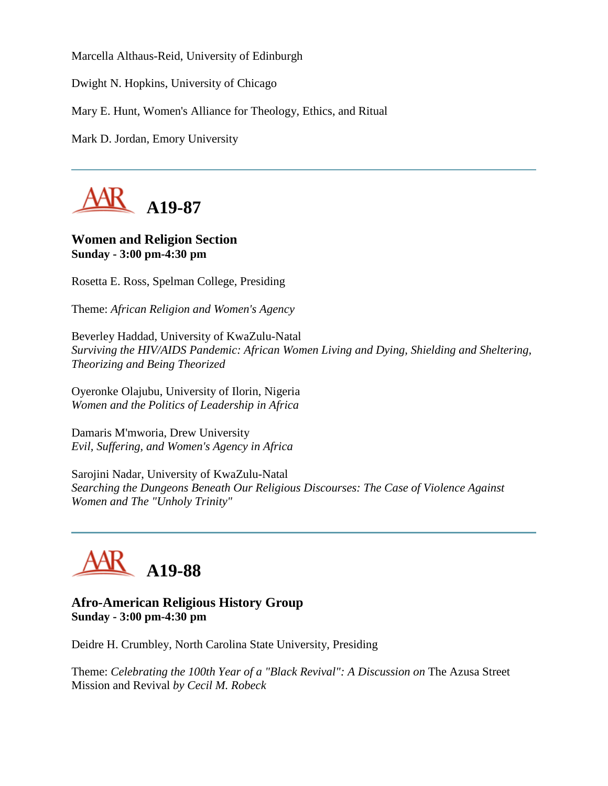Marcella Althaus-Reid, University of Edinburgh

Dwight N. Hopkins, University of Chicago

Mary E. Hunt, Women's Alliance for Theology, Ethics, and Ritual

Mark D. Jordan, Emory University



## **Women and Religion Section Sunday - 3:00 pm-4:30 pm**

Rosetta E. Ross, Spelman College, Presiding

Theme: *African Religion and Women's Agency*

Beverley Haddad, University of KwaZulu-Natal *Surviving the HIV/AIDS Pandemic: African Women Living and Dying, Shielding and Sheltering, Theorizing and Being Theorized*

Oyeronke Olajubu, University of Ilorin, Nigeria *Women and the Politics of Leadership in Africa*

Damaris M'mworia, Drew University *Evil, Suffering, and Women's Agency in Africa*

Sarojini Nadar, University of KwaZulu-Natal *Searching the Dungeons Beneath Our Religious Discourses: The Case of Violence Against Women and The "Unholy Trinity"*

# **A19-88**

## **Afro-American Religious History Group Sunday - 3:00 pm-4:30 pm**

Deidre H. Crumbley, North Carolina State University, Presiding

Theme: *Celebrating the 100th Year of a "Black Revival": A Discussion on* The Azusa Street Mission and Revival *by Cecil M. Robeck*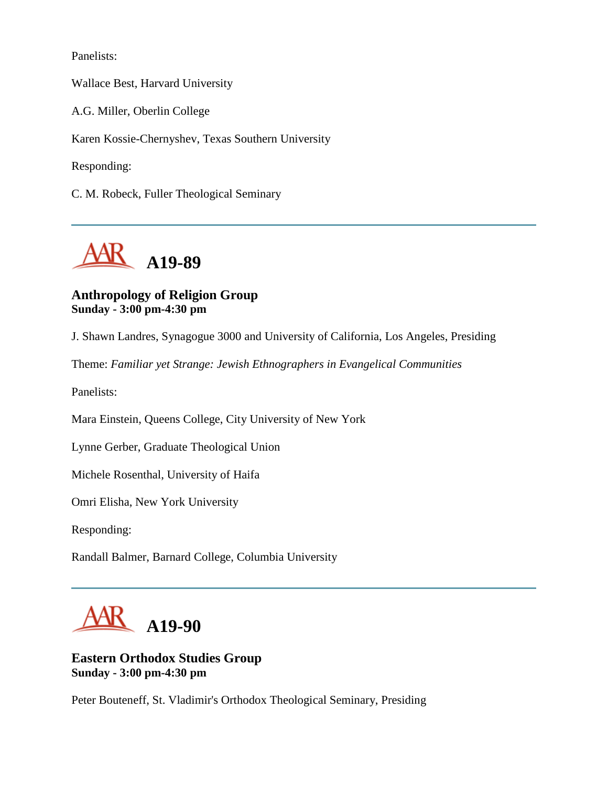Panelists:

Wallace Best, Harvard University

A.G. Miller, Oberlin College

Karen Kossie-Chernyshev, Texas Southern University

Responding:

C. M. Robeck, Fuller Theological Seminary



# **Anthropology of Religion Group Sunday - 3:00 pm-4:30 pm**

J. Shawn Landres, Synagogue 3000 and University of California, Los Angeles, Presiding

Theme: *Familiar yet Strange: Jewish Ethnographers in Evangelical Communities*

Panelists:

Mara Einstein, Queens College, City University of New York

Lynne Gerber, Graduate Theological Union

Michele Rosenthal, University of Haifa

Omri Elisha, New York University

Responding:

Randall Balmer, Barnard College, Columbia University



# **Eastern Orthodox Studies Group Sunday - 3:00 pm-4:30 pm**

Peter Bouteneff, St. Vladimir's Orthodox Theological Seminary, Presiding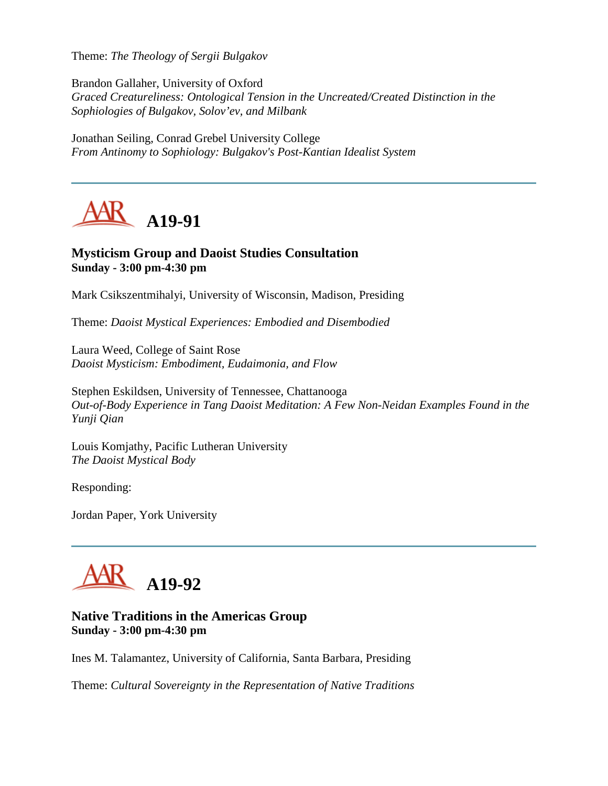Theme: *The Theology of Sergii Bulgakov*

Brandon Gallaher, University of Oxford *Graced Creatureliness: Ontological Tension in the Uncreated/Created Distinction in the Sophiologies of Bulgakov, Solov'ev, and Milbank*

Jonathan Seiling, Conrad Grebel University College *From Antinomy to Sophiology: Bulgakov's Post-Kantian Idealist System*



#### **Mysticism Group and Daoist Studies Consultation Sunday - 3:00 pm-4:30 pm**

Mark Csikszentmihalyi, University of Wisconsin, Madison, Presiding

Theme: *Daoist Mystical Experiences: Embodied and Disembodied*

Laura Weed, College of Saint Rose *Daoist Mysticism: Embodiment, Eudaimonia, and Flow*

Stephen Eskildsen, University of Tennessee, Chattanooga *Out-of-Body Experience in Tang Daoist Meditation: A Few Non-Neidan Examples Found in the Yunji Qian*

Louis Komjathy, Pacific Lutheran University *The Daoist Mystical Body*

Responding:

Jordan Paper, York University



#### **Native Traditions in the Americas Group Sunday - 3:00 pm-4:30 pm**

Ines M. Talamantez, University of California, Santa Barbara, Presiding

Theme: *Cultural Sovereignty in the Representation of Native Traditions*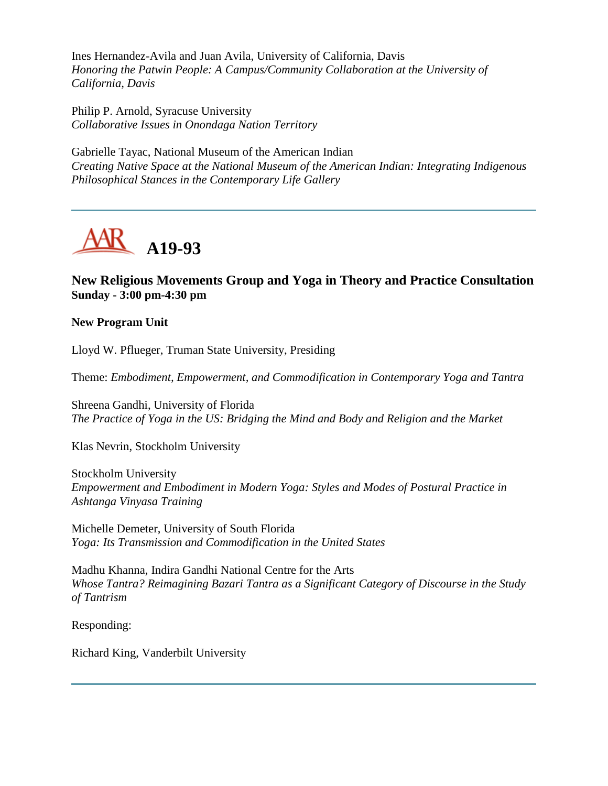Ines Hernandez-Avila and Juan Avila, University of California, Davis *Honoring the Patwin People: A Campus/Community Collaboration at the University of California, Davis*

Philip P. Arnold, Syracuse University *Collaborative Issues in Onondaga Nation Territory*

Gabrielle Tayac, National Museum of the American Indian *Creating Native Space at the National Museum of the American Indian: Integrating Indigenous Philosophical Stances in the Contemporary Life Gallery*



# **New Religious Movements Group and Yoga in Theory and Practice Consultation Sunday - 3:00 pm-4:30 pm**

#### **New Program Unit**

Lloyd W. Pflueger, Truman State University, Presiding

Theme: *Embodiment, Empowerment, and Commodification in Contemporary Yoga and Tantra*

Shreena Gandhi, University of Florida *The Practice of Yoga in the US: Bridging the Mind and Body and Religion and the Market*

Klas Nevrin, Stockholm University

Stockholm University *Empowerment and Embodiment in Modern Yoga: Styles and Modes of Postural Practice in Ashtanga Vinyasa Training*

Michelle Demeter, University of South Florida *Yoga: Its Transmission and Commodification in the United States*

Madhu Khanna, Indira Gandhi National Centre for the Arts *Whose Tantra? Reimagining Bazari Tantra as a Significant Category of Discourse in the Study of Tantrism*

Responding:

Richard King, Vanderbilt University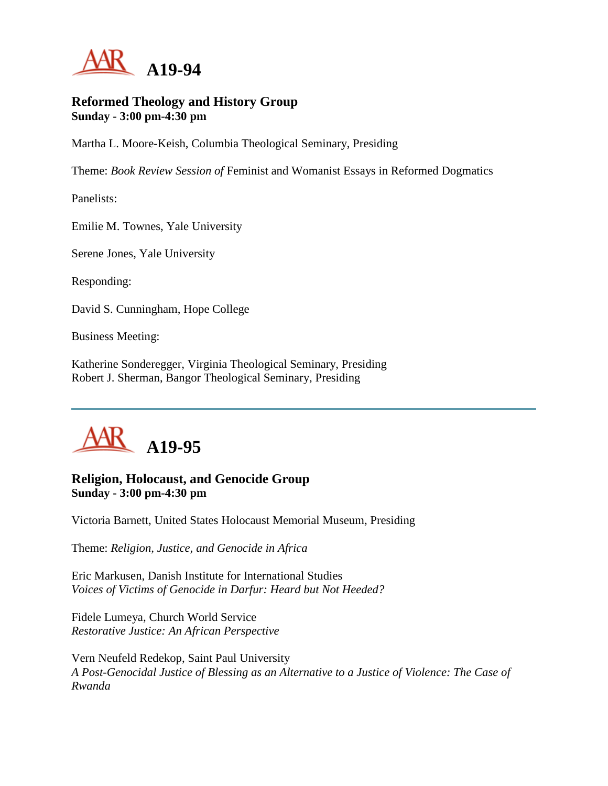

#### **Reformed Theology and History Group Sunday - 3:00 pm-4:30 pm**

Martha L. Moore-Keish, Columbia Theological Seminary, Presiding

Theme: *Book Review Session of* Feminist and Womanist Essays in Reformed Dogmatics

Panelists:

Emilie M. Townes, Yale University

Serene Jones, Yale University

Responding:

David S. Cunningham, Hope College

Business Meeting:

Katherine Sonderegger, Virginia Theological Seminary, Presiding Robert J. Sherman, Bangor Theological Seminary, Presiding



## **Religion, Holocaust, and Genocide Group Sunday - 3:00 pm-4:30 pm**

Victoria Barnett, United States Holocaust Memorial Museum, Presiding

Theme: *Religion, Justice, and Genocide in Africa*

Eric Markusen, Danish Institute for International Studies *Voices of Victims of Genocide in Darfur: Heard but Not Heeded?*

Fidele Lumeya, Church World Service *Restorative Justice: An African Perspective*

Vern Neufeld Redekop, Saint Paul University *A Post-Genocidal Justice of Blessing as an Alternative to a Justice of Violence: The Case of Rwanda*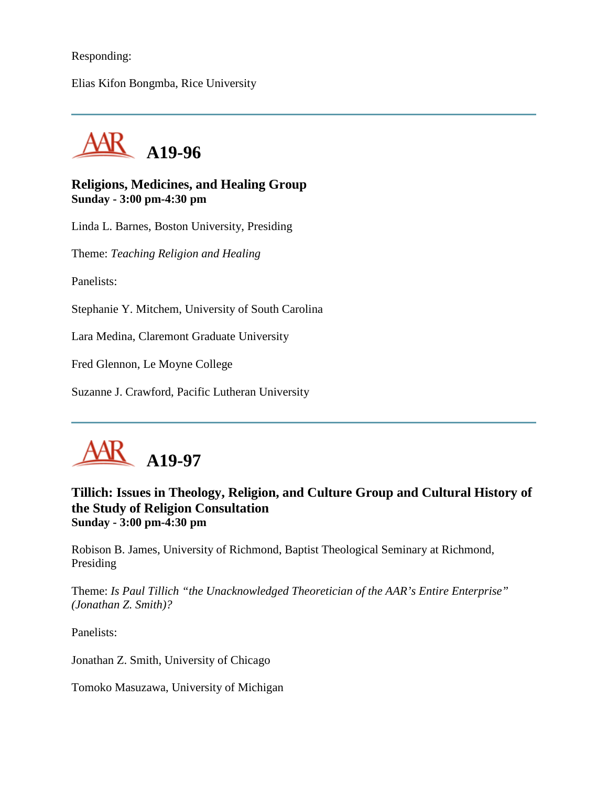#### Responding:

Elias Kifon Bongmba, Rice University



## **Religions, Medicines, and Healing Group Sunday - 3:00 pm-4:30 pm**

Linda L. Barnes, Boston University, Presiding

Theme: *Teaching Religion and Healing*

Panelists:

Stephanie Y. Mitchem, University of South Carolina

Lara Medina, Claremont Graduate University

Fred Glennon, Le Moyne College

Suzanne J. Crawford, Pacific Lutheran University



## **Tillich: Issues in Theology, Religion, and Culture Group and Cultural History of the Study of Religion Consultation Sunday - 3:00 pm-4:30 pm**

Robison B. James, University of Richmond, Baptist Theological Seminary at Richmond, Presiding

Theme: *Is Paul Tillich "the Unacknowledged Theoretician of the AAR's Entire Enterprise" (Jonathan Z. Smith)?*

Panelists:

Jonathan Z. Smith, University of Chicago

Tomoko Masuzawa, University of Michigan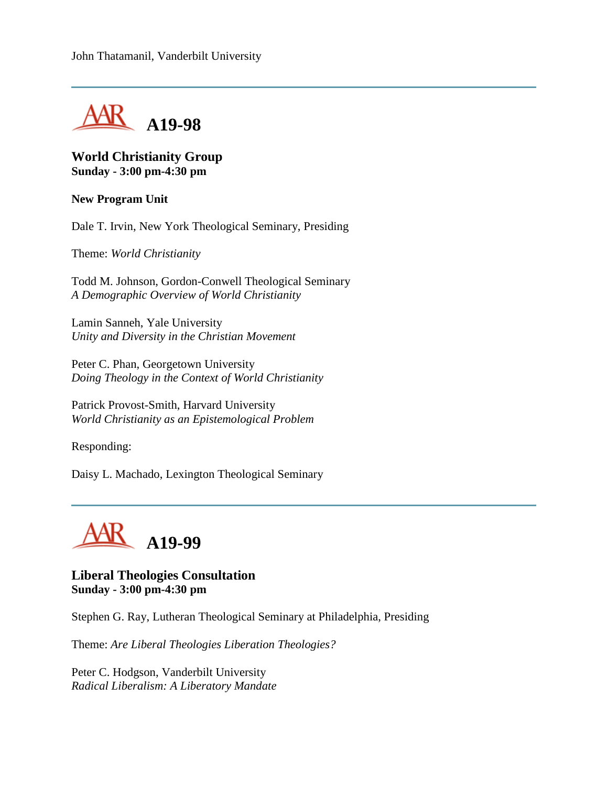

## **World Christianity Group Sunday - 3:00 pm-4:30 pm**

#### **New Program Unit**

Dale T. Irvin, New York Theological Seminary, Presiding

Theme: *World Christianity*

Todd M. Johnson, Gordon-Conwell Theological Seminary *A Demographic Overview of World Christianity*

Lamin Sanneh, Yale University *Unity and Diversity in the Christian Movement*

Peter C. Phan, Georgetown University *Doing Theology in the Context of World Christianity*

Patrick Provost-Smith, Harvard University *World Christianity as an Epistemological Problem*

Responding:

Daisy L. Machado, Lexington Theological Seminary



**Liberal Theologies Consultation Sunday - 3:00 pm-4:30 pm**

Stephen G. Ray, Lutheran Theological Seminary at Philadelphia, Presiding

Theme: *Are Liberal Theologies Liberation Theologies?*

Peter C. Hodgson, Vanderbilt University *Radical Liberalism: A Liberatory Mandate*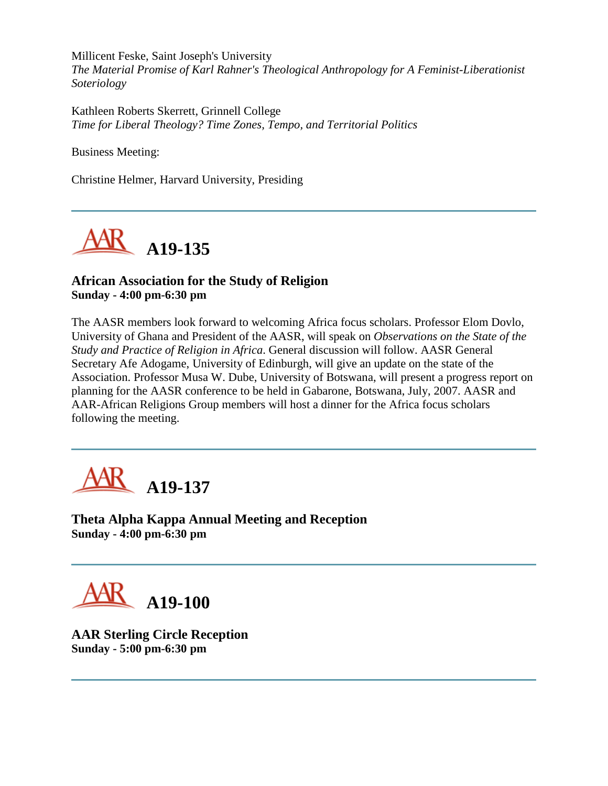Millicent Feske, Saint Joseph's University *The Material Promise of Karl Rahner's Theological Anthropology for A Feminist-Liberationist Soteriology*

Kathleen Roberts Skerrett, Grinnell College *Time for Liberal Theology? Time Zones, Tempo, and Territorial Politics*

Business Meeting:

Christine Helmer, Harvard University, Presiding



# **African Association for the Study of Religion Sunday - 4:00 pm-6:30 pm**

The AASR members look forward to welcoming Africa focus scholars. Professor Elom Dovlo, University of Ghana and President of the AASR, will speak on *Observations on the State of the Study and Practice of Religion in Africa*. General discussion will follow. AASR General Secretary Afe Adogame, University of Edinburgh, will give an update on the state of the Association. Professor Musa W. Dube, University of Botswana, will present a progress report on planning for the AASR conference to be held in Gabarone, Botswana, July, 2007. AASR and AAR-African Religions Group members will host a dinner for the Africa focus scholars following the meeting.



**Theta Alpha Kappa Annual Meeting and Reception Sunday - 4:00 pm-6:30 pm**



**AAR Sterling Circle Reception Sunday - 5:00 pm-6:30 pm**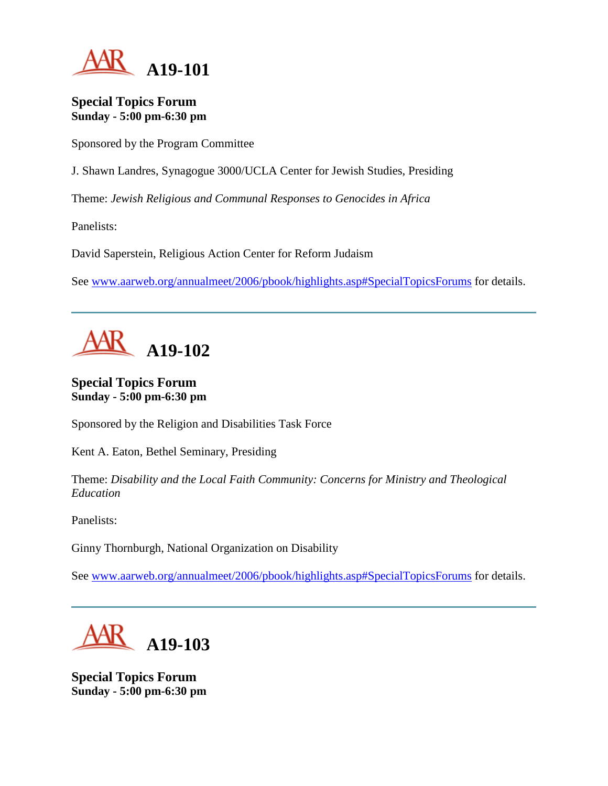

#### **Special Topics Forum Sunday - 5:00 pm-6:30 pm**

Sponsored by the Program Committee

J. Shawn Landres, Synagogue 3000/UCLA Center for Jewish Studies, Presiding

Theme: *Jewish Religious and Communal Responses to Genocides in Africa*

Panelists:

David Saperstein, Religious Action Center for Reform Judaism

See [www.aarweb.org/annualmeet/2006/pbook/highlights.asp#SpecialTopicsForums](http://www.aarweb.org/Meetings/Annual_Meeting/Past_and_Future_Meetings/2006/highlights.asp#SpecialTopicsForums) for details.



# **Special Topics Forum Sunday - 5:00 pm-6:30 pm**

Sponsored by the Religion and Disabilities Task Force

Kent A. Eaton, Bethel Seminary, Presiding

Theme: *Disability and the Local Faith Community: Concerns for Ministry and Theological Education*

Panelists:

Ginny Thornburgh, National Organization on Disability

See [www.aarweb.org/annualmeet/2006/pbook/highlights.asp#SpecialTopicsForums](http://www.aarweb.org/Meetings/Annual_Meeting/Past_and_Future_Meetings/2006/highlights.asp#SpecialTopicsForums) for details.



**Special Topics Forum Sunday - 5:00 pm-6:30 pm**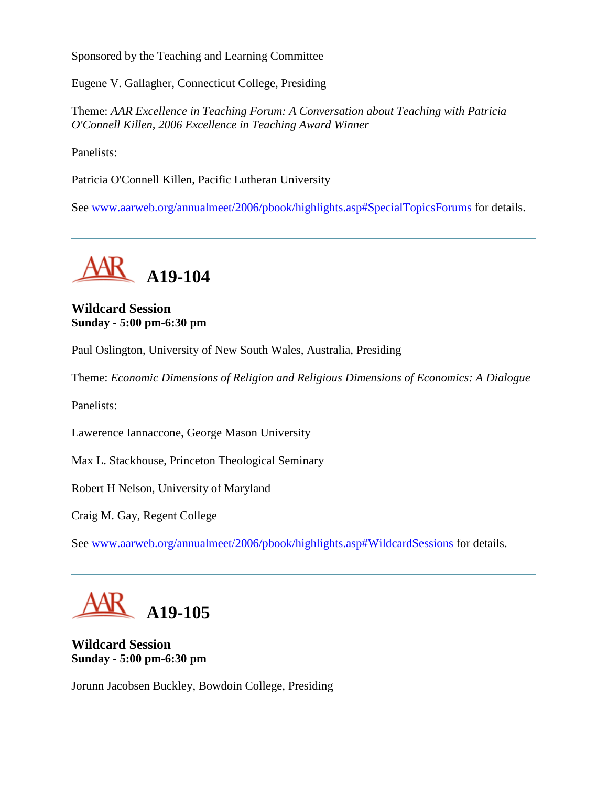Sponsored by the Teaching and Learning Committee

Eugene V. Gallagher, Connecticut College, Presiding

Theme: *AAR Excellence in Teaching Forum: A Conversation about Teaching with Patricia O'Connell Killen, 2006 Excellence in Teaching Award Winner*

Panelists:

Patricia O'Connell Killen, Pacific Lutheran University

See [www.aarweb.org/annualmeet/2006/pbook/highlights.asp#SpecialTopicsForums](http://www.aarweb.org/Meetings/Annual_Meeting/Past_and_Future_Meetings/2006/highlights.asp#SpecialTopicsForums) for details.



# **Wildcard Session Sunday - 5:00 pm-6:30 pm**

Paul Oslington, University of New South Wales, Australia, Presiding

Theme: *Economic Dimensions of Religion and Religious Dimensions of Economics: A Dialogue*

Panelists:

Lawerence Iannaccone, George Mason University

Max L. Stackhouse, Princeton Theological Seminary

Robert H Nelson, University of Maryland

Craig M. Gay, Regent College

See [www.aarweb.org/annualmeet/2006/pbook/highlights.asp#WildcardSessions](http://www.aarweb.org/Meetings/Annual_Meeting/Past_and_Future_Meetings/2006/highlights.asp#WildcardSessions) for details.

**A19-105**

**Wildcard Session Sunday - 5:00 pm-6:30 pm**

Jorunn Jacobsen Buckley, Bowdoin College, Presiding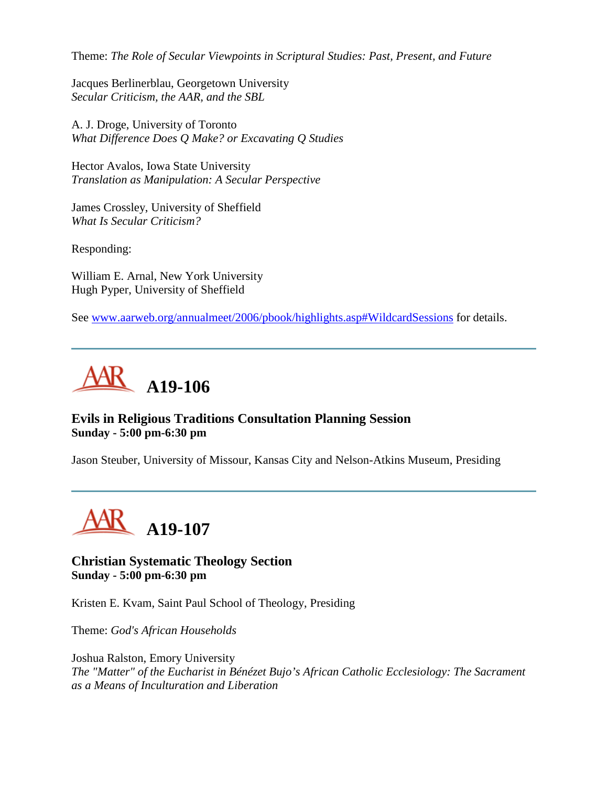Theme: *The Role of Secular Viewpoints in Scriptural Studies: Past, Present, and Future*

Jacques Berlinerblau, Georgetown University *Secular Criticism, the AAR, and the SBL*

A. J. Droge, University of Toronto *What Difference Does Q Make? or Excavating Q Studies*

Hector Avalos, Iowa State University *Translation as Manipulation: A Secular Perspective*

James Crossley, University of Sheffield *What Is Secular Criticism?*

Responding:

William E. Arnal, New York University Hugh Pyper, University of Sheffield

See [www.aarweb.org/annualmeet/2006/pbook/highlights.asp#WildcardSessions](http://www.aarweb.org/Meetings/Annual_Meeting/Past_and_Future_Meetings/2006/highlights.asp#WildcardSessions) for details.



## **Evils in Religious Traditions Consultation Planning Session Sunday - 5:00 pm-6:30 pm**

Jason Steuber, University of Missour, Kansas City and Nelson-Atkins Museum, Presiding



#### **Christian Systematic Theology Section Sunday - 5:00 pm-6:30 pm**

Kristen E. Kvam, Saint Paul School of Theology, Presiding

Theme: *God's African Households*

Joshua Ralston, Emory University *The "Matter" of the Eucharist in Bénézet Bujo's African Catholic Ecclesiology: The Sacrament as a Means of Inculturation and Liberation*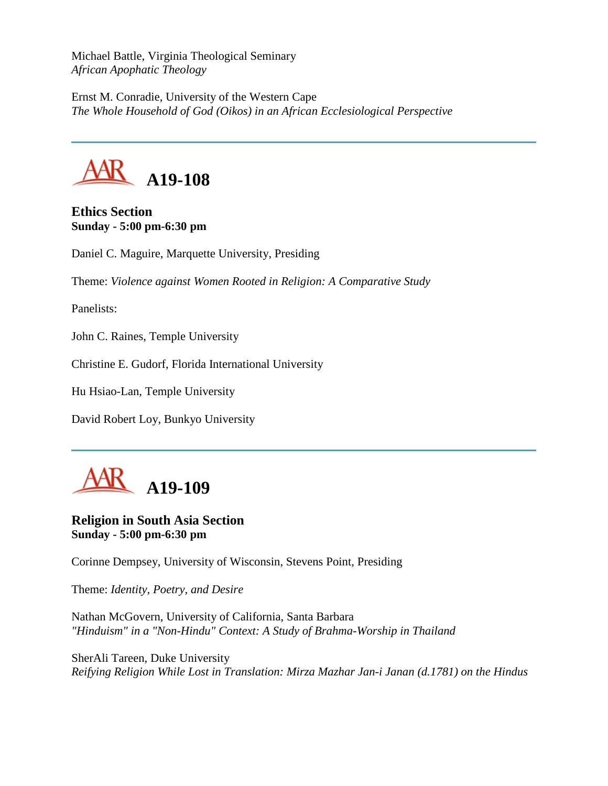Michael Battle, Virginia Theological Seminary *African Apophatic Theology*

Ernst M. Conradie, University of the Western Cape *The Whole Household of God (Oikos) in an African Ecclesiological Perspective*



**Ethics Section Sunday - 5:00 pm-6:30 pm**

Daniel C. Maguire, Marquette University, Presiding

Theme: *Violence against Women Rooted in Religion: A Comparative Study*

Panelists:

John C. Raines, Temple University

Christine E. Gudorf, Florida International University

Hu Hsiao-Lan, Temple University

David Robert Loy, Bunkyo University



**Religion in South Asia Section Sunday - 5:00 pm-6:30 pm**

Corinne Dempsey, University of Wisconsin, Stevens Point, Presiding

Theme: *Identity, Poetry, and Desire*

Nathan McGovern, University of California, Santa Barbara *"Hinduism" in a "Non-Hindu" Context: A Study of Brahma-Worship in Thailand*

SherAli Tareen, Duke University *Reifying Religion While Lost in Translation: Mirza Mazhar Jan-i Janan (d.1781) on the Hindus*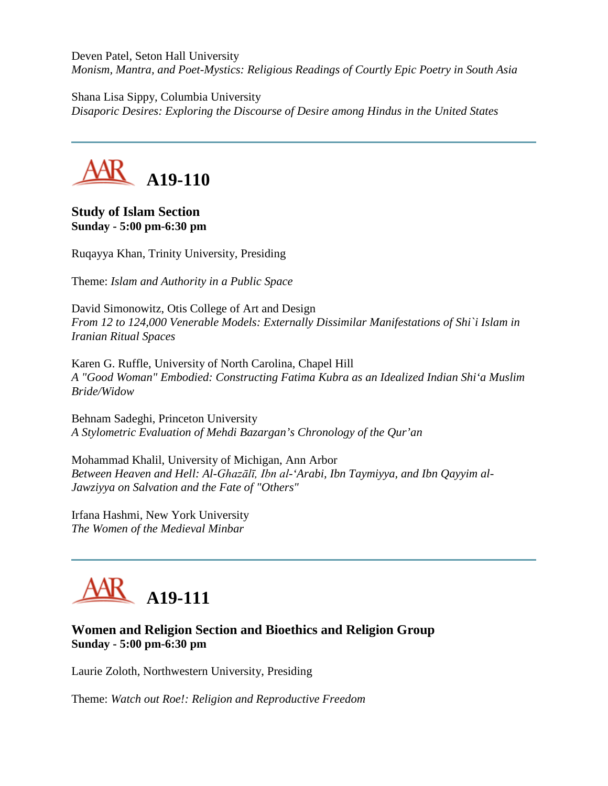Deven Patel, Seton Hall University *Monism, Mantra, and Poet-Mystics: Religious Readings of Courtly Epic Poetry in South Asia*

Shana Lisa Sippy, Columbia University *Disaporic Desires: Exploring the Discourse of Desire among Hindus in the United States*



**Study of Islam Section Sunday - 5:00 pm-6:30 pm**

Ruqayya Khan, Trinity University, Presiding

Theme: *Islam and Authority in a Public Space*

David Simonowitz, Otis College of Art and Design *From 12 to 124,000 Venerable Models: Externally Dissimilar Manifestations of Shi`i Islam in Iranian Ritual Spaces*

Karen G. Ruffle, University of North Carolina, Chapel Hill *A "Good Woman" Embodied: Constructing Fatima Kubra as an Idealized Indian Shi'a Muslim Bride/Widow*

Behnam Sadeghi, Princeton University *A Stylometric Evaluation of Mehdi Bazargan's Chronology of the Qur'an*

Mohammad Khalil, University of Michigan, Ann Arbor *Between Heaven and Hell: Al-Ghazālī, Ibn al-'Arabi, Ibn Taymiyya, and Ibn Qayyim al-Jawziyya on Salvation and the Fate of "Others"*

Irfana Hashmi, New York University *The Women of the Medieval Minbar*



# **Women and Religion Section and Bioethics and Religion Group Sunday - 5:00 pm-6:30 pm**

Laurie Zoloth, Northwestern University, Presiding

Theme: *Watch out Roe!: Religion and Reproductive Freedom*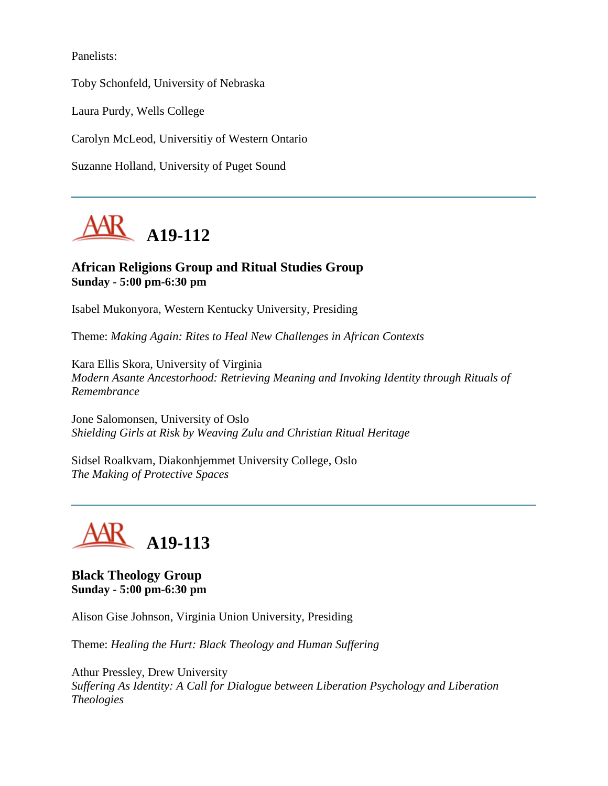Panelists:

Toby Schonfeld, University of Nebraska

Laura Purdy, Wells College

Carolyn McLeod, Universitiy of Western Ontario

Suzanne Holland, University of Puget Sound



## **African Religions Group and Ritual Studies Group Sunday - 5:00 pm-6:30 pm**

Isabel Mukonyora, Western Kentucky University, Presiding

Theme: *Making Again: Rites to Heal New Challenges in African Contexts*

Kara Ellis Skora, University of Virginia *Modern Asante Ancestorhood: Retrieving Meaning and Invoking Identity through Rituals of Remembrance*

Jone Salomonsen, University of Oslo *Shielding Girls at Risk by Weaving Zulu and Christian Ritual Heritage*

Sidsel Roalkvam, Diakonhjemmet University College, Oslo *The Making of Protective Spaces*



**Black Theology Group Sunday - 5:00 pm-6:30 pm**

Alison Gise Johnson, Virginia Union University, Presiding

Theme: *Healing the Hurt: Black Theology and Human Suffering*

Athur Pressley, Drew University *Suffering As Identity: A Call for Dialogue between Liberation Psychology and Liberation Theologies*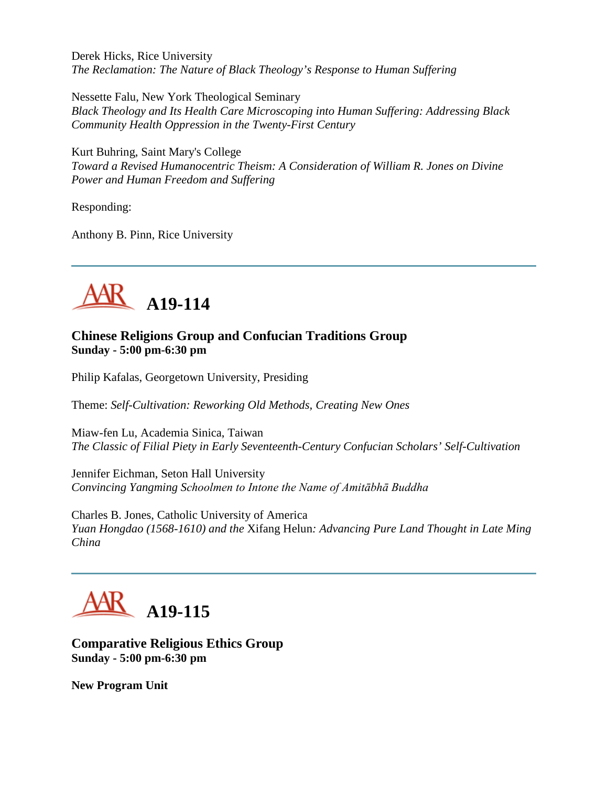Derek Hicks, Rice University *The Reclamation: The Nature of Black Theology's Response to Human Suffering*

Nessette Falu, New York Theological Seminary *Black Theology and Its Health Care Microscoping into Human Suffering: Addressing Black Community Health Oppression in the Twenty-First Century*

Kurt Buhring, Saint Mary's College *Toward a Revised Humanocentric Theism: A Consideration of William R. Jones on Divine Power and Human Freedom and Suffering*

Responding:

Anthony B. Pinn, Rice University



## **Chinese Religions Group and Confucian Traditions Group Sunday - 5:00 pm-6:30 pm**

Philip Kafalas, Georgetown University, Presiding

Theme: *Self-Cultivation: Reworking Old Methods, Creating New Ones*

Miaw-fen Lu, Academia Sinica, Taiwan *The Classic of Filial Piety in Early Seventeenth-Century Confucian Scholars' Self-Cultivation*

Jennifer Eichman, Seton Hall University *Convincing Yangming Schoolmen to Intone the Name of Amitābhā Buddha*

Charles B. Jones, Catholic University of America *Yuan Hongdao (1568-1610) and the* Xifang Helun*: Advancing Pure Land Thought in Late Ming China*



**Comparative Religious Ethics Group Sunday - 5:00 pm-6:30 pm**

**New Program Unit**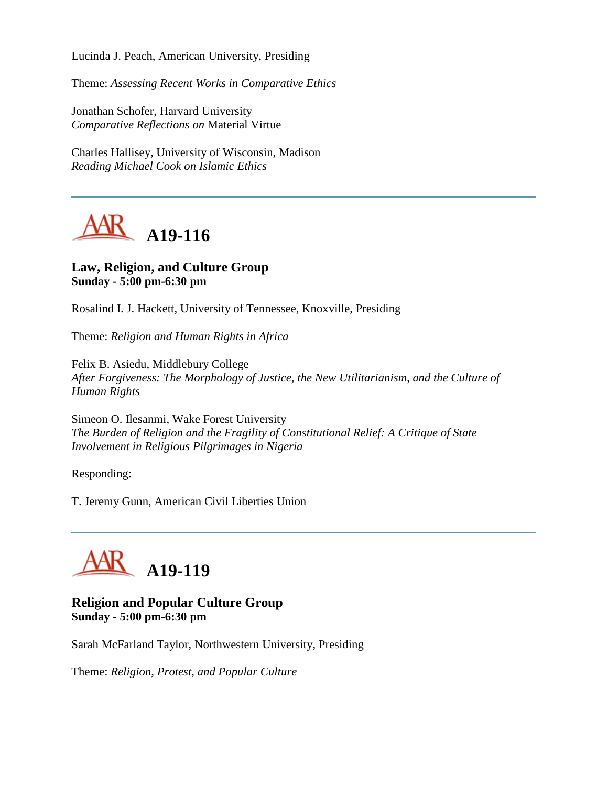Lucinda J. Peach, American University, Presiding

Theme: *Assessing Recent Works in Comparative Ethics*

Jonathan Schofer, Harvard University *Comparative Reflections on* Material Virtue

Charles Hallisey, University of Wisconsin, Madison *Reading Michael Cook on Islamic Ethics*



#### **Law, Religion, and Culture Group Sunday - 5:00 pm-6:30 pm**

Rosalind I. J. Hackett, University of Tennessee, Knoxville, Presiding

Theme: *Religion and Human Rights in Africa*

Felix B. Asiedu, Middlebury College *After Forgiveness: The Morphology of Justice, the New Utilitarianism, and the Culture of Human Rights*

Simeon O. Ilesanmi, Wake Forest University *The Burden of Religion and the Fragility of Constitutional Relief: A Critique of State Involvement in Religious Pilgrimages in Nigeria*

Responding:

T. Jeremy Gunn, American Civil Liberties Union



## **Religion and Popular Culture Group Sunday - 5:00 pm-6:30 pm**

Sarah McFarland Taylor, Northwestern University, Presiding

Theme: *Religion, Protest, and Popular Culture*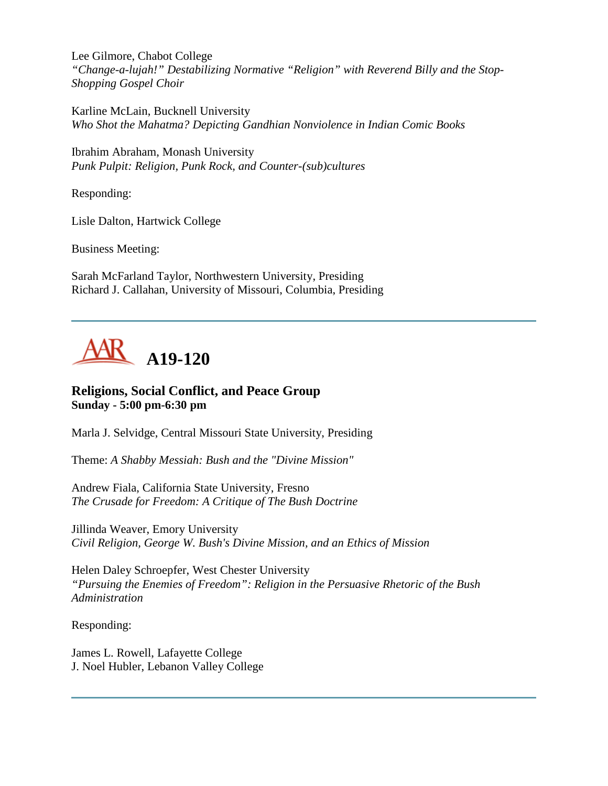Lee Gilmore, Chabot College *"Change-a-lujah!" Destabilizing Normative "Religion" with Reverend Billy and the Stop-Shopping Gospel Choir*

Karline McLain, Bucknell University *Who Shot the Mahatma? Depicting Gandhian Nonviolence in Indian Comic Books*

Ibrahim Abraham, Monash University *Punk Pulpit: Religion, Punk Rock, and Counter-(sub)cultures*

Responding:

Lisle Dalton, Hartwick College

Business Meeting:

Sarah McFarland Taylor, Northwestern University, Presiding Richard J. Callahan, University of Missouri, Columbia, Presiding



# **Religions, Social Conflict, and Peace Group Sunday - 5:00 pm-6:30 pm**

Marla J. Selvidge, Central Missouri State University, Presiding

Theme: *A Shabby Messiah: Bush and the "Divine Mission"*

Andrew Fiala, California State University, Fresno *The Crusade for Freedom: A Critique of The Bush Doctrine*

Jillinda Weaver, Emory University *Civil Religion, George W. Bush's Divine Mission, and an Ethics of Mission*

Helen Daley Schroepfer, West Chester University *"Pursuing the Enemies of Freedom": Religion in the Persuasive Rhetoric of the Bush Administration*

Responding:

James L. Rowell, Lafayette College J. Noel Hubler, Lebanon Valley College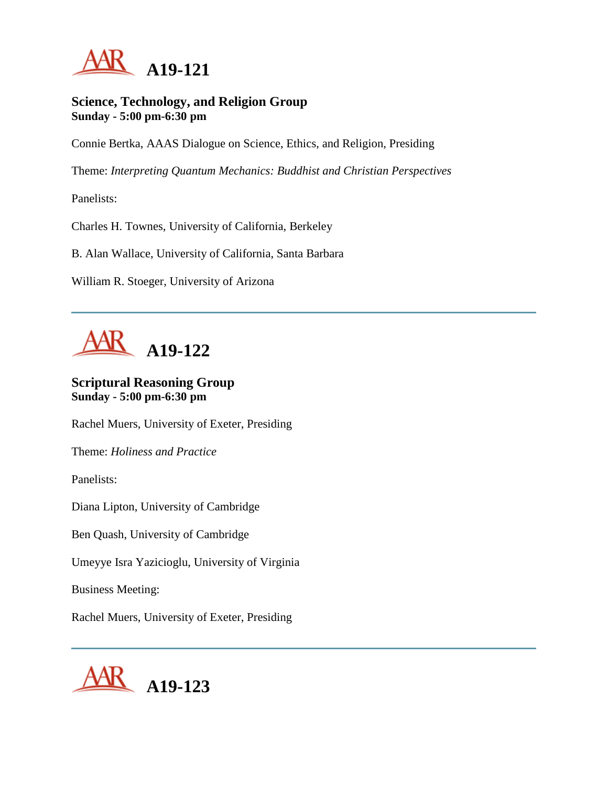

#### **Science, Technology, and Religion Group Sunday - 5:00 pm-6:30 pm**

Connie Bertka, AAAS Dialogue on Science, Ethics, and Religion, Presiding

Theme: *Interpreting Quantum Mechanics: Buddhist and Christian Perspectives*

Panelists:

Charles H. Townes, University of California, Berkeley

B. Alan Wallace, University of California, Santa Barbara

William R. Stoeger, University of Arizona



# **Scriptural Reasoning Group Sunday - 5:00 pm-6:30 pm**

Rachel Muers, University of Exeter, Presiding

Theme: *Holiness and Practice*

Panelists:

Diana Lipton, University of Cambridge

Ben Quash, University of Cambridge

Umeyye Isra Yazicioglu, University of Virginia

Business Meeting:

Rachel Muers, University of Exeter, Presiding

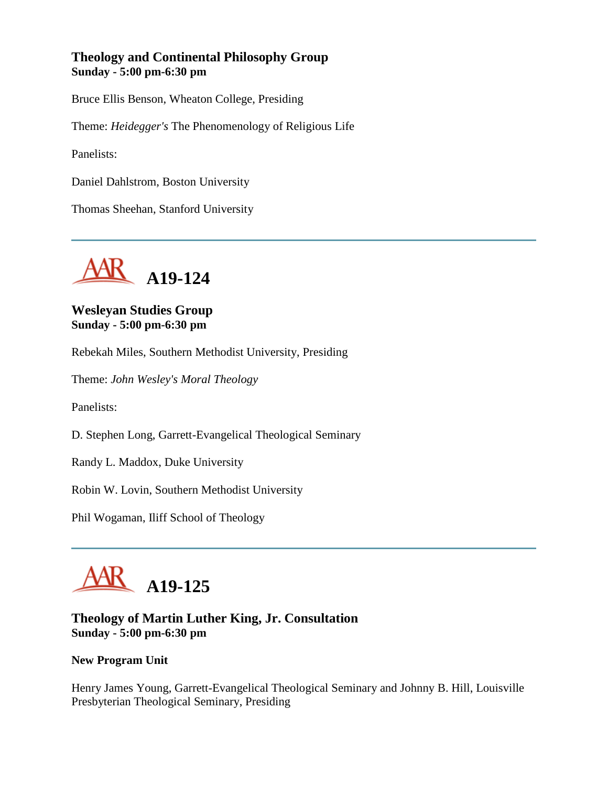## **Theology and Continental Philosophy Group Sunday - 5:00 pm-6:30 pm**

Bruce Ellis Benson, Wheaton College, Presiding

Theme: *Heidegger's* The Phenomenology of Religious Life

Panelists:

Daniel Dahlstrom, Boston University

Thomas Sheehan, Stanford University



# **Wesleyan Studies Group Sunday - 5:00 pm-6:30 pm**

Rebekah Miles, Southern Methodist University, Presiding

Theme: *John Wesley's Moral Theology*

Panelists:

D. Stephen Long, Garrett-Evangelical Theological Seminary

Randy L. Maddox, Duke University

Robin W. Lovin, Southern Methodist University

Phil Wogaman, Iliff School of Theology



## **Theology of Martin Luther King, Jr. Consultation Sunday - 5:00 pm-6:30 pm**

#### **New Program Unit**

Henry James Young, Garrett-Evangelical Theological Seminary and Johnny B. Hill, Louisville Presbyterian Theological Seminary, Presiding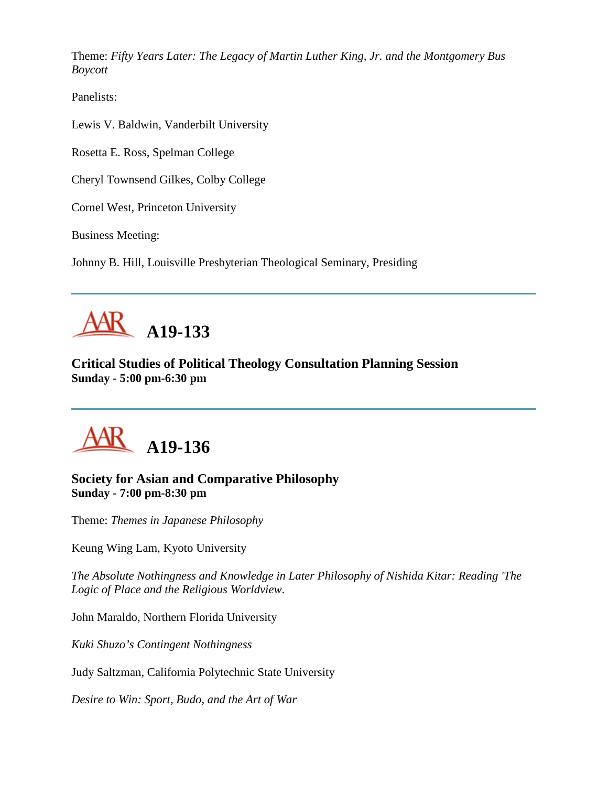Theme: *Fifty Years Later: The Legacy of Martin Luther King, Jr. and the Montgomery Bus Boycott*

Panelists:

Lewis V. Baldwin, Vanderbilt University

Rosetta E. Ross, Spelman College

Cheryl Townsend Gilkes, Colby College

Cornel West, Princeton University

Business Meeting:

Johnny B. Hill, Louisville Presbyterian Theological Seminary, Presiding



**Critical Studies of Political Theology Consultation Planning Session Sunday - 5:00 pm-6:30 pm**



# **Society for Asian and Comparative Philosophy Sunday - 7:00 pm-8:30 pm**

Theme: *Themes in Japanese Philosophy*

Keung Wing Lam, Kyoto University

*The Absolute Nothingness and Knowledge in Later Philosophy of Nishida Kitar: Reading 'The Logic of Place and the Religious Worldview*.

John Maraldo, Northern Florida University

*Kuki Shuzo's Contingent Nothingness*

Judy Saltzman, California Polytechnic State University

*Desire to Win: Sport, Budo, and the Art of War*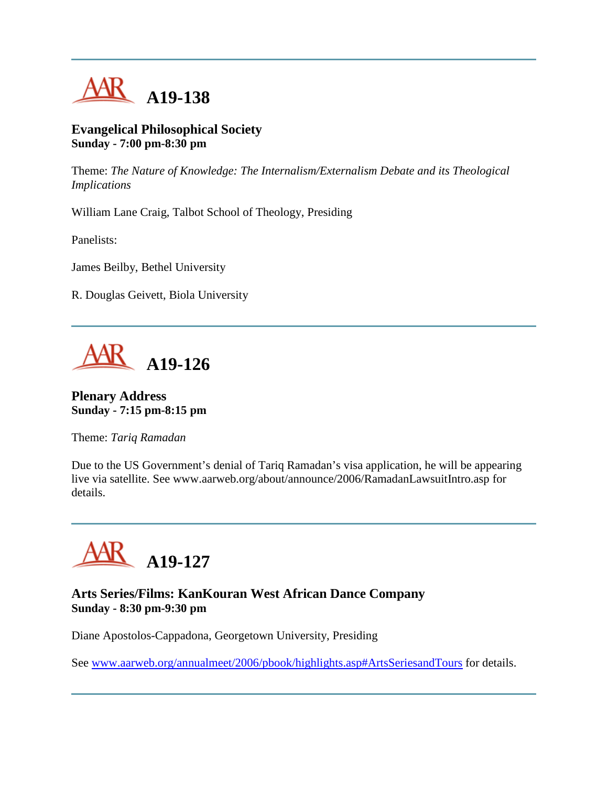

#### **Evangelical Philosophical Society Sunday - 7:00 pm-8:30 pm**

Theme: *The Nature of Knowledge: The Internalism/Externalism Debate and its Theological Implications*

William Lane Craig, Talbot School of Theology, Presiding

Panelists:

James Beilby, Bethel University

R. Douglas Geivett, Biola University



## **Plenary Address Sunday - 7:15 pm-8:15 pm**

Theme: *Tariq Ramadan*

Due to the US Government's denial of Tariq Ramadan's visa application, he will be appearing live via satellite. See www.aarweb.org/about/announce/2006/RamadanLawsuitIntro.asp for details.



## **Arts Series/Films: KanKouran West African Dance Company Sunday - 8:30 pm-9:30 pm**

Diane Apostolos-Cappadona, Georgetown University, Presiding

See [www.aarweb.org/annualmeet/2006/pbook/highlights.asp#ArtsSeriesandTours](http://www.aarweb.org/Meetings/Annual_Meeting/Past_and_Future_Meetings/2006/highlights.asp#ArtsSeriesandTours) for details.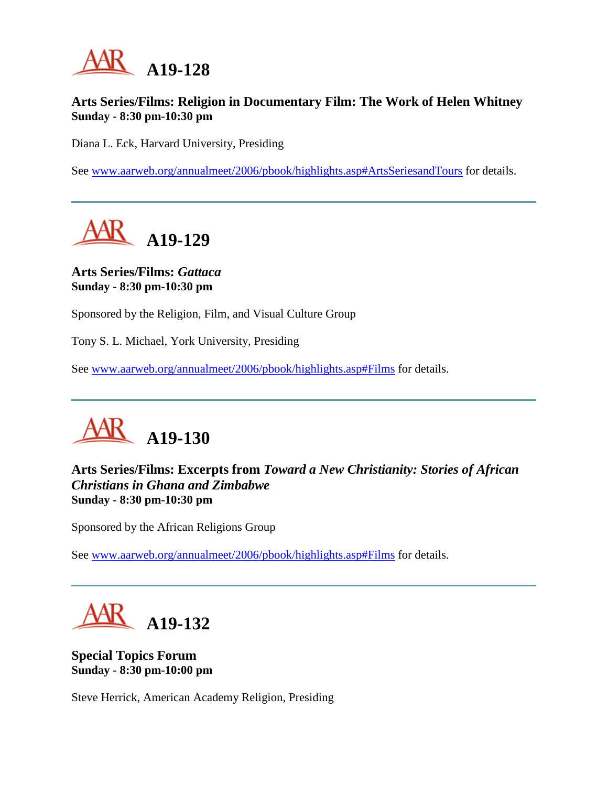

## **Arts Series/Films: Religion in Documentary Film: The Work of Helen Whitney Sunday - 8:30 pm-10:30 pm**

Diana L. Eck, Harvard University, Presiding

See [www.aarweb.org/annualmeet/2006/pbook/highlights.asp#ArtsSeriesandTours](http://www.aarweb.org/Meetings/Annual_Meeting/Past_and_Future_Meetings/2006/highlights.asp#ArtsSeriesandTours) for details.

**A19-129**

**Arts Series/Films:** *Gattaca* **Sunday - 8:30 pm-10:30 pm**

Sponsored by the Religion, Film, and Visual Culture Group

Tony S. L. Michael, York University, Presiding

See [www.aarweb.org/annualmeet/2006/pbook/highlights.asp#Films](http://www.aarweb.org/Meetings/Annual_Meeting/Past_and_Future_Meetings/2006/highlights.asp#Films) for details.



# **Arts Series/Films: Excerpts from** *Toward a New Christianity: Stories of African Christians in Ghana and Zimbabwe* **Sunday - 8:30 pm-10:30 pm**

Sponsored by the African Religions Group

See [www.aarweb.org/annualmeet/2006/pbook/highlights.asp#Films](http://www.aarweb.org/Meetings/Annual_Meeting/Past_and_Future_Meetings/2006/highlights.asp#Films) for details.



**Special Topics Forum Sunday - 8:30 pm-10:00 pm**

Steve Herrick, American Academy Religion, Presiding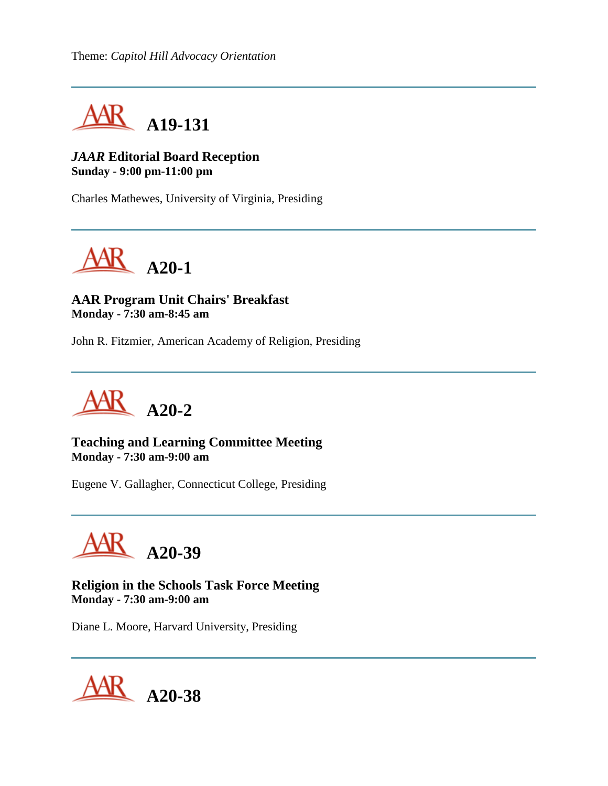Theme: *Capitol Hill Advocacy Orientation*



## *JAAR* **Editorial Board Reception Sunday - 9:00 pm-11:00 pm**

Charles Mathewes, University of Virginia, Presiding



**AAR Program Unit Chairs' Breakfast Monday - 7:30 am-8:45 am**

John R. Fitzmier, American Academy of Religion, Presiding



**Teaching and Learning Committee Meeting Monday - 7:30 am-9:00 am**

Eugene V. Gallagher, Connecticut College, Presiding



**Religion in the Schools Task Force Meeting Monday - 7:30 am-9:00 am**

Diane L. Moore, Harvard University, Presiding

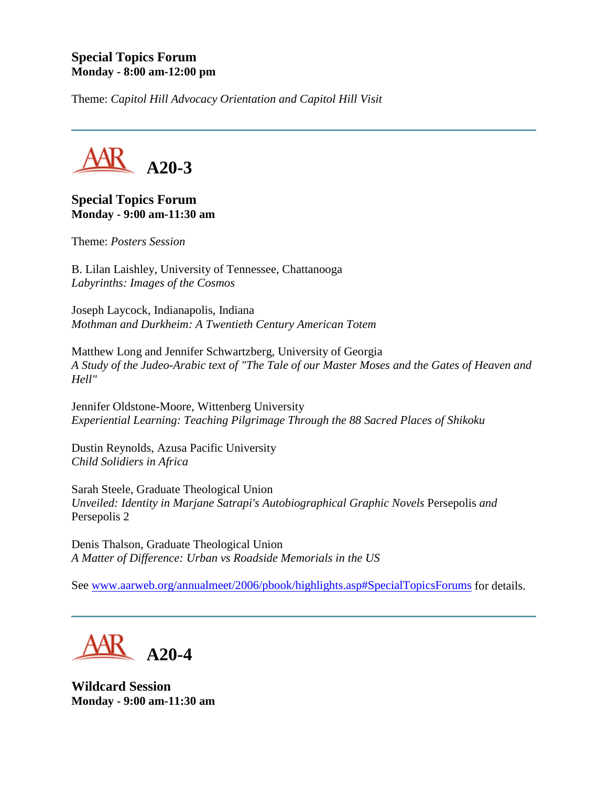### **Special Topics Forum Monday - 8:00 am-12:00 pm**

Theme: *Capitol Hill Advocacy Orientation and Capitol Hill Visit*



### **Special Topics Forum Monday - 9:00 am-11:30 am**

Theme: *Posters Session*

B. Lilan Laishley, University of Tennessee, Chattanooga *Labyrinths: Images of the Cosmos*

Joseph Laycock, Indianapolis, Indiana *Mothman and Durkheim: A Twentieth Century American Totem*

Matthew Long and Jennifer Schwartzberg, University of Georgia *A Study of the Judeo-Arabic text of "The Tale of our Master Moses and the Gates of Heaven and Hell"*

Jennifer Oldstone-Moore, Wittenberg University *Experiential Learning: Teaching Pilgrimage Through the 88 Sacred Places of Shikoku*

Dustin Reynolds, Azusa Pacific University *Child Solidiers in Africa*

Sarah Steele, Graduate Theological Union *Unveiled: Identity in Marjane Satrapi's Autobiographical Graphic Novels Persepolis and* Persepolis 2

Denis Thalson, Graduate Theological Union *A Matter of Difference: Urban vs Roadside Memorials in the US*

See [www.aarweb.org/annualmeet/2006/pbook/highlights.asp#SpecialTopicsForums](http://www.aarweb.org/Meetings/Annual_Meeting/Past_and_Future_Meetings/2006/highlights.asp#SpecialTopicsForums) for details.

**A20-4**

**Wildcard Session Monday - 9:00 am-11:30 am**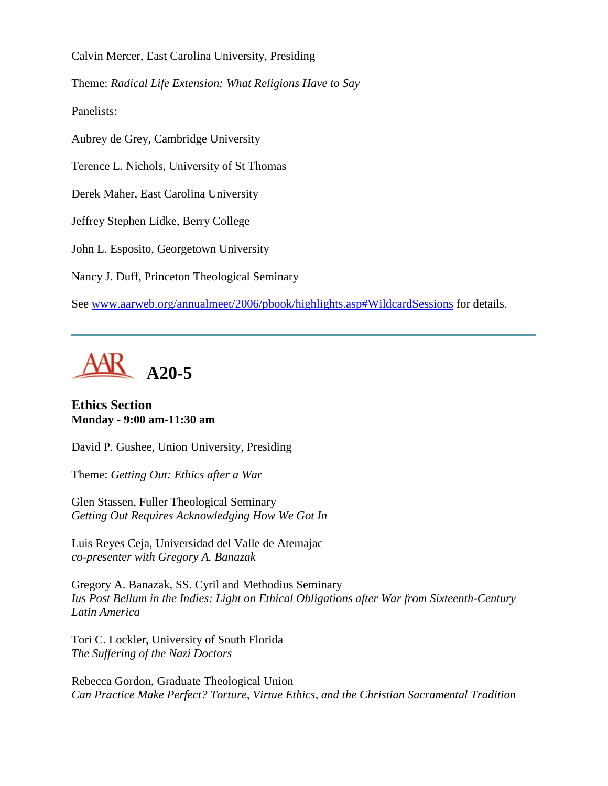Calvin Mercer, East Carolina University, Presiding

Theme: *Radical Life Extension: What Religions Have to Say*

Panelists:

Aubrey de Grey, Cambridge University

Terence L. Nichols, University of St Thomas

Derek Maher, East Carolina University

Jeffrey Stephen Lidke, Berry College

John L. Esposito, Georgetown University

Nancy J. Duff, Princeton Theological Seminary

See [www.aarweb.org/annualmeet/2006/pbook/highlights.asp#WildcardSessions](http://www.aarweb.org/Meetings/Annual_Meeting/Past_and_Future_Meetings/2006/highlights.asp#WildcardSessions) for details.



### **Ethics Section Monday - 9:00 am-11:30 am**

David P. Gushee, Union University, Presiding

Theme: *Getting Out: Ethics after a War*

Glen Stassen, Fuller Theological Seminary *Getting Out Requires Acknowledging How We Got In*

Luis Reyes Ceja, Universidad del Valle de Atemajac *co-presenter with Gregory A. Banazak*

Gregory A. Banazak, SS. Cyril and Methodius Seminary *Ius Post Bellum in the Indies: Light on Ethical Obligations after War from Sixteenth-Century Latin America*

Tori C. Lockler, University of South Florida *The Suffering of the Nazi Doctors*

Rebecca Gordon, Graduate Theological Union *Can Practice Make Perfect? Torture, Virtue Ethics, and the Christian Sacramental Tradition*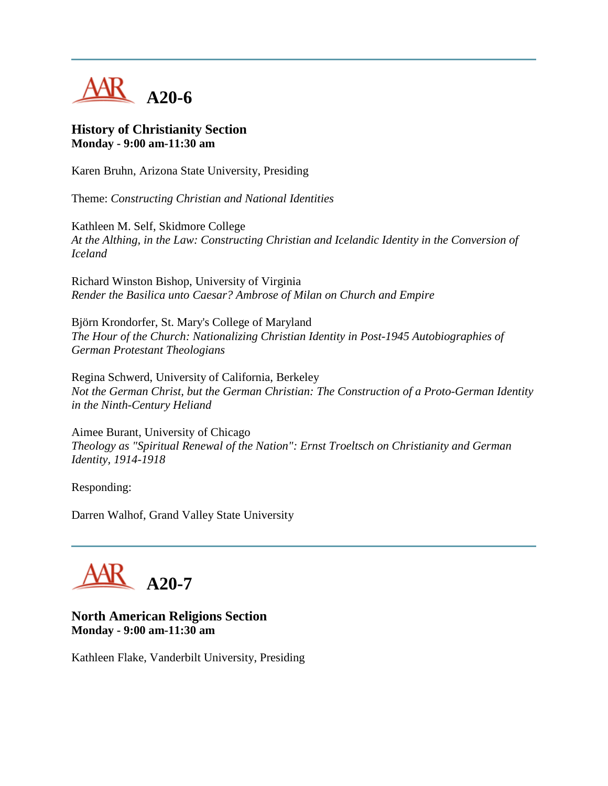

#### **History of Christianity Section Monday - 9:00 am-11:30 am**

Karen Bruhn, Arizona State University, Presiding

Theme: *Constructing Christian and National Identities*

Kathleen M. Self, Skidmore College *At the Althing, in the Law: Constructing Christian and Icelandic Identity in the Conversion of Iceland*

Richard Winston Bishop, University of Virginia *Render the Basilica unto Caesar? Ambrose of Milan on Church and Empire*

Björn Krondorfer, St. Mary's College of Maryland *The Hour of the Church: Nationalizing Christian Identity in Post-1945 Autobiographies of German Protestant Theologians*

Regina Schwerd, University of California, Berkeley *Not the German Christ, but the German Christian: The Construction of a Proto-German Identity in the Ninth-Century Heliand*

Aimee Burant, University of Chicago *Theology as "Spiritual Renewal of the Nation": Ernst Troeltsch on Christianity and German Identity, 1914-1918*

Responding:

Darren Walhof, Grand Valley State University



#### **North American Religions Section Monday - 9:00 am-11:30 am**

Kathleen Flake, Vanderbilt University, Presiding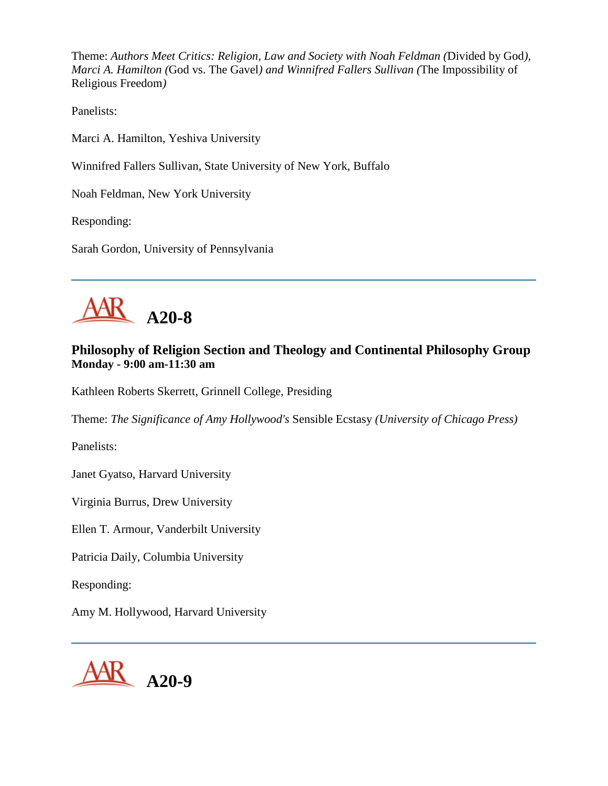Theme: *Authors Meet Critics: Religion, Law and Society with Noah Feldman (*Divided by God*), Marci A. Hamilton (*God vs. The Gavel*) and Winnifred Fallers Sullivan (*The Impossibility of Religious Freedom*)*

Panelists:

Marci A. Hamilton, Yeshiva University

Winnifred Fallers Sullivan, State University of New York, Buffalo

Noah Feldman, New York University

Responding:

Sarah Gordon, University of Pennsylvania



# **Philosophy of Religion Section and Theology and Continental Philosophy Group Monday - 9:00 am-11:30 am**

Kathleen Roberts Skerrett, Grinnell College, Presiding

Theme: *The Significance of Amy Hollywood's* Sensible Ecstasy *(University of Chicago Press)*

Panelists:

Janet Gyatso, Harvard University

Virginia Burrus, Drew University

Ellen T. Armour, Vanderbilt University

Patricia Daily, Columbia University

Responding:

Amy M. Hollywood, Harvard University

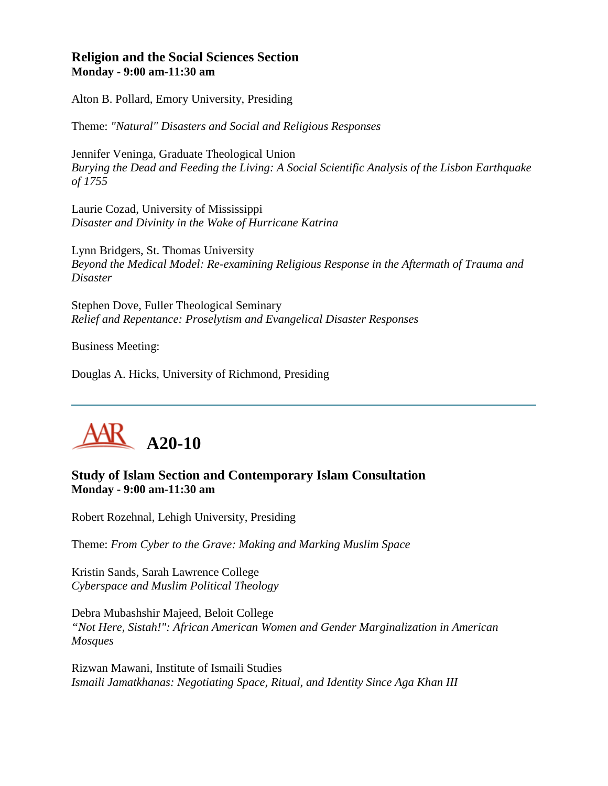### **Religion and the Social Sciences Section Monday - 9:00 am-11:30 am**

Alton B. Pollard, Emory University, Presiding

Theme: *"Natural" Disasters and Social and Religious Responses*

Jennifer Veninga, Graduate Theological Union *Burying the Dead and Feeding the Living: A Social Scientific Analysis of the Lisbon Earthquake of 1755*

Laurie Cozad, University of Mississippi *Disaster and Divinity in the Wake of Hurricane Katrina*

Lynn Bridgers, St. Thomas University *Beyond the Medical Model: Re-examining Religious Response in the Aftermath of Trauma and Disaster*

Stephen Dove, Fuller Theological Seminary *Relief and Repentance: Proselytism and Evangelical Disaster Responses*

Business Meeting:

Douglas A. Hicks, University of Richmond, Presiding



# **Study of Islam Section and Contemporary Islam Consultation Monday - 9:00 am-11:30 am**

Robert Rozehnal, Lehigh University, Presiding

Theme: *From Cyber to the Grave: Making and Marking Muslim Space*

Kristin Sands, Sarah Lawrence College *Cyberspace and Muslim Political Theology*

Debra Mubashshir Majeed, Beloit College *"Not Here, Sistah!": African American Women and Gender Marginalization in American Mosques*

Rizwan Mawani, Institute of Ismaili Studies *Ismaili Jamatkhanas: Negotiating Space, Ritual, and Identity Since Aga Khan III*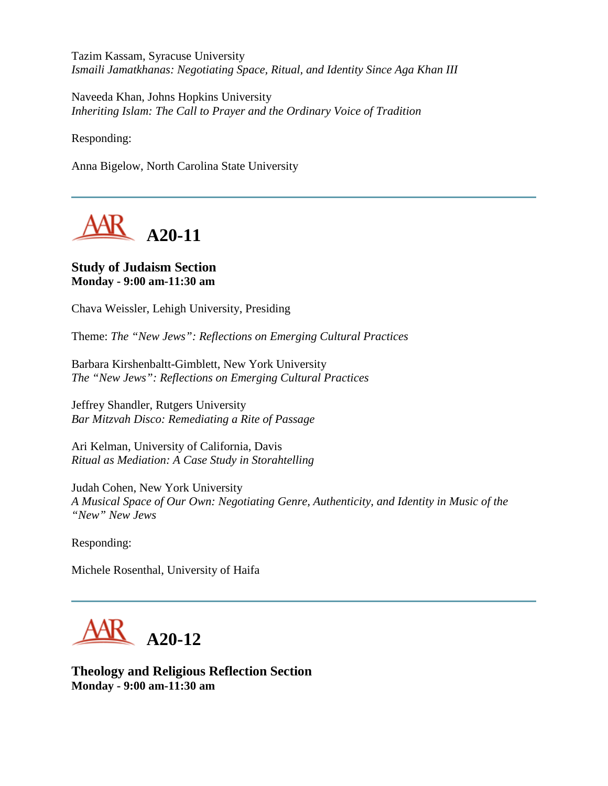Tazim Kassam, Syracuse University *Ismaili Jamatkhanas: Negotiating Space, Ritual, and Identity Since Aga Khan III*

Naveeda Khan, Johns Hopkins University *Inheriting Islam: The Call to Prayer and the Ordinary Voice of Tradition*

Responding:

Anna Bigelow, North Carolina State University



## **Study of Judaism Section Monday - 9:00 am-11:30 am**

Chava Weissler, Lehigh University, Presiding

Theme: *The "New Jews": Reflections on Emerging Cultural Practices*

Barbara Kirshenbaltt-Gimblett, New York University *The "New Jews": Reflections on Emerging Cultural Practices*

Jeffrey Shandler, Rutgers University *Bar Mitzvah Disco: Remediating a Rite of Passage*

Ari Kelman, University of California, Davis *Ritual as Mediation: A Case Study in Storahtelling*

Judah Cohen, New York University *A Musical Space of Our Own: Negotiating Genre, Authenticity, and Identity in Music of the "New" New Jews*

Responding:

Michele Rosenthal, University of Haifa



**Theology and Religious Reflection Section Monday - 9:00 am-11:30 am**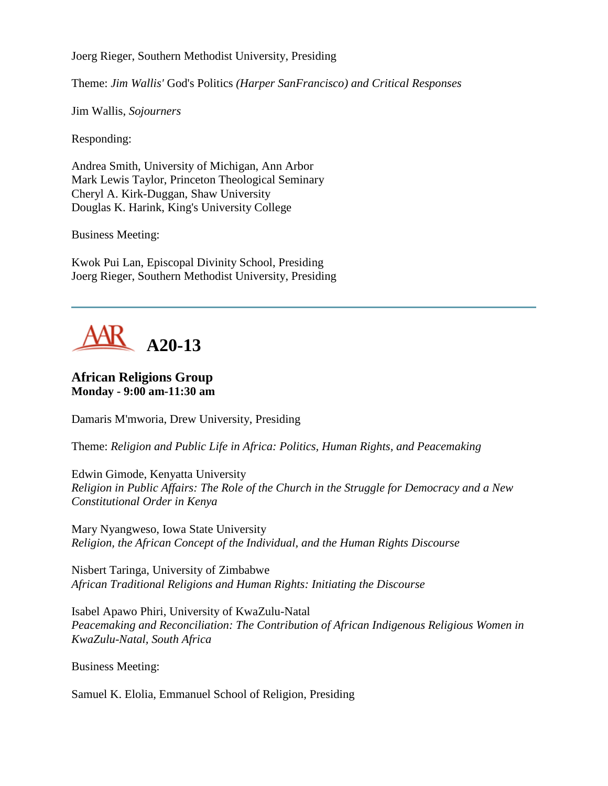Joerg Rieger, Southern Methodist University, Presiding

Theme: *Jim Wallis'* God's Politics *(Harper SanFrancisco) and Critical Responses*

Jim Wallis, *Sojourners*

Responding:

Andrea Smith, University of Michigan, Ann Arbor Mark Lewis Taylor, Princeton Theological Seminary Cheryl A. Kirk-Duggan, Shaw University Douglas K. Harink, King's University College

Business Meeting:

Kwok Pui Lan, Episcopal Divinity School, Presiding Joerg Rieger, Southern Methodist University, Presiding



## **African Religions Group Monday - 9:00 am-11:30 am**

Damaris M'mworia, Drew University, Presiding

Theme: *Religion and Public Life in Africa: Politics, Human Rights, and Peacemaking*

Edwin Gimode, Kenyatta University *Religion in Public Affairs: The Role of the Church in the Struggle for Democracy and a New Constitutional Order in Kenya*

Mary Nyangweso, Iowa State University *Religion, the African Concept of the Individual, and the Human Rights Discourse*

Nisbert Taringa, University of Zimbabwe *African Traditional Religions and Human Rights: Initiating the Discourse*

Isabel Apawo Phiri, University of KwaZulu-Natal *Peacemaking and Reconciliation: The Contribution of African Indigenous Religious Women in KwaZulu-Natal, South Africa*

Business Meeting:

Samuel K. Elolia, Emmanuel School of Religion, Presiding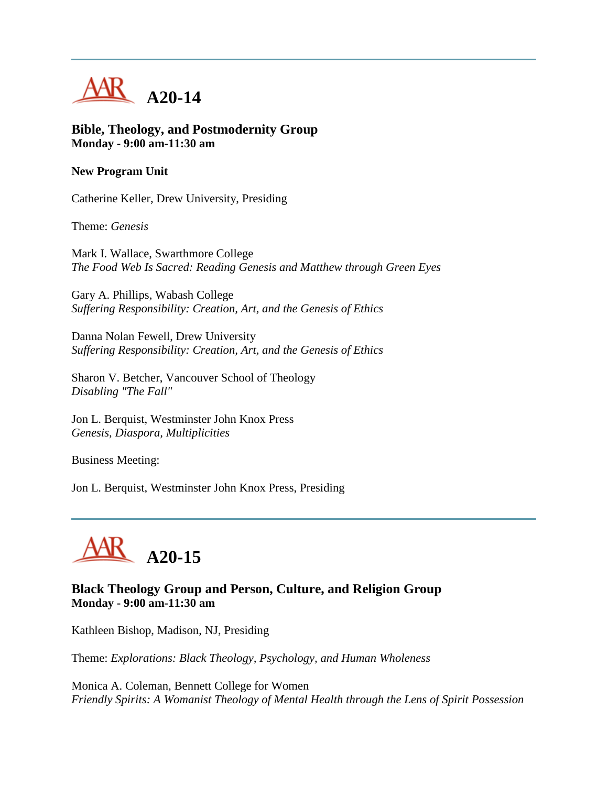

**Bible, Theology, and Postmodernity Group Monday - 9:00 am-11:30 am**

#### **New Program Unit**

Catherine Keller, Drew University, Presiding

Theme: *Genesis*

Mark I. Wallace, Swarthmore College *The Food Web Is Sacred: Reading Genesis and Matthew through Green Eyes*

Gary A. Phillips, Wabash College *Suffering Responsibility: Creation, Art, and the Genesis of Ethics*

Danna Nolan Fewell, Drew University *Suffering Responsibility: Creation, Art, and the Genesis of Ethics*

Sharon V. Betcher, Vancouver School of Theology *Disabling "The Fall"*

Jon L. Berquist, Westminster John Knox Press *Genesis, Diaspora, Multiplicities*

Business Meeting:

Jon L. Berquist, Westminster John Knox Press, Presiding



# **Black Theology Group and Person, Culture, and Religion Group Monday - 9:00 am-11:30 am**

Kathleen Bishop, Madison, NJ, Presiding

Theme: *Explorations: Black Theology, Psychology, and Human Wholeness*

Monica A. Coleman, Bennett College for Women *Friendly Spirits: A Womanist Theology of Mental Health through the Lens of Spirit Possession*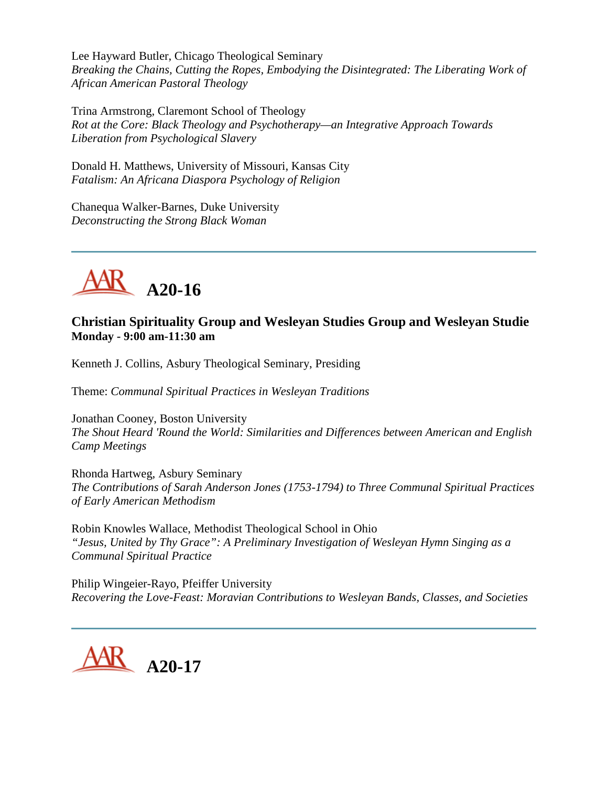Lee Hayward Butler, Chicago Theological Seminary *Breaking the Chains, Cutting the Ropes, Embodying the Disintegrated: The Liberating Work of African American Pastoral Theology*

Trina Armstrong, Claremont School of Theology *Rot at the Core: Black Theology and Psychotherapy—an Integrative Approach Towards Liberation from Psychological Slavery*

Donald H. Matthews, University of Missouri, Kansas City *Fatalism: An Africana Diaspora Psychology of Religion*

Chanequa Walker-Barnes, Duke University *Deconstructing the Strong Black Woman*



# **Christian Spirituality Group and Wesleyan Studies Group and Wesleyan Studie Monday - 9:00 am-11:30 am**

Kenneth J. Collins, Asbury Theological Seminary, Presiding

Theme: *Communal Spiritual Practices in Wesleyan Traditions*

Jonathan Cooney, Boston University *The Shout Heard 'Round the World: Similarities and Differences between American and English Camp Meetings*

Rhonda Hartweg, Asbury Seminary *The Contributions of Sarah Anderson Jones (1753-1794) to Three Communal Spiritual Practices of Early American Methodism*

Robin Knowles Wallace, Methodist Theological School in Ohio *"Jesus, United by Thy Grace": A Preliminary Investigation of Wesleyan Hymn Singing as a Communal Spiritual Practice*

Philip Wingeier-Rayo, Pfeiffer University *Recovering the Love-Feast: Moravian Contributions to Wesleyan Bands, Classes, and Societies*

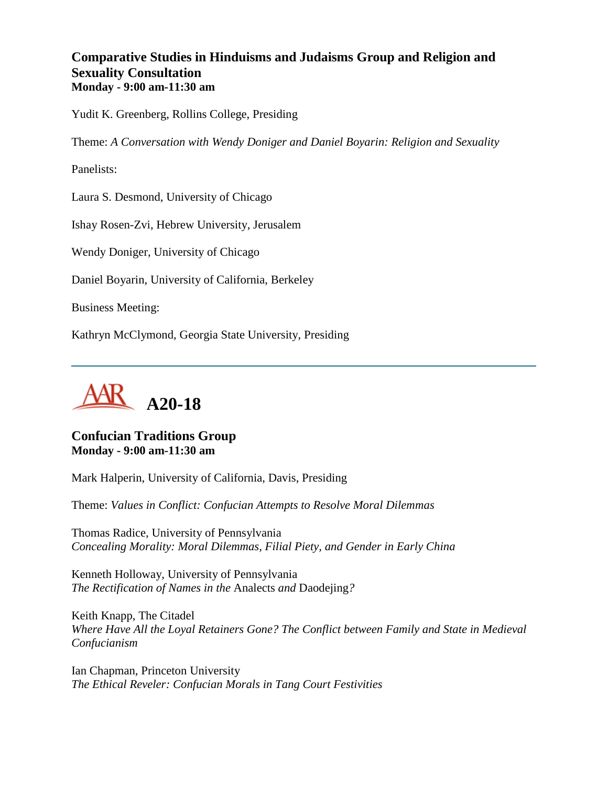## **Comparative Studies in Hinduisms and Judaisms Group and Religion and Sexuality Consultation Monday - 9:00 am-11:30 am**

Yudit K. Greenberg, Rollins College, Presiding

Theme: *A Conversation with Wendy Doniger and Daniel Boyarin: Religion and Sexuality*

Panelists:

Laura S. Desmond, University of Chicago

Ishay Rosen-Zvi, Hebrew University, Jerusalem

Wendy Doniger, University of Chicago

Daniel Boyarin, University of California, Berkeley

Business Meeting:

Kathryn McClymond, Georgia State University, Presiding



### **Confucian Traditions Group Monday - 9:00 am-11:30 am**

Mark Halperin, University of California, Davis, Presiding

Theme: *Values in Conflict: Confucian Attempts to Resolve Moral Dilemmas*

Thomas Radice, University of Pennsylvania *Concealing Morality: Moral Dilemmas, Filial Piety, and Gender in Early China*

Kenneth Holloway, University of Pennsylvania *The Rectification of Names in the* Analects *and* Daodejing*?*

Keith Knapp, The Citadel *Where Have All the Loyal Retainers Gone? The Conflict between Family and State in Medieval Confucianism*

Ian Chapman, Princeton University *The Ethical Reveler: Confucian Morals in Tang Court Festivities*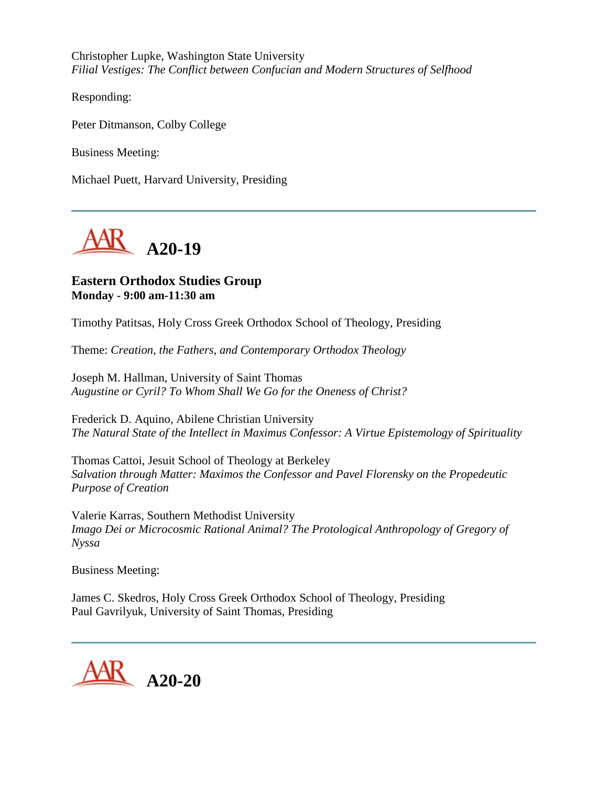Christopher Lupke, Washington State University *Filial Vestiges: The Conflict between Confucian and Modern Structures of Selfhood*

Responding:

Peter Ditmanson, Colby College

Business Meeting:

Michael Puett, Harvard University, Presiding



### **Eastern Orthodox Studies Group Monday - 9:00 am-11:30 am**

Timothy Patitsas, Holy Cross Greek Orthodox School of Theology, Presiding

Theme: *Creation, the Fathers, and Contemporary Orthodox Theology*

Joseph M. Hallman, University of Saint Thomas *Augustine or Cyril? To Whom Shall We Go for the Oneness of Christ?*

Frederick D. Aquino, Abilene Christian University *The Natural State of the Intellect in Maximus Confessor: A Virtue Epistemology of Spirituality*

Thomas Cattoi, Jesuit School of Theology at Berkeley *Salvation through Matter: Maximos the Confessor and Pavel Florensky on the Propedeutic Purpose of Creation*

Valerie Karras, Southern Methodist University *Imago Dei or Microcosmic Rational Animal? The Protological Anthropology of Gregory of Nyssa*

Business Meeting:

James C. Skedros, Holy Cross Greek Orthodox School of Theology, Presiding Paul Gavrilyuk, University of Saint Thomas, Presiding

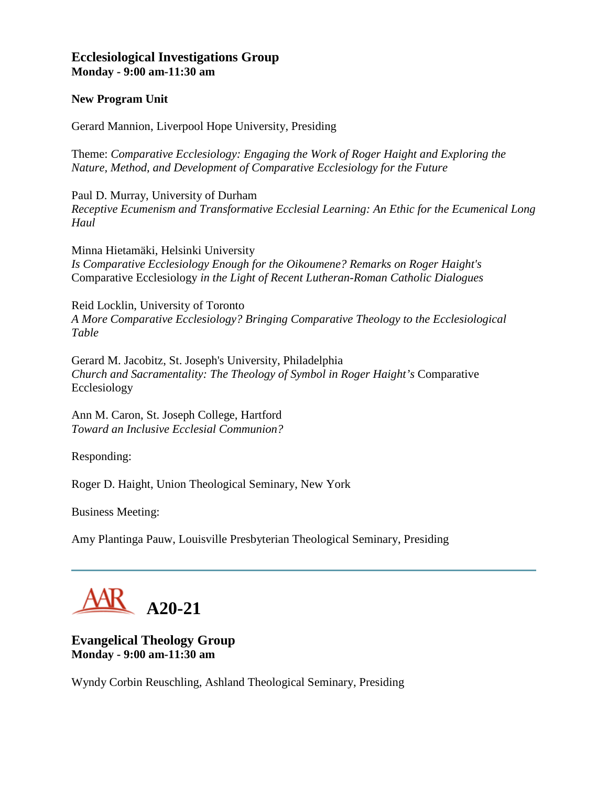### **Ecclesiological Investigations Group Monday - 9:00 am-11:30 am**

#### **New Program Unit**

Gerard Mannion, Liverpool Hope University, Presiding

Theme: *Comparative Ecclesiology: Engaging the Work of Roger Haight and Exploring the Nature, Method, and Development of Comparative Ecclesiology for the Future*

Paul D. Murray, University of Durham *Receptive Ecumenism and Transformative Ecclesial Learning: An Ethic for the Ecumenical Long Haul*

Minna Hietamäki, Helsinki University *Is Comparative Ecclesiology Enough for the Oikoumene? Remarks on Roger Haight's*  Comparative Ecclesiology *in the Light of Recent Lutheran-Roman Catholic Dialogues*

Reid Locklin, University of Toronto *A More Comparative Ecclesiology? Bringing Comparative Theology to the Ecclesiological Table*

Gerard M. Jacobitz, St. Joseph's University, Philadelphia *Church and Sacramentality: The Theology of Symbol in Roger Haight's* Comparative Ecclesiology

Ann M. Caron, St. Joseph College, Hartford *Toward an Inclusive Ecclesial Communion?*

Responding:

Roger D. Haight, Union Theological Seminary, New York

Business Meeting:

Amy Plantinga Pauw, Louisville Presbyterian Theological Seminary, Presiding



**Evangelical Theology Group Monday - 9:00 am-11:30 am**

Wyndy Corbin Reuschling, Ashland Theological Seminary, Presiding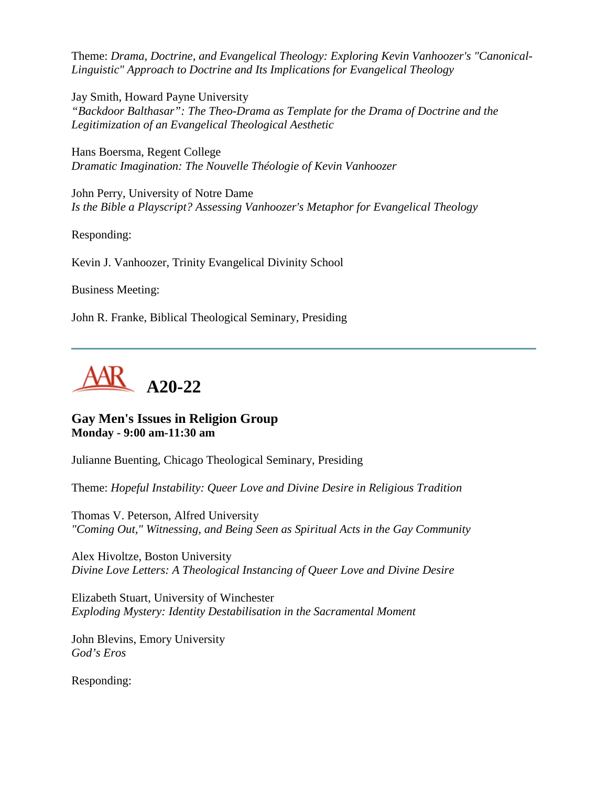Theme: *Drama, Doctrine, and Evangelical Theology: Exploring Kevin Vanhoozer's "Canonical-Linguistic" Approach to Doctrine and Its Implications for Evangelical Theology*

Jay Smith, Howard Payne University *"Backdoor Balthasar": The Theo-Drama as Template for the Drama of Doctrine and the Legitimization of an Evangelical Theological Aesthetic*

Hans Boersma, Regent College *Dramatic Imagination: The Nouvelle Théologie of Kevin Vanhoozer*

John Perry, University of Notre Dame *Is the Bible a Playscript? Assessing Vanhoozer's Metaphor for Evangelical Theology*

Responding:

Kevin J. Vanhoozer, Trinity Evangelical Divinity School

Business Meeting:

John R. Franke, Biblical Theological Seminary, Presiding



## **Gay Men's Issues in Religion Group Monday - 9:00 am-11:30 am**

Julianne Buenting, Chicago Theological Seminary, Presiding

Theme: *Hopeful Instability: Queer Love and Divine Desire in Religious Tradition*

Thomas V. Peterson, Alfred University *"Coming Out," Witnessing, and Being Seen as Spiritual Acts in the Gay Community*

Alex Hivoltze, Boston University *Divine Love Letters: A Theological Instancing of Queer Love and Divine Desire*

Elizabeth Stuart, University of Winchester *Exploding Mystery: Identity Destabilisation in the Sacramental Moment*

John Blevins, Emory University *God's Eros*

Responding: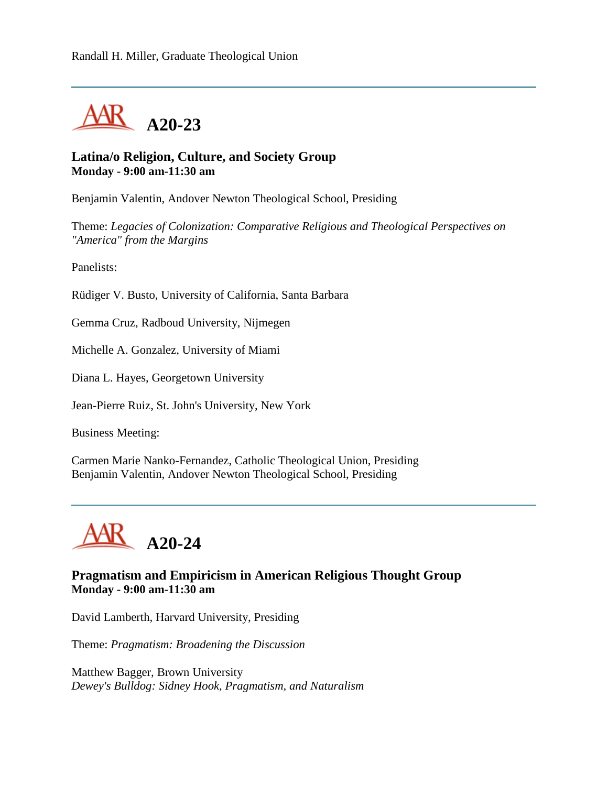

### **Latina/o Religion, Culture, and Society Group Monday - 9:00 am-11:30 am**

Benjamin Valentin, Andover Newton Theological School, Presiding

Theme: *Legacies of Colonization: Comparative Religious and Theological Perspectives on "America" from the Margins*

Panelists:

Rüdiger V. Busto, University of California, Santa Barbara

Gemma Cruz, Radboud University, Nijmegen

Michelle A. Gonzalez, University of Miami

Diana L. Hayes, Georgetown University

Jean-Pierre Ruiz, St. John's University, New York

Business Meeting:

Carmen Marie Nanko-Fernandez, Catholic Theological Union, Presiding Benjamin Valentin, Andover Newton Theological School, Presiding



### **Pragmatism and Empiricism in American Religious Thought Group Monday - 9:00 am-11:30 am**

David Lamberth, Harvard University, Presiding

Theme: *Pragmatism: Broadening the Discussion*

Matthew Bagger, Brown University *Dewey's Bulldog: Sidney Hook, Pragmatism, and Naturalism*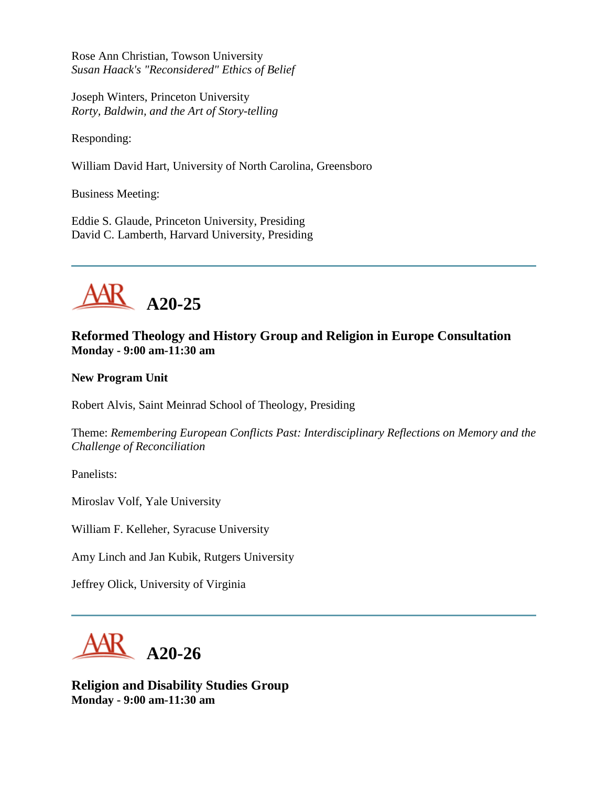Rose Ann Christian, Towson University *Susan Haack's "Reconsidered" Ethics of Belief*

Joseph Winters, Princeton University *Rorty, Baldwin, and the Art of Story-telling*

Responding:

William David Hart, University of North Carolina, Greensboro

Business Meeting:

Eddie S. Glaude, Princeton University, Presiding David C. Lamberth, Harvard University, Presiding



# **Reformed Theology and History Group and Religion in Europe Consultation Monday - 9:00 am-11:30 am**

**New Program Unit**

Robert Alvis, Saint Meinrad School of Theology, Presiding

Theme: *Remembering European Conflicts Past: Interdisciplinary Reflections on Memory and the Challenge of Reconciliation*

Panelists:

Miroslav Volf, Yale University

William F. Kelleher, Syracuse University

Amy Linch and Jan Kubik, Rutgers University

Jeffrey Olick, University of Virginia



**Religion and Disability Studies Group Monday - 9:00 am-11:30 am**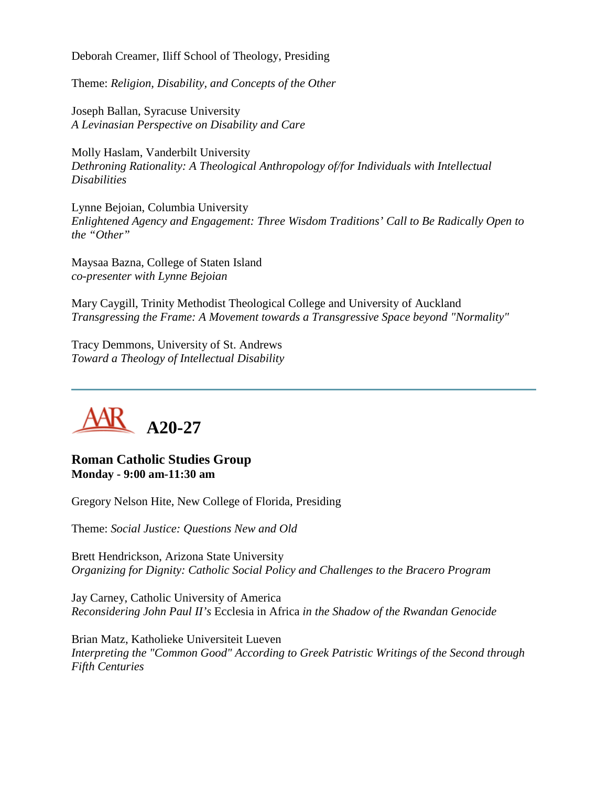Deborah Creamer, Iliff School of Theology, Presiding

Theme: *Religion, Disability, and Concepts of the Other*

Joseph Ballan, Syracuse University *A Levinasian Perspective on Disability and Care*

Molly Haslam, Vanderbilt University *Dethroning Rationality: A Theological Anthropology of/for Individuals with Intellectual Disabilities*

Lynne Bejoian, Columbia University *Enlightened Agency and Engagement: Three Wisdom Traditions' Call to Be Radically Open to the "Other"*

Maysaa Bazna, College of Staten Island *co-presenter with Lynne Bejoian*

Mary Caygill, Trinity Methodist Theological College and University of Auckland *Transgressing the Frame: A Movement towards a Transgressive Space beyond "Normality"*

Tracy Demmons, University of St. Andrews *Toward a Theology of Intellectual Disability*



**Roman Catholic Studies Group Monday - 9:00 am-11:30 am**

Gregory Nelson Hite, New College of Florida, Presiding

Theme: *Social Justice: Questions New and Old*

Brett Hendrickson, Arizona State University *Organizing for Dignity: Catholic Social Policy and Challenges to the Bracero Program*

Jay Carney, Catholic University of America *Reconsidering John Paul II's* Ecclesia in Africa *in the Shadow of the Rwandan Genocide*

Brian Matz, Katholieke Universiteit Lueven *Interpreting the "Common Good" According to Greek Patristic Writings of the Second through Fifth Centuries*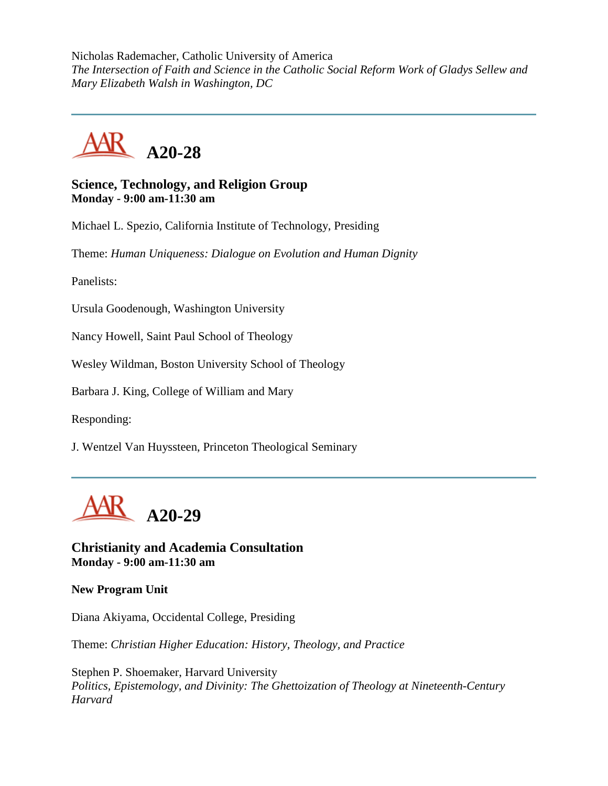Nicholas Rademacher, Catholic University of America *The Intersection of Faith and Science in the Catholic Social Reform Work of Gladys Sellew and Mary Elizabeth Walsh in Washington, DC*



#### **Science, Technology, and Religion Group Monday - 9:00 am-11:30 am**

Michael L. Spezio, California Institute of Technology, Presiding

Theme: *Human Uniqueness: Dialogue on Evolution and Human Dignity*

Panelists:

Ursula Goodenough, Washington University

Nancy Howell, Saint Paul School of Theology

Wesley Wildman, Boston University School of Theology

Barbara J. King, College of William and Mary

Responding:

J. Wentzel Van Huyssteen, Princeton Theological Seminary



**Christianity and Academia Consultation Monday - 9:00 am-11:30 am**

**New Program Unit**

Diana Akiyama, Occidental College, Presiding

Theme: *Christian Higher Education: History, Theology, and Practice*

Stephen P. Shoemaker, Harvard University *Politics, Epistemology, and Divinity: The Ghettoization of Theology at Nineteenth-Century Harvard*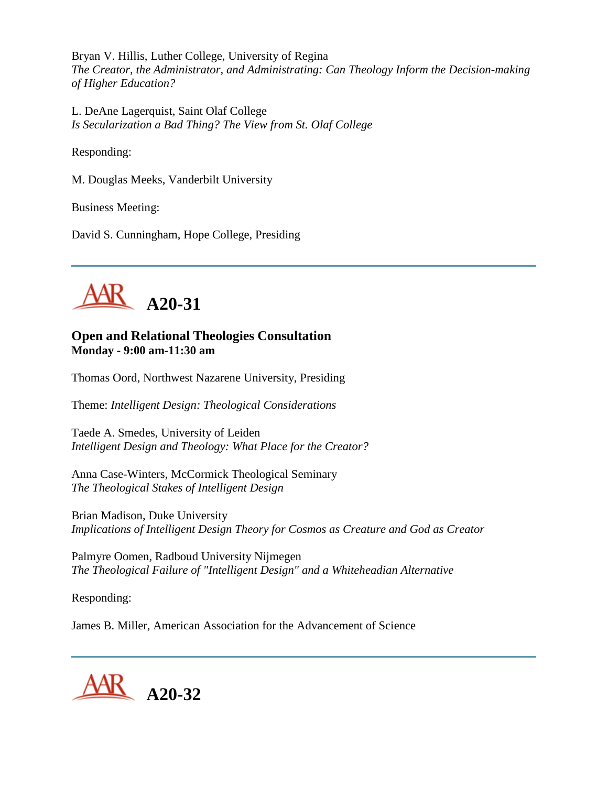Bryan V. Hillis, Luther College, University of Regina *The Creator, the Administrator, and Administrating: Can Theology Inform the Decision-making of Higher Education?*

L. DeAne Lagerquist, Saint Olaf College *Is Secularization a Bad Thing? The View from St. Olaf College*

Responding:

M. Douglas Meeks, Vanderbilt University

Business Meeting:

David S. Cunningham, Hope College, Presiding



## **Open and Relational Theologies Consultation Monday - 9:00 am-11:30 am**

Thomas Oord, Northwest Nazarene University, Presiding

Theme: *Intelligent Design: Theological Considerations*

Taede A. Smedes, University of Leiden *Intelligent Design and Theology: What Place for the Creator?*

Anna Case-Winters, McCormick Theological Seminary *The Theological Stakes of Intelligent Design*

Brian Madison, Duke University *Implications of Intelligent Design Theory for Cosmos as Creature and God as Creator*

Palmyre Oomen, Radboud University Nijmegen *The Theological Failure of "Intelligent Design" and a Whiteheadian Alternative*

Responding:

James B. Miller, American Association for the Advancement of Science

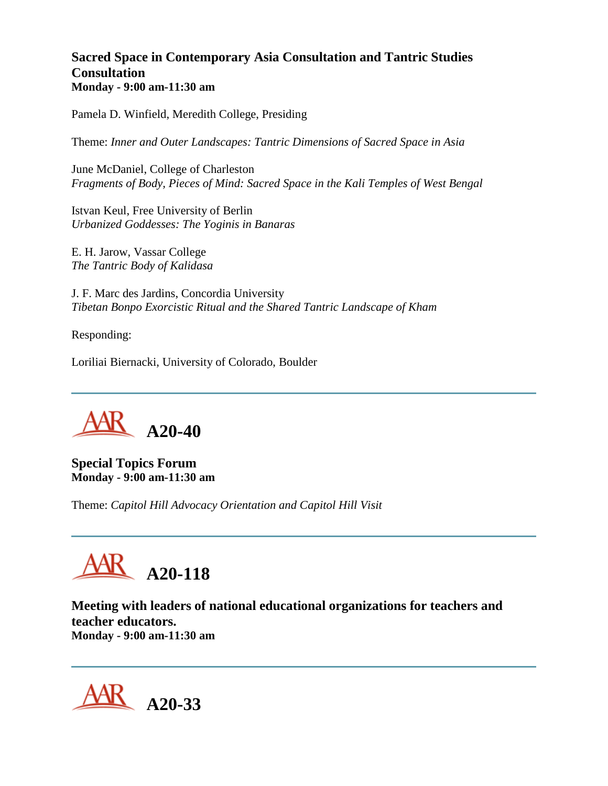# **Sacred Space in Contemporary Asia Consultation and Tantric Studies Consultation Monday - 9:00 am-11:30 am**

Pamela D. Winfield, Meredith College, Presiding

Theme: *Inner and Outer Landscapes: Tantric Dimensions of Sacred Space in Asia*

June McDaniel, College of Charleston *Fragments of Body, Pieces of Mind: Sacred Space in the Kali Temples of West Bengal*

Istvan Keul, Free University of Berlin *Urbanized Goddesses: The Yoginis in Banaras*

E. H. Jarow, Vassar College *The Tantric Body of Kalidasa*

J. F. Marc des Jardins, Concordia University *Tibetan Bonpo Exorcistic Ritual and the Shared Tantric Landscape of Kham*

Responding:

Loriliai Biernacki, University of Colorado, Boulder



**Special Topics Forum Monday - 9:00 am-11:30 am**

Theme: *Capitol Hill Advocacy Orientation and Capitol Hill Visit*



**Meeting with leaders of national educational organizations for teachers and teacher educators. Monday - 9:00 am-11:30 am**

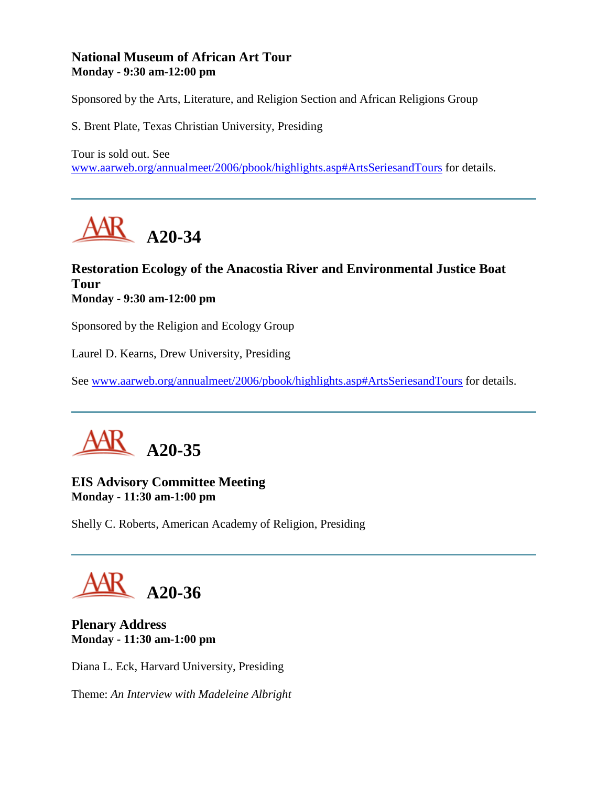## **National Museum of African Art Tour Monday - 9:30 am-12:00 pm**

Sponsored by the Arts, Literature, and Religion Section and African Religions Group

S. Brent Plate, Texas Christian University, Presiding

Tour is sold out. See [www.aarweb.org/annualmeet/2006/pbook/highlights.asp#ArtsSeriesandTours](http://www.aarweb.org/Meetings/Annual_Meeting/Past_and_Future_Meetings/2006/highlights.asp#ArtsSeriesandTours) for details.



# **Restoration Ecology of the Anacostia River and Environmental Justice Boat Tour Monday - 9:30 am-12:00 pm**

Sponsored by the Religion and Ecology Group

Laurel D. Kearns, Drew University, Presiding

See [www.aarweb.org/annualmeet/2006/pbook/highlights.asp#ArtsSeriesandTours](http://www.aarweb.org/Meetings/Annual_Meeting/Past_and_Future_Meetings/2006/highlights.asp#ArtsSeriesandTours) for details.



## **EIS Advisory Committee Meeting Monday - 11:30 am-1:00 pm**

Shelly C. Roberts, American Academy of Religion, Presiding

**A20-36**

### **Plenary Address Monday - 11:30 am-1:00 pm**

Diana L. Eck, Harvard University, Presiding

Theme: *An Interview with Madeleine Albright*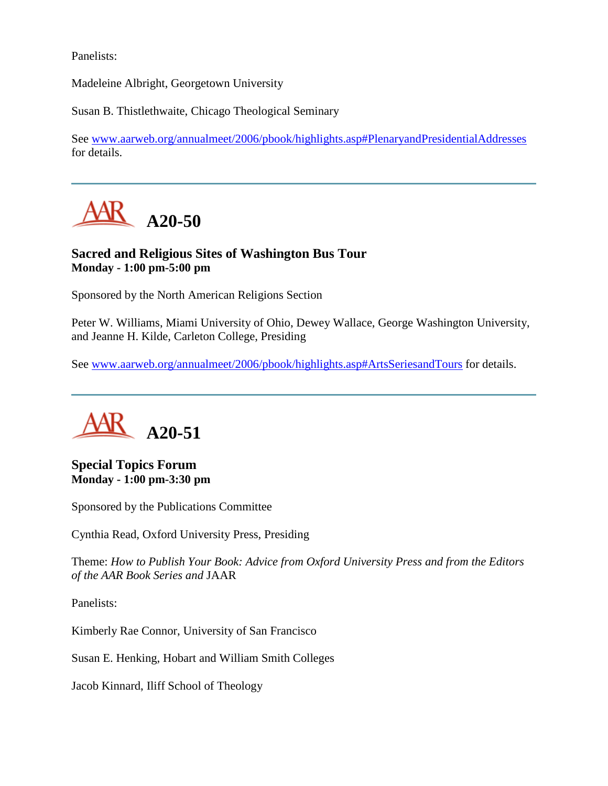Panelists:

Madeleine Albright, Georgetown University

Susan B. Thistlethwaite, Chicago Theological Seminary

See [www.aarweb.org/annualmeet/2006/pbook/highlights.asp#PlenaryandPresidentialAddresses](http://www.aarweb.org/Meetings/Annual_Meeting/Past_and_Future_Meetings/2006/highlights.asp#PlenaryandPresidentialAddresses) for details.



# **Sacred and Religious Sites of Washington Bus Tour Monday - 1:00 pm-5:00 pm**

Sponsored by the North American Religions Section

Peter W. Williams, Miami University of Ohio, Dewey Wallace, George Washington University, and Jeanne H. Kilde, Carleton College, Presiding

See [www.aarweb.org/annualmeet/2006/pbook/highlights.asp#ArtsSeriesandTours](http://www.aarweb.org/Meetings/Annual_Meeting/Past_and_Future_Meetings/2006/highlights.asp#ArtsSeriesandTours) for details.



**Special Topics Forum Monday - 1:00 pm-3:30 pm**

Sponsored by the Publications Committee

Cynthia Read, Oxford University Press, Presiding

Theme: *How to Publish Your Book: Advice from Oxford University Press and from the Editors of the AAR Book Series and* JAAR

Panelists:

Kimberly Rae Connor, University of San Francisco

Susan E. Henking, Hobart and William Smith Colleges

Jacob Kinnard, Iliff School of Theology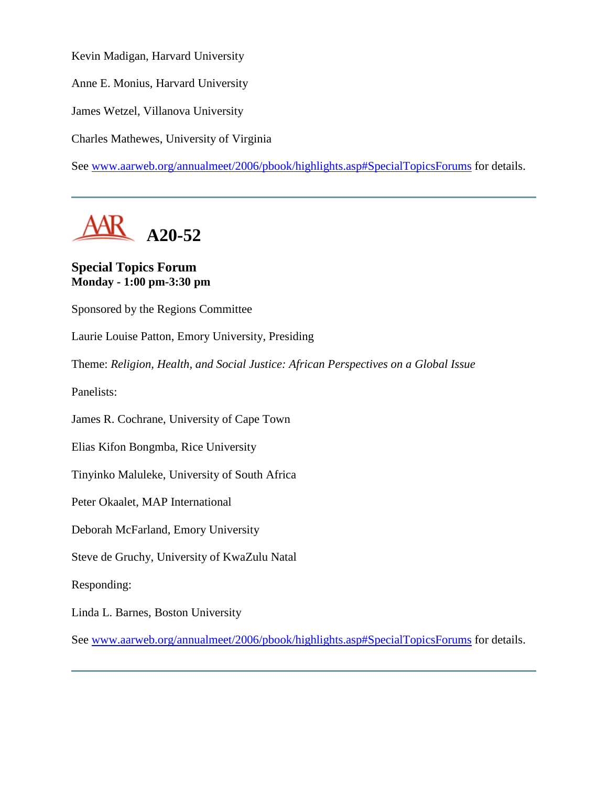Kevin Madigan, Harvard University

Anne E. Monius, Harvard University

James Wetzel, Villanova University

Charles Mathewes, University of Virginia

See [www.aarweb.org/annualmeet/2006/pbook/highlights.asp#SpecialTopicsForums](http://www.aarweb.org/Meetings/Annual_Meeting/Past_and_Future_Meetings/2006/highlights.asp#SpecialTopicsForums) for details.



# **Special Topics Forum Monday - 1:00 pm-3:30 pm**

Sponsored by the Regions Committee

Laurie Louise Patton, Emory University, Presiding

Theme: *Religion, Health, and Social Justice: African Perspectives on a Global Issue*

Panelists:

James R. Cochrane, University of Cape Town

Elias Kifon Bongmba, Rice University

Tinyinko Maluleke, University of South Africa

Peter Okaalet, MAP International

Deborah McFarland, Emory University

Steve de Gruchy, University of KwaZulu Natal

Responding:

Linda L. Barnes, Boston University

See [www.aarweb.org/annualmeet/2006/pbook/highlights.asp#SpecialTopicsForums](http://www.aarweb.org/Meetings/Annual_Meeting/Past_and_Future_Meetings/2006/highlights.asp#SpecialTopicsForums) for details.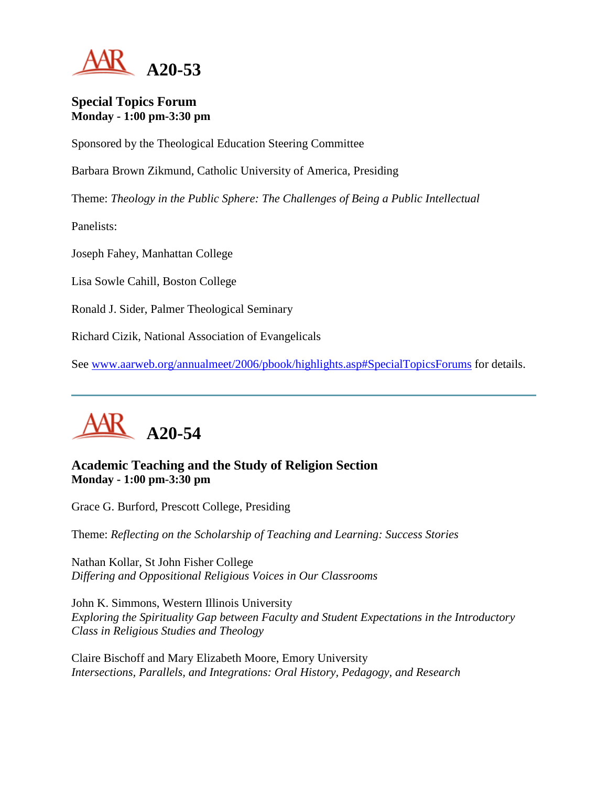

#### **Special Topics Forum Monday - 1:00 pm-3:30 pm**

Sponsored by the Theological Education Steering Committee

Barbara Brown Zikmund, Catholic University of America, Presiding

Theme: *Theology in the Public Sphere: The Challenges of Being a Public Intellectual*

Panelists:

Joseph Fahey, Manhattan College

Lisa Sowle Cahill, Boston College

Ronald J. Sider, Palmer Theological Seminary

Richard Cizik, National Association of Evangelicals

See [www.aarweb.org/annualmeet/2006/pbook/highlights.asp#SpecialTopicsForums](http://www.aarweb.org/Meetings/Annual_Meeting/Past_and_Future_Meetings/2006/highlights.asp#SpecialTopicsForums) for details.



# **Academic Teaching and the Study of Religion Section Monday - 1:00 pm-3:30 pm**

Grace G. Burford, Prescott College, Presiding

Theme: *Reflecting on the Scholarship of Teaching and Learning: Success Stories*

Nathan Kollar, St John Fisher College *Differing and Oppositional Religious Voices in Our Classrooms*

John K. Simmons, Western Illinois University *Exploring the Spirituality Gap between Faculty and Student Expectations in the Introductory Class in Religious Studies and Theology*

Claire Bischoff and Mary Elizabeth Moore, Emory University *Intersections, Parallels, and Integrations: Oral History, Pedagogy, and Research*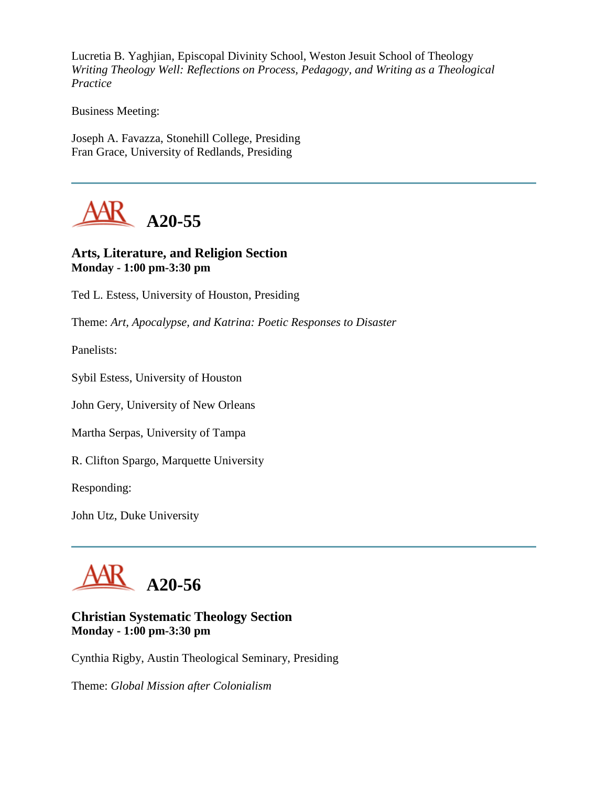Lucretia B. Yaghjian, Episcopal Divinity School, Weston Jesuit School of Theology *Writing Theology Well: Reflections on Process, Pedagogy, and Writing as a Theological Practice*

Business Meeting:

Joseph A. Favazza, Stonehill College, Presiding Fran Grace, University of Redlands, Presiding



# **Arts, Literature, and Religion Section Monday - 1:00 pm-3:30 pm**

Ted L. Estess, University of Houston, Presiding

Theme: *Art, Apocalypse, and Katrina: Poetic Responses to Disaster*

Panelists:

Sybil Estess, University of Houston

John Gery, University of New Orleans

Martha Serpas, University of Tampa

R. Clifton Spargo, Marquette University

Responding:

John Utz, Duke University



### **Christian Systematic Theology Section Monday - 1:00 pm-3:30 pm**

Cynthia Rigby, Austin Theological Seminary, Presiding

Theme: *Global Mission after Colonialism*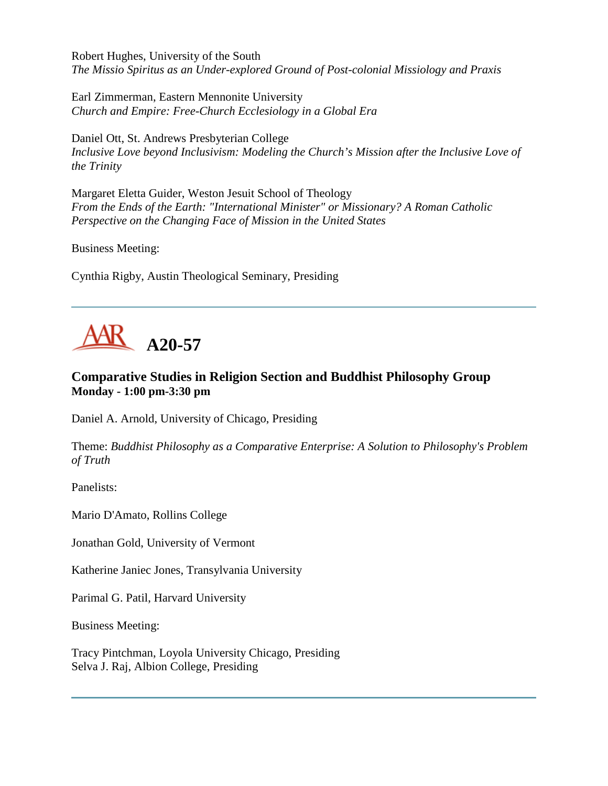Robert Hughes, University of the South *The Missio Spiritus as an Under-explored Ground of Post-colonial Missiology and Praxis*

Earl Zimmerman, Eastern Mennonite University *Church and Empire: Free-Church Ecclesiology in a Global Era*

Daniel Ott, St. Andrews Presbyterian College *Inclusive Love beyond Inclusivism: Modeling the Church's Mission after the Inclusive Love of the Trinity*

Margaret Eletta Guider, Weston Jesuit School of Theology *From the Ends of the Earth: "International Minister" or Missionary? A Roman Catholic Perspective on the Changing Face of Mission in the United States*

Business Meeting:

Cynthia Rigby, Austin Theological Seminary, Presiding



# **Comparative Studies in Religion Section and Buddhist Philosophy Group Monday - 1:00 pm-3:30 pm**

Daniel A. Arnold, University of Chicago, Presiding

Theme: *Buddhist Philosophy as a Comparative Enterprise: A Solution to Philosophy's Problem of Truth*

Panelists:

Mario D'Amato, Rollins College

Jonathan Gold, University of Vermont

Katherine Janiec Jones, Transylvania University

Parimal G. Patil, Harvard University

Business Meeting:

Tracy Pintchman, Loyola University Chicago, Presiding Selva J. Raj, Albion College, Presiding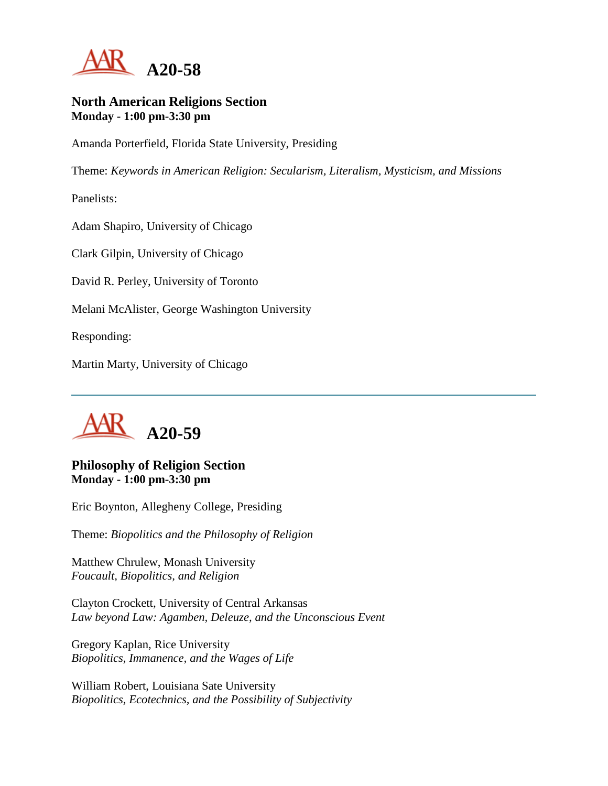

#### **North American Religions Section Monday - 1:00 pm-3:30 pm**

Amanda Porterfield, Florida State University, Presiding

Theme: *Keywords in American Religion: Secularism, Literalism, Mysticism, and Missions*

Panelists:

Adam Shapiro, University of Chicago

Clark Gilpin, University of Chicago

David R. Perley, University of Toronto

Melani McAlister, George Washington University

Responding:

Martin Marty, University of Chicago



### **Philosophy of Religion Section Monday - 1:00 pm-3:30 pm**

Eric Boynton, Allegheny College, Presiding

Theme: *Biopolitics and the Philosophy of Religion*

Matthew Chrulew, Monash University *Foucault, Biopolitics, and Religion*

Clayton Crockett, University of Central Arkansas *Law beyond Law: Agamben, Deleuze, and the Unconscious Event*

Gregory Kaplan, Rice University *Biopolitics, Immanence, and the Wages of Life*

William Robert, Louisiana Sate University *Biopolitics, Ecotechnics, and the Possibility of Subjectivity*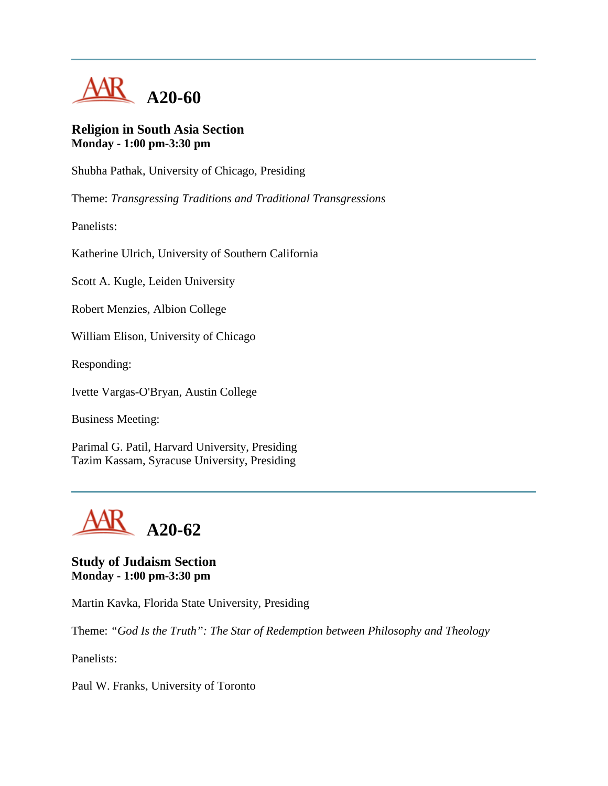

#### **Religion in South Asia Section Monday - 1:00 pm-3:30 pm**

Shubha Pathak, University of Chicago, Presiding

Theme: *Transgressing Traditions and Traditional Transgressions*

Panelists:

Katherine Ulrich, University of Southern California

Scott A. Kugle, Leiden University

Robert Menzies, Albion College

William Elison, University of Chicago

Responding:

Ivette Vargas-O'Bryan, Austin College

Business Meeting:

Parimal G. Patil, Harvard University, Presiding Tazim Kassam, Syracuse University, Presiding



**Study of Judaism Section Monday - 1:00 pm-3:30 pm**

Martin Kavka, Florida State University, Presiding

Theme: *"God Is the Truth": The Star of Redemption between Philosophy and Theology*

Panelists:

Paul W. Franks, University of Toronto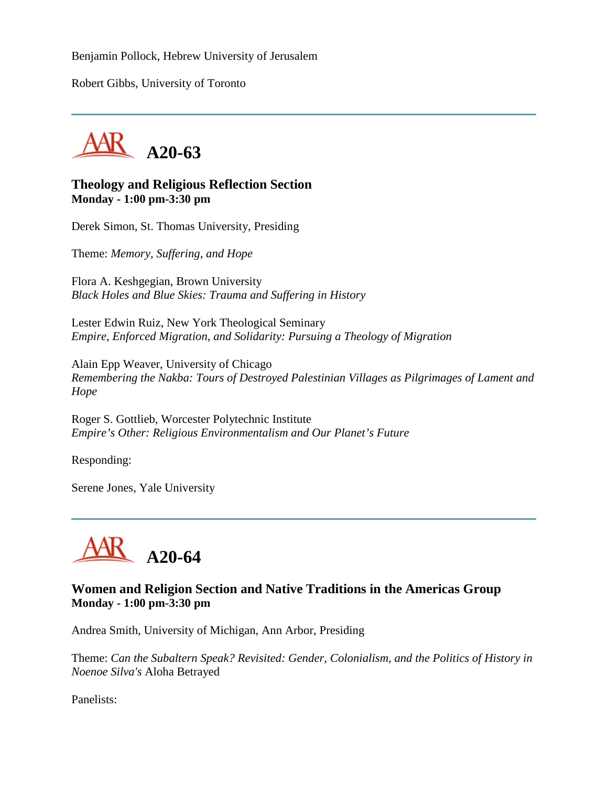Benjamin Pollock, Hebrew University of Jerusalem

Robert Gibbs, University of Toronto



#### **Theology and Religious Reflection Section Monday - 1:00 pm-3:30 pm**

Derek Simon, St. Thomas University, Presiding

Theme: *Memory, Suffering, and Hope*

Flora A. Keshgegian, Brown University *Black Holes and Blue Skies: Trauma and Suffering in History*

Lester Edwin Ruiz, New York Theological Seminary *Empire, Enforced Migration, and Solidarity: Pursuing a Theology of Migration*

Alain Epp Weaver, University of Chicago *Remembering the Nakba: Tours of Destroyed Palestinian Villages as Pilgrimages of Lament and Hope*

Roger S. Gottlieb, Worcester Polytechnic Institute *Empire's Other: Religious Environmentalism and Our Planet's Future*

Responding:

Serene Jones, Yale University



## **Women and Religion Section and Native Traditions in the Americas Group Monday - 1:00 pm-3:30 pm**

Andrea Smith, University of Michigan, Ann Arbor, Presiding

Theme: *Can the Subaltern Speak? Revisited: Gender, Colonialism, and the Politics of History in Noenoe Silva's* Aloha Betrayed

Panelists: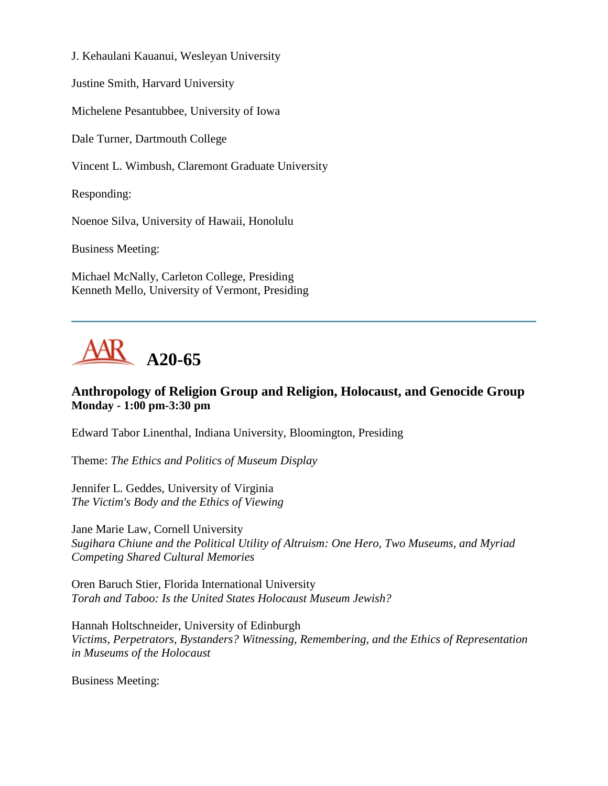J. Kehaulani Kauanui, Wesleyan University

Justine Smith, Harvard University

Michelene Pesantubbee, University of Iowa

Dale Turner, Dartmouth College

Vincent L. Wimbush, Claremont Graduate University

Responding:

Noenoe Silva, University of Hawaii, Honolulu

Business Meeting:

Michael McNally, Carleton College, Presiding Kenneth Mello, University of Vermont, Presiding



# **Anthropology of Religion Group and Religion, Holocaust, and Genocide Group Monday - 1:00 pm-3:30 pm**

Edward Tabor Linenthal, Indiana University, Bloomington, Presiding

Theme: *The Ethics and Politics of Museum Display*

Jennifer L. Geddes, University of Virginia *The Victim's Body and the Ethics of Viewing*

Jane Marie Law, Cornell University *Sugihara Chiune and the Political Utility of Altruism: One Hero, Two Museums, and Myriad Competing Shared Cultural Memories*

Oren Baruch Stier, Florida International University *Torah and Taboo: Is the United States Holocaust Museum Jewish?*

Hannah Holtschneider, University of Edinburgh *Victims, Perpetrators, Bystanders? Witnessing, Remembering, and the Ethics of Representation in Museums of the Holocaust*

Business Meeting: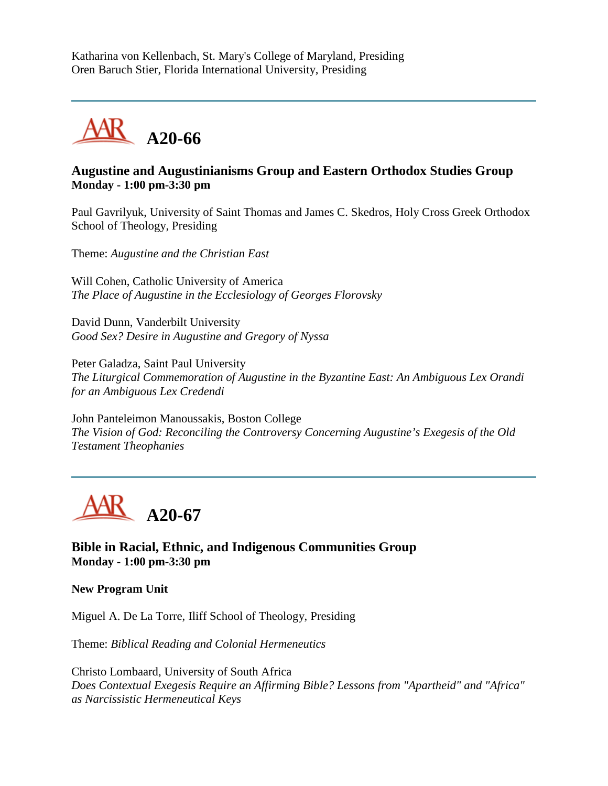Katharina von Kellenbach, St. Mary's College of Maryland, Presiding Oren Baruch Stier, Florida International University, Presiding



# **Augustine and Augustinianisms Group and Eastern Orthodox Studies Group Monday - 1:00 pm-3:30 pm**

Paul Gavrilyuk, University of Saint Thomas and James C. Skedros, Holy Cross Greek Orthodox School of Theology, Presiding

Theme: *Augustine and the Christian East*

Will Cohen, Catholic University of America *The Place of Augustine in the Ecclesiology of Georges Florovsky*

David Dunn, Vanderbilt University *Good Sex? Desire in Augustine and Gregory of Nyssa*

Peter Galadza, Saint Paul University *The Liturgical Commemoration of Augustine in the Byzantine East: An Ambiguous Lex Orandi for an Ambiguous Lex Credendi*

John Panteleimon Manoussakis, Boston College *The Vision of God: Reconciling the Controversy Concerning Augustine's Exegesis of the Old Testament Theophanies*



**Bible in Racial, Ethnic, and Indigenous Communities Group Monday - 1:00 pm-3:30 pm**

**New Program Unit**

Miguel A. De La Torre, Iliff School of Theology, Presiding

Theme: *Biblical Reading and Colonial Hermeneutics*

Christo Lombaard, University of South Africa *Does Contextual Exegesis Require an Affirming Bible? Lessons from "Apartheid" and "Africa" as Narcissistic Hermeneutical Keys*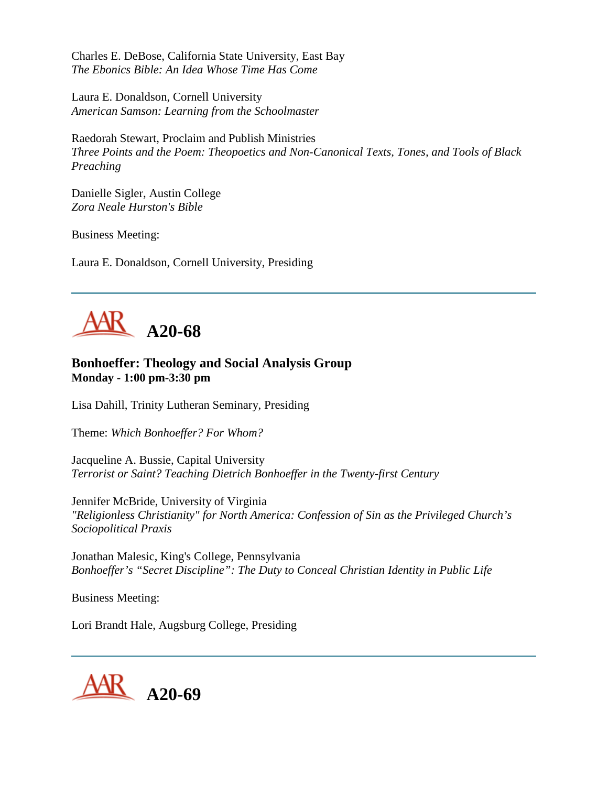Charles E. DeBose, California State University, East Bay *The Ebonics Bible: An Idea Whose Time Has Come*

Laura E. Donaldson, Cornell University *American Samson: Learning from the Schoolmaster*

Raedorah Stewart, Proclaim and Publish Ministries *Three Points and the Poem: Theopoetics and Non-Canonical Texts, Tones, and Tools of Black Preaching*

Danielle Sigler, Austin College *Zora Neale Hurston's Bible*

Business Meeting:

Laura E. Donaldson, Cornell University, Presiding



# **Bonhoeffer: Theology and Social Analysis Group Monday - 1:00 pm-3:30 pm**

Lisa Dahill, Trinity Lutheran Seminary, Presiding

Theme: *Which Bonhoeffer? For Whom?*

Jacqueline A. Bussie, Capital University *Terrorist or Saint? Teaching Dietrich Bonhoeffer in the Twenty-first Century*

Jennifer McBride, University of Virginia *"Religionless Christianity" for North America: Confession of Sin as the Privileged Church's Sociopolitical Praxis*

Jonathan Malesic, King's College, Pennsylvania *Bonhoeffer's "Secret Discipline": The Duty to Conceal Christian Identity in Public Life*

Business Meeting:

Lori Brandt Hale, Augsburg College, Presiding

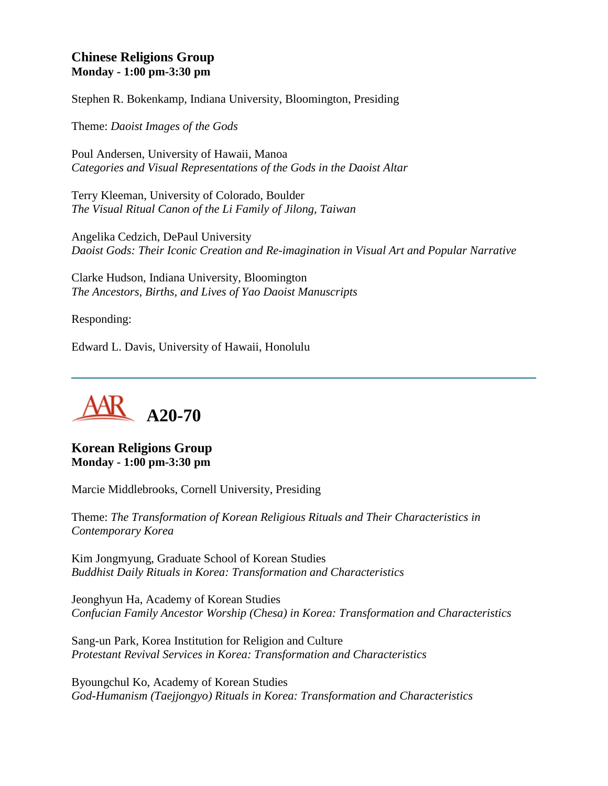## **Chinese Religions Group Monday - 1:00 pm-3:30 pm**

Stephen R. Bokenkamp, Indiana University, Bloomington, Presiding

Theme: *Daoist Images of the Gods*

Poul Andersen, University of Hawaii, Manoa *Categories and Visual Representations of the Gods in the Daoist Altar*

Terry Kleeman, University of Colorado, Boulder *The Visual Ritual Canon of the Li Family of Jilong, Taiwan*

Angelika Cedzich, DePaul University *Daoist Gods: Their Iconic Creation and Re-imagination in Visual Art and Popular Narrative*

Clarke Hudson, Indiana University, Bloomington *The Ancestors, Births, and Lives of Yao Daoist Manuscripts*

Responding:

Edward L. Davis, University of Hawaii, Honolulu



**Korean Religions Group Monday - 1:00 pm-3:30 pm**

Marcie Middlebrooks, Cornell University, Presiding

Theme: *The Transformation of Korean Religious Rituals and Their Characteristics in Contemporary Korea*

Kim Jongmyung, Graduate School of Korean Studies *Buddhist Daily Rituals in Korea: Transformation and Characteristics*

Jeonghyun Ha, Academy of Korean Studies *Confucian Family Ancestor Worship (Chesa) in Korea: Transformation and Characteristics*

Sang-un Park, Korea Institution for Religion and Culture *Protestant Revival Services in Korea: Transformation and Characteristics*

Byoungchul Ko, Academy of Korean Studies *God-Humanism (Taejjongyo) Rituals in Korea: Transformation and Characteristics*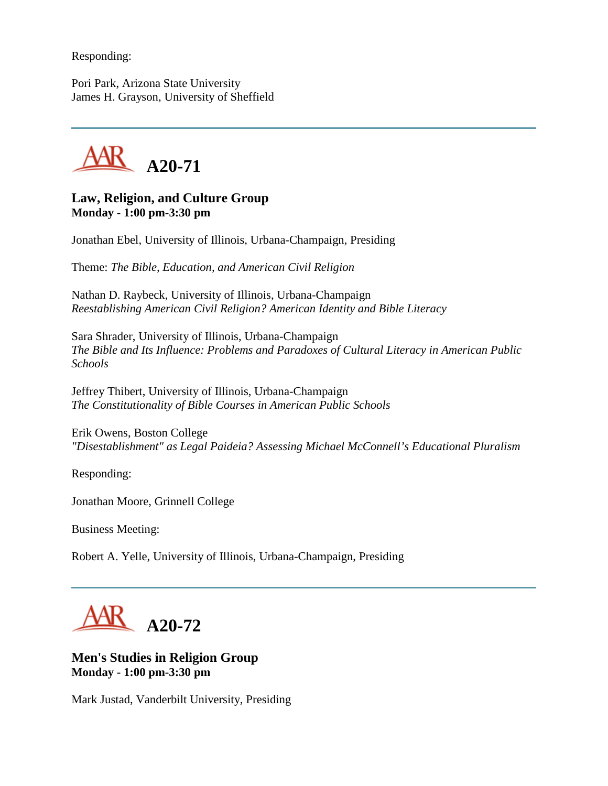Responding:

Pori Park, Arizona State University James H. Grayson, University of Sheffield



### **Law, Religion, and Culture Group Monday - 1:00 pm-3:30 pm**

Jonathan Ebel, University of Illinois, Urbana-Champaign, Presiding

Theme: *The Bible, Education, and American Civil Religion*

Nathan D. Raybeck, University of Illinois, Urbana-Champaign *Reestablishing American Civil Religion? American Identity and Bible Literacy*

Sara Shrader, University of Illinois, Urbana-Champaign *The Bible and Its Influence: Problems and Paradoxes of Cultural Literacy in American Public Schools*

Jeffrey Thibert, University of Illinois, Urbana-Champaign *The Constitutionality of Bible Courses in American Public Schools*

Erik Owens, Boston College *"Disestablishment" as Legal Paideia? Assessing Michael McConnell's Educational Pluralism*

Responding:

Jonathan Moore, Grinnell College

Business Meeting:

Robert A. Yelle, University of Illinois, Urbana-Champaign, Presiding

**A20-72**

## **Men's Studies in Religion Group Monday - 1:00 pm-3:30 pm**

Mark Justad, Vanderbilt University, Presiding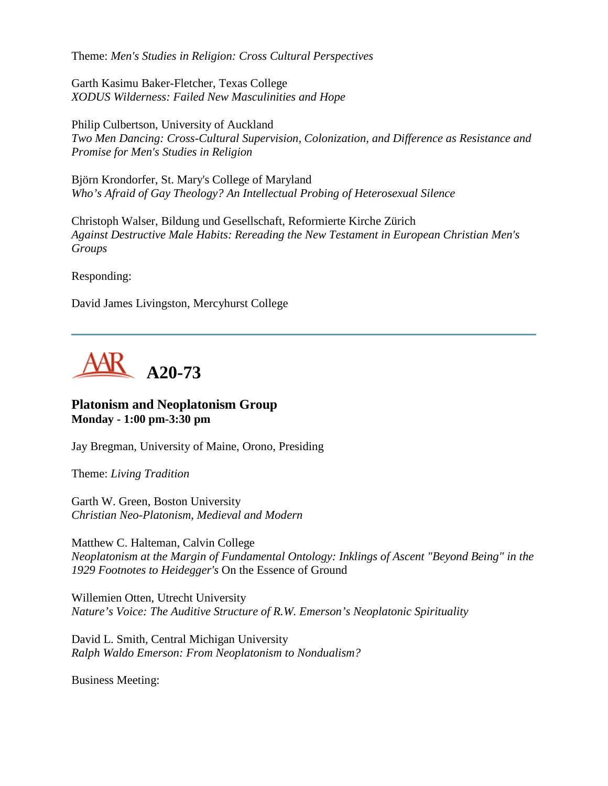Theme: *Men's Studies in Religion: Cross Cultural Perspectives*

Garth Kasimu Baker-Fletcher, Texas College *XODUS Wilderness: Failed New Masculinities and Hope*

Philip Culbertson, University of Auckland *Two Men Dancing: Cross-Cultural Supervision, Colonization, and Difference as Resistance and Promise for Men's Studies in Religion*

Björn Krondorfer, St. Mary's College of Maryland *Who's Afraid of Gay Theology? An Intellectual Probing of Heterosexual Silence*

Christoph Walser, Bildung und Gesellschaft, Reformierte Kirche Zürich *Against Destructive Male Habits: Rereading the New Testament in European Christian Men's Groups*

Responding:

David James Livingston, Mercyhurst College



#### **Platonism and Neoplatonism Group Monday - 1:00 pm-3:30 pm**

Jay Bregman, University of Maine, Orono, Presiding

Theme: *Living Tradition*

Garth W. Green, Boston University *Christian Neo-Platonism, Medieval and Modern*

Matthew C. Halteman, Calvin College *Neoplatonism at the Margin of Fundamental Ontology: Inklings of Ascent "Beyond Being" in the 1929 Footnotes to Heidegger's* On the Essence of Ground

Willemien Otten, Utrecht University *Nature's Voice: The Auditive Structure of R.W. Emerson's Neoplatonic Spirituality*

David L. Smith, Central Michigan University *Ralph Waldo Emerson: From Neoplatonism to Nondualism?*

Business Meeting: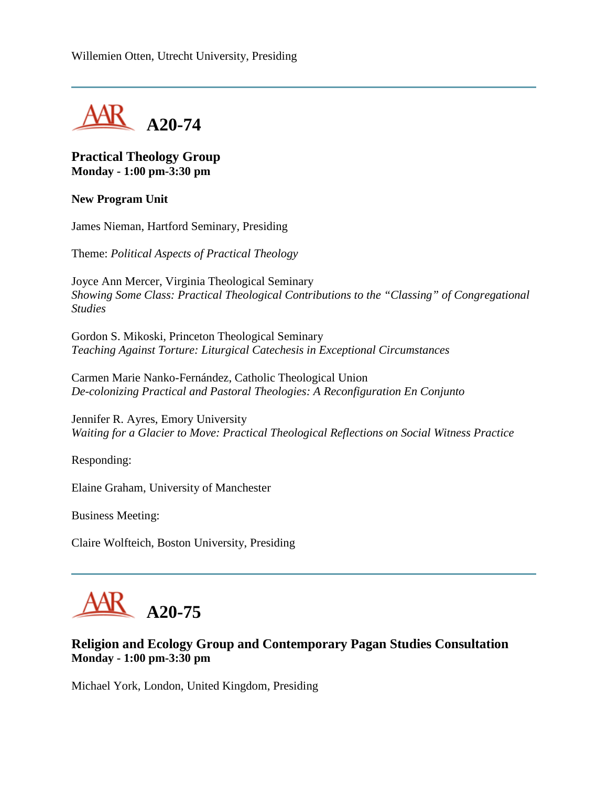

### **Practical Theology Group Monday - 1:00 pm-3:30 pm**

#### **New Program Unit**

James Nieman, Hartford Seminary, Presiding

Theme: *Political Aspects of Practical Theology*

Joyce Ann Mercer, Virginia Theological Seminary *Showing Some Class: Practical Theological Contributions to the "Classing" of Congregational Studies*

Gordon S. Mikoski, Princeton Theological Seminary *Teaching Against Torture: Liturgical Catechesis in Exceptional Circumstances*

Carmen Marie Nanko-Fernández, Catholic Theological Union *De-colonizing Practical and Pastoral Theologies: A Reconfiguration En Conjunto*

Jennifer R. Ayres, Emory University *Waiting for a Glacier to Move: Practical Theological Reflections on Social Witness Practice*

Responding:

Elaine Graham, University of Manchester

Business Meeting:

Claire Wolfteich, Boston University, Presiding



## **Religion and Ecology Group and Contemporary Pagan Studies Consultation Monday - 1:00 pm-3:30 pm**

Michael York, London, United Kingdom, Presiding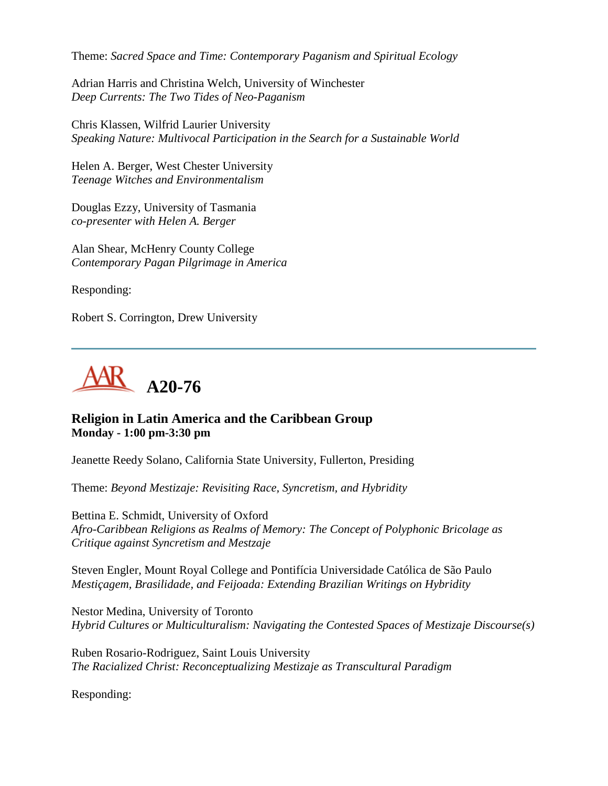Theme: *Sacred Space and Time: Contemporary Paganism and Spiritual Ecology*

Adrian Harris and Christina Welch, University of Winchester *Deep Currents: The Two Tides of Neo-Paganism*

Chris Klassen, Wilfrid Laurier University *Speaking Nature: Multivocal Participation in the Search for a Sustainable World*

Helen A. Berger, West Chester University *Teenage Witches and Environmentalism*

Douglas Ezzy, University of Tasmania *co-presenter with Helen A. Berger*

Alan Shear, McHenry County College *Contemporary Pagan Pilgrimage in America*

Responding:

Robert S. Corrington, Drew University



### **Religion in Latin America and the Caribbean Group Monday - 1:00 pm-3:30 pm**

Jeanette Reedy Solano, California State University, Fullerton, Presiding

Theme: *Beyond Mestizaje: Revisiting Race, Syncretism, and Hybridity*

Bettina E. Schmidt, University of Oxford *Afro-Caribbean Religions as Realms of Memory: The Concept of Polyphonic Bricolage as Critique against Syncretism and Mestzaje*

Steven Engler, Mount Royal College and Pontifícia Universidade Católica de São Paulo *Mestiçagem, Brasilidade, and Feijoada: Extending Brazilian Writings on Hybridity*

Nestor Medina, University of Toronto *Hybrid Cultures or Multiculturalism: Navigating the Contested Spaces of Mestizaje Discourse(s)*

Ruben Rosario-Rodriguez, Saint Louis University *The Racialized Christ: Reconceptualizing Mestizaje as Transcultural Paradigm*

Responding: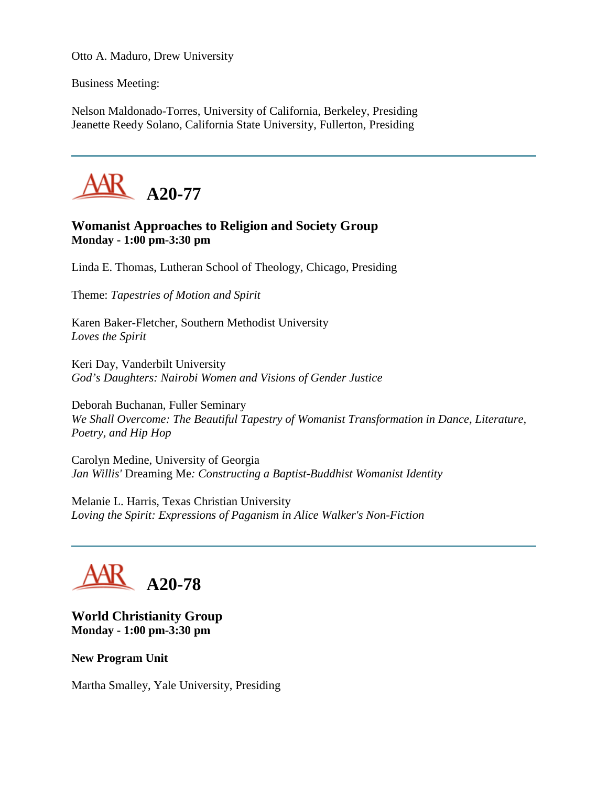Otto A. Maduro, Drew University

Business Meeting:

Nelson Maldonado-Torres, University of California, Berkeley, Presiding Jeanette Reedy Solano, California State University, Fullerton, Presiding



## **Womanist Approaches to Religion and Society Group Monday - 1:00 pm-3:30 pm**

Linda E. Thomas, Lutheran School of Theology, Chicago, Presiding

Theme: *Tapestries of Motion and Spirit*

Karen Baker-Fletcher, Southern Methodist University *Loves the Spirit*

Keri Day, Vanderbilt University *God's Daughters: Nairobi Women and Visions of Gender Justice*

Deborah Buchanan, Fuller Seminary *We Shall Overcome: The Beautiful Tapestry of Womanist Transformation in Dance, Literature, Poetry, and Hip Hop*

Carolyn Medine, University of Georgia *Jan Willis'* Dreaming Me*: Constructing a Baptist-Buddhist Womanist Identity*

Melanie L. Harris, Texas Christian University *Loving the Spirit: Expressions of Paganism in Alice Walker's Non-Fiction*

## **A20-78**

**World Christianity Group Monday - 1:00 pm-3:30 pm**

**New Program Unit**

Martha Smalley, Yale University, Presiding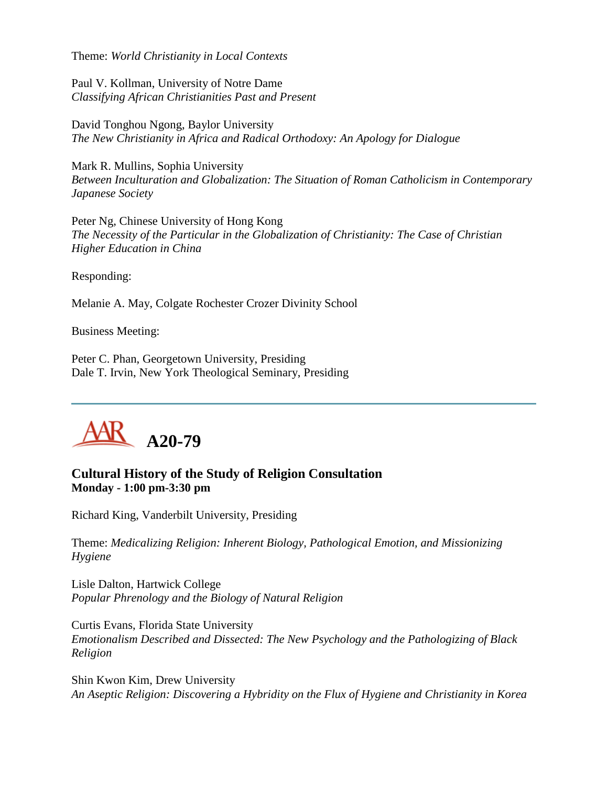Theme: *World Christianity in Local Contexts*

Paul V. Kollman, University of Notre Dame *Classifying African Christianities Past and Present*

David Tonghou Ngong, Baylor University *The New Christianity in Africa and Radical Orthodoxy: An Apology for Dialogue*

Mark R. Mullins, Sophia University *Between Inculturation and Globalization: The Situation of Roman Catholicism in Contemporary Japanese Society*

Peter Ng, Chinese University of Hong Kong *The Necessity of the Particular in the Globalization of Christianity: The Case of Christian Higher Education in China*

Responding:

Melanie A. May, Colgate Rochester Crozer Divinity School

Business Meeting:

Peter C. Phan, Georgetown University, Presiding Dale T. Irvin, New York Theological Seminary, Presiding



## **Cultural History of the Study of Religion Consultation Monday - 1:00 pm-3:30 pm**

Richard King, Vanderbilt University, Presiding

Theme: *Medicalizing Religion: Inherent Biology, Pathological Emotion, and Missionizing Hygiene*

Lisle Dalton, Hartwick College *Popular Phrenology and the Biology of Natural Religion*

Curtis Evans, Florida State University *Emotionalism Described and Dissected: The New Psychology and the Pathologizing of Black Religion*

Shin Kwon Kim, Drew University *An Aseptic Religion: Discovering a Hybridity on the Flux of Hygiene and Christianity in Korea*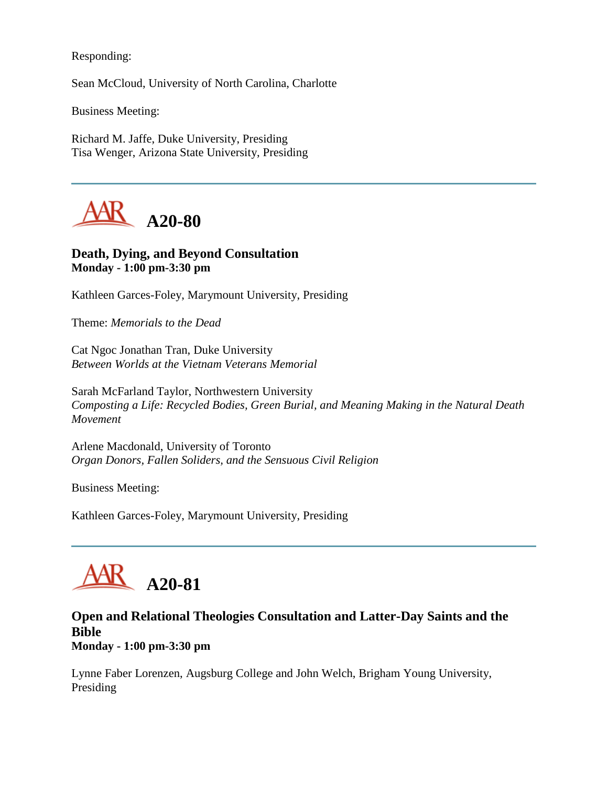Responding:

Sean McCloud, University of North Carolina, Charlotte

Business Meeting:

Richard M. Jaffe, Duke University, Presiding Tisa Wenger, Arizona State University, Presiding



## **Death, Dying, and Beyond Consultation Monday - 1:00 pm-3:30 pm**

Kathleen Garces-Foley, Marymount University, Presiding

Theme: *Memorials to the Dead*

Cat Ngoc Jonathan Tran, Duke University *Between Worlds at the Vietnam Veterans Memorial*

Sarah McFarland Taylor, Northwestern University *Composting a Life: Recycled Bodies, Green Burial, and Meaning Making in the Natural Death Movement*

Arlene Macdonald, University of Toronto *Organ Donors, Fallen Soliders, and the Sensuous Civil Religion*

Business Meeting:

Kathleen Garces-Foley, Marymount University, Presiding

## **A20-81**

## **Open and Relational Theologies Consultation and Latter-Day Saints and the Bible**

**Monday - 1:00 pm-3:30 pm**

Lynne Faber Lorenzen, Augsburg College and John Welch, Brigham Young University, Presiding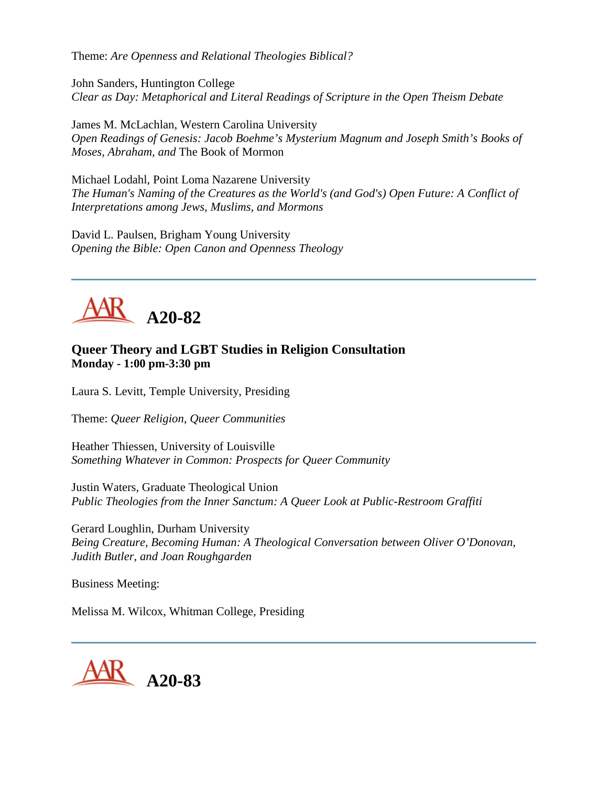Theme: *Are Openness and Relational Theologies Biblical?*

John Sanders, Huntington College *Clear as Day: Metaphorical and Literal Readings of Scripture in the Open Theism Debate*

James M. McLachlan, Western Carolina University *Open Readings of Genesis: Jacob Boehme's Mysterium Magnum and Joseph Smith's Books of Moses, Abraham, and* The Book of Mormon

Michael Lodahl, Point Loma Nazarene University *The Human's Naming of the Creatures as the World's (and God's) Open Future: A Conflict of Interpretations among Jews, Muslims, and Mormons*

David L. Paulsen, Brigham Young University *Opening the Bible: Open Canon and Openness Theology*



## **Queer Theory and LGBT Studies in Religion Consultation Monday - 1:00 pm-3:30 pm**

Laura S. Levitt, Temple University, Presiding

Theme: *Queer Religion, Queer Communities*

Heather Thiessen, University of Louisville *Something Whatever in Common: Prospects for Queer Community*

Justin Waters, Graduate Theological Union *Public Theologies from the Inner Sanctum: A Queer Look at Public-Restroom Graffiti*

Gerard Loughlin, Durham University *Being Creature, Becoming Human: A Theological Conversation between Oliver O'Donovan, Judith Butler, and Joan Roughgarden*

Business Meeting:

Melissa M. Wilcox, Whitman College, Presiding

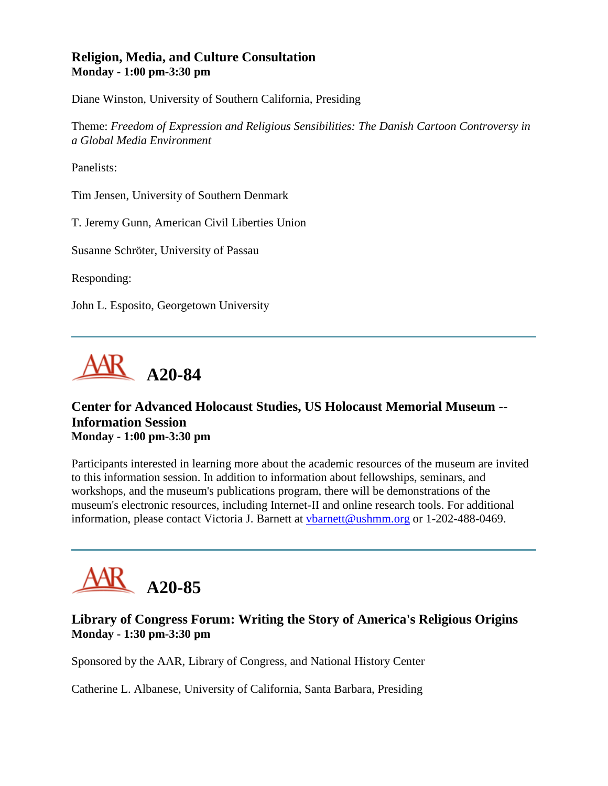## **Religion, Media, and Culture Consultation Monday - 1:00 pm-3:30 pm**

Diane Winston, University of Southern California, Presiding

Theme: *Freedom of Expression and Religious Sensibilities: The Danish Cartoon Controversy in a Global Media Environment*

Panelists:

Tim Jensen, University of Southern Denmark

T. Jeremy Gunn, American Civil Liberties Union

Susanne Schröter, University of Passau

Responding:

John L. Esposito, Georgetown University



## **Center for Advanced Holocaust Studies, US Holocaust Memorial Museum -- Information Session Monday - 1:00 pm-3:30 pm**

Participants interested in learning more about the academic resources of the museum are invited to this information session. In addition to information about fellowships, seminars, and workshops, and the museum's publications program, there will be demonstrations of the museum's electronic resources, including Internet-II and online research tools. For additional information, please contact Victoria J. Barnett at [vbarnett@ushmm.org](mailto:vbarnett@ushmm.org) or 1-202-488-0469.

# **A20-85**

## **Library of Congress Forum: Writing the Story of America's Religious Origins Monday - 1:30 pm-3:30 pm**

Sponsored by the AAR, Library of Congress, and National History Center

Catherine L. Albanese, University of California, Santa Barbara, Presiding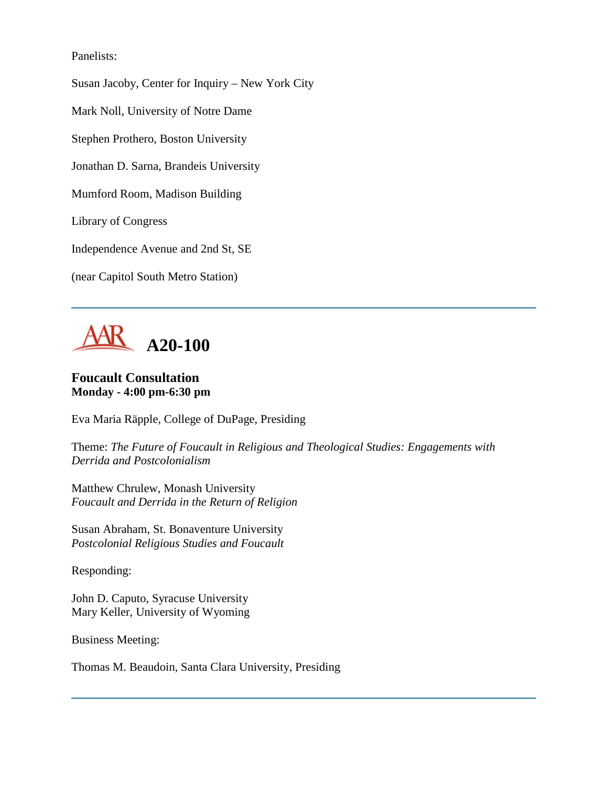Panelists:

Susan Jacoby, Center for Inquiry – New York City

Mark Noll, University of Notre Dame

Stephen Prothero, Boston University

Jonathan D. Sarna, Brandeis University

Mumford Room, Madison Building

Library of Congress

Independence Avenue and 2nd St, SE

(near Capitol South Metro Station)



## **Foucault Consultation Monday - 4:00 pm-6:30 pm**

Eva Maria Räpple, College of DuPage, Presiding

Theme: *The Future of Foucault in Religious and Theological Studies: Engagements with Derrida and Postcolonialism*

Matthew Chrulew, Monash University *Foucault and Derrida in the Return of Religion*

Susan Abraham, St. Bonaventure University *Postcolonial Religious Studies and Foucault*

Responding:

John D. Caputo, Syracuse University Mary Keller, University of Wyoming

Business Meeting:

Thomas M. Beaudoin, Santa Clara University, Presiding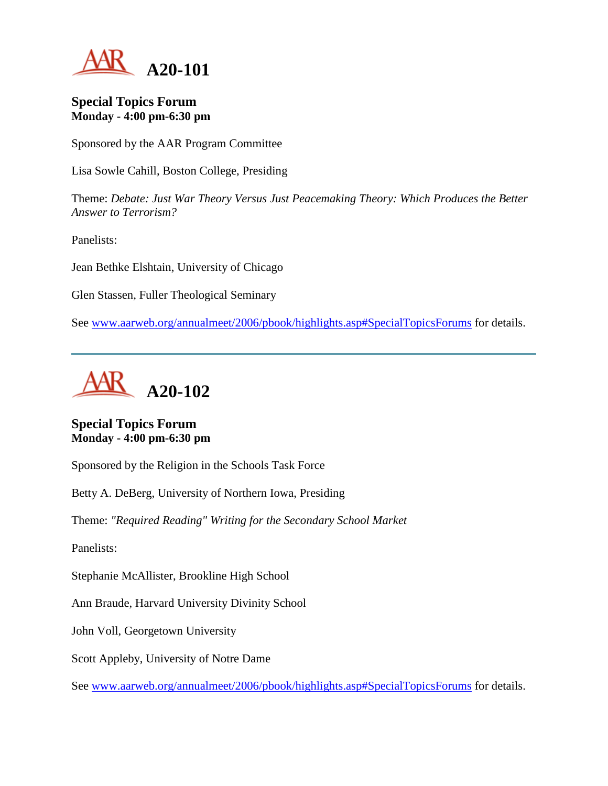

#### **Special Topics Forum Monday - 4:00 pm-6:30 pm**

Sponsored by the AAR Program Committee

Lisa Sowle Cahill, Boston College, Presiding

Theme: *Debate: Just War Theory Versus Just Peacemaking Theory: Which Produces the Better Answer to Terrorism?*

Panelists:

Jean Bethke Elshtain, University of Chicago

Glen Stassen, Fuller Theological Seminary

See [www.aarweb.org/annualmeet/2006/pbook/highlights.asp#SpecialTopicsForums](http://www.aarweb.org/Meetings/Annual_Meeting/Past_and_Future_Meetings/2006/highlights.asp#SpecialTopicsForums) for details.



## **Special Topics Forum Monday - 4:00 pm-6:30 pm**

Sponsored by the Religion in the Schools Task Force

Betty A. DeBerg, University of Northern Iowa, Presiding

Theme: *"Required Reading" Writing for the Secondary School Market*

Panelists:

Stephanie McAllister, Brookline High School

Ann Braude, Harvard University Divinity School

John Voll, Georgetown University

Scott Appleby, University of Notre Dame

See [www.aarweb.org/annualmeet/2006/pbook/highlights.asp#SpecialTopicsForums](http://www.aarweb.org/Meetings/Annual_Meeting/Past_and_Future_Meetings/2006/highlights.asp#SpecialTopicsForums) for details.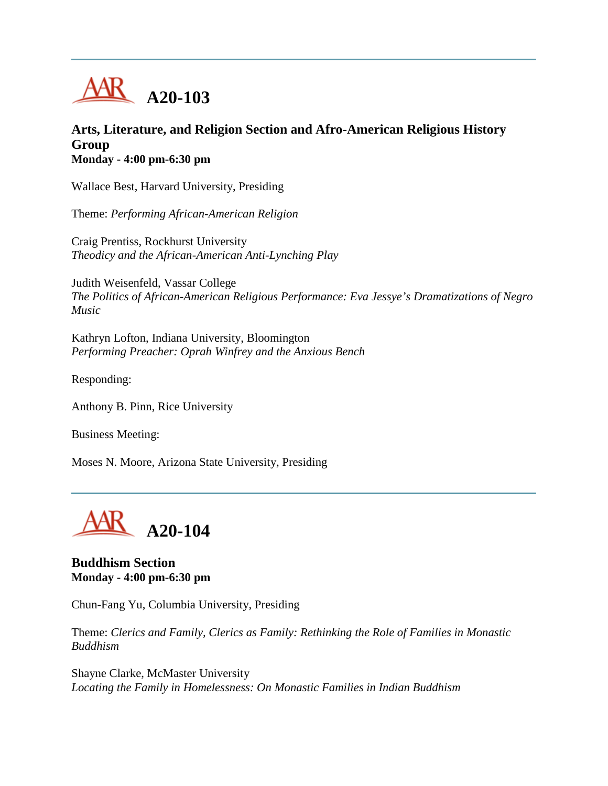

### **Arts, Literature, and Religion Section and Afro-American Religious History Group Monday - 4:00 pm-6:30 pm**

Wallace Best, Harvard University, Presiding

Theme: *Performing African-American Religion*

Craig Prentiss, Rockhurst University *Theodicy and the African-American Anti-Lynching Play*

Judith Weisenfeld, Vassar College *The Politics of African-American Religious Performance: Eva Jessye's Dramatizations of Negro Music*

Kathryn Lofton, Indiana University, Bloomington *Performing Preacher: Oprah Winfrey and the Anxious Bench*

Responding:

Anthony B. Pinn, Rice University

Business Meeting:

Moses N. Moore, Arizona State University, Presiding



**Buddhism Section Monday - 4:00 pm-6:30 pm**

Chun-Fang Yu, Columbia University, Presiding

Theme: *Clerics and Family, Clerics as Family: Rethinking the Role of Families in Monastic Buddhism*

Shayne Clarke, McMaster University *Locating the Family in Homelessness: On Monastic Families in Indian Buddhism*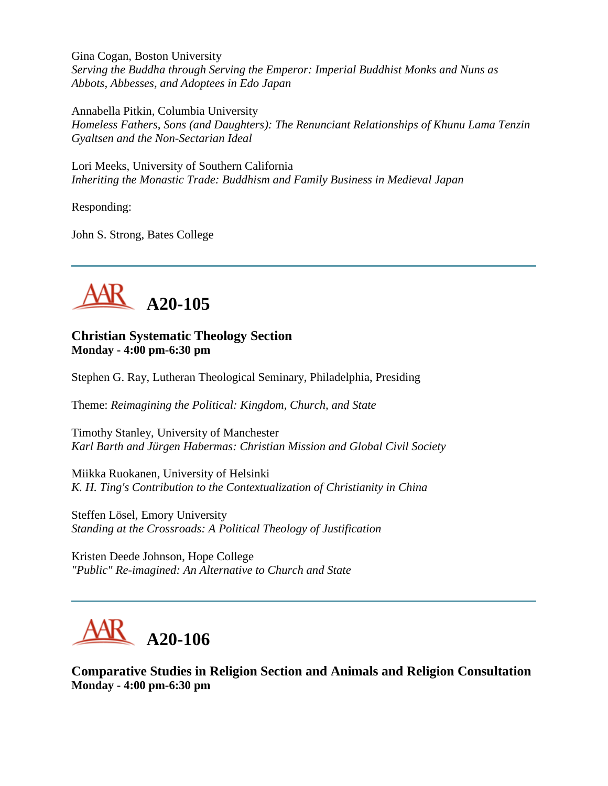Gina Cogan, Boston University *Serving the Buddha through Serving the Emperor: Imperial Buddhist Monks and Nuns as Abbots, Abbesses, and Adoptees in Edo Japan*

Annabella Pitkin, Columbia University *Homeless Fathers, Sons (and Daughters): The Renunciant Relationships of Khunu Lama Tenzin Gyaltsen and the Non-Sectarian Ideal*

Lori Meeks, University of Southern California *Inheriting the Monastic Trade: Buddhism and Family Business in Medieval Japan*

Responding:

John S. Strong, Bates College



#### **Christian Systematic Theology Section Monday - 4:00 pm-6:30 pm**

Stephen G. Ray, Lutheran Theological Seminary, Philadelphia, Presiding

Theme: *Reimagining the Political: Kingdom, Church, and State*

Timothy Stanley, University of Manchester *Karl Barth and Jürgen Habermas: Christian Mission and Global Civil Society*

Miikka Ruokanen, University of Helsinki *K. H. Ting's Contribution to the Contextualization of Christianity in China*

Steffen Lösel, Emory University *Standing at the Crossroads: A Political Theology of Justification*

Kristen Deede Johnson, Hope College *"Public" Re-imagined: An Alternative to Church and State*



**Comparative Studies in Religion Section and Animals and Religion Consultation Monday - 4:00 pm-6:30 pm**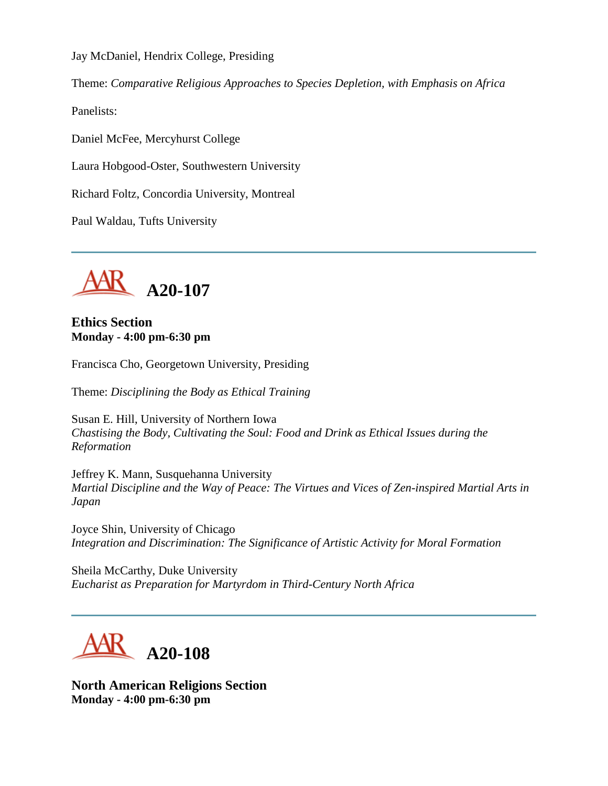Jay McDaniel, Hendrix College, Presiding

Theme: *Comparative Religious Approaches to Species Depletion, with Emphasis on Africa*

Panelists:

Daniel McFee, Mercyhurst College

Laura Hobgood-Oster, Southwestern University

Richard Foltz, Concordia University, Montreal

Paul Waldau, Tufts University



**Ethics Section Monday - 4:00 pm-6:30 pm**

Francisca Cho, Georgetown University, Presiding

Theme: *Disciplining the Body as Ethical Training*

Susan E. Hill, University of Northern Iowa *Chastising the Body, Cultivating the Soul: Food and Drink as Ethical Issues during the Reformation*

Jeffrey K. Mann, Susquehanna University *Martial Discipline and the Way of Peace: The Virtues and Vices of Zen-inspired Martial Arts in Japan*

Joyce Shin, University of Chicago *Integration and Discrimination: The Significance of Artistic Activity for Moral Formation*

Sheila McCarthy, Duke University *Eucharist as Preparation for Martyrdom in Third-Century North Africa*



**North American Religions Section Monday - 4:00 pm-6:30 pm**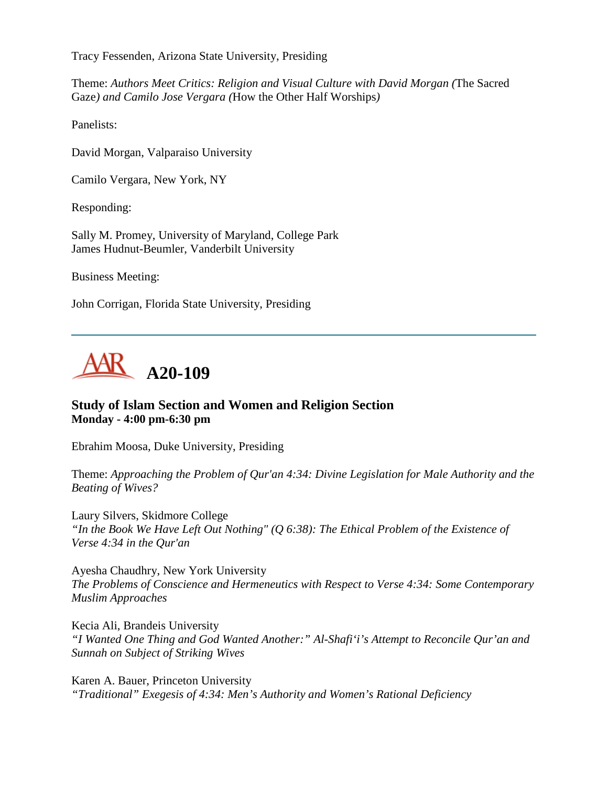Tracy Fessenden, Arizona State University, Presiding

Theme: *Authors Meet Critics: Religion and Visual Culture with David Morgan (*The Sacred Gaze*) and Camilo Jose Vergara (*How the Other Half Worships*)*

Panelists:

David Morgan, Valparaiso University

Camilo Vergara, New York, NY

Responding:

Sally M. Promey, University of Maryland, College Park James Hudnut-Beumler, Vanderbilt University

Business Meeting:

John Corrigan, Florida State University, Presiding



## **Study of Islam Section and Women and Religion Section Monday - 4:00 pm-6:30 pm**

Ebrahim Moosa, Duke University, Presiding

Theme: *Approaching the Problem of Qur'an 4:34: Divine Legislation for Male Authority and the Beating of Wives?*

Laury Silvers, Skidmore College *"In the Book We Have Left Out Nothing" (Q 6:38): The Ethical Problem of the Existence of Verse 4:34 in the Qur'an*

Ayesha Chaudhry, New York University *The Problems of Conscience and Hermeneutics with Respect to Verse 4:34: Some Contemporary Muslim Approaches*

Kecia Ali, Brandeis University *"I Wanted One Thing and God Wanted Another:" Al-Shafi'i's Attempt to Reconcile Qur'an and Sunnah on Subject of Striking Wives*

Karen A. Bauer, Princeton University *"Traditional" Exegesis of 4:34: Men's Authority and Women's Rational Deficiency*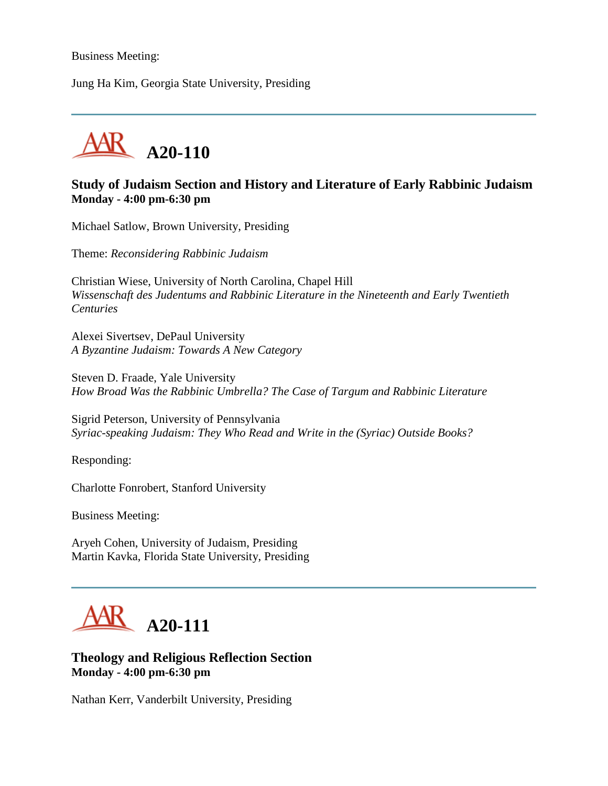Business Meeting:

Jung Ha Kim, Georgia State University, Presiding



## **Study of Judaism Section and History and Literature of Early Rabbinic Judaism Monday - 4:00 pm-6:30 pm**

Michael Satlow, Brown University, Presiding

Theme: *Reconsidering Rabbinic Judaism*

Christian Wiese, University of North Carolina, Chapel Hill *Wissenschaft des Judentums and Rabbinic Literature in the Nineteenth and Early Twentieth Centuries*

Alexei Sivertsev, DePaul University *A Byzantine Judaism: Towards A New Category*

Steven D. Fraade, Yale University *How Broad Was the Rabbinic Umbrella? The Case of Targum and Rabbinic Literature*

Sigrid Peterson, University of Pennsylvania *Syriac-speaking Judaism: They Who Read and Write in the (Syriac) Outside Books?*

Responding:

Charlotte Fonrobert, Stanford University

Business Meeting:

Aryeh Cohen, University of Judaism, Presiding Martin Kavka, Florida State University, Presiding



**Theology and Religious Reflection Section Monday - 4:00 pm-6:30 pm**

Nathan Kerr, Vanderbilt University, Presiding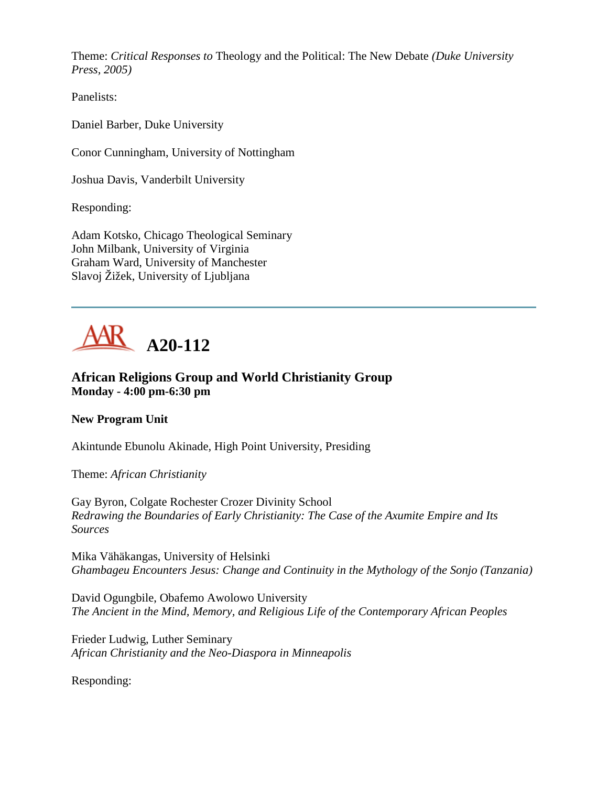Theme: *Critical Responses to* Theology and the Political: The New Debate *(Duke University Press, 2005)*

Panelists:

Daniel Barber, Duke University

Conor Cunningham, University of Nottingham

Joshua Davis, Vanderbilt University

Responding:

Adam Kotsko, Chicago Theological Seminary John Milbank, University of Virginia Graham Ward, University of Manchester Slavoj Žižek, University of Ljubljana



## **African Religions Group and World Christianity Group Monday - 4:00 pm-6:30 pm**

## **New Program Unit**

Akintunde Ebunolu Akinade, High Point University, Presiding

Theme: *African Christianity*

Gay Byron, Colgate Rochester Crozer Divinity School *Redrawing the Boundaries of Early Christianity: The Case of the Axumite Empire and Its Sources*

Mika Vähäkangas, University of Helsinki *Ghambageu Encounters Jesus: Change and Continuity in the Mythology of the Sonjo (Tanzania)*

David Ogungbile, Obafemo Awolowo University *The Ancient in the Mind, Memory, and Religious Life of the Contemporary African Peoples*

Frieder Ludwig, Luther Seminary *African Christianity and the Neo-Diaspora in Minneapolis*

Responding: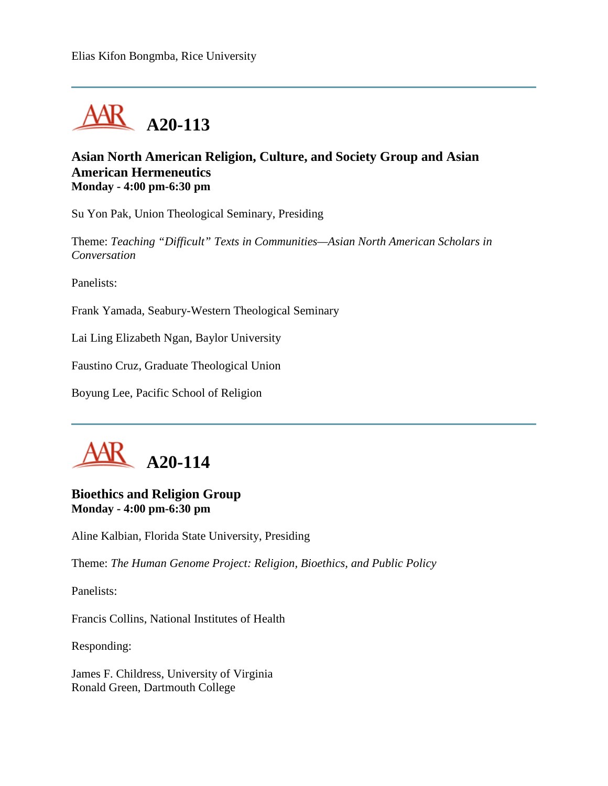

#### **Asian North American Religion, Culture, and Society Group and Asian American Hermeneutics Monday - 4:00 pm-6:30 pm**

Su Yon Pak, Union Theological Seminary, Presiding

Theme: *Teaching "Difficult" Texts in Communities—Asian North American Scholars in Conversation*

Panelists:

Frank Yamada, Seabury-Western Theological Seminary

Lai Ling Elizabeth Ngan, Baylor University

Faustino Cruz, Graduate Theological Union

Boyung Lee, Pacific School of Religion



#### **Bioethics and Religion Group Monday - 4:00 pm-6:30 pm**

Aline Kalbian, Florida State University, Presiding

Theme: *The Human Genome Project: Religion, Bioethics, and Public Policy*

Panelists:

Francis Collins, National Institutes of Health

Responding:

James F. Childress, University of Virginia Ronald Green, Dartmouth College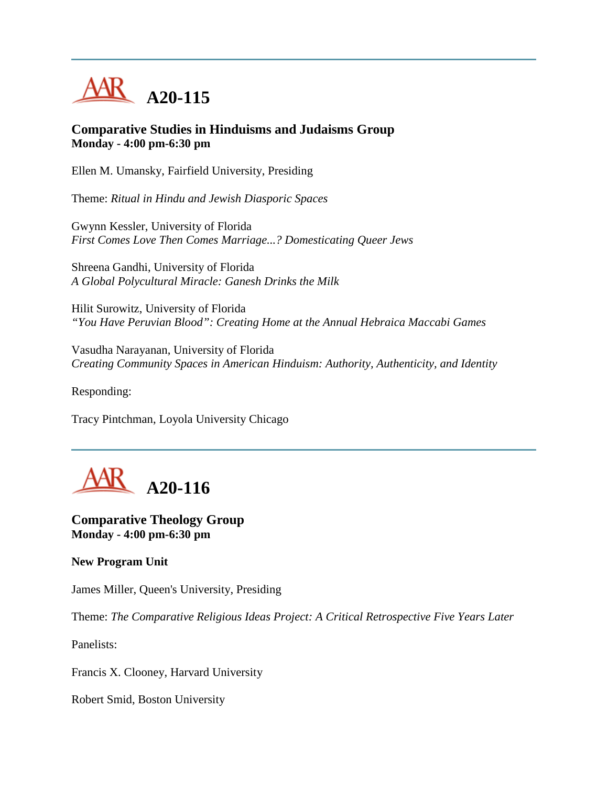

#### **Comparative Studies in Hinduisms and Judaisms Group Monday - 4:00 pm-6:30 pm**

Ellen M. Umansky, Fairfield University, Presiding

Theme: *Ritual in Hindu and Jewish Diasporic Spaces*

Gwynn Kessler, University of Florida *First Comes Love Then Comes Marriage...? Domesticating Queer Jews*

Shreena Gandhi, University of Florida *A Global Polycultural Miracle: Ganesh Drinks the Milk*

Hilit Surowitz, University of Florida *"You Have Peruvian Blood": Creating Home at the Annual Hebraica Maccabi Games*

Vasudha Narayanan, University of Florida *Creating Community Spaces in American Hinduism: Authority, Authenticity, and Identity*

Responding:

Tracy Pintchman, Loyola University Chicago



**Comparative Theology Group Monday - 4:00 pm-6:30 pm**

**New Program Unit**

James Miller, Queen's University, Presiding

Theme: *The Comparative Religious Ideas Project: A Critical Retrospective Five Years Later*

Panelists:

Francis X. Clooney, Harvard University

Robert Smid, Boston University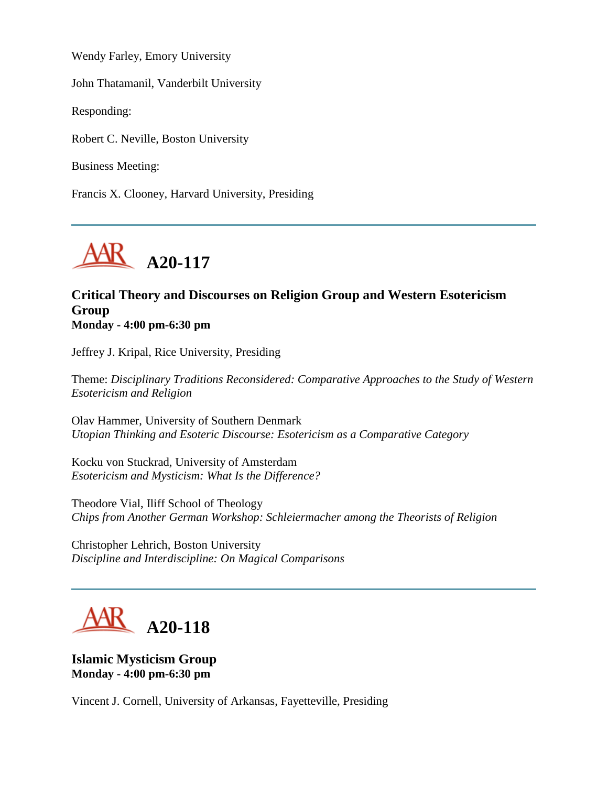Wendy Farley, Emory University

John Thatamanil, Vanderbilt University

Responding:

Robert C. Neville, Boston University

Business Meeting:

Francis X. Clooney, Harvard University, Presiding



#### **Critical Theory and Discourses on Religion Group and Western Esotericism Group Monday - 4:00 pm-6:30 pm**

Jeffrey J. Kripal, Rice University, Presiding

Theme: *Disciplinary Traditions Reconsidered: Comparative Approaches to the Study of Western Esotericism and Religion*

Olav Hammer, University of Southern Denmark *Utopian Thinking and Esoteric Discourse: Esotericism as a Comparative Category*

Kocku von Stuckrad, University of Amsterdam *Esotericism and Mysticism: What Is the Difference?*

Theodore Vial, Iliff School of Theology *Chips from Another German Workshop: Schleiermacher among the Theorists of Religion*

Christopher Lehrich, Boston University *Discipline and Interdiscipline: On Magical Comparisons*



## **Islamic Mysticism Group Monday - 4:00 pm-6:30 pm**

Vincent J. Cornell, University of Arkansas, Fayetteville, Presiding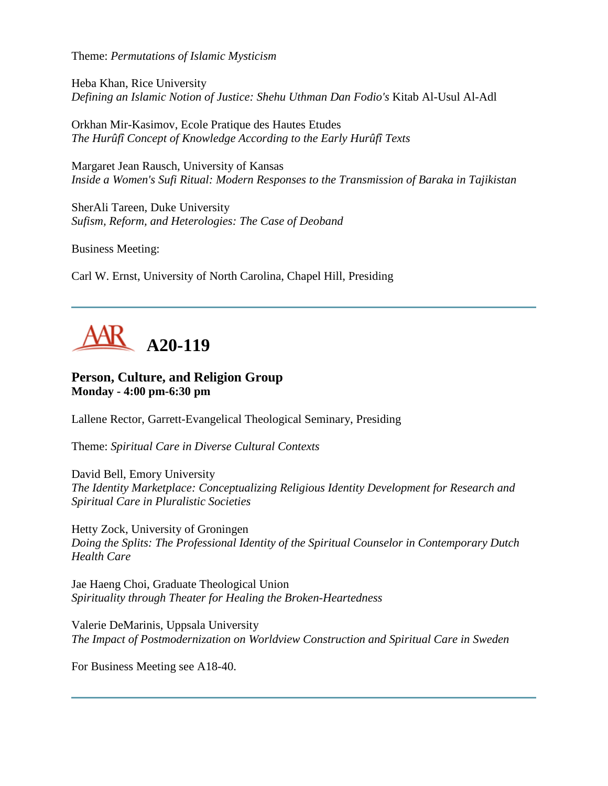Theme: *Permutations of Islamic Mysticism*

Heba Khan, Rice University *Defining an Islamic Notion of Justice: Shehu Uthman Dan Fodio's* Kitab Al-Usul Al-Adl

Orkhan Mir-Kasimov, Ecole Pratique des Hautes Etudes *The Hurûfî Concept of Knowledge According to the Early Hurûfî Texts*

Margaret Jean Rausch, University of Kansas *Inside a Women's Sufi Ritual: Modern Responses to the Transmission of Baraka in Tajikistan*

SherAli Tareen, Duke University *Sufism, Reform, and Heterologies: The Case of Deoband*

Business Meeting:

Carl W. Ernst, University of North Carolina, Chapel Hill, Presiding



#### **Person, Culture, and Religion Group Monday - 4:00 pm-6:30 pm**

Lallene Rector, Garrett-Evangelical Theological Seminary, Presiding

Theme: *Spiritual Care in Diverse Cultural Contexts*

David Bell, Emory University *The Identity Marketplace: Conceptualizing Religious Identity Development for Research and Spiritual Care in Pluralistic Societies*

Hetty Zock, University of Groningen *Doing the Splits: The Professional Identity of the Spiritual Counselor in Contemporary Dutch Health Care*

Jae Haeng Choi, Graduate Theological Union *Spirituality through Theater for Healing the Broken-Heartedness*

Valerie DeMarinis, Uppsala University *The Impact of Postmodernization on Worldview Construction and Spiritual Care in Sweden*

For Business Meeting see A18-40.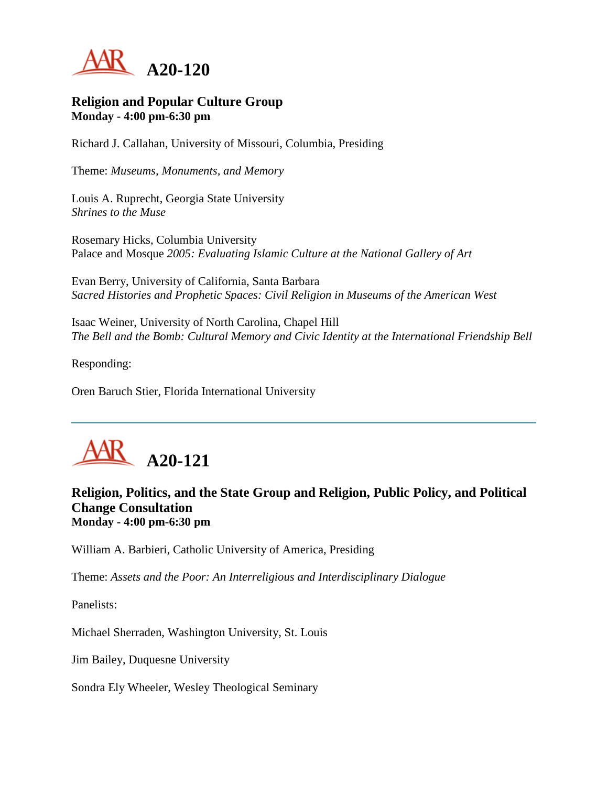

#### **Religion and Popular Culture Group Monday - 4:00 pm-6:30 pm**

Richard J. Callahan, University of Missouri, Columbia, Presiding

Theme: *Museums, Monuments, and Memory*

Louis A. Ruprecht, Georgia State University *Shrines to the Muse*

Rosemary Hicks, Columbia University Palace and Mosque *2005: Evaluating Islamic Culture at the National Gallery of Art*

Evan Berry, University of California, Santa Barbara *Sacred Histories and Prophetic Spaces: Civil Religion in Museums of the American West*

Isaac Weiner, University of North Carolina, Chapel Hill *The Bell and the Bomb: Cultural Memory and Civic Identity at the International Friendship Bell*

Responding:

Oren Baruch Stier, Florida International University



## **Religion, Politics, and the State Group and Religion, Public Policy, and Political Change Consultation Monday - 4:00 pm-6:30 pm**

William A. Barbieri, Catholic University of America, Presiding

Theme: *Assets and the Poor: An Interreligious and Interdisciplinary Dialogue*

Panelists:

Michael Sherraden, Washington University, St. Louis

Jim Bailey, Duquesne University

Sondra Ely Wheeler, Wesley Theological Seminary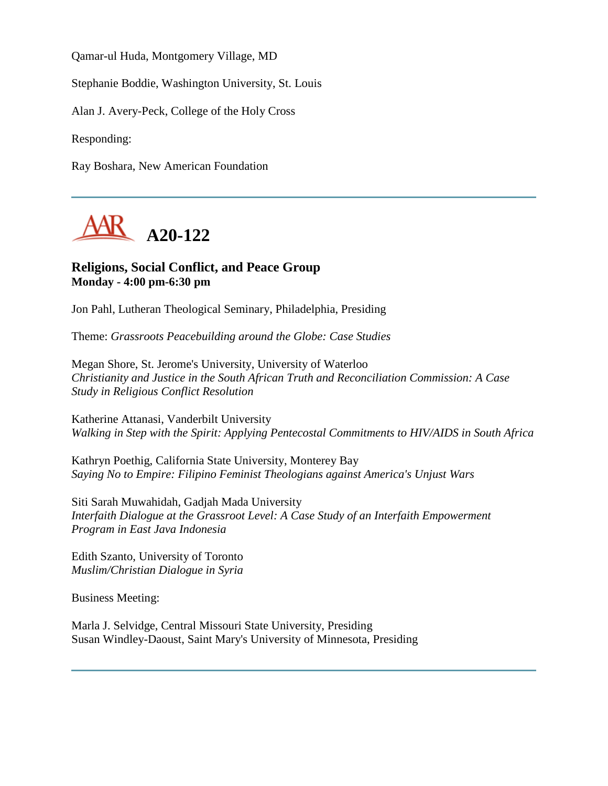Qamar-ul Huda, Montgomery Village, MD

Stephanie Boddie, Washington University, St. Louis

Alan J. Avery-Peck, College of the Holy Cross

Responding:

Ray Boshara, New American Foundation



#### **Religions, Social Conflict, and Peace Group Monday - 4:00 pm-6:30 pm**

Jon Pahl, Lutheran Theological Seminary, Philadelphia, Presiding

Theme: *Grassroots Peacebuilding around the Globe: Case Studies*

Megan Shore, St. Jerome's University, University of Waterloo *Christianity and Justice in the South African Truth and Reconciliation Commission: A Case Study in Religious Conflict Resolution*

Katherine Attanasi, Vanderbilt University *Walking in Step with the Spirit: Applying Pentecostal Commitments to HIV/AIDS in South Africa*

Kathryn Poethig, California State University, Monterey Bay *Saying No to Empire: Filipino Feminist Theologians against America's Unjust Wars*

Siti Sarah Muwahidah, Gadjah Mada University *Interfaith Dialogue at the Grassroot Level: A Case Study of an Interfaith Empowerment Program in East Java Indonesia*

Edith Szanto, University of Toronto *Muslim/Christian Dialogue in Syria*

Business Meeting:

Marla J. Selvidge, Central Missouri State University, Presiding Susan Windley-Daoust, Saint Mary's University of Minnesota, Presiding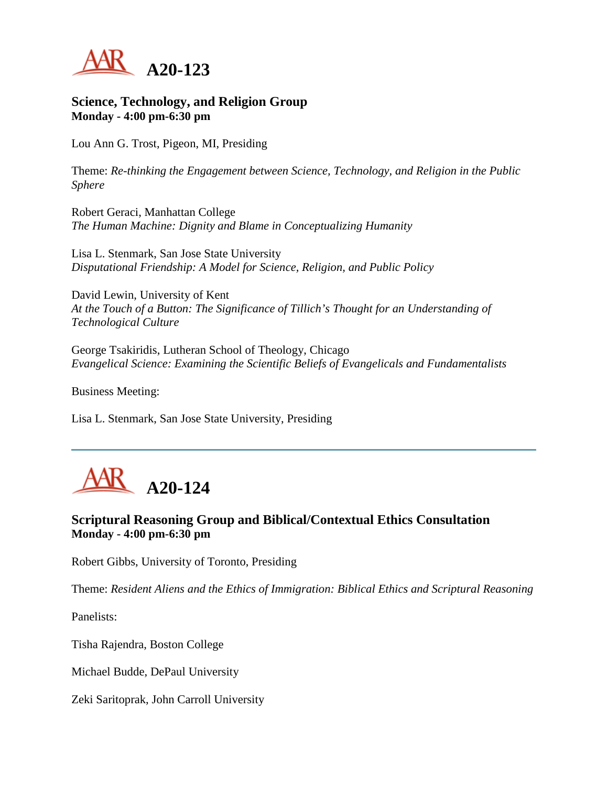

#### **Science, Technology, and Religion Group Monday - 4:00 pm-6:30 pm**

Lou Ann G. Trost, Pigeon, MI, Presiding

Theme: *Re-thinking the Engagement between Science, Technology, and Religion in the Public Sphere*

Robert Geraci, Manhattan College *The Human Machine: Dignity and Blame in Conceptualizing Humanity*

Lisa L. Stenmark, San Jose State University *Disputational Friendship: A Model for Science, Religion, and Public Policy*

David Lewin, University of Kent *At the Touch of a Button: The Significance of Tillich's Thought for an Understanding of Technological Culture*

George Tsakiridis, Lutheran School of Theology, Chicago *Evangelical Science: Examining the Scientific Beliefs of Evangelicals and Fundamentalists*

Business Meeting:

Lisa L. Stenmark, San Jose State University, Presiding

## **A20-124**

## **Scriptural Reasoning Group and Biblical/Contextual Ethics Consultation Monday - 4:00 pm-6:30 pm**

Robert Gibbs, University of Toronto, Presiding

Theme: *Resident Aliens and the Ethics of Immigration: Biblical Ethics and Scriptural Reasoning*

Panelists:

Tisha Rajendra, Boston College

Michael Budde, DePaul University

Zeki Saritoprak, John Carroll University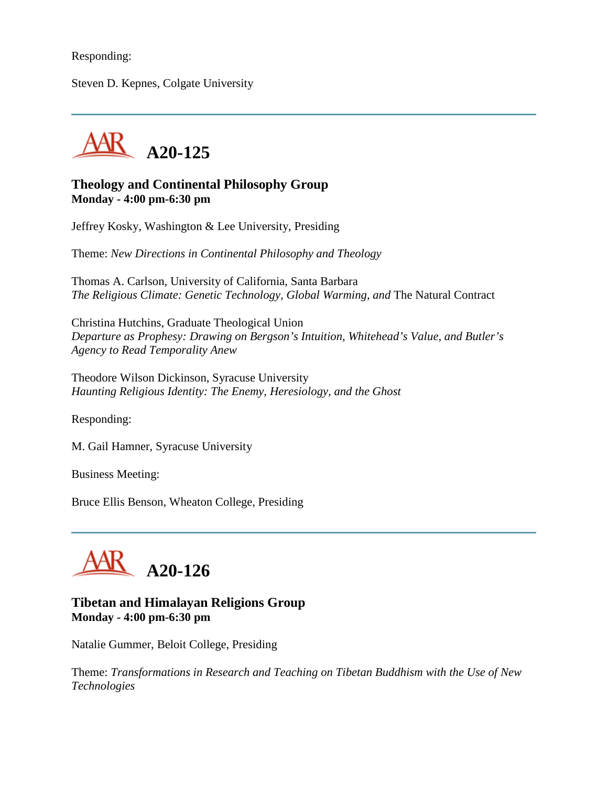#### Responding:

Steven D. Kepnes, Colgate University



#### **Theology and Continental Philosophy Group Monday - 4:00 pm-6:30 pm**

Jeffrey Kosky, Washington & Lee University, Presiding

Theme: *New Directions in Continental Philosophy and Theology*

Thomas A. Carlson, University of California, Santa Barbara *The Religious Climate: Genetic Technology, Global Warming, and The Natural Contract* 

Christina Hutchins, Graduate Theological Union *Departure as Prophesy: Drawing on Bergson's Intuition, Whitehead's Value, and Butler's Agency to Read Temporality Anew*

Theodore Wilson Dickinson, Syracuse University *Haunting Religious Identity: The Enemy, Heresiology, and the Ghost*

Responding:

M. Gail Hamner, Syracuse University

Business Meeting:

Bruce Ellis Benson, Wheaton College, Presiding



#### **Tibetan and Himalayan Religions Group Monday - 4:00 pm-6:30 pm**

Natalie Gummer, Beloit College, Presiding

Theme: *Transformations in Research and Teaching on Tibetan Buddhism with the Use of New Technologies*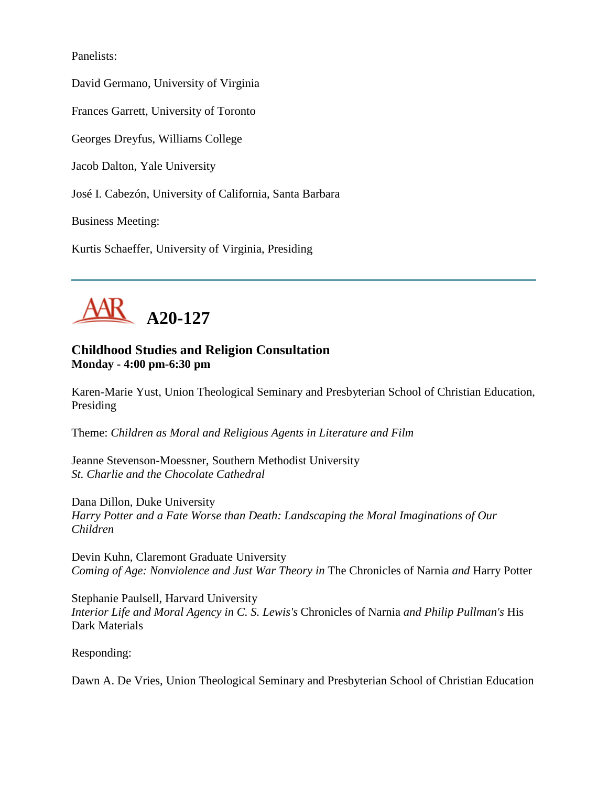Panelists:

David Germano, University of Virginia

Frances Garrett, University of Toronto

Georges Dreyfus, Williams College

Jacob Dalton, Yale University

José I. Cabezón, University of California, Santa Barbara

Business Meeting:

Kurtis Schaeffer, University of Virginia, Presiding



## **Childhood Studies and Religion Consultation Monday - 4:00 pm-6:30 pm**

Karen-Marie Yust, Union Theological Seminary and Presbyterian School of Christian Education, Presiding

Theme: *Children as Moral and Religious Agents in Literature and Film*

Jeanne Stevenson-Moessner, Southern Methodist University *St. Charlie and the Chocolate Cathedral*

Dana Dillon, Duke University *Harry Potter and a Fate Worse than Death: Landscaping the Moral Imaginations of Our Children*

Devin Kuhn, Claremont Graduate University *Coming of Age: Nonviolence and Just War Theory in* The Chronicles of Narnia *and* Harry Potter

Stephanie Paulsell, Harvard University *Interior Life and Moral Agency in C. S. Lewis's* Chronicles of Narnia *and Philip Pullman's* His Dark Materials

Responding:

Dawn A. De Vries, Union Theological Seminary and Presbyterian School of Christian Education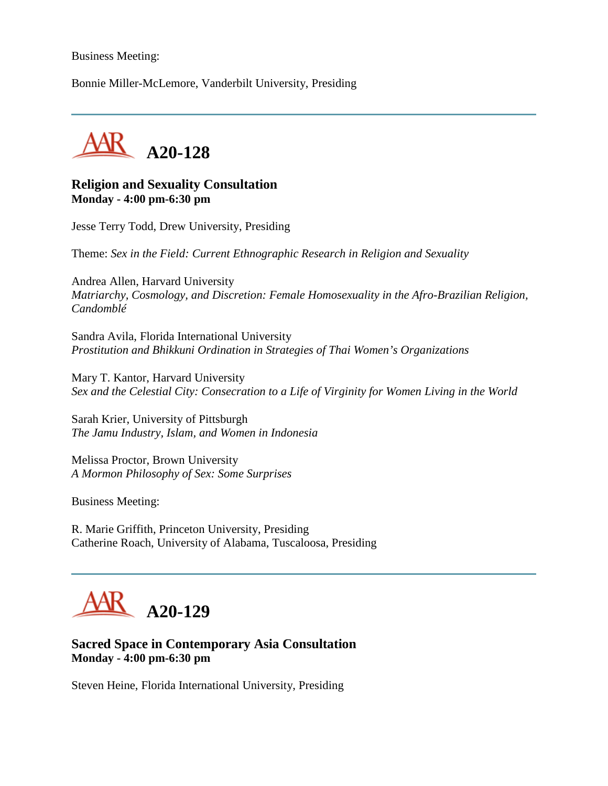#### Business Meeting:

Bonnie Miller-McLemore, Vanderbilt University, Presiding



#### **Religion and Sexuality Consultation Monday - 4:00 pm-6:30 pm**

Jesse Terry Todd, Drew University, Presiding

Theme: *Sex in the Field: Current Ethnographic Research in Religion and Sexuality*

Andrea Allen, Harvard University *Matriarchy, Cosmology, and Discretion: Female Homosexuality in the Afro-Brazilian Religion, Candomblé*

Sandra Avila, Florida International University *Prostitution and Bhikkuni Ordination in Strategies of Thai Women's Organizations*

Mary T. Kantor, Harvard University *Sex and the Celestial City: Consecration to a Life of Virginity for Women Living in the World*

Sarah Krier, University of Pittsburgh *The Jamu Industry, Islam, and Women in Indonesia*

Melissa Proctor, Brown University *A Mormon Philosophy of Sex: Some Surprises*

Business Meeting:

R. Marie Griffith, Princeton University, Presiding Catherine Roach, University of Alabama, Tuscaloosa, Presiding

## **A20-129**

#### **Sacred Space in Contemporary Asia Consultation Monday - 4:00 pm-6:30 pm**

Steven Heine, Florida International University, Presiding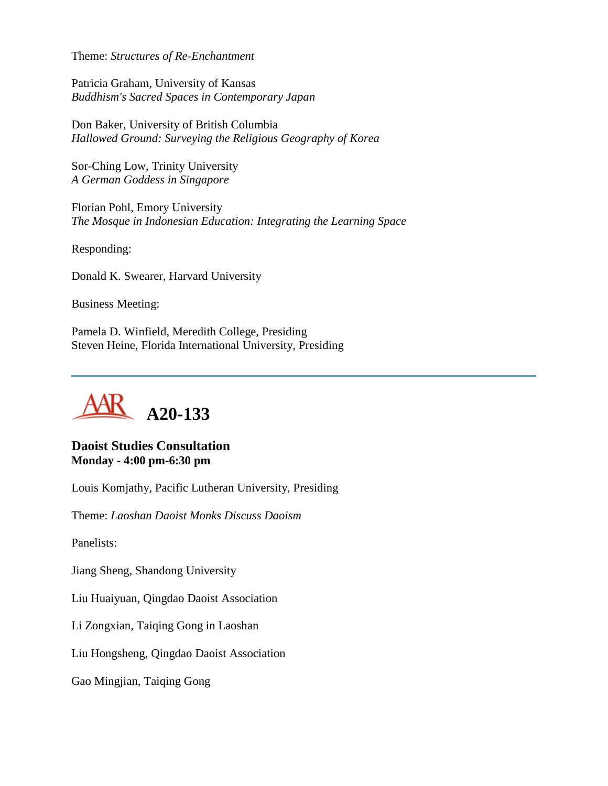Theme: *Structures of Re-Enchantment*

Patricia Graham, University of Kansas *Buddhism's Sacred Spaces in Contemporary Japan*

Don Baker, University of British Columbia *Hallowed Ground: Surveying the Religious Geography of Korea*

Sor-Ching Low, Trinity University *A German Goddess in Singapore*

Florian Pohl, Emory University *The Mosque in Indonesian Education: Integrating the Learning Space*

Responding:

Donald K. Swearer, Harvard University

Business Meeting:

Pamela D. Winfield, Meredith College, Presiding Steven Heine, Florida International University, Presiding



## **Daoist Studies Consultation Monday - 4:00 pm-6:30 pm**

Louis Komjathy, Pacific Lutheran University, Presiding

Theme: *Laoshan Daoist Monks Discuss Daoism*

Panelists:

Jiang Sheng, Shandong University

Liu Huaiyuan, Qingdao Daoist Association

Li Zongxian, Taiqing Gong in Laoshan

Liu Hongsheng, Qingdao Daoist Association

Gao Mingjian, Taiqing Gong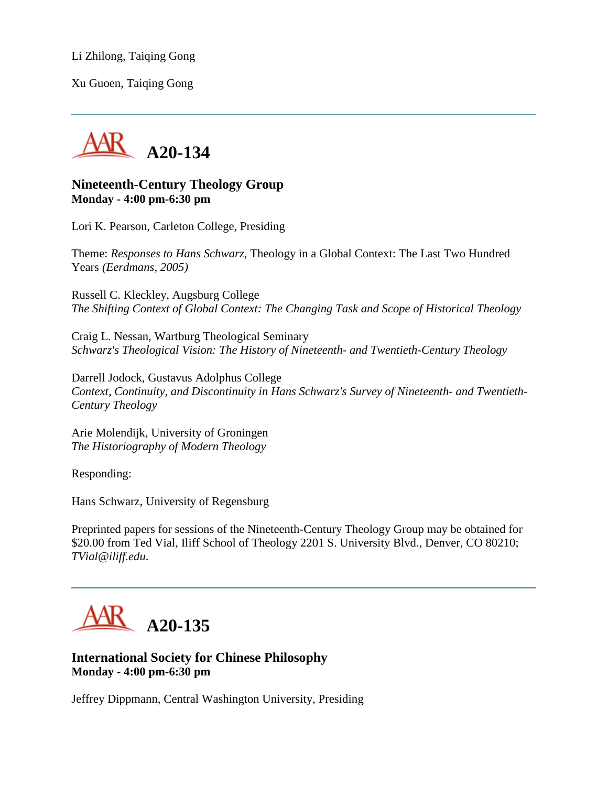Li Zhilong, Taiqing Gong

Xu Guoen, Taiqing Gong



#### **Nineteenth-Century Theology Group Monday - 4:00 pm-6:30 pm**

Lori K. Pearson, Carleton College, Presiding

Theme: *Responses to Hans Schwarz,* Theology in a Global Context: The Last Two Hundred Years *(Eerdmans, 2005)*

Russell C. Kleckley, Augsburg College *The Shifting Context of Global Context: The Changing Task and Scope of Historical Theology*

Craig L. Nessan, Wartburg Theological Seminary *Schwarz's Theological Vision: The History of Nineteenth- and Twentieth-Century Theology*

Darrell Jodock, Gustavus Adolphus College *Context, Continuity, and Discontinuity in Hans Schwarz's Survey of Nineteenth- and Twentieth-Century Theology*

Arie Molendijk, University of Groningen *The Historiography of Modern Theology*

Responding:

Hans Schwarz, University of Regensburg

Preprinted papers for sessions of the Nineteenth-Century Theology Group may be obtained for \$20.00 from Ted Vial, Iliff School of Theology 2201 S. University Blvd., Denver, CO 80210; *TVial@iliff.edu*.



**International Society for Chinese Philosophy Monday - 4:00 pm-6:30 pm**

Jeffrey Dippmann, Central Washington University, Presiding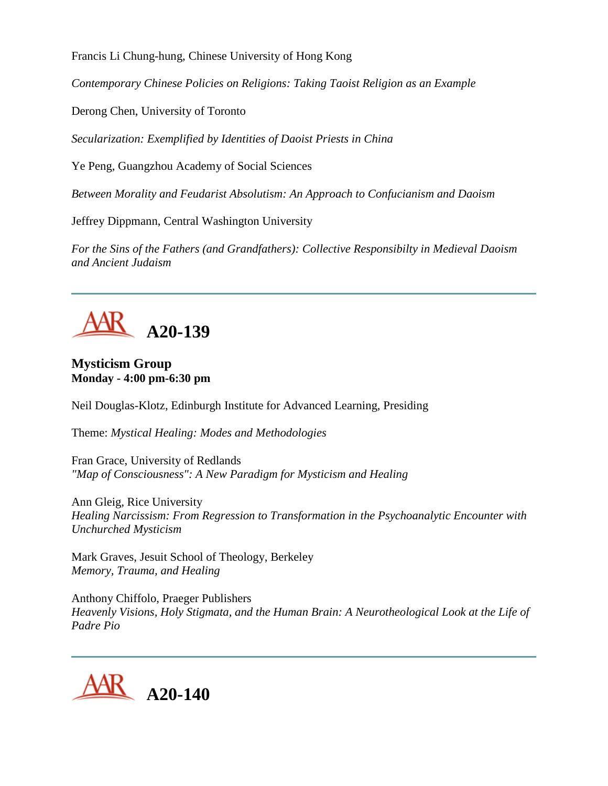Francis Li Chung-hung, Chinese University of Hong Kong

*Contemporary Chinese Policies on Religions: Taking Taoist Religion as an Example*

Derong Chen, University of Toronto

*Secularization: Exemplified by Identities of Daoist Priests in China*

Ye Peng, Guangzhou Academy of Social Sciences

*Between Morality and Feudarist Absolutism: An Approach to Confucianism and Daoism*

Jeffrey Dippmann, Central Washington University

*For the Sins of the Fathers (and Grandfathers): Collective Responsibilty in Medieval Daoism and Ancient Judaism*



### **Mysticism Group Monday - 4:00 pm-6:30 pm**

Neil Douglas-Klotz, Edinburgh Institute for Advanced Learning, Presiding

Theme: *Mystical Healing: Modes and Methodologies*

Fran Grace, University of Redlands *"Map of Consciousness": A New Paradigm for Mysticism and Healing*

Ann Gleig, Rice University *Healing Narcissism: From Regression to Transformation in the Psychoanalytic Encounter with Unchurched Mysticism*

Mark Graves, Jesuit School of Theology, Berkeley *Memory, Trauma, and Healing*

Anthony Chiffolo, Praeger Publishers *Heavenly Visions, Holy Stigmata, and the Human Brain: A Neurotheological Look at the Life of Padre Pio*

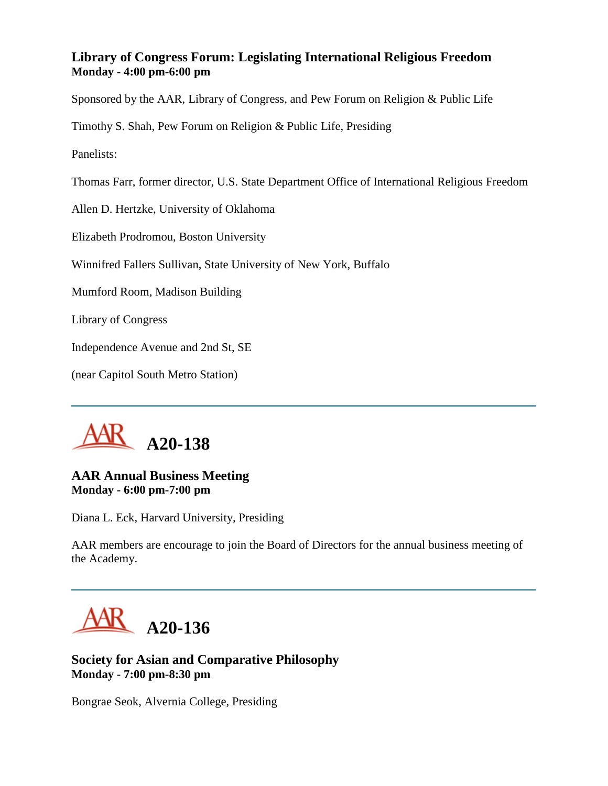## **Library of Congress Forum: Legislating International Religious Freedom Monday - 4:00 pm-6:00 pm**

Sponsored by the AAR, Library of Congress, and Pew Forum on Religion & Public Life

Timothy S. Shah, Pew Forum on Religion & Public Life, Presiding

Panelists:

Thomas Farr, former director, U.S. State Department Office of International Religious Freedom

Allen D. Hertzke, University of Oklahoma

Elizabeth Prodromou, Boston University

Winnifred Fallers Sullivan, State University of New York, Buffalo

Mumford Room, Madison Building

Library of Congress

Independence Avenue and 2nd St, SE

(near Capitol South Metro Station)



#### **AAR Annual Business Meeting Monday - 6:00 pm-7:00 pm**

Diana L. Eck, Harvard University, Presiding

AAR members are encourage to join the Board of Directors for the annual business meeting of the Academy.



**Society for Asian and Comparative Philosophy Monday - 7:00 pm-8:30 pm**

Bongrae Seok, Alvernia College, Presiding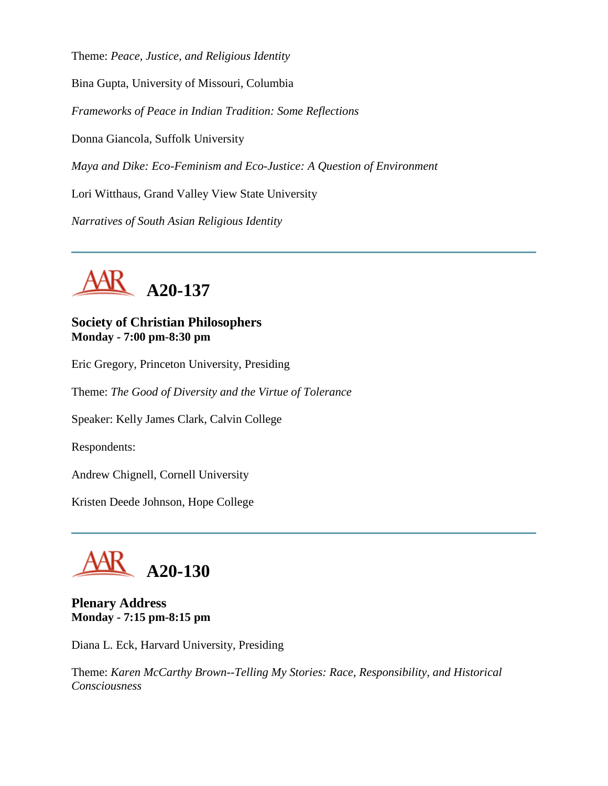Theme: *Peace, Justice, and Religious Identity*

Bina Gupta, University of Missouri, Columbia

*Frameworks of Peace in Indian Tradition: Some Reflections*

Donna Giancola, Suffolk University

*Maya and Dike: Eco-Feminism and Eco-Justice: A Question of Environment*

Lori Witthaus, Grand Valley View State University

*Narratives of South Asian Religious Identity*



**Society of Christian Philosophers Monday - 7:00 pm-8:30 pm**

Eric Gregory, Princeton University, Presiding

Theme: *The Good of Diversity and the Virtue of Tolerance*

Speaker: Kelly James Clark, Calvin College

Respondents:

Andrew Chignell, Cornell University

Kristen Deede Johnson, Hope College



**Plenary Address Monday - 7:15 pm-8:15 pm**

Diana L. Eck, Harvard University, Presiding

Theme: *Karen McCarthy Brown--Telling My Stories: Race, Responsibility, and Historical Consciousness*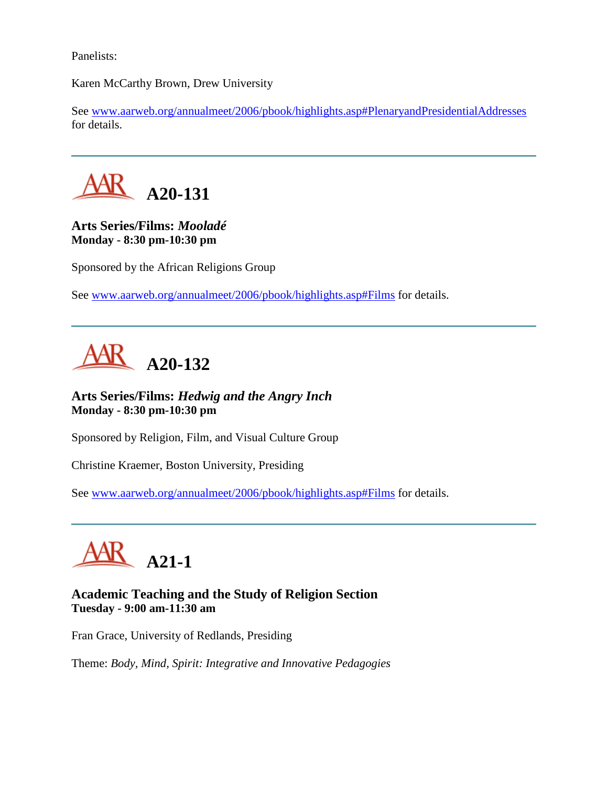Panelists:

Karen McCarthy Brown, Drew University

See [www.aarweb.org/annualmeet/2006/pbook/highlights.asp#PlenaryandPresidentialAddresses](http://www.aarweb.org/Meetings/Annual_Meeting/Past_and_Future_Meetings/2006/highlights.asp#PlenaryandPresidentialAddresses) for details.



**Arts Series/Films:** *Mooladé* **Monday - 8:30 pm-10:30 pm**

Sponsored by the African Religions Group

See [www.aarweb.org/annualmeet/2006/pbook/highlights.asp#Films](http://www.aarweb.org/Meetings/Annual_Meeting/Past_and_Future_Meetings/2006/highlights.asp#Films) for details.



**Arts Series/Films:** *Hedwig and the Angry Inch* **Monday - 8:30 pm-10:30 pm**

Sponsored by Religion, Film, and Visual Culture Group

Christine Kraemer, Boston University, Presiding

See [www.aarweb.org/annualmeet/2006/pbook/highlights.asp#Films](http://www.aarweb.org/Meetings/Annual_Meeting/Past_and_Future_Meetings/2006/highlights.asp#Films) for details.



## **Academic Teaching and the Study of Religion Section Tuesday - 9:00 am-11:30 am**

Fran Grace, University of Redlands, Presiding

Theme: *Body, Mind, Spirit: Integrative and Innovative Pedagogies*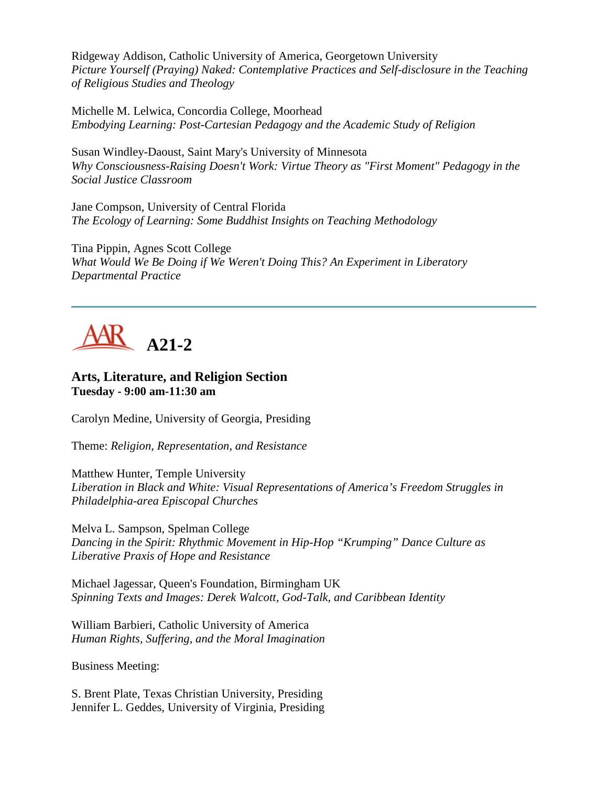Ridgeway Addison, Catholic University of America, Georgetown University *Picture Yourself (Praying) Naked: Contemplative Practices and Self-disclosure in the Teaching of Religious Studies and Theology*

Michelle M. Lelwica, Concordia College, Moorhead *Embodying Learning: Post-Cartesian Pedagogy and the Academic Study of Religion*

Susan Windley-Daoust, Saint Mary's University of Minnesota *Why Consciousness-Raising Doesn't Work: Virtue Theory as "First Moment" Pedagogy in the Social Justice Classroom*

Jane Compson, University of Central Florida *The Ecology of Learning: Some Buddhist Insights on Teaching Methodology*

Tina Pippin, Agnes Scott College *What Would We Be Doing if We Weren't Doing This? An Experiment in Liberatory Departmental Practice*



## **Arts, Literature, and Religion Section Tuesday - 9:00 am-11:30 am**

Carolyn Medine, University of Georgia, Presiding

Theme: *Religion, Representation, and Resistance*

Matthew Hunter, Temple University *Liberation in Black and White: Visual Representations of America's Freedom Struggles in Philadelphia-area Episcopal Churches*

Melva L. Sampson, Spelman College *Dancing in the Spirit: Rhythmic Movement in Hip-Hop "Krumping" Dance Culture as Liberative Praxis of Hope and Resistance*

Michael Jagessar, Queen's Foundation, Birmingham UK *Spinning Texts and Images: Derek Walcott, God-Talk, and Caribbean Identity*

William Barbieri, Catholic University of America *Human Rights, Suffering, and the Moral Imagination*

Business Meeting:

S. Brent Plate, Texas Christian University, Presiding Jennifer L. Geddes, University of Virginia, Presiding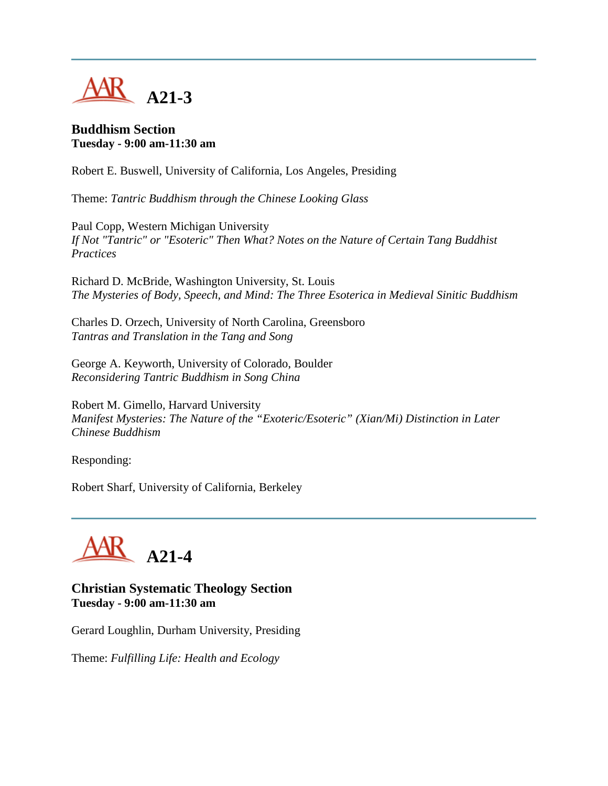

#### **Buddhism Section Tuesday - 9:00 am-11:30 am**

Robert E. Buswell, University of California, Los Angeles, Presiding

Theme: *Tantric Buddhism through the Chinese Looking Glass*

Paul Copp, Western Michigan University *If Not "Tantric" or "Esoteric" Then What? Notes on the Nature of Certain Tang Buddhist Practices*

Richard D. McBride, Washington University, St. Louis *The Mysteries of Body, Speech, and Mind: The Three Esoterica in Medieval Sinitic Buddhism*

Charles D. Orzech, University of North Carolina, Greensboro *Tantras and Translation in the Tang and Song*

George A. Keyworth, University of Colorado, Boulder *Reconsidering Tantric Buddhism in Song China*

Robert M. Gimello, Harvard University *Manifest Mysteries: The Nature of the "Exoteric/Esoteric" (Xian/Mi) Distinction in Later Chinese Buddhism*

Responding:

Robert Sharf, University of California, Berkeley



#### **Christian Systematic Theology Section Tuesday - 9:00 am-11:30 am**

Gerard Loughlin, Durham University, Presiding

Theme: *Fulfilling Life: Health and Ecology*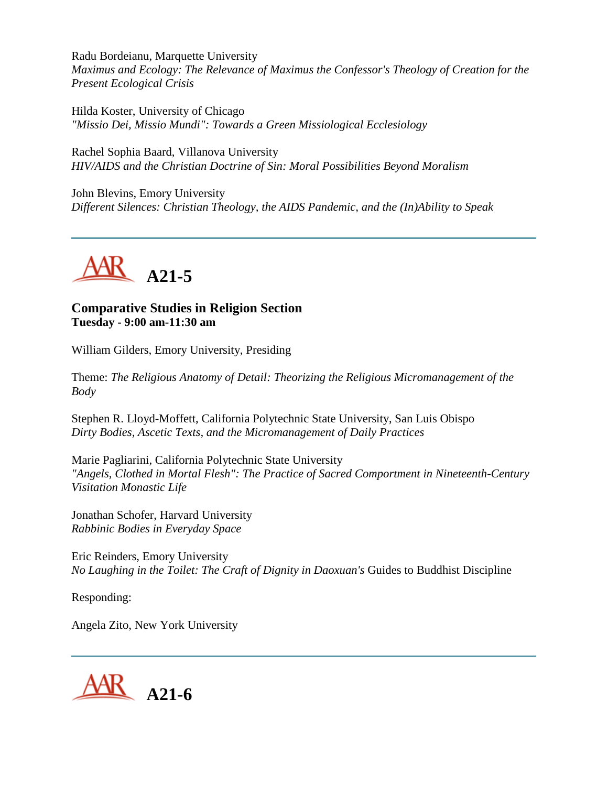Radu Bordeianu, Marquette University *Maximus and Ecology: The Relevance of Maximus the Confessor's Theology of Creation for the Present Ecological Crisis*

Hilda Koster, University of Chicago *"Missio Dei, Missio Mundi": Towards a Green Missiological Ecclesiology*

Rachel Sophia Baard, Villanova University *HIV/AIDS and the Christian Doctrine of Sin: Moral Possibilities Beyond Moralism*

John Blevins, Emory University *Different Silences: Christian Theology, the AIDS Pandemic, and the (In)Ability to Speak*



**Comparative Studies in Religion Section Tuesday - 9:00 am-11:30 am**

William Gilders, Emory University, Presiding

Theme: *The Religious Anatomy of Detail: Theorizing the Religious Micromanagement of the Body*

Stephen R. Lloyd-Moffett, California Polytechnic State University, San Luis Obispo *Dirty Bodies, Ascetic Texts, and the Micromanagement of Daily Practices*

Marie Pagliarini, California Polytechnic State University *"Angels, Clothed in Mortal Flesh": The Practice of Sacred Comportment in Nineteenth-Century Visitation Monastic Life*

Jonathan Schofer, Harvard University *Rabbinic Bodies in Everyday Space*

Eric Reinders, Emory University *No Laughing in the Toilet: The Craft of Dignity in Daoxuan's* Guides to Buddhist Discipline

Responding:

Angela Zito, New York University

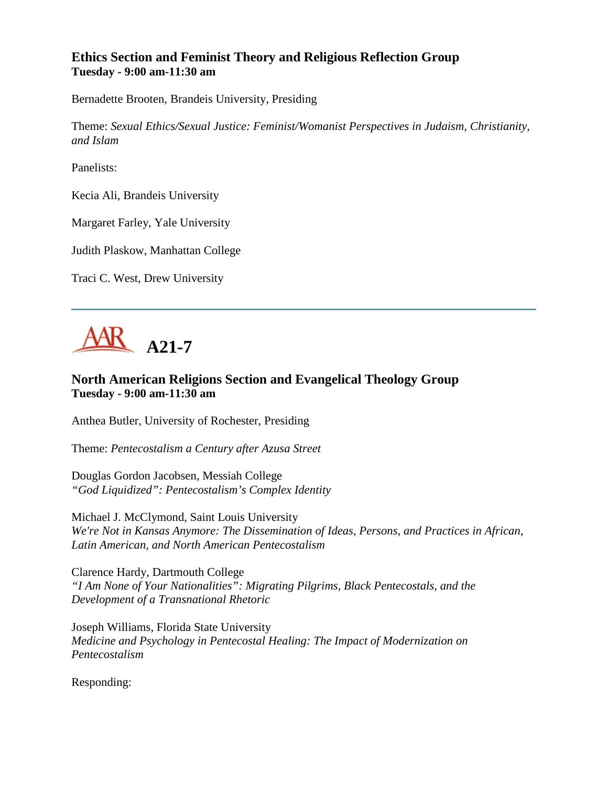## **Ethics Section and Feminist Theory and Religious Reflection Group Tuesday - 9:00 am-11:30 am**

Bernadette Brooten, Brandeis University, Presiding

Theme: *Sexual Ethics/Sexual Justice: Feminist/Womanist Perspectives in Judaism, Christianity, and Islam*

Panelists:

Kecia Ali, Brandeis University

Margaret Farley, Yale University

Judith Plaskow, Manhattan College

Traci C. West, Drew University



## **North American Religions Section and Evangelical Theology Group Tuesday - 9:00 am-11:30 am**

Anthea Butler, University of Rochester, Presiding

Theme: *Pentecostalism a Century after Azusa Street*

Douglas Gordon Jacobsen, Messiah College *"God Liquidized": Pentecostalism's Complex Identity*

Michael J. McClymond, Saint Louis University *We're Not in Kansas Anymore: The Dissemination of Ideas, Persons, and Practices in African, Latin American, and North American Pentecostalism*

Clarence Hardy, Dartmouth College *"I Am None of Your Nationalities": Migrating Pilgrims, Black Pentecostals, and the Development of a Transnational Rhetoric*

Joseph Williams, Florida State University *Medicine and Psychology in Pentecostal Healing: The Impact of Modernization on Pentecostalism*

Responding: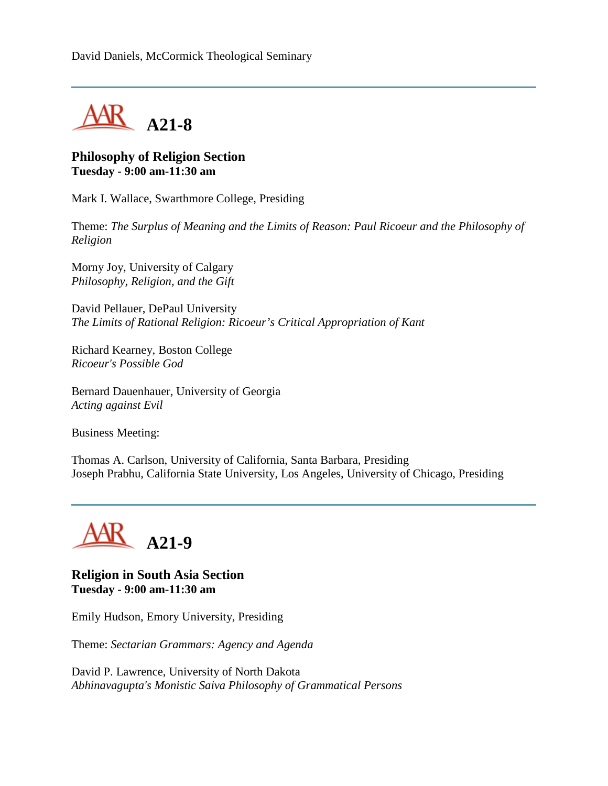

#### **Philosophy of Religion Section Tuesday - 9:00 am-11:30 am**

Mark I. Wallace, Swarthmore College, Presiding

Theme: *The Surplus of Meaning and the Limits of Reason: Paul Ricoeur and the Philosophy of Religion*

Morny Joy, University of Calgary *Philosophy, Religion, and the Gift*

David Pellauer, DePaul University *The Limits of Rational Religion: Ricoeur's Critical Appropriation of Kant*

Richard Kearney, Boston College *Ricoeur's Possible God*

Bernard Dauenhauer, University of Georgia *Acting against Evil*

Business Meeting:

Thomas A. Carlson, University of California, Santa Barbara, Presiding Joseph Prabhu, California State University, Los Angeles, University of Chicago, Presiding



**Religion in South Asia Section Tuesday - 9:00 am-11:30 am**

Emily Hudson, Emory University, Presiding

Theme: *Sectarian Grammars: Agency and Agenda*

David P. Lawrence, University of North Dakota *Abhinavagupta's Monistic Saiva Philosophy of Grammatical Persons*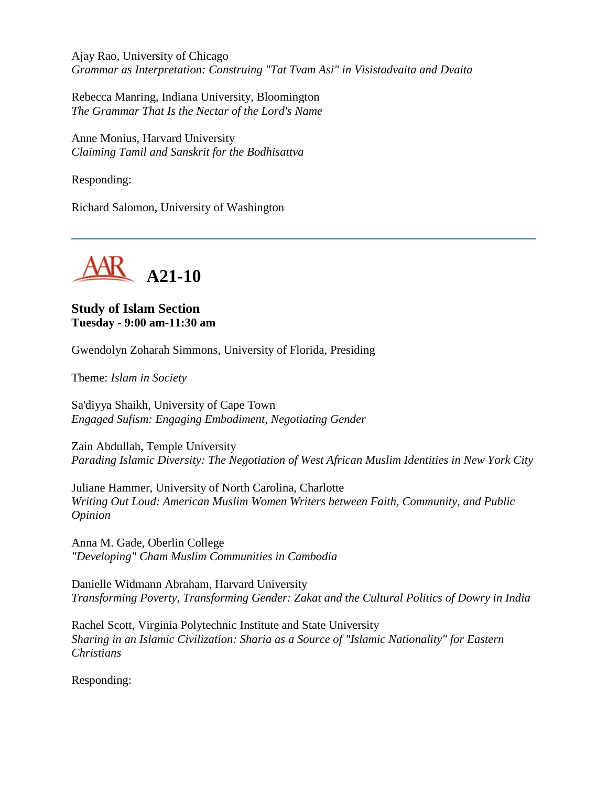Ajay Rao, University of Chicago *Grammar as Interpretation: Construing "Tat Tvam Asi" in Visistadvaita and Dvaita*

Rebecca Manring, Indiana University, Bloomington *The Grammar That Is the Nectar of the Lord's Name*

Anne Monius, Harvard University *Claiming Tamil and Sanskrit for the Bodhisattva*

Responding:

Richard Salomon, University of Washington



### **Study of Islam Section Tuesday - 9:00 am-11:30 am**

Gwendolyn Zoharah Simmons, University of Florida, Presiding

Theme: *Islam in Society*

Sa'diyya Shaikh, University of Cape Town *Engaged Sufism: Engaging Embodiment, Negotiating Gender*

Zain Abdullah, Temple University *Parading Islamic Diversity: The Negotiation of West African Muslim Identities in New York City*

Juliane Hammer, University of North Carolina, Charlotte *Writing Out Loud: American Muslim Women Writers between Faith, Community, and Public Opinion*

Anna M. Gade, Oberlin College *"Developing" Cham Muslim Communities in Cambodia*

Danielle Widmann Abraham, Harvard University *Transforming Poverty, Transforming Gender: Zakat and the Cultural Politics of Dowry in India*

Rachel Scott, Virginia Polytechnic Institute and State University *Sharing in an Islamic Civilization: Sharia as a Source of "Islamic Nationality" for Eastern Christians*

Responding: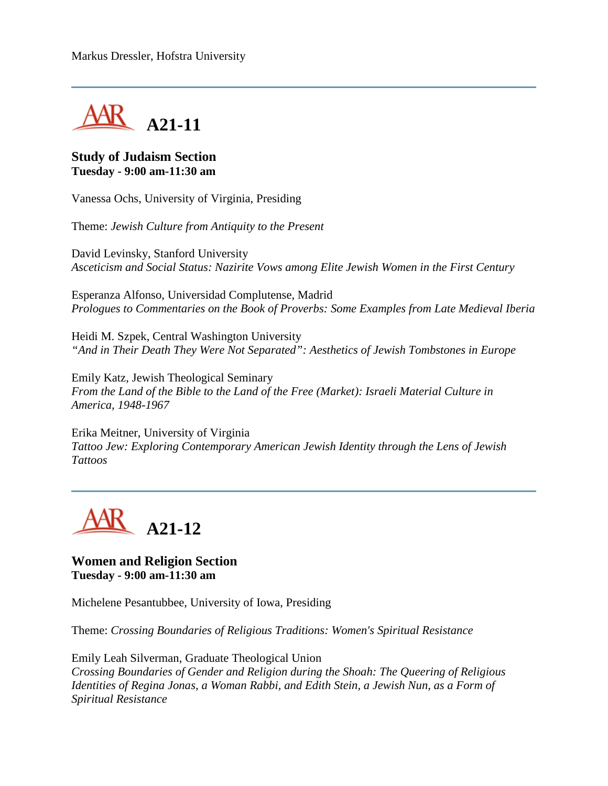

#### **Study of Judaism Section Tuesday - 9:00 am-11:30 am**

Vanessa Ochs, University of Virginia, Presiding

Theme: *Jewish Culture from Antiquity to the Present*

David Levinsky, Stanford University *Asceticism and Social Status: Nazirite Vows among Elite Jewish Women in the First Century*

Esperanza Alfonso, Universidad Complutense, Madrid *Prologues to Commentaries on the Book of Proverbs: Some Examples from Late Medieval Iberia*

Heidi M. Szpek, Central Washington University *"And in Their Death They Were Not Separated": Aesthetics of Jewish Tombstones in Europe*

Emily Katz, Jewish Theological Seminary *From the Land of the Bible to the Land of the Free (Market): Israeli Material Culture in America, 1948-1967*

Erika Meitner, University of Virginia *Tattoo Jew: Exploring Contemporary American Jewish Identity through the Lens of Jewish Tattoos*



**Women and Religion Section Tuesday - 9:00 am-11:30 am**

Michelene Pesantubbee, University of Iowa, Presiding

Theme: *Crossing Boundaries of Religious Traditions: Women's Spiritual Resistance*

Emily Leah Silverman, Graduate Theological Union *Crossing Boundaries of Gender and Religion during the Shoah: The Queering of Religious Identities of Regina Jonas, a Woman Rabbi, and Edith Stein, a Jewish Nun, as a Form of Spiritual Resistance*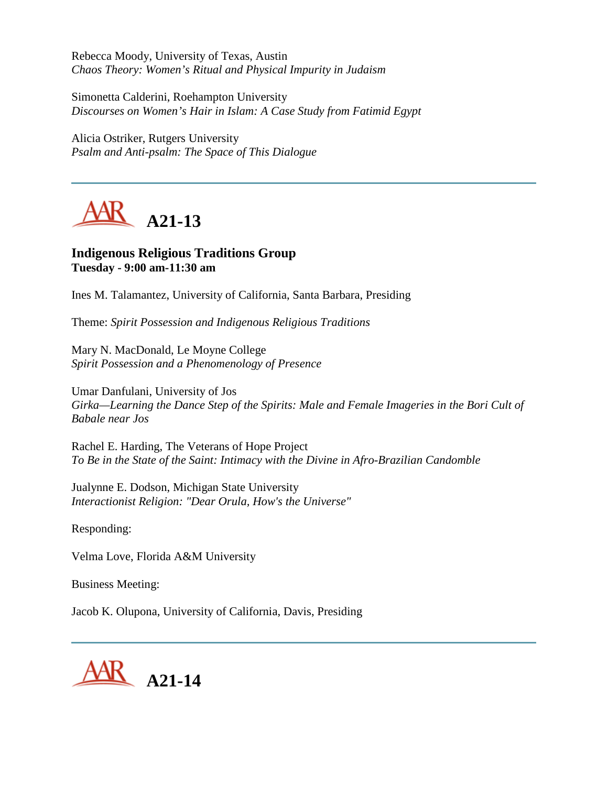Rebecca Moody, University of Texas, Austin *Chaos Theory: Women's Ritual and Physical Impurity in Judaism*

Simonetta Calderini, Roehampton University *Discourses on Women's Hair in Islam: A Case Study from Fatimid Egypt*

Alicia Ostriker, Rutgers University *Psalm and Anti-psalm: The Space of This Dialogue*



# **Indigenous Religious Traditions Group Tuesday - 9:00 am-11:30 am**

Ines M. Talamantez, University of California, Santa Barbara, Presiding

Theme: *Spirit Possession and Indigenous Religious Traditions*

Mary N. MacDonald, Le Moyne College *Spirit Possession and a Phenomenology of Presence*

Umar Danfulani, University of Jos *Girka—Learning the Dance Step of the Spirits: Male and Female Imageries in the Bori Cult of Babale near Jos*

Rachel E. Harding, The Veterans of Hope Project *To Be in the State of the Saint: Intimacy with the Divine in Afro-Brazilian Candomble*

Jualynne E. Dodson, Michigan State University *Interactionist Religion: "Dear Orula, How's the Universe"*

Responding:

Velma Love, Florida A&M University

Business Meeting:

Jacob K. Olupona, University of California, Davis, Presiding

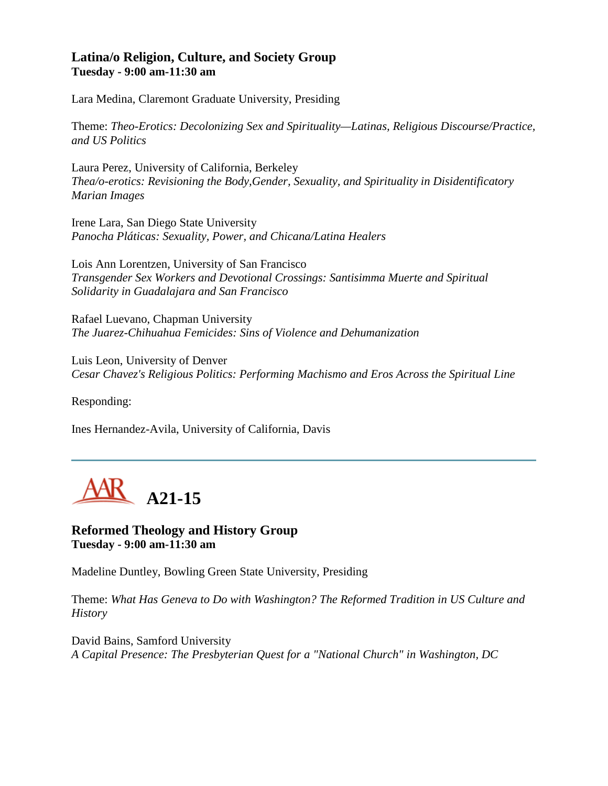#### **Latina/o Religion, Culture, and Society Group Tuesday - 9:00 am-11:30 am**

Lara Medina, Claremont Graduate University, Presiding

Theme: *Theo-Erotics: Decolonizing Sex and Spirituality—Latinas, Religious Discourse/Practice, and US Politics*

Laura Perez, University of California, Berkeley *Thea/o-erotics: Revisioning the Body,Gender, Sexuality, and Spirituality in Disidentificatory Marian Images*

Irene Lara, San Diego State University *Panocha Pláticas: Sexuality, Power, and Chicana/Latina Healers*

Lois Ann Lorentzen, University of San Francisco *Transgender Sex Workers and Devotional Crossings: Santisimma Muerte and Spiritual Solidarity in Guadalajara and San Francisco*

Rafael Luevano, Chapman University *The Juarez-Chihuahua Femicides: Sins of Violence and Dehumanization*

Luis Leon, University of Denver *Cesar Chavez's Religious Politics: Performing Machismo and Eros Across the Spiritual Line*

Responding:

Ines Hernandez-Avila, University of California, Davis



### **Reformed Theology and History Group Tuesday - 9:00 am-11:30 am**

Madeline Duntley, Bowling Green State University, Presiding

Theme: *What Has Geneva to Do with Washington? The Reformed Tradition in US Culture and History*

David Bains, Samford University *A Capital Presence: The Presbyterian Quest for a "National Church" in Washington, DC*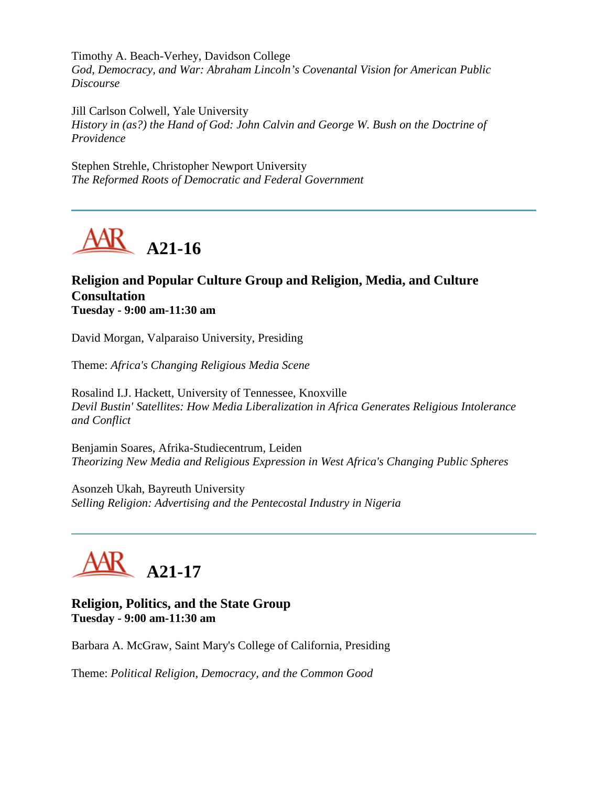Timothy A. Beach-Verhey, Davidson College *God, Democracy, and War: Abraham Lincoln's Covenantal Vision for American Public Discourse*

Jill Carlson Colwell, Yale University *History in (as?) the Hand of God: John Calvin and George W. Bush on the Doctrine of Providence*

Stephen Strehle, Christopher Newport University *The Reformed Roots of Democratic and Federal Government*



### **Religion and Popular Culture Group and Religion, Media, and Culture Consultation Tuesday - 9:00 am-11:30 am**

David Morgan, Valparaiso University, Presiding

Theme: *Africa's Changing Religious Media Scene*

Rosalind I.J. Hackett, University of Tennessee, Knoxville *Devil Bustin' Satellites: How Media Liberalization in Africa Generates Religious Intolerance and Conflict*

Benjamin Soares, Afrika-Studiecentrum, Leiden *Theorizing New Media and Religious Expression in West Africa's Changing Public Spheres*

Asonzeh Ukah, Bayreuth University *Selling Religion: Advertising and the Pentecostal Industry in Nigeria*



**Religion, Politics, and the State Group Tuesday - 9:00 am-11:30 am**

Barbara A. McGraw, Saint Mary's College of California, Presiding

Theme: *Political Religion, Democracy, and the Common Good*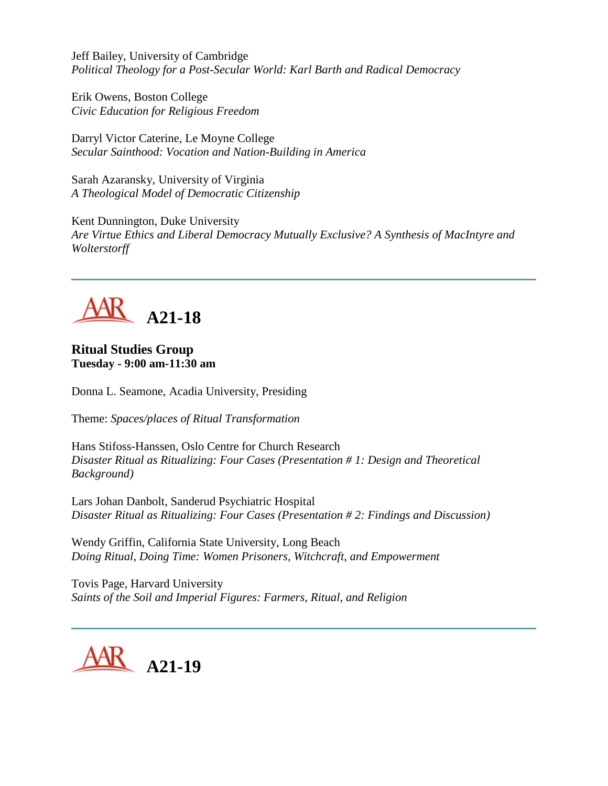Jeff Bailey, University of Cambridge *Political Theology for a Post-Secular World: Karl Barth and Radical Democracy*

Erik Owens, Boston College *Civic Education for Religious Freedom*

Darryl Victor Caterine, Le Moyne College *Secular Sainthood: Vocation and Nation-Building in America*

Sarah Azaransky, University of Virginia *A Theological Model of Democratic Citizenship*

Kent Dunnington, Duke University *Are Virtue Ethics and Liberal Democracy Mutually Exclusive? A Synthesis of MacIntyre and Wolterstorff*



# **Ritual Studies Group Tuesday - 9:00 am-11:30 am**

Donna L. Seamone, Acadia University, Presiding

Theme: *Spaces/places of Ritual Transformation*

Hans Stifoss-Hanssen, Oslo Centre for Church Research *Disaster Ritual as Ritualizing: Four Cases (Presentation # 1: Design and Theoretical Background)*

Lars Johan Danbolt, Sanderud Psychiatric Hospital *Disaster Ritual as Ritualizing: Four Cases (Presentation # 2: Findings and Discussion)*

Wendy Griffin, California State University, Long Beach *Doing Ritual, Doing Time: Women Prisoners, Witchcraft, and Empowerment*

Tovis Page, Harvard University *Saints of the Soil and Imperial Figures: Farmers, Ritual, and Religion*